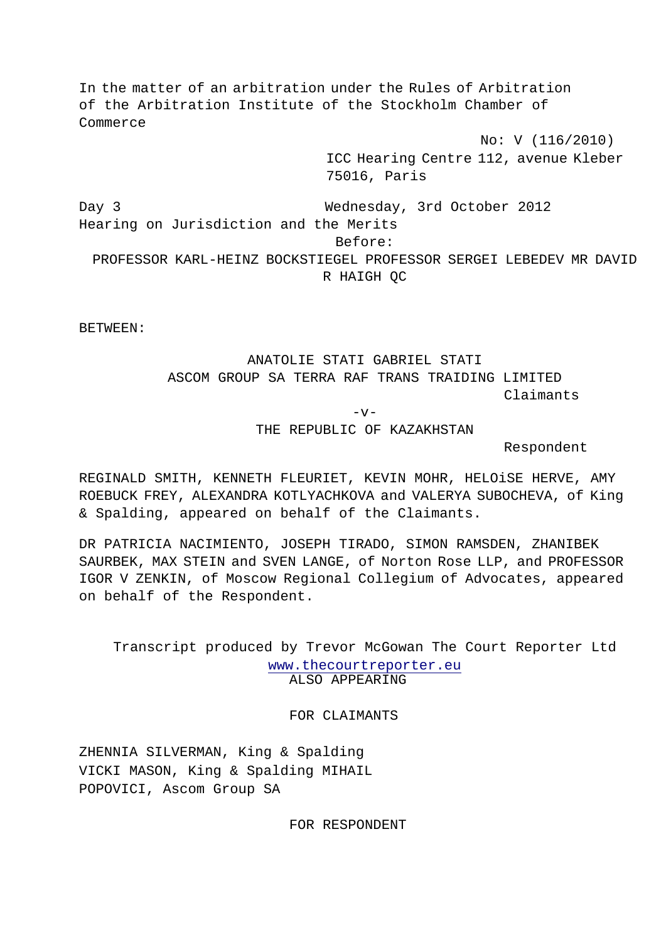In the matter of an arbitration under the Rules of Arbitration of the Arbitration Institute of the Stockholm Chamber of Commerce

No: V (116/2010) ICC Hearing Centre 112, avenue Kleber 75016, Paris Day 3 Wednesday, 3rd October 2012 Hearing on Jurisdiction and the Merits Before: PROFESSOR KARL-HEINZ BOCKSTIEGEL PROFESSOR SERGEI LEBEDEV MR DAVID R HAIGH QC

BETWEEN:

# ANATOLIE STATI GABRIEL STATI ASCOM GROUP SA TERRA RAF TRANS TRAIDING LIMITED Claimants

 $-v-$ 

### THE REPUBLIC OF KAZAKHSTAN

Respondent

REGINALD SMITH, KENNETH FLEURIET, KEVIN MOHR, HELOiSE HERVE, AMY ROEBUCK FREY, ALEXANDRA KOTLYACHKOVA and VALERYA SUBOCHEVA, of King & Spalding, appeared on behalf of the Claimants.

DR PATRICIA NACIMIENTO, JOSEPH TIRADO, SIMON RAMSDEN, ZHANIBEK SAURBEK, MAX STEIN and SVEN LANGE, of Norton Rose LLP, and PROFESSOR IGOR V ZENKIN, of Moscow Regional Collegium of Advocates, appeared on behalf of the Respondent.

Transcript produced by Trevor McGowan The Court Reporter Ltd www.thecourtreporter.eu ALSO APPEARING

FOR CLAIMANTS

ZHENNIA SILVERMAN, King & Spalding VICKI MASON, King & Spalding MIHAIL POPOVICI, Ascom Group SA

FOR RESPONDENT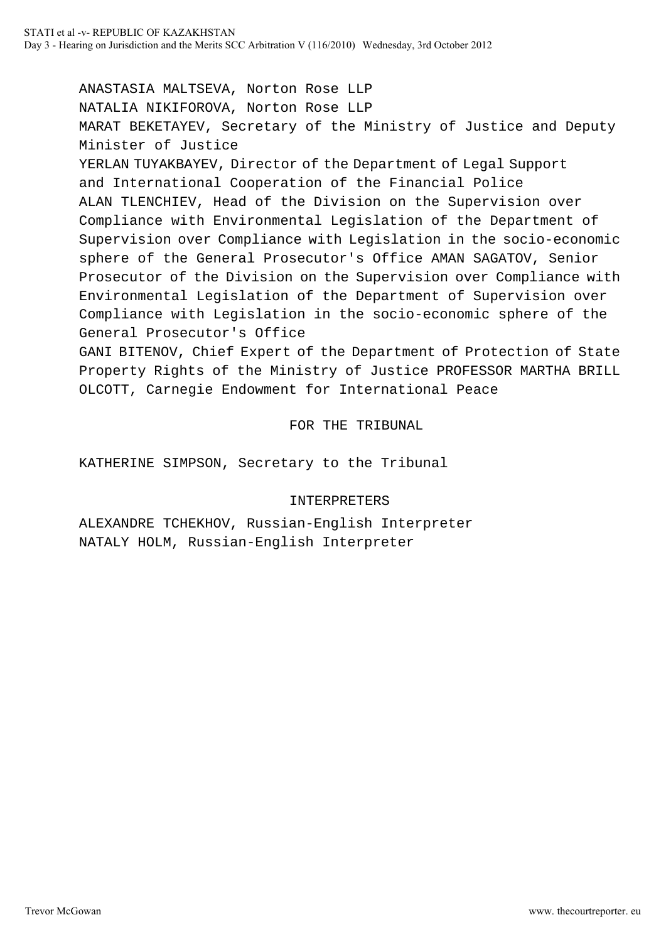ANASTASIA MALTSEVA, Norton Rose LLP NATALIA NIKIFOROVA, Norton Rose LLP MARAT BEKETAYEV, Secretary of the Ministry of Justice and Deputy Minister of Justice YERLAN TUYAKBAYEV, Director of the Department of Legal Support and International Cooperation of the Financial Police ALAN TLENCHIEV, Head of the Division on the Supervision over Compliance with Environmental Legislation of the Department of Supervision over Compliance with Legislation in the socio-economic sphere of the General Prosecutor's Office AMAN SAGATOV, Senior Prosecutor of the Division on the Supervision over Compliance with Environmental Legislation of the Department of Supervision over Compliance with Legislation in the socio-economic sphere of the General Prosecutor's Office

GANI BITENOV, Chief Expert of the Department of Protection of State Property Rights of the Ministry of Justice PROFESSOR MARTHA BRILL OLCOTT, Carnegie Endowment for International Peace

FOR THE TRIBUNAL

KATHERINE SIMPSON, Secretary to the Tribunal

## INTERPRETERS

ALEXANDRE TCHEKHOV, Russian-English Interpreter NATALY HOLM, Russian-English Interpreter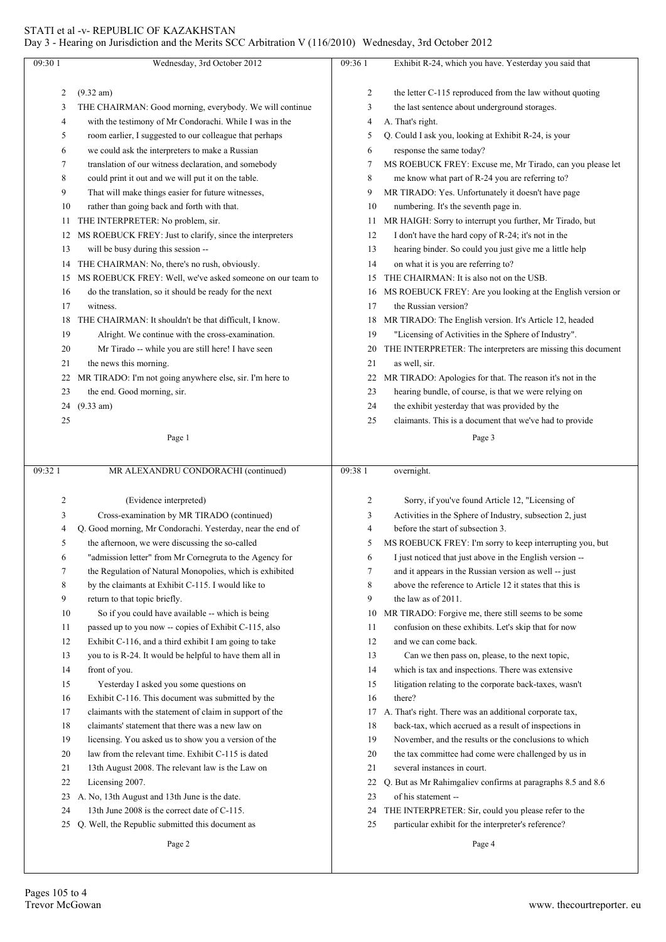| 09:30 1        | Wednesday, 3rd October 2012                                | 09:36 1 | Exhibit R-24, which you have. Yesterday you said that         |
|----------------|------------------------------------------------------------|---------|---------------------------------------------------------------|
|                |                                                            |         |                                                               |
| $\overline{c}$ | $(9.32 \text{ am})$                                        | 2       | the letter C-115 reproduced from the law without quoting      |
| 3              | THE CHAIRMAN: Good morning, everybody. We will continue    | 3       | the last sentence about underground storages.                 |
| 4              | with the testimony of Mr Condorachi. While I was in the    | 4       | A. That's right.                                              |
| 5              | room earlier, I suggested to our colleague that perhaps    | 5       | Q. Could I ask you, looking at Exhibit R-24, is your          |
| 6              | we could ask the interpreters to make a Russian            | 6       | response the same today?                                      |
| 7              | translation of our witness declaration, and somebody       | 7       | MS ROEBUCK FREY: Excuse me, Mr Tirado, can you please let     |
| 8              | could print it out and we will put it on the table.        | 8       | me know what part of R-24 you are referring to?               |
| 9              | That will make things easier for future witnesses,         | 9       | MR TIRADO: Yes. Unfortunately it doesn't have page            |
| 10             | rather than going back and forth with that.                | 10      | numbering. It's the seventh page in.                          |
| 11             | THE INTERPRETER: No problem, sir.                          | 11      | MR HAIGH: Sorry to interrupt you further, Mr Tirado, but      |
| 12             | MS ROEBUCK FREY: Just to clarify, since the interpreters   | 12      | I don't have the hard copy of R-24; it's not in the           |
| 13             | will be busy during this session --                        | 13      | hearing binder. So could you just give me a little help       |
| 14             | THE CHAIRMAN: No, there's no rush, obviously.              | 14      | on what it is you are referring to?                           |
| 15             | MS ROEBUCK FREY: Well, we've asked someone on our team to  | 15      | THE CHAIRMAN: It is also not on the USB.                      |
| 16             | do the translation, so it should be ready for the next     |         | 16 MS ROEBUCK FREY: Are you looking at the English version or |
| 17             | witness.                                                   | 17      | the Russian version?                                          |
| 18             | THE CHAIRMAN: It shouldn't be that difficult, I know.      |         | 18 MR TIRADO: The English version. It's Article 12, headed    |
| 19             | Alright. We continue with the cross-examination.           | 19      | "Licensing of Activities in the Sphere of Industry".          |
| 20             | Mr Tirado -- while you are still here! I have seen         | 20      | THE INTERPRETER: The interpreters are missing this document   |
| 21             | the news this morning.                                     | 21      | as well, sir.                                                 |
| 22             | MR TIRADO: I'm not going anywhere else, sir. I'm here to   | 22      | MR TIRADO: Apologies for that. The reason it's not in the     |
| 23             | the end. Good morning, sir.                                | 23      | hearing bundle, of course, is that we were relying on         |
| 24             | $(9.33 \text{ am})$                                        | 24      | the exhibit yesterday that was provided by the                |
| 25             |                                                            | 25      | claimants. This is a document that we've had to provide       |
|                | Page 1                                                     |         | Page 3                                                        |
|                |                                                            |         |                                                               |
|                |                                                            |         |                                                               |
| 09:32 1        | MR ALEXANDRU CONDORACHI (continued)                        | 09:38 1 | overnight.                                                    |
| $\overline{c}$ | (Evidence interpreted)                                     | 2       | Sorry, if you've found Article 12, "Licensing of              |
| 3              | Cross-examination by MR TIRADO (continued)                 | 3       | Activities in the Sphere of Industry, subsection 2, just      |
| 4              | Q. Good morning, Mr Condorachi. Yesterday, near the end of | 4       | before the start of subsection 3.                             |
| 5              | the afternoon, we were discussing the so-called            | 5       | MS ROEBUCK FREY: I'm sorry to keep interrupting you, but      |
| 6              | "admission letter" from Mr Cornegruta to the Agency for    | 6       | I just noticed that just above in the English version --      |
| 7              | the Regulation of Natural Monopolies, which is exhibited   | 7       | and it appears in the Russian version as well -- just         |
| 8              | by the claimants at Exhibit C-115. I would like to         | 8       | above the reference to Article 12 it states that this is      |
| 9              | return to that topic briefly.                              | 9       | the law as of 2011.                                           |
| $10\,$         | So if you could have available -- which is being           |         | 10 MR TIRADO: Forgive me, there still seems to be some        |
| 11             | passed up to you now -- copies of Exhibit C-115, also      | 11      | confusion on these exhibits. Let's skip that for now          |
| 12             | Exhibit C-116, and a third exhibit I am going to take      | 12      | and we can come back.                                         |
| 13             | you to is R-24. It would be helpful to have them all in    | 13      | Can we then pass on, please, to the next topic,               |
| 14             | front of you.                                              | 14      | which is tax and inspections. There was extensive             |
| 15             | Yesterday I asked you some questions on                    | 15      | litigation relating to the corporate back-taxes, wasn't       |
| 16             | Exhibit C-116. This document was submitted by the          | 16      | there?                                                        |
| 17             | claimants with the statement of claim in support of the    | 17      | A. That's right. There was an additional corporate tax,       |
| 18             | claimants' statement that there was a new law on           | 18      | back-tax, which accrued as a result of inspections in         |
| 19             | licensing. You asked us to show you a version of the       | 19      | November, and the results or the conclusions to which         |
| 20             | law from the relevant time. Exhibit C-115 is dated         | 20      | the tax committee had come were challenged by us in           |
| 21             | 13th August 2008. The relevant law is the Law on           | 21      | several instances in court.                                   |
| 22             | Licensing 2007.                                            | 22      | Q. But as Mr Rahimgaliev confirms at paragraphs 8.5 and 8.6   |
| 23             | A. No, 13th August and 13th June is the date.              | 23      | of his statement --                                           |
| 24             | 13th June 2008 is the correct date of C-115.               | 24      | THE INTERPRETER: Sir, could you please refer to the           |
| 25             | Q. Well, the Republic submitted this document as           | 25      | particular exhibit for the interpreter's reference?           |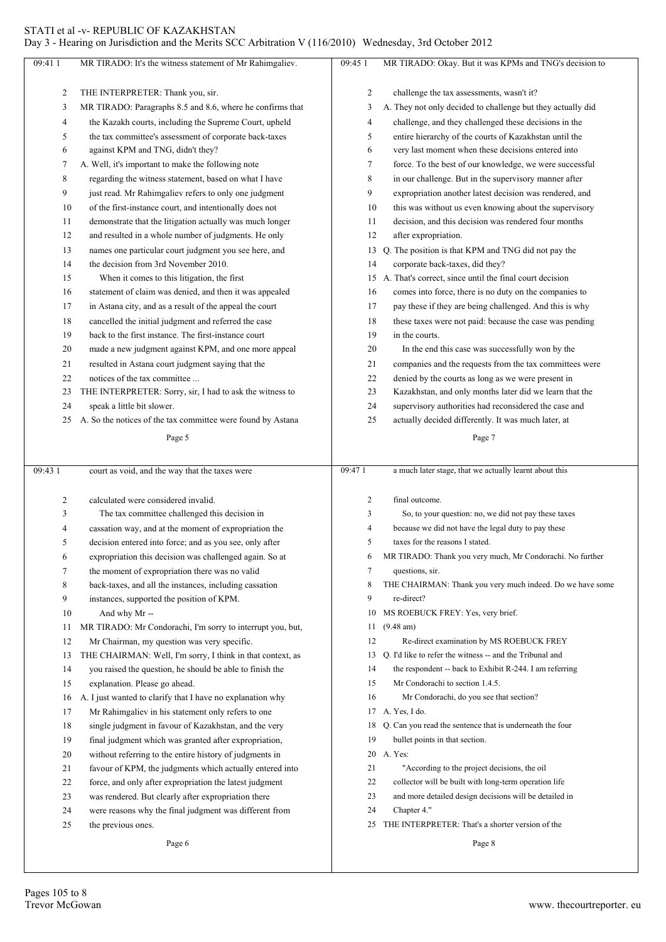| 09:41 1        | MR TIRADO: It's the witness statement of Mr Rahimgaliev.    | 09:45 1<br>MR TIRADO: Okay. But it was KPMs and TNG's decision to       |
|----------------|-------------------------------------------------------------|-------------------------------------------------------------------------|
|                |                                                             |                                                                         |
| $\overline{c}$ | THE INTERPRETER: Thank you, sir.                            | 2<br>challenge the tax assessments, wasn't it?                          |
| 3              | MR TIRADO: Paragraphs 8.5 and 8.6, where he confirms that   | A. They not only decided to challenge but they actually did<br>3        |
|                | the Kazakh courts, including the Supreme Court, upheld      | challenge, and they challenged these decisions in the<br>$\overline{4}$ |
| 4              |                                                             |                                                                         |
| 5              | the tax committee's assessment of corporate back-taxes      | entire hierarchy of the courts of Kazakhstan until the<br>5             |
| 6              | against KPM and TNG, didn't they?                           | very last moment when these decisions entered into<br>6                 |
| 7              | A. Well, it's important to make the following note          | force. To the best of our knowledge, we were successful<br>7            |
| 8              | regarding the witness statement, based on what I have       | 8<br>in our challenge. But in the supervisory manner after              |
| 9              | just read. Mr Rahimgaliev refers to only one judgment       | 9<br>expropriation another latest decision was rendered, and            |
| 10             | of the first-instance court, and intentionally does not     | this was without us even knowing about the supervisory<br>10            |
| 11             | demonstrate that the litigation actually was much longer    | decision, and this decision was rendered four months<br>11              |
| 12             | and resulted in a whole number of judgments. He only        | 12<br>after expropriation.                                              |
| 13             | names one particular court judgment you see here, and       | Q. The position is that KPM and TNG did not pay the<br>13               |
| 14             | the decision from 3rd November 2010.                        | corporate back-taxes, did they?<br>14                                   |
| 15             | When it comes to this litigation, the first                 | 15 A. That's correct, since until the final court decision              |
| 16             | statement of claim was denied, and then it was appealed     | 16<br>comes into force, there is no duty on the companies to            |
| 17             | in Astana city, and as a result of the appeal the court     | pay these if they are being challenged. And this is why<br>17           |
| 18             | cancelled the initial judgment and referred the case        | these taxes were not paid: because the case was pending<br>18           |
| 19             | back to the first instance. The first-instance court        | 19<br>in the courts.                                                    |
| 20             | made a new judgment against KPM, and one more appeal        | 20<br>In the end this case was successfully won by the                  |
| 21             | resulted in Astana court judgment saying that the           | companies and the requests from the tax committees were<br>21           |
| 22             | notices of the tax committee                                | denied by the courts as long as we were present in<br>22                |
| 23             | THE INTERPRETER: Sorry, sir, I had to ask the witness to    | Kazakhstan, and only months later did we learn that the<br>23           |
| 24             | speak a little bit slower.                                  | 24<br>supervisory authorities had reconsidered the case and             |
| 25             | A. So the notices of the tax committee were found by Astana | actually decided differently. It was much later, at<br>25               |
|                | Page 5                                                      | Page 7                                                                  |
|                |                                                             |                                                                         |
|                |                                                             | 09:47 1                                                                 |
| 09:43 1        | court as void, and the way that the taxes were              | a much later stage, that we actually learnt about this                  |
|                | calculated were considered invalid.                         | 2<br>final outcome.                                                     |
| 2<br>3         | The tax committee challenged this decision in               | So, to your question: no, we did not pay these taxes<br>3               |
|                | cassation way, and at the moment of expropriation the       | because we did not have the legal duty to pay these<br>4                |
| 4              | decision entered into force; and as you see, only after     | 5<br>taxes for the reasons I stated.                                    |
| 5              |                                                             |                                                                         |
| 6              | expropriation this decision was challenged again. So at     | MR TIRADO: Thank you very much, Mr Condorachi. No further<br>6          |
| 7              | the moment of expropriation there was no valid              | 7<br>questions, sir.                                                    |
| 8              | back-taxes, and all the instances, including cassation      | 8<br>THE CHAIRMAN: Thank you very much indeed. Do we have some          |
| 9              | instances, supported the position of KPM.                   | 9<br>re-direct?                                                         |
| 10             | And why Mr --                                               | MS ROEBUCK FREY: Yes, very brief.<br>10                                 |
| 11             | MR TIRADO: Mr Condorachi, I'm sorry to interrupt you, but,  | $(9.48 \text{ am})$<br>11                                               |
| 12             | Mr Chairman, my question was very specific.                 | 12<br>Re-direct examination by MS ROEBUCK FREY                          |
| 13             | THE CHAIRMAN: Well, I'm sorry, I think in that context, as  | 13 Q. I'd like to refer the witness -- and the Tribunal and             |
| 14             | you raised the question, he should be able to finish the    | 14<br>the respondent -- back to Exhibit R-244. I am referring           |
| 15             | explanation. Please go ahead.                               | 15<br>Mr Condorachi to section 1.4.5.                                   |
| 16             | A. I just wanted to clarify that I have no explanation why  | 16<br>Mr Condorachi, do you see that section?                           |
| 17             | Mr Rahimgaliev in his statement only refers to one          | 17 A. Yes, I do.                                                        |
| 18             | single judgment in favour of Kazakhstan, and the very       | Q. Can you read the sentence that is underneath the four<br>18          |
| 19             | final judgment which was granted after expropriation,       | 19<br>bullet points in that section.                                    |
| 20             | without referring to the entire history of judgments in     | 20 A. Yes:                                                              |
|                |                                                             |                                                                         |
| 21             | favour of KPM, the judgments which actually entered into    | 21<br>"According to the project decisions, the oil                      |
| 22             | force, and only after expropriation the latest judgment     | 22<br>collector will be built with long-term operation life             |
| 23             | was rendered. But clearly after expropriation there         | and more detailed design decisions will be detailed in<br>23            |
| 24             | were reasons why the final judgment was different from      | 24<br>Chapter 4."                                                       |
| 25             | the previous ones.                                          | THE INTERPRETER: That's a shorter version of the<br>25                  |
|                | Page 6                                                      | Page 8                                                                  |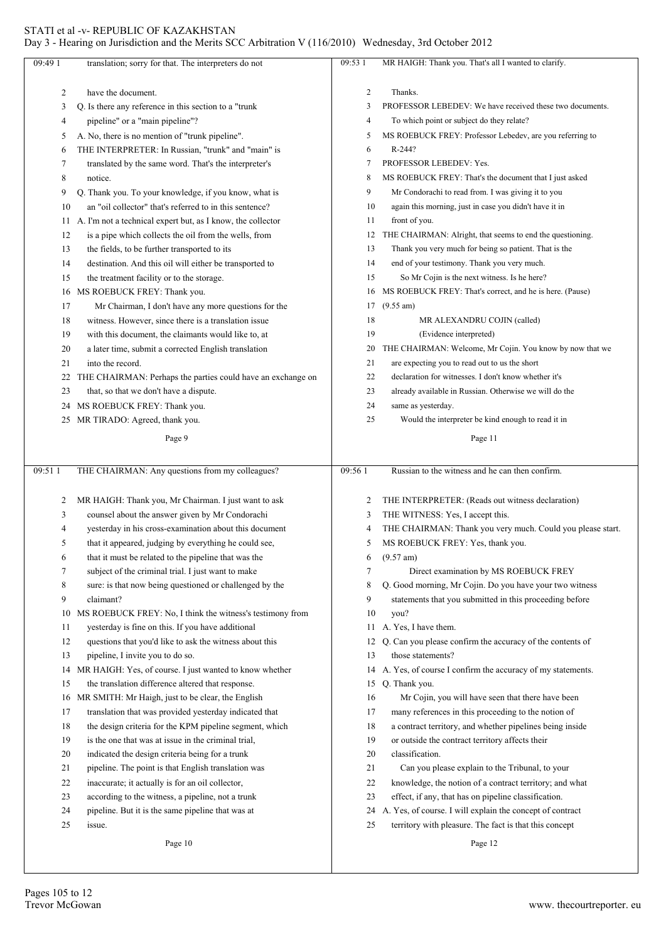| 09:49 1        | translation; sorry for that. The interpreters do not                                           | 09:53 1  | MR HAIGH: Thank you. That's all I wanted to clarify.          |
|----------------|------------------------------------------------------------------------------------------------|----------|---------------------------------------------------------------|
| $\overline{c}$ | have the document.                                                                             | 2        | Thanks.                                                       |
| 3              | Q. Is there any reference in this section to a "trunk"                                         | 3        | PROFESSOR LEBEDEV: We have received these two documents.      |
|                |                                                                                                | 4        | To which point or subject do they relate?                     |
| 4              | pipeline" or a "main pipeline"?                                                                |          |                                                               |
| 5              | A. No, there is no mention of "trunk pipeline".                                                | 5        | MS ROEBUCK FREY: Professor Lebedev, are you referring to      |
| 6              | THE INTERPRETER: In Russian, "trunk" and "main" is                                             | 6        | R-244?                                                        |
| 7              | translated by the same word. That's the interpreter's                                          | 7        | PROFESSOR LEBEDEV: Yes.                                       |
| 8              | notice.                                                                                        | 8        | MS ROEBUCK FREY: That's the document that I just asked        |
| 9              | Q. Thank you. To your knowledge, if you know, what is                                          | 9        | Mr Condorachi to read from. I was giving it to you            |
| 10             | an "oil collector" that's referred to in this sentence?                                        | 10       | again this morning, just in case you didn't have it in        |
|                | 11 A. I'm not a technical expert but, as I know, the collector                                 | 11       | front of you.                                                 |
| 12             | is a pipe which collects the oil from the wells, from                                          | 12       | THE CHAIRMAN: Alright, that seems to end the questioning.     |
| 13             | the fields, to be further transported to its                                                   | 13       | Thank you very much for being so patient. That is the         |
|                |                                                                                                |          |                                                               |
| 14             | destination. And this oil will either be transported to                                        | 14       | end of your testimony. Thank you very much.                   |
| 15             | the treatment facility or to the storage.                                                      | 15       | So Mr Cojin is the next witness. Is he here?                  |
|                | 16 MS ROEBUCK FREY: Thank you.                                                                 | 16       | MS ROEBUCK FREY: That's correct, and he is here. (Pause)      |
| 17             | Mr Chairman, I don't have any more questions for the                                           | 17       | $(9.55 \text{ am})$                                           |
| 18             | witness. However, since there is a translation issue                                           | 18       | MR ALEXANDRU COJIN (called)                                   |
| 19             | with this document, the claimants would like to, at                                            | 19       | (Evidence interpreted)                                        |
| 20             | a later time, submit a corrected English translation                                           | 20       | THE CHAIRMAN: Welcome, Mr Cojin. You know by now that we      |
| 21             | into the record.                                                                               | 21       | are expecting you to read out to us the short                 |
|                | 22 THE CHAIRMAN: Perhaps the parties could have an exchange on                                 | 22       | declaration for witnesses. I don't know whether it's          |
| 23             | that, so that we don't have a dispute.                                                         | 23       | already available in Russian. Otherwise we will do the        |
|                |                                                                                                |          |                                                               |
|                | 24 MS ROEBUCK FREY: Thank you.                                                                 | 24       | same as yesterday.                                            |
|                | 25 MR TIRADO: Agreed, thank you.                                                               | 25       | Would the interpreter be kind enough to read it in            |
|                | Page 9                                                                                         |          | Page 11                                                       |
|                |                                                                                                |          |                                                               |
|                |                                                                                                |          |                                                               |
| 09:51 1        | THE CHAIRMAN: Any questions from my colleagues?                                                | 09:56 1  | Russian to the witness and he can then confirm.               |
|                |                                                                                                |          |                                                               |
| 2              | MR HAIGH: Thank you, Mr Chairman. I just want to ask                                           | 2        | THE INTERPRETER: (Reads out witness declaration)              |
| 3              | counsel about the answer given by Mr Condorachi                                                | 3        | THE WITNESS: Yes, I accept this.                              |
| 4              | yesterday in his cross-examination about this document                                         | 4        | THE CHAIRMAN: Thank you very much. Could you please start.    |
| 5              | that it appeared, judging by everything he could see,                                          | 5        | MS ROEBUCK FREY: Yes, thank you.                              |
| 6              | that it must be related to the pipeline that was the                                           | 6        | $(9.57 \text{ am})$                                           |
| 7              | subject of the criminal trial. I just want to make                                             | 7        | Direct examination by MS ROEBUCK FREY                         |
| 8              | sure: is that now being questioned or challenged by the                                        | 8        | Q. Good morning, Mr Cojin. Do you have your two witness       |
| 9              | claimant?                                                                                      | 9        | statements that you submitted in this proceeding before       |
|                | 10 MS ROEBUCK FREY: No, I think the witness's testimony from                                   | 10       | you?                                                          |
| 11             | yesterday is fine on this. If you have additional                                              | 11       | A. Yes, I have them.                                          |
| 12             | questions that you'd like to ask the witness about this                                        | 12       | Q. Can you please confirm the accuracy of the contents of     |
| 13             |                                                                                                | 13       | those statements?                                             |
|                | pipeline, I invite you to do so.<br>14 MR HAIGH: Yes, of course. I just wanted to know whether |          | 14 A. Yes, of course I confirm the accuracy of my statements. |
|                |                                                                                                |          |                                                               |
| 15             | the translation difference altered that response.                                              | 15<br>16 | Q. Thank you.                                                 |
|                | 16 MR SMITH: Mr Haigh, just to be clear, the English                                           |          | Mr Cojin, you will have seen that there have been             |
| 17             | translation that was provided yesterday indicated that                                         | 17       | many references in this proceeding to the notion of           |
| 18             | the design criteria for the KPM pipeline segment, which                                        | 18       | a contract territory, and whether pipelines being inside      |
| 19             | is the one that was at issue in the criminal trial,                                            | 19       | or outside the contract territory affects their               |
| 20             | indicated the design criteria being for a trunk                                                | 20       | classification.                                               |
| 21             | pipeline. The point is that English translation was                                            | 21       | Can you please explain to the Tribunal, to your               |
| 22             | inaccurate; it actually is for an oil collector,                                               | 22       | knowledge, the notion of a contract territory; and what       |
| 23             | according to the witness, a pipeline, not a trunk                                              | 23       | effect, if any, that has on pipeline classification.          |
| 24             | pipeline. But it is the same pipeline that was at                                              |          | 24 A. Yes, of course. I will explain the concept of contract  |
| 25             | issue.                                                                                         | 25       | territory with pleasure. The fact is that this concept        |
|                | Page 10                                                                                        |          | Page 12                                                       |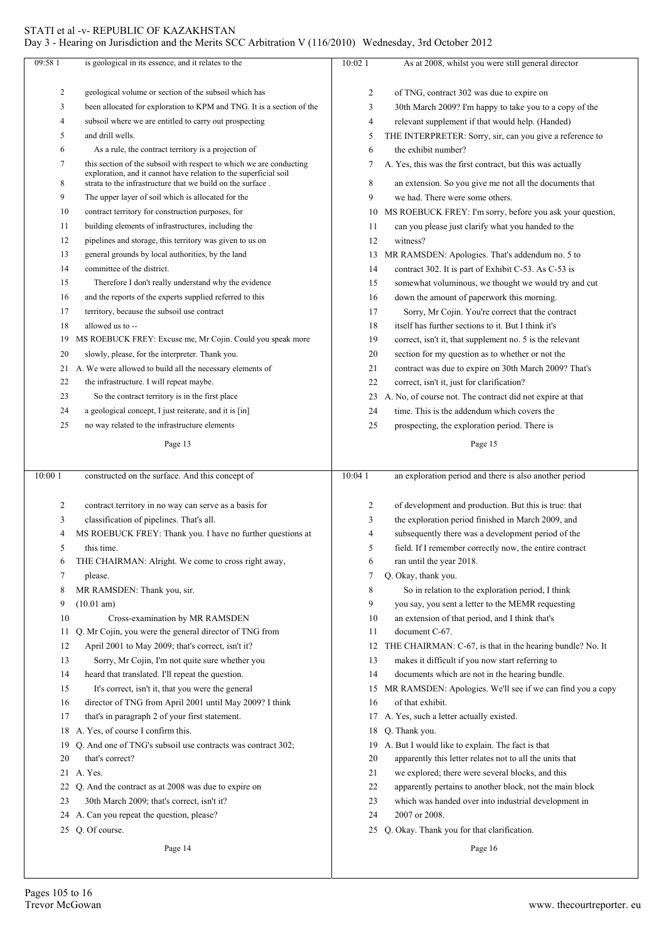| 09:58 1 | is geological in its essence, and it relates to the                                                                                     | 10:021         | As at 2008, whilst you were still general director            |
|---------|-----------------------------------------------------------------------------------------------------------------------------------------|----------------|---------------------------------------------------------------|
| 2       | geological volume or section of the subsoil which has                                                                                   | $\overline{c}$ | of TNG, contract 302 was due to expire on                     |
| 3       | been allocated for exploration to KPM and TNG. It is a section of the                                                                   | 3              | 30th March 2009? I'm happy to take you to a copy of the       |
| 4       | subsoil where we are entitled to carry out prospecting                                                                                  | 4              | relevant supplement if that would help. (Handed)              |
| 5       | and drill wells.                                                                                                                        | 5              | THE INTERPRETER: Sorry, sir, can you give a reference to      |
| 6       | As a rule, the contract territory is a projection of                                                                                    | 6              | the exhibit number?                                           |
| 7       | this section of the subsoil with respect to which we are conducting<br>exploration, and it cannot have relation to the superficial soil | 7              | A. Yes, this was the first contract, but this was actually    |
| 8       | strata to the infrastructure that we build on the surface.                                                                              | 8              | an extension. So you give me not all the documents that       |
| 9       | The upper layer of soil which is allocated for the                                                                                      | 9              | we had. There were some others.                               |
| 10      | contract territory for construction purposes, for                                                                                       |                | 10 MS ROEBUCK FREY: I'm sorry, before you ask your question,  |
| 11      | building elements of infrastructures, including the                                                                                     | 11             | can you please just clarify what you handed to the            |
| 12      | pipelines and storage, this territory was given to us on                                                                                | 12             | witness?                                                      |
| 13      | general grounds by local authorities, by the land                                                                                       |                | 13 MR RAMSDEN: Apologies. That's addendum no. 5 to            |
| 14      | committee of the district.                                                                                                              | 14             | contract 302. It is part of Exhibit C-53. As C-53 is          |
| 15      | Therefore I don't really understand why the evidence                                                                                    | 15             | somewhat voluminous, we thought we would try and cut          |
| 16      | and the reports of the experts supplied referred to this                                                                                | 16             | down the amount of paperwork this morning.                    |
| 17      | territory, because the subsoil use contract                                                                                             | 17             | Sorry, Mr Cojin. You're correct that the contract             |
| 18      | allowed us to --                                                                                                                        | 18             | itself has further sections to it. But I think it's           |
| 19      | MS ROEBUCK FREY: Excuse me, Mr Cojin. Could you speak more                                                                              | 19             | correct, isn't it, that supplement no. 5 is the relevant      |
| 20      | slowly, please, for the interpreter. Thank you.                                                                                         | 20             | section for my question as to whether or not the              |
|         | 21 A. We were allowed to build all the necessary elements of                                                                            | 21             | contract was due to expire on 30th March 2009? That's         |
| 22      | the infrastructure. I will repeat maybe.                                                                                                | 22             | correct, isn't it, just for clarification?                    |
| 23      | So the contract territory is in the first place                                                                                         | 23             | A. No, of course not. The contract did not expire at that     |
| 24      | a geological concept, I just reiterate, and it is [in]                                                                                  | 24             | time. This is the addendum which covers the                   |
| 25      | no way related to the infrastructure elements                                                                                           | 25             | prospecting, the exploration period. There is                 |
|         | Page 13                                                                                                                                 |                | Page 15                                                       |
|         |                                                                                                                                         |                |                                                               |
| 10:001  | constructed on the surface. And this concept of                                                                                         | 10:04 1        | an exploration period and there is also another period        |
| 2       | contract territory in no way can serve as a basis for                                                                                   | 2              | of development and production. But this is true: that         |
| 3       | classification of pipelines. That's all.                                                                                                | 3              | the exploration period finished in March 2009, and            |
| 4       | MS ROEBUCK FREY: Thank you. I have no further questions at                                                                              | 4              | subsequently there was a development period of the            |
| 5       | this time.                                                                                                                              | 5              | field. If I remember correctly now, the entire contract       |
| 6       | THE CHAIRMAN: Alright. We come to cross right away,                                                                                     | 6              | ran until the year 2018.                                      |
| 7       | please.                                                                                                                                 | 7              | Q. Okay, thank you.                                           |
| 8       | MR RAMSDEN: Thank you, sir.                                                                                                             | 8              | So in relation to the exploration period, I think             |
| 9       | $(10.01 \text{ am})$                                                                                                                    | 9              | you say, you sent a letter to the MEMR requesting             |
| 10      | Cross-examination by MR RAMSDEN                                                                                                         | 10             | an extension of that period, and I think that's               |
| 11      | Q. Mr Cojin, you were the general director of TNG from                                                                                  | 11             | document C-67.                                                |
| 12      | April 2001 to May 2009; that's correct, isn't it?                                                                                       |                | 12 THE CHAIRMAN: C-67, is that in the hearing bundle? No. It  |
| 13      | Sorry, Mr Cojin, I'm not quite sure whether you                                                                                         | 13             | makes it difficult if you now start referring to              |
| 14      | heard that translated. I'll repeat the question.                                                                                        | 14             | documents which are not in the hearing bundle.                |
| 15      | It's correct, isn't it, that you were the general                                                                                       |                | 15 MR RAMSDEN: Apologies. We'll see if we can find you a copy |
| 16      | director of TNG from April 2001 until May 2009? I think                                                                                 | 16             | of that exhibit.                                              |
| 17      | that's in paragraph 2 of your first statement.                                                                                          | 17             | A. Yes, such a letter actually existed.                       |
|         | 18 A. Yes, of course I confirm this.                                                                                                    | 18             | Q. Thank you.                                                 |
| 19      | Q. And one of TNG's subsoil use contracts was contract 302;                                                                             | 19             | A. But I would like to explain. The fact is that              |
| 20      | that's correct?                                                                                                                         | 20             | apparently this letter relates not to all the units that      |
|         | 21 A. Yes.                                                                                                                              | 21             | we explored; there were several blocks, and this              |
|         | 22 Q. And the contract as at 2008 was due to expire on                                                                                  | 22             | apparently pertains to another block, not the main block      |
| 23      |                                                                                                                                         |                |                                                               |
|         | 30th March 2009; that's correct, isn't it?                                                                                              | 23             | which was handed over into industrial development in          |
| 24      | A. Can you repeat the question, please?                                                                                                 | 24             | 2007 or 2008.                                                 |
|         | 25 Q. Of course.                                                                                                                        | 25             | Q. Okay. Thank you for that clarification.                    |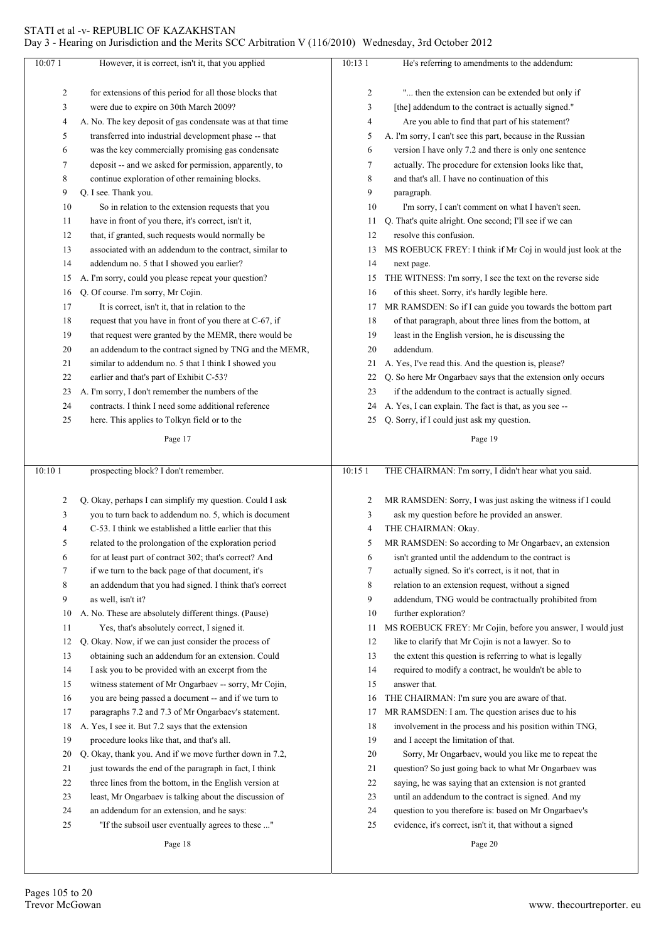| 10:07 1        | However, it is correct, isn't it, that you applied           | 10:13 1        | He's referring to amendments to the addendum:                      |
|----------------|--------------------------------------------------------------|----------------|--------------------------------------------------------------------|
| $\overline{c}$ | for extensions of this period for all those blocks that      | $\overline{2}$ | " then the extension can be extended but only if                   |
| 3              | were due to expire on 30th March 2009?                       | 3              | [the] addendum to the contract is actually signed."                |
| 4              | A. No. The key deposit of gas condensate was at that time    | 4              | Are you able to find that part of his statement?                   |
| 5              | transferred into industrial development phase -- that        | 5              | A. I'm sorry, I can't see this part, because in the Russian        |
| 6              | was the key commercially promising gas condensate            | 6              | version I have only 7.2 and there is only one sentence             |
| 7              | deposit -- and we asked for permission, apparently, to       | 7              | actually. The procedure for extension looks like that,             |
| 8              | continue exploration of other remaining blocks.              | 8              | and that's all. I have no continuation of this                     |
| 9              | Q. I see. Thank you.                                         | 9              | paragraph.                                                         |
| 10             | So in relation to the extension requests that you            | 10             | I'm sorry, I can't comment on what I haven't seen.                 |
| 11             | have in front of you there, it's correct, isn't it,          | 11             | Q. That's quite alright. One second; I'll see if we can            |
| 12             | that, if granted, such requests would normally be            | 12             | resolve this confusion.                                            |
| 13             | associated with an addendum to the contract, similar to      | 13             | MS ROEBUCK FREY: I think if Mr Coj in would just look at the       |
| 14             | addendum no. 5 that I showed you earlier?                    | 14             | next page.                                                         |
|                | A. I'm sorry, could you please repeat your question?         |                | THE WITNESS: I'm sorry, I see the text on the reverse side         |
| 15             | Q. Of course. I'm sorry, Mr Cojin.                           | 15             |                                                                    |
| 16             |                                                              | 16             | of this sheet. Sorry, it's hardly legible here.                    |
| 17             | It is correct, isn't it, that in relation to the             | 17             | MR RAMSDEN: So if I can guide you towards the bottom part          |
| 18             | request that you have in front of you there at C-67, if      | 18             | of that paragraph, about three lines from the bottom, at           |
| 19             | that request were granted by the MEMR, there would be        | 19             | least in the English version, he is discussing the                 |
| 20             | an addendum to the contract signed by TNG and the MEMR,      | 20             | addendum.                                                          |
| 21             | similar to addendum no. 5 that I think I showed you          | 21             | A. Yes, I've read this. And the question is, please?               |
| 22             | earlier and that's part of Exhibit C-53?                     | 22             | Q. So here Mr Ongarbaev says that the extension only occurs        |
| 23             | A. I'm sorry, I don't remember the numbers of the            | 23             | if the addendum to the contract is actually signed.                |
| 24             | contracts. I think I need some additional reference          | 24             | A. Yes, I can explain. The fact is that, as you see --             |
| 25             | here. This applies to Tolkyn field or to the                 | 25             | Q. Sorry, if I could just ask my question.                         |
|                | Page 17                                                      |                | Page 19                                                            |
|                |                                                              |                |                                                                    |
| 10:101         | prospecting block? I don't remember.                         | 10:151         | THE CHAIRMAN: I'm sorry, I didn't hear what you said.              |
|                |                                                              |                |                                                                    |
| 2              | Q. Okay, perhaps I can simplify my question. Could I ask     | 2              | MR RAMSDEN: Sorry, I was just asking the witness if I could        |
| 3              | you to turn back to addendum no. 5, which is document        | 3              | ask my question before he provided an answer.                      |
| 4              | C-53. I think we established a little earlier that this      | $\overline{4}$ | THE CHAIRMAN: Okay.                                                |
| 5              | related to the prolongation of the exploration period        | 5              | MR RAMSDEN: So according to Mr Ongarbaev, an extension             |
| 6              | for at least part of contract 302; that's correct? And       | 6              | isn't granted until the addendum to the contract is                |
| 7              | if we turn to the back page of that document, it's           | 7              | actually signed. So it's correct, is it not, that in               |
| 8              | an addendum that you had signed. I think that's correct      | 8              | relation to an extension request, without a signed                 |
| 9              | as well, isn't it?                                           | 9              | addendum, TNG would be contractually prohibited from               |
| 10             | A. No. These are absolutely different things. (Pause)        | 10             | further exploration?                                               |
| 11             | Yes, that's absolutely correct, I signed it.                 | 11             | MS ROEBUCK FREY: Mr Cojin, before you answer, I would just         |
| 12             | Q. Okay. Now, if we can just consider the process of         | 12             | like to clarify that Mr Cojin is not a lawyer. So to               |
| 13             | obtaining such an addendum for an extension. Could           | 13             | the extent this question is referring to what is legally           |
| 14             | I ask you to be provided with an excerpt from the            | 14             | required to modify a contract, he wouldn't be able to              |
| 15             | witness statement of Mr Ongarbaev -- sorry, Mr Cojin,        | 15             | answer that.                                                       |
| 16             | you are being passed a document -- and if we turn to         | 16             | THE CHAIRMAN: I'm sure you are aware of that.                      |
| 17             | paragraphs 7.2 and 7.3 of Mr Ongarbaev's statement.          | 17             | MR RAMSDEN: I am. The question arises due to his                   |
| 18             | A. Yes, I see it. But 7.2 says that the extension            | 18             | involvement in the process and his position within TNG,            |
| 19             | procedure looks like that, and that's all.                   | 19             | and I accept the limitation of that.                               |
| 20             | Q. Okay, thank you. And if we move further down in 7.2,      | 20             | Sorry, Mr Ongarbaev, would you like me to repeat the               |
| 21             | just towards the end of the paragraph in fact, I think       | 21             | question? So just going back to what Mr Ongarbaev was              |
| 22             | three lines from the bottom, in the English version at       | 22             | saying, he was saying that an extension is not granted             |
| 23             | least, Mr Ongarbaev is talking about the discussion of       | 23             | until an addendum to the contract is signed. And my                |
| 24             | an addendum for an extension, and he says:                   | 24             | question to you therefore is: based on Mr Ongarbaev's              |
| 25             | "If the subsoil user eventually agrees to these "<br>Page 18 | 25             | evidence, it's correct, isn't it, that without a signed<br>Page 20 |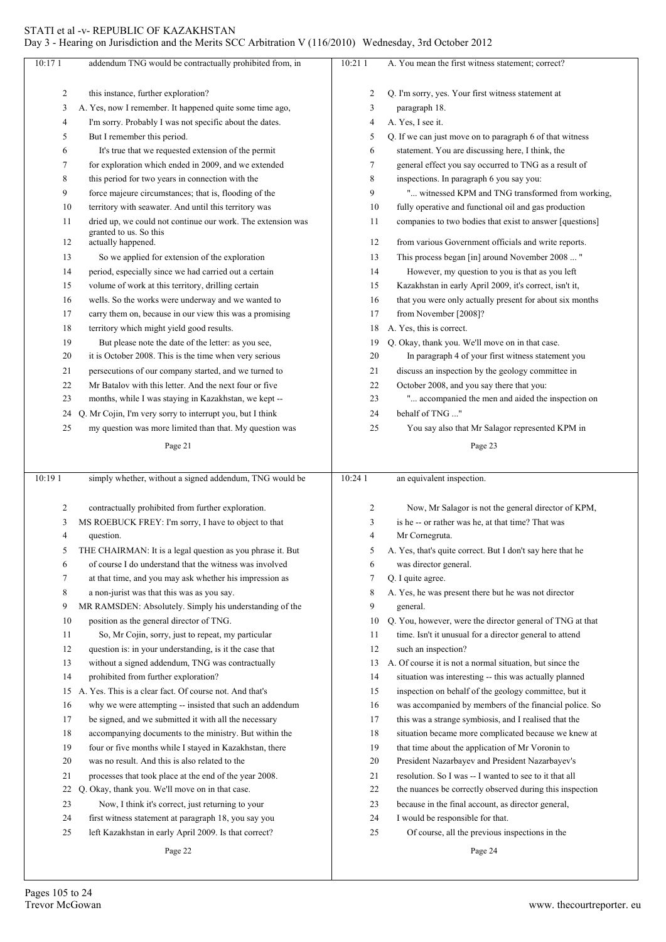| 10:17 1        | addendum TNG would be contractually prohibited from, in     | 10:21 1<br>A. You mean the first witness statement; correct?                                                           |
|----------------|-------------------------------------------------------------|------------------------------------------------------------------------------------------------------------------------|
| 2              | this instance, further exploration?                         | Q. I'm sorry, yes. Your first witness statement at<br>2                                                                |
| 3              | A. Yes, now I remember. It happened quite some time ago,    | 3<br>paragraph 18.                                                                                                     |
| 4              | I'm sorry. Probably I was not specific about the dates.     | A. Yes, I see it.<br>4                                                                                                 |
| 5              | But I remember this period.                                 | Q. If we can just move on to paragraph 6 of that witness<br>5                                                          |
| 6              | It's true that we requested extension of the permit         | statement. You are discussing here, I think, the<br>6                                                                  |
| 7              | for exploration which ended in 2009, and we extended        | general effect you say occurred to TNG as a result of<br>7                                                             |
| 8              | this period for two years in connection with the            | 8<br>inspections. In paragraph 6 you say you:                                                                          |
| 9              | force majeure circumstances; that is, flooding of the       | " witnessed KPM and TNG transformed from working,<br>9                                                                 |
| 10             | territory with seawater. And until this territory was       | 10<br>fully operative and functional oil and gas production                                                            |
|                | dried up, we could not continue our work. The extension was | 11                                                                                                                     |
| 11<br>12       | granted to us. So this<br>actually happened.                | companies to two bodies that exist to answer [questions]<br>12<br>from various Government officials and write reports. |
|                |                                                             |                                                                                                                        |
| 13             | So we applied for extension of the exploration              | This process began [in] around November 2008  "<br>13                                                                  |
| 14             | period, especially since we had carried out a certain       | 14<br>However, my question to you is that as you left                                                                  |
| 15             | volume of work at this territory, drilling certain          | Kazakhstan in early April 2009, it's correct, isn't it,<br>15                                                          |
| 16             | wells. So the works were underway and we wanted to          | 16<br>that you were only actually present for about six months                                                         |
| 17             | carry them on, because in our view this was a promising     | 17<br>from November [2008]?                                                                                            |
| 18             | territory which might yield good results.                   | A. Yes, this is correct.<br>18                                                                                         |
| 19             | But please note the date of the letter: as you see,         | Q. Okay, thank you. We'll move on in that case.<br>19                                                                  |
| 20             | it is October 2008. This is the time when very serious      | In paragraph 4 of your first witness statement you<br>20                                                               |
| 21             | persecutions of our company started, and we turned to       | discuss an inspection by the geology committee in<br>21                                                                |
| 22             | Mr Batalov with this letter. And the next four or five      | 22<br>October 2008, and you say there that you:                                                                        |
| 23             | months, while I was staying in Kazakhstan, we kept --       | " accompanied the men and aided the inspection on<br>23                                                                |
| 24             | Q. Mr Cojin, I'm very sorry to interrupt you, but I think   | behalf of TNG "<br>24                                                                                                  |
| 25             | my question was more limited than that. My question was     | 25<br>You say also that Mr Salagor represented KPM in                                                                  |
|                | Page 21                                                     | Page 23                                                                                                                |
|                |                                                             |                                                                                                                        |
| 10:19 1        | simply whether, without a signed addendum, TNG would be     | 10:241<br>an equivalent inspection.                                                                                    |
|                |                                                             |                                                                                                                        |
| $\overline{c}$ | contractually prohibited from further exploration.          | Now, Mr Salagor is not the general director of KPM,<br>2                                                               |
| 3              | MS ROEBUCK FREY: I'm sorry, I have to object to that        | is he-- or rather was he, at that time? That was<br>3                                                                  |
| 4              | question.                                                   | $\overline{4}$<br>Mr Cornegruta.                                                                                       |
|                | THE CHAIRMAN: It is a legal question as you phrase it. But  | A. Yes, that's quite correct. But I don't say here that he                                                             |
| 6              | of course I do understand that the witness was involved     | 6<br>was director general.                                                                                             |
| 7              | at that time, and you may ask whether his impression as     | 7<br>Q. I quite agree.                                                                                                 |
| 8              | a non-jurist was that this was as you say.                  | 8<br>A. Yes, he was present there but he was not director                                                              |
| 9              | MR RAMSDEN: Absolutely. Simply his understanding of the     | 9<br>general.                                                                                                          |
| 10             | position as the general director of TNG.                    | Q. You, however, were the director general of TNG at that<br>10                                                        |
| 11             | So, Mr Cojin, sorry, just to repeat, my particular          | time. Isn't it unusual for a director general to attend<br>11                                                          |
| 12             | question is: in your understanding, is it the case that     | 12<br>such an inspection?                                                                                              |
| 13             | without a signed addendum, TNG was contractually            | A. Of course it is not a normal situation, but since the<br>13                                                         |
| 14             | prohibited from further exploration?                        | 14<br>situation was interesting -- this was actually planned                                                           |
| 15             | A. Yes. This is a clear fact. Of course not. And that's     | 15<br>inspection on behalf of the geology committee, but it                                                            |
| 16             | why we were attempting -- insisted that such an addendum    | 16<br>was accompanied by members of the financial police. So                                                           |
| 17             | be signed, and we submitted it with all the necessary       | this was a strange symbiosis, and I realised that the<br>17                                                            |
| 18             | accompanying documents to the ministry. But within the      | 18<br>situation became more complicated because we knew at                                                             |
| 19             | four or five months while I stayed in Kazakhstan, there     | 19<br>that time about the application of Mr Voronin to                                                                 |
| 20             | was no result. And this is also related to the              | 20<br>President Nazarbayev and President Nazarbayev's                                                                  |
| 21             | processes that took place at the end of the year 2008.      | 21<br>resolution. So I was -- I wanted to see to it that all                                                           |
| 22             | Q. Okay, thank you. We'll move on in that case.             | 22<br>the nuances be correctly observed during this inspection                                                         |
| 23             | Now, I think it's correct, just returning to your           | 23<br>because in the final account, as director general,                                                               |
| 24             | first witness statement at paragraph 18, you say you        | 24<br>I would be responsible for that.                                                                                 |
| 25             |                                                             |                                                                                                                        |
|                | left Kazakhstan in early April 2009. Is that correct?       | 25<br>Of course, all the previous inspections in the                                                                   |
|                | Page 22                                                     | Page 24                                                                                                                |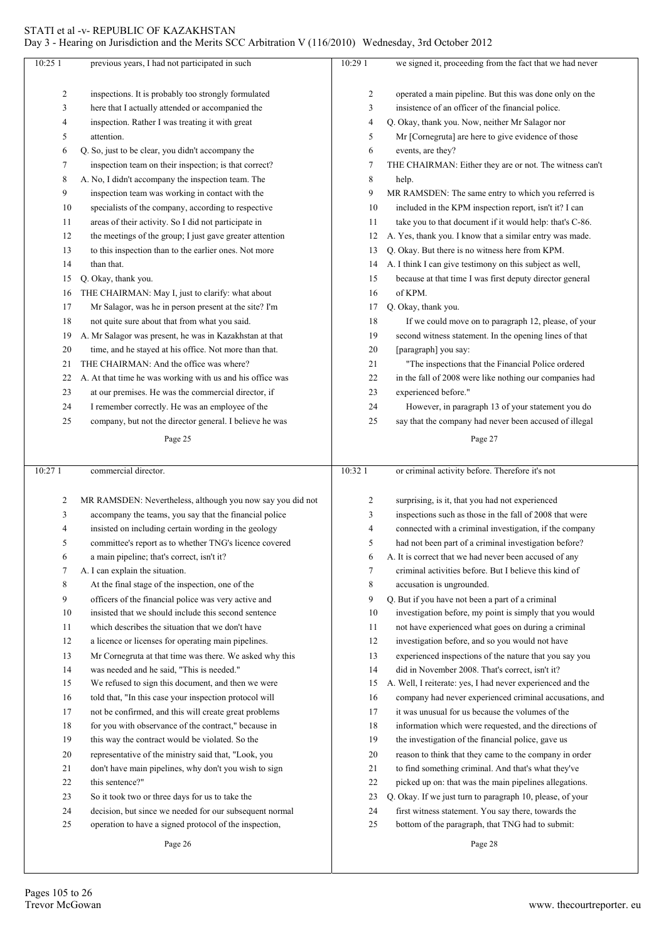| 10:25 1        | previous years, I had not participated in such             | 10:29 1        | we signed it, proceeding from the fact that we had never   |
|----------------|------------------------------------------------------------|----------------|------------------------------------------------------------|
| $\overline{c}$ | inspections. It is probably too strongly formulated        | $\overline{2}$ | operated a main pipeline. But this was done only on the    |
| 3              | here that I actually attended or accompanied the           | 3              | insistence of an officer of the financial police.          |
| 4              | inspection. Rather I was treating it with great            | $\overline{4}$ | Q. Okay, thank you. Now, neither Mr Salagor nor            |
| 5              | attention.                                                 | 5              | Mr [Cornegruta] are here to give evidence of those         |
| 6              | Q. So, just to be clear, you didn't accompany the          | 6              | events, are they?                                          |
| 7              | inspection team on their inspection; is that correct?      | 7              | THE CHAIRMAN: Either they are or not. The witness can't    |
| 8              | A. No, I didn't accompany the inspection team. The         | 8              | help.                                                      |
| 9              | inspection team was working in contact with the            | 9              | MR RAMSDEN: The same entry to which you referred is        |
| 10             | specialists of the company, according to respective        | 10             | included in the KPM inspection report, isn't it? I can     |
| 11             | areas of their activity. So I did not participate in       | 11             | take you to that document if it would help: that's C-86.   |
| 12             | the meetings of the group; I just gave greater attention   | 12             | A. Yes, thank you. I know that a similar entry was made.   |
| 13             | to this inspection than to the earlier ones. Not more      | 13             | Q. Okay. But there is no witness here from KPM.            |
| 14             | than that.                                                 | 14             | A. I think I can give testimony on this subject as well,   |
| 15             | Q. Okay, thank you.                                        | 15             | because at that time I was first deputy director general   |
| 16             | THE CHAIRMAN: May I, just to clarify: what about           | 16             | of KPM.                                                    |
| 17             | Mr Salagor, was he in person present at the site? I'm      | 17             | Q. Okay, thank you.                                        |
|                |                                                            |                |                                                            |
| 18             | not quite sure about that from what you said.              | 18             | If we could move on to paragraph 12, please, of your       |
| 19             | A. Mr Salagor was present, he was in Kazakhstan at that    | 19             | second witness statement. In the opening lines of that     |
| 20             | time, and he stayed at his office. Not more than that.     | 20             | [paragraph] you say:                                       |
| 21             | THE CHAIRMAN: And the office was where?                    | 21             | "The inspections that the Financial Police ordered         |
| 22             | A. At that time he was working with us and his office was  | 22             | in the fall of 2008 were like nothing our companies had    |
| 23             | at our premises. He was the commercial director, if        | 23             | experienced before."                                       |
| 24             | I remember correctly. He was an employee of the            | 24             | However, in paragraph 13 of your statement you do          |
| 25             | company, but not the director general. I believe he was    | 25             | say that the company had never been accused of illegal     |
|                | Page 25                                                    |                | Page 27                                                    |
|                |                                                            |                |                                                            |
|                |                                                            |                |                                                            |
| 10:27 1        | commercial director.                                       | 10:32 1        | or criminal activity before. Therefore it's not            |
| 2              | MR RAMSDEN: Nevertheless, although you now say you did not | $\overline{2}$ | surprising, is it, that you had not experienced            |
| 3              | accompany the teams, you say that the financial police     | 3              | inspections such as those in the fall of 2008 that were    |
| 4              | insisted on including certain wording in the geology       | $\overline{4}$ | connected with a criminal investigation, if the company    |
| 5              | committee's report as to whether TNG's licence covered     | 5              | had not been part of a criminal investigation before?      |
| 6              | a main pipeline; that's correct, isn't it?                 | 6              | A. It is correct that we had never been accused of any     |
| 7              | A. I can explain the situation.                            | $\tau$         | criminal activities before. But I believe this kind of     |
| 8              | At the final stage of the inspection, one of the           | $\,8\,$        | accusation is ungrounded.                                  |
| 9              | officers of the financial police was very active and       | 9              | Q. But if you have not been a part of a criminal           |
| 10             | insisted that we should include this second sentence       | 10             | investigation before, my point is simply that you would    |
| 11             | which describes the situation that we don't have           | 11             | not have experienced what goes on during a criminal        |
| 12             | a licence or licenses for operating main pipelines.        | 12             | investigation before, and so you would not have            |
| 13             | Mr Cornegruta at that time was there. We asked why this    | 13             | experienced inspections of the nature that you say you     |
| 14             | was needed and he said, "This is needed."                  | 14             | did in November 2008. That's correct, isn't it?            |
| 15             | We refused to sign this document, and then we were         | 15             | A. Well, I reiterate: yes, I had never experienced and the |
| 16             | told that, "In this case your inspection protocol will     | 16             | company had never experienced criminal accusations, and    |
| 17             | not be confirmed, and this will create great problems      | 17             | it was unusual for us because the volumes of the           |
| 18             | for you with observance of the contract," because in       | 18             | information which were requested, and the directions of    |
| 19             | this way the contract would be violated. So the            | 19             | the investigation of the financial police, gave us         |
| 20             | representative of the ministry said that, "Look, you       | 20             | reason to think that they came to the company in order     |
| 21             | don't have main pipelines, why don't you wish to sign      | 21             | to find something criminal. And that's what they've        |
| 22             | this sentence?"                                            | 22             | picked up on: that was the main pipelines allegations.     |
| 23             | So it took two or three days for us to take the            | 23             | Q. Okay. If we just turn to paragraph 10, please, of your  |
| 24             | decision, but since we needed for our subsequent normal    | 24             | first witness statement. You say there, towards the        |
| 25             | operation to have a signed protocol of the inspection,     | 25             | bottom of the paragraph, that TNG had to submit:           |
|                | Page 26                                                    |                | Page 28                                                    |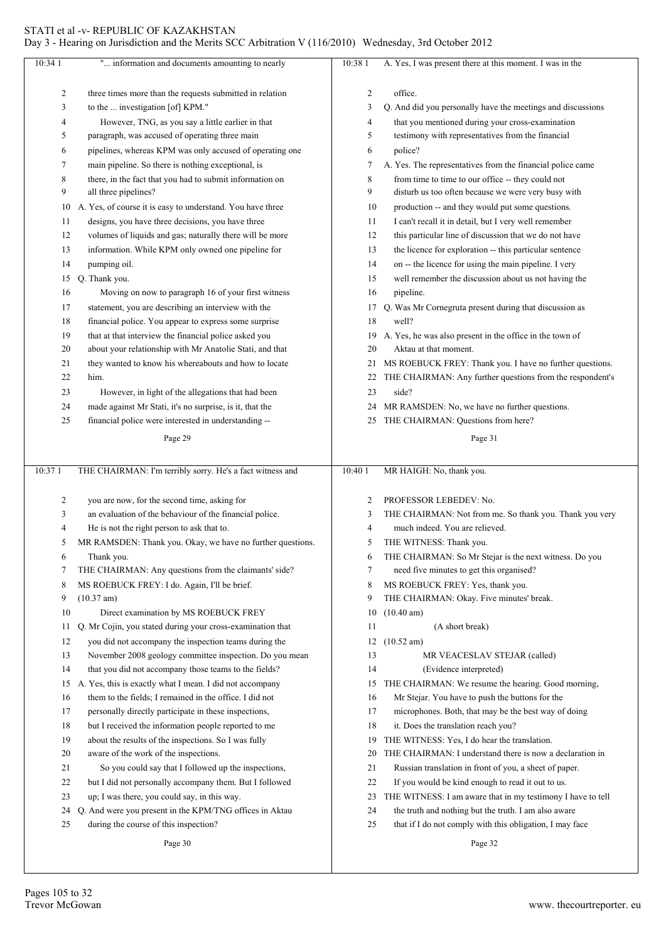| 10:34 1        | " information and documents amounting to nearly            | 10:38 1        | A. Yes, I was present there at this moment. I was in the            |
|----------------|------------------------------------------------------------|----------------|---------------------------------------------------------------------|
| $\overline{2}$ | three times more than the requests submitted in relation   | $\overline{c}$ | office.                                                             |
| 3              | to the  investigation [of] KPM."                           | 3              | Q. And did you personally have the meetings and discussions         |
| 4              | However, TNG, as you say a little earlier in that          | 4              | that you mentioned during your cross-examination                    |
| 5              | paragraph, was accused of operating three main             | 5              | testimony with representatives from the financial                   |
| 6              | pipelines, whereas KPM was only accused of operating one   | 6              | police?                                                             |
| $\tau$         | main pipeline. So there is nothing exceptional, is         | 7              | A. Yes. The representatives from the financial police came          |
| $\,$ 8 $\,$    | there, in the fact that you had to submit information on   | 8              | from time to time to our office -- they could not                   |
| 9              | all three pipelines?                                       | 9              | disturb us too often because we were very busy with                 |
| 10             | A. Yes, of course it is easy to understand. You have three | 10             | production -- and they would put some questions.                    |
| 11             | designs, you have three decisions, you have three          | 11             | I can't recall it in detail, but I very well remember               |
| 12             | volumes of liquids and gas; naturally there will be more   | 12             | this particular line of discussion that we do not have              |
| 13             | information. While KPM only owned one pipeline for         | 13             | the licence for exploration -- this particular sentence             |
| 14             | pumping oil.                                               | 14             | on -- the licence for using the main pipeline. I very               |
| 15             | Q. Thank you.                                              | 15             | well remember the discussion about us not having the                |
| 16             | Moving on now to paragraph 16 of your first witness        | 16             | pipeline.                                                           |
| 17             | statement, you are describing an interview with the        | 17             | Q. Was Mr Cornegruta present during that discussion as              |
| 18             | financial police. You appear to express some surprise      | 18             | well?                                                               |
| 19             | that at that interview the financial police asked you      | 19             | A. Yes, he was also present in the office in the town of            |
| 20             | about your relationship with Mr Anatolie Stati, and that   | 20             | Aktau at that moment.                                               |
| 21             | they wanted to know his whereabouts and how to locate      | 21             | MS ROEBUCK FREY: Thank you. I have no further questions.            |
| 22             | him.                                                       | 22             | THE CHAIRMAN: Any further questions from the respondent's           |
| 23             | However, in light of the allegations that had been         | 23             | side?                                                               |
| 24             | made against Mr Stati, it's no surprise, is it, that the   | 24             | MR RAMSDEN: No, we have no further questions.                       |
| 25             | financial police were interested in understanding --       | 25             | THE CHAIRMAN: Questions from here?                                  |
|                | Page 29                                                    |                | Page 31                                                             |
|                |                                                            |                |                                                                     |
|                |                                                            |                |                                                                     |
| 10:37 1        | THE CHAIRMAN: I'm terribly sorry. He's a fact witness and  | 10:401         | MR HAIGH: No, thank you.                                            |
| $\overline{c}$ | you are now, for the second time, asking for               | 2              | PROFESSOR LEBEDEV: No.                                              |
| 3              | an evaluation of the behaviour of the financial police.    | 3              | THE CHAIRMAN: Not from me. So thank you. Thank you very             |
| $\overline{4}$ | He is not the right person to ask that to.                 | 4              | much indeed. You are relieved.                                      |
| 5              | MR RAMSDEN: Thank you. Okay, we have no further questions. | 5              | THE WITNESS: Thank you.                                             |
| 6              | Thank you.                                                 | 6              | THE CHAIRMAN: So Mr Stejar is the next witness. Do you              |
| 7              | THE CHAIRMAN: Any questions from the claimants' side?      | 7              | need five minutes to get this organised?                            |
| 8              | MS ROEBUCK FREY: I do. Again, I'll be brief.               | 8              | MS ROEBUCK FREY: Yes, thank you.                                    |
| 9              | $(10.37 \text{ am})$                                       | 9              | THE CHAIRMAN: Okay. Five minutes' break.                            |
| 10             | Direct examination by MS ROEBUCK FREY                      | 10             | $(10.40 \text{ am})$                                                |
| 11             | Q. Mr Cojin, you stated during your cross-examination that | 11             | (A short break)                                                     |
| 12             | you did not accompany the inspection teams during the      | 12             | $(10.52 \text{ am})$                                                |
| 13             | November 2008 geology committee inspection. Do you mean    | 13             | MR VEACESLAV STEJAR (called)                                        |
| 14             | that you did not accompany those teams to the fields?      | 14             | (Evidence interpreted)                                              |
| 15             | A. Yes, this is exactly what I mean. I did not accompany   | 15             | THE CHAIRMAN: We resume the hearing. Good morning,                  |
| 16             | them to the fields; I remained in the office. I did not    | 16             | Mr Stejar. You have to push the buttons for the                     |
| 17             | personally directly participate in these inspections,      | 17             | microphones. Both, that may be the best way of doing                |
| 18             | but I received the information people reported to me       | 18             | it. Does the translation reach you?                                 |
| 19             | about the results of the inspections. So I was fully       | 19             | THE WITNESS: Yes, I do hear the translation.                        |
| 20             | aware of the work of the inspections.                      | 20             | THE CHAIRMAN: I understand there is now a declaration in            |
| 21             | So you could say that I followed up the inspections,       | 21             | Russian translation in front of you, a sheet of paper.              |
| 22             | but I did not personally accompany them. But I followed    | 22             | If you would be kind enough to read it out to us.                   |
| 23             | up; I was there, you could say, in this way.               | 23             | THE WITNESS: I am aware that in my testimony I have to tell         |
| 24             | Q. And were you present in the KPM/TNG offices in Aktau    | 24             | the truth and nothing but the truth. I am also aware                |
| 25             | during the course of this inspection?<br>Page 30           | 25             | that if I do not comply with this obligation, I may face<br>Page 32 |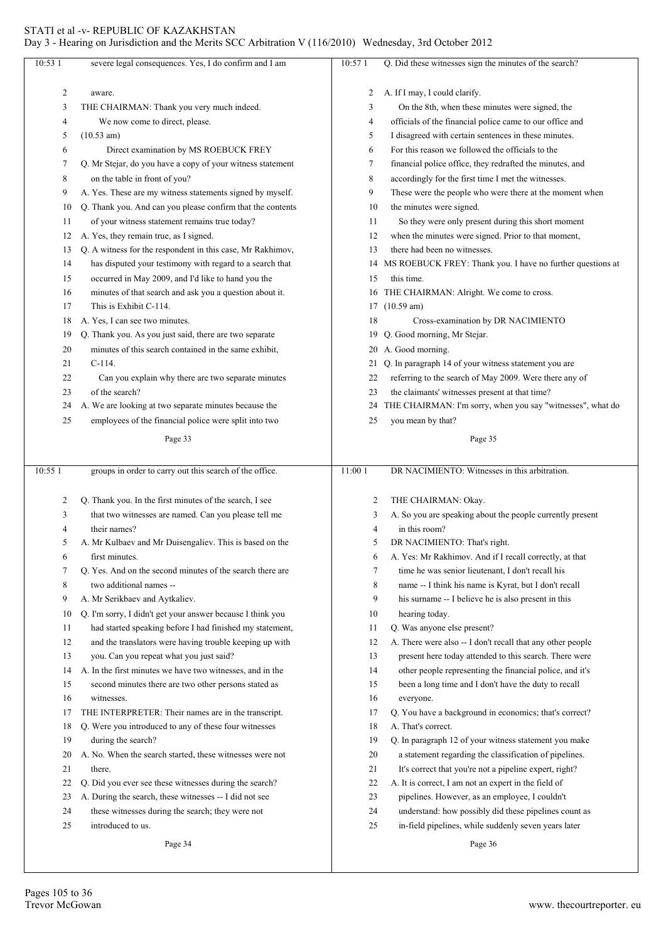| 10:53 1        | severe legal consequences. Yes, I do confirm and I am      | 10:57 1 | Q. Did these witnesses sign the minutes of the search?                       |
|----------------|------------------------------------------------------------|---------|------------------------------------------------------------------------------|
| $\overline{c}$ | aware.                                                     | 2       | A. If I may, I could clarify.                                                |
| 3              | THE CHAIRMAN: Thank you very much indeed.                  | 3       | On the 8th, when these minutes were signed, the                              |
| 4              | We now come to direct, please.                             | 4       | officials of the financial police came to our office and                     |
| 5              | $(10.53 \text{ am})$                                       | 5       | I disagreed with certain sentences in these minutes.                         |
| 6              | Direct examination by MS ROEBUCK FREY                      | 6       | For this reason we followed the officials to the                             |
| 7              | Q. Mr Stejar, do you have a copy of your witness statement | 7       | financial police office, they redrafted the minutes, and                     |
|                |                                                            |         |                                                                              |
| 8              | on the table in front of you?                              | 8       | accordingly for the first time I met the witnesses.                          |
| 9              | A. Yes. These are my witness statements signed by myself.  | 9       | These were the people who were there at the moment when                      |
| 10             | Q. Thank you. And can you please confirm that the contents | 10      | the minutes were signed.                                                     |
| 11             | of your witness statement remains true today?              | 11      | So they were only present during this short moment                           |
| 12             | A. Yes, they remain true, as I signed.                     | 12      | when the minutes were signed. Prior to that moment,                          |
| 13             | Q. A witness for the respondent in this case, Mr Rakhimov, | 13      | there had been no witnesses.                                                 |
| 14             | has disputed your testimony with regard to a search that   | 14      | MS ROEBUCK FREY: Thank you. I have no further questions at                   |
| 15             | occurred in May 2009, and I'd like to hand you the         | 15      | this time.                                                                   |
| 16             | minutes of that search and ask you a question about it.    | 16      | THE CHAIRMAN: Alright. We come to cross.                                     |
| 17             | This is Exhibit C-114.                                     | 17      | $(10.59 \text{ am})$                                                         |
| 18             | A. Yes, I can see two minutes.                             | 18      | Cross-examination by DR NACIMIENTO                                           |
| 19             | Q. Thank you. As you just said, there are two separate     | 19      | Q. Good morning, Mr Stejar.                                                  |
| 20             | minutes of this search contained in the same exhibit,      | 20      | A. Good morning.                                                             |
| 21             | $C-114.$                                                   | 21      | Q. In paragraph 14 of your witness statement you are                         |
| 22             | Can you explain why there are two separate minutes         | 22      | referring to the search of May 2009. Were there any of                       |
| 23             | of the search?                                             | 23      | the claimants' witnesses present at that time?                               |
| 24             | A. We are looking at two separate minutes because the      | 24      | THE CHAIRMAN: I'm sorry, when you say "witnesses", what do                   |
| 25             | employees of the financial police were split into two      | 25      | you mean by that?                                                            |
|                |                                                            |         |                                                                              |
|                | Page 33                                                    |         | Page 35                                                                      |
|                |                                                            |         |                                                                              |
| 10:55 1        | groups in order to carry out this search of the office.    | 11:00 1 | DR NACIMIENTO: Witnesses in this arbitration.                                |
|                |                                                            |         |                                                                              |
| 2              | Q. Thank you. In the first minutes of the search, I see    | 2       | THE CHAIRMAN: Okay.                                                          |
| 3              | that two witnesses are named. Can you please tell me       | 3       | A. So you are speaking about the people currently present                    |
| 4              | their names?                                               | 4       | in this room?                                                                |
| 5              | A. Mr Kulbaev and Mr Duisengaliev. This is based on the    | 5       | DR NACIMIENTO: That's right.                                                 |
| 6              | first minutes.                                             | 6       | A. Yes: Mr Rakhimov. And if I recall correctly, at that                      |
| 7              | Q. Yes. And on the second minutes of the search there are  | 7       | time he was senior lieutenant, I don't recall his                            |
| 8              | two additional names --                                    | 8       | name -- I think his name is Kyrat, but I don't recall                        |
| 9              | A. Mr Serikbaev and Aytkaliev.                             | 9       | his surname -- I believe he is also present in this                          |
| 10             | Q. I'm sorry, I didn't get your answer because I think you | 10      | hearing today.                                                               |
| 11             | had started speaking before I had finished my statement,   | 11      | Q. Was anyone else present?                                                  |
| 12             | and the translators were having trouble keeping up with    | 12      | A. There were also -- I don't recall that any other people                   |
| 13             | you. Can you repeat what you just said?                    | 13      | present here today attended to this search. There were                       |
| 14             | A. In the first minutes we have two witnesses, and in the  | 14      |                                                                              |
| 15             | second minutes there are two other persons stated as       | 15      | other people representing the financial police, and it's                     |
| 16             | witnesses.                                                 | 16      | been a long time and I don't have the duty to recall<br>everyone.            |
| 17             |                                                            | 17      |                                                                              |
| 18             | THE INTERPRETER: Their names are in the transcript.        | 18      | Q. You have a background in economics; that's correct?<br>A. That's correct. |
| 19             | Q. Were you introduced to any of these four witnesses      | 19      |                                                                              |
|                | during the search?                                         |         | Q. In paragraph 12 of your witness statement you make                        |
| 20             | A. No. When the search started, these witnesses were not   | 20      | a statement regarding the classification of pipelines.                       |
| 21             | there.                                                     | 21      | It's correct that you're not a pipeline expert, right?                       |
| 22             | Q. Did you ever see these witnesses during the search?     | 22      | A. It is correct, I am not an expert in the field of                         |
| 23             | A. During the search, these witnesses -- I did not see     | 23      | pipelines. However, as an employee, I couldn't                               |
| 24             | these witnesses during the search; they were not           | 24      | understand: how possibly did these pipelines count as                        |
| 25             | introduced to us.<br>Page 34                               | 25      | in-field pipelines, while suddenly seven years later<br>Page 36              |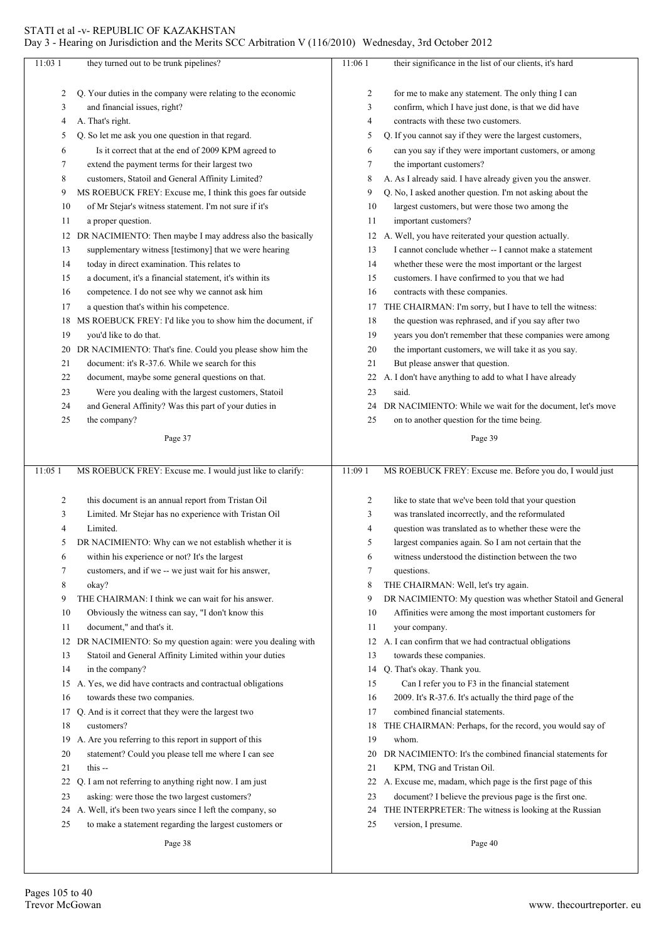| 11:03 1        | they turned out to be trunk pipelines?                        | 11:06 1 | their significance in the list of our clients, it's hard     |
|----------------|---------------------------------------------------------------|---------|--------------------------------------------------------------|
| 2              | Q. Your duties in the company were relating to the economic   | 2       | for me to make any statement. The only thing I can           |
| 3              | and financial issues, right?                                  | 3       | confirm, which I have just done, is that we did have         |
| 4              | A. That's right.                                              | 4       | contracts with these two customers.                          |
| 5              | Q. So let me ask you one question in that regard.             | 5       | Q. If you cannot say if they were the largest customers,     |
| 6              | Is it correct that at the end of 2009 KPM agreed to           | 6       | can you say if they were important customers, or among       |
| 7              | extend the payment terms for their largest two                | 7       | the important customers?                                     |
| 8              | customers, Statoil and General Affinity Limited?              | 8       | A. As I already said. I have already given you the answer.   |
| 9              | MS ROEBUCK FREY: Excuse me, I think this goes far outside     | 9       | Q. No, I asked another question. I'm not asking about the    |
| 10             | of Mr Stejar's witness statement. I'm not sure if it's        | 10      | largest customers, but were those two among the              |
| 11             | a proper question.                                            | 11      | important customers?                                         |
|                | 12 DR NACIMIENTO: Then maybe I may address also the basically |         | 12 A. Well, you have reiterated your question actually.      |
| 13             | supplementary witness [testimony] that we were hearing        | 13      | I cannot conclude whether -- I cannot make a statement       |
| 14             | today in direct examination. This relates to                  | 14      | whether these were the most important or the largest         |
| 15             | a document, it's a financial statement, it's within its       | 15      | customers. I have confirmed to you that we had               |
| 16             | competence. I do not see why we cannot ask him                | 16      | contracts with these companies.                              |
| 17             | a question that's within his competence.                      |         | 17 THE CHAIRMAN: I'm sorry, but I have to tell the witness:  |
|                | 18 MS ROEBUCK FREY: I'd like you to show him the document, if | 18      | the question was rephrased, and if you say after two         |
| 19             | you'd like to do that.                                        | 19      | years you don't remember that these companies were among     |
|                | 20 DR NACIMIENTO: That's fine. Could you please show him the  | 20      | the important customers, we will take it as you say.         |
| 21             | document: it's R-37.6. While we search for this               | 21      | But please answer that question.                             |
| 22             | document, maybe some general questions on that.               | 22      | A. I don't have anything to add to what I have already       |
| 23             | Were you dealing with the largest customers, Statoil          | 23      | said.                                                        |
| 24             | and General Affinity? Was this part of your duties in         | 24      | DR NACIMIENTO: While we wait for the document, let's move    |
| 25             | the company?                                                  | 25      | on to another question for the time being.                   |
|                |                                                               |         |                                                              |
|                | Page 37                                                       |         | Page 39                                                      |
| 11:05 1        | MS ROEBUCK FREY: Excuse me. I would just like to clarify:     | 11:09 1 | MS ROEBUCK FREY: Excuse me. Before you do, I would just      |
| 2              | this document is an annual report from Tristan Oil            | 2       | like to state that we've been told that your question        |
| 3              | Limited. Mr Stejar has no experience with Tristan Oil         | 3       | was translated incorrectly, and the reformulated             |
| $\overline{4}$ | Limited.                                                      | 4       | question was translated as to whether these were the         |
| 5              | DR NACIMIENTO: Why can we not establish whether it is         | 5       | largest companies again. So I am not certain that the        |
| 6              | within his experience or not? It's the largest                | 6       | witness understood the distinction between the two           |
| 7              | customers, and if we -- we just wait for his answer,          | 7       | questions.                                                   |
| 8              | okay?                                                         | 8       | THE CHAIRMAN: Well, let's try again.                         |
| 9              | THE CHAIRMAN: I think we can wait for his answer.             | 9       | DR NACIMIENTO: My question was whether Statoil and General   |
| 10             | Obviously the witness can say, "I don't know this             | 10      | Affinities were among the most important customers for       |
| 11             | document," and that's it.                                     | 11      | your company.                                                |
|                | 12 DR NACIMIENTO: So my question again: were you dealing with |         | 12 A. I can confirm that we had contractual obligations      |
| 13             | Statoil and General Affinity Limited within your duties       | 13      | towards these companies.                                     |
| 14             | in the company?                                               |         | 14 Q. That's okay. Thank you.                                |
|                | 15 A. Yes, we did have contracts and contractual obligations  | 15      | Can I refer you to F3 in the financial statement             |
| 16             | towards these two companies.                                  | 16      | 2009. It's R-37.6. It's actually the third page of the       |
| 17             | Q. And is it correct that they were the largest two           | 17      | combined financial statements.                               |
| 18             | customers?                                                    |         | 18 THE CHAIRMAN: Perhaps, for the record, you would say of   |
| 19             | A. Are you referring to this report in support of this        | 19      | whom.                                                        |
| 20             | statement? Could you please tell me where I can see           | 20      | DR NACIMIENTO: It's the combined financial statements for    |
| 21             | this --                                                       | 21      | KPM, TNG and Tristan Oil.                                    |
|                | 22 Q. I am not referring to anything right now. I am just     |         | 22 A. Excuse me, madam, which page is the first page of this |
| 23             | asking: were those the two largest customers?                 | 23      | document? I believe the previous page is the first one.      |
|                | 24 A. Well, it's been two years since I left the company, so  |         | 24 THE INTERPRETER: The witness is looking at the Russian    |
| 25             | to make a statement regarding the largest customers or        | 25      | version, I presume.                                          |
|                | Page 38                                                       |         | Page 40                                                      |
|                |                                                               |         |                                                              |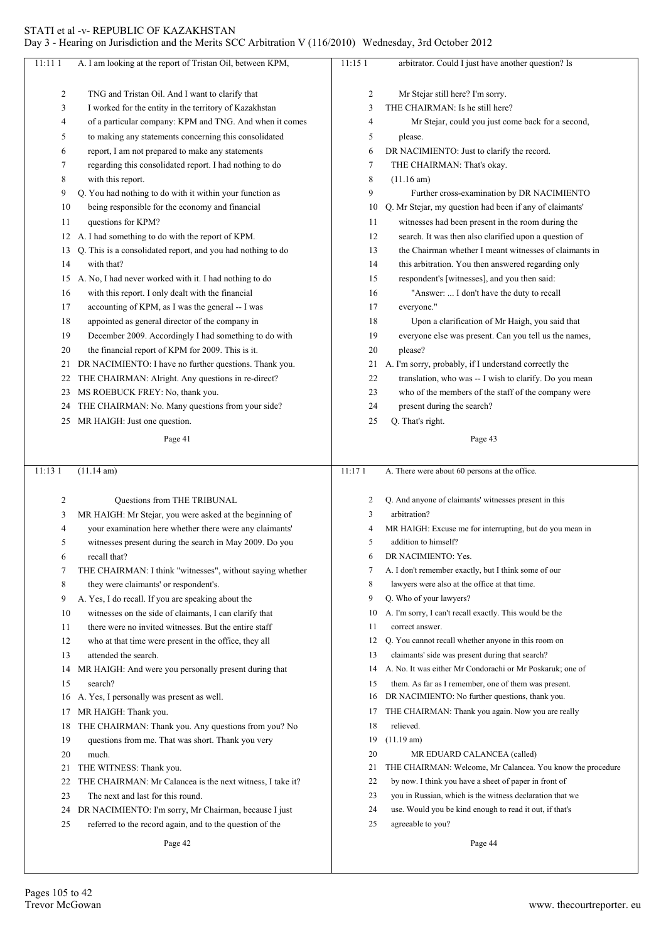## STATI et al -v- REPUBLIC OF KAZAKHSTAN

## Day 3 - Hearing on Jurisdiction and the Merits SCC Arbitration V (116/2010) Wednesday, 3rd October 2012

| 11:111         | A. I am looking at the report of Tristan Oil, between KPM,                                                         | 11:15 1 | arbitrator. Could I just have another question? Is                    |
|----------------|--------------------------------------------------------------------------------------------------------------------|---------|-----------------------------------------------------------------------|
| $\overline{c}$ | TNG and Tristan Oil. And I want to clarify that                                                                    | 2       | Mr Stejar still here? I'm sorry.                                      |
| 3              | I worked for the entity in the territory of Kazakhstan                                                             | 3       | THE CHAIRMAN: Is he still here?                                       |
| $\overline{4}$ | of a particular company: KPM and TNG. And when it comes                                                            | 4       | Mr Stejar, could you just come back for a second,                     |
| 5              | to making any statements concerning this consolidated                                                              | 5       | please.                                                               |
| 6              | report, I am not prepared to make any statements                                                                   | 6       | DR NACIMIENTO: Just to clarify the record.                            |
| 7              | regarding this consolidated report. I had nothing to do                                                            | 7       | THE CHAIRMAN: That's okay.                                            |
| 8              | with this report.                                                                                                  | 8       | $(11.16 \text{ am})$                                                  |
| 9              | Q. You had nothing to do with it within your function as                                                           | 9       | Further cross-examination by DR NACIMIENTO                            |
| 10             | being responsible for the economy and financial                                                                    | 10      | Q. Mr Stejar, my question had been if any of claimants'               |
| 11             | questions for KPM?                                                                                                 | 11      | witnesses had been present in the room during the                     |
|                | 12 A. I had something to do with the report of KPM.                                                                | 12      | search. It was then also clarified upon a question of                 |
| 13             | Q. This is a consolidated report, and you had nothing to do                                                        | 13      | the Chairman whether I meant witnesses of claimants in                |
| 14             | with that?                                                                                                         | 14      | this arbitration. You then answered regarding only                    |
| 15             | A. No, I had never worked with it. I had nothing to do                                                             | 15      | respondent's [witnesses], and you then said:                          |
| 16             | with this report. I only dealt with the financial                                                                  | 16      | "Answer:  I don't have the duty to recall                             |
| 17             | accounting of KPM, as I was the general -- I was                                                                   | 17      | everyone."                                                            |
| 18             | appointed as general director of the company in                                                                    | 18      | Upon a clarification of Mr Haigh, you said that                       |
| 19             | December 2009. Accordingly I had something to do with                                                              | 19      | everyone else was present. Can you tell us the names,                 |
| 20             | the financial report of KPM for 2009. This is it.                                                                  | 20      | please?                                                               |
| 21             | DR NACIMIENTO: I have no further questions. Thank you.                                                             | 21      | A. I'm sorry, probably, if I understand correctly the                 |
| 22             | THE CHAIRMAN: Alright. Any questions in re-direct?                                                                 | 22      | translation, who was -- I wish to clarify. Do you mean                |
| 23             | MS ROEBUCK FREY: No, thank you.                                                                                    | 23      | who of the members of the staff of the company were                   |
| 24             | THE CHAIRMAN: No. Many questions from your side?                                                                   | 24      | present during the search?                                            |
| 25             | MR HAIGH: Just one question.                                                                                       | 25      | Q. That's right.                                                      |
|                | Page 41                                                                                                            |         | Page 43                                                               |
|                |                                                                                                                    |         |                                                                       |
|                |                                                                                                                    |         |                                                                       |
| 11:131         | $(11.14 \text{ am})$                                                                                               | 11:171  | A. There were about 60 persons at the office.                         |
| $\overline{c}$ | Questions from THE TRIBUNAL                                                                                        | 2       |                                                                       |
| 3              |                                                                                                                    | 3       | Q. And anyone of claimants' witnesses present in this<br>arbitration? |
| $\overline{4}$ | MR HAIGH: Mr Stejar, you were asked at the beginning of                                                            | 4       | MR HAIGH: Excuse me for interrupting, but do you mean in              |
| 5              | your examination here whether there were any claimants'<br>witnesses present during the search in May 2009. Do you | 5       | addition to himself?                                                  |
| 6              | recall that?                                                                                                       | 6       | DR NACIMIENTO: Yes.                                                   |
| 7              | THE CHAIRMAN: I think "witnesses", without saying whether                                                          | 7       | A. I don't remember exactly, but I think some of our                  |
| 8              | they were claimants' or respondent's.                                                                              | 8       | lawyers were also at the office at that time.                         |
| 9              | A. Yes, I do recall. If you are speaking about the                                                                 | 9       | Q. Who of your lawyers?                                               |
| 10             | witnesses on the side of claimants, I can clarify that                                                             | 10      | A. I'm sorry, I can't recall exactly. This would be the               |
| 11             | there were no invited witnesses. But the entire staff                                                              | 11      | correct answer.                                                       |
| 12             | who at that time were present in the office, they all                                                              | 12      | Q. You cannot recall whether anyone in this room on                   |
| 13             | attended the search.                                                                                               | 13      | claimants' side was present during that search?                       |
| 14             | MR HAIGH: And were you personally present during that                                                              | 14      | A. No. It was either Mr Condorachi or Mr Poskaruk; one of             |
| 15             | search?                                                                                                            | 15      | them. As far as I remember, one of them was present.                  |
|                | 16 A. Yes, I personally was present as well.                                                                       | 16      | DR NACIMIENTO: No further questions, thank you.                       |
| 17             | MR HAIGH: Thank you.                                                                                               | 17      | THE CHAIRMAN: Thank you again. Now you are really                     |
| 18             | THE CHAIRMAN: Thank you. Any questions from you? No                                                                | 18      | relieved.                                                             |
| 19             | questions from me. That was short. Thank you very                                                                  | 19      | (11.19 am)                                                            |
| 20             | much.                                                                                                              | 20      | MR EDUARD CALANCEA (called)                                           |
| 21             | THE WITNESS: Thank you.                                                                                            | 21      | THE CHAIRMAN: Welcome, Mr Calancea. You know the procedure            |
| 22             | THE CHAIRMAN: Mr Calancea is the next witness, I take it?                                                          | 22      | by now. I think you have a sheet of paper in front of                 |
| 23             | The next and last for this round.                                                                                  | 23      | you in Russian, which is the witness declaration that we              |
| 24             | DR NACIMIENTO: I'm sorry, Mr Chairman, because I just                                                              | 24      | use. Would you be kind enough to read it out, if that's               |
| 25             | referred to the record again, and to the question of the                                                           | 25      | agreeable to you?                                                     |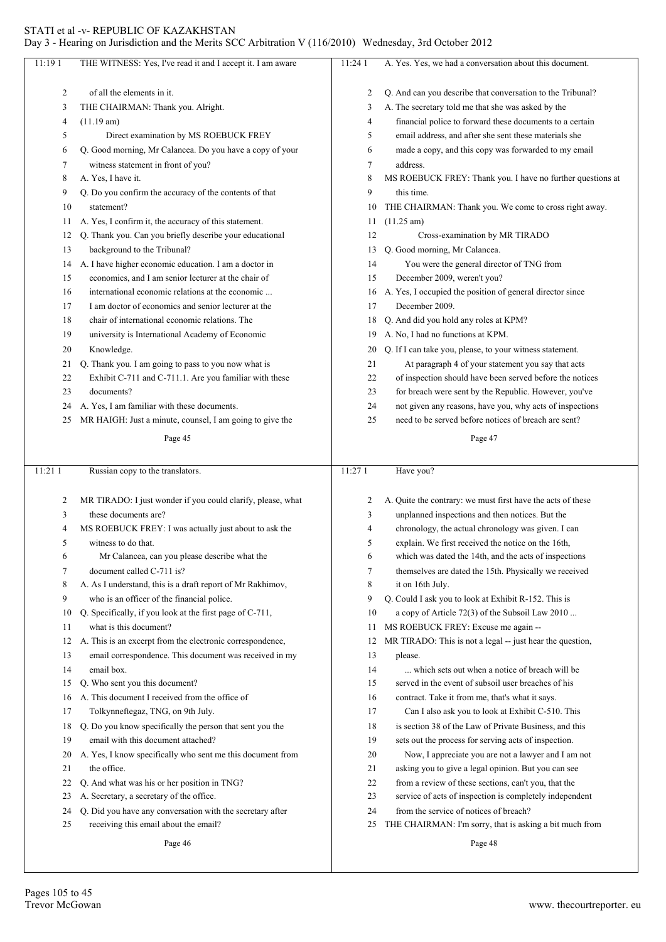| 11:19 1  | THE WITNESS: Yes, I've read it and I accept it. I am aware                                         | 11:24 1        | A. Yes. Yes, we had a conversation about this document.                                           |
|----------|----------------------------------------------------------------------------------------------------|----------------|---------------------------------------------------------------------------------------------------|
| 2        | of all the elements in it.                                                                         | 2              | Q. And can you describe that conversation to the Tribunal?                                        |
| 3        | THE CHAIRMAN: Thank you. Alright.                                                                  | 3              | A. The secretary told me that she was asked by the                                                |
| 4        | (11.19 am)                                                                                         | 4              | financial police to forward these documents to a certain                                          |
| 5        | Direct examination by MS ROEBUCK FREY                                                              | 5              | email address, and after she sent these materials she                                             |
| 6        | Q. Good morning, Mr Calancea. Do you have a copy of your                                           | 6              | made a copy, and this copy was forwarded to my email                                              |
| 7        | witness statement in front of you?                                                                 | $\tau$         | address.                                                                                          |
| 8        | A. Yes, I have it.                                                                                 | 8              | MS ROEBUCK FREY: Thank you. I have no further questions at                                        |
| 9        | Q. Do you confirm the accuracy of the contents of that                                             | 9              | this time.                                                                                        |
| 10       | statement?                                                                                         | 10             | THE CHAIRMAN: Thank you. We come to cross right away.                                             |
| 11       | A. Yes, I confirm it, the accuracy of this statement.                                              | 11             | $(11.25 \text{ am})$                                                                              |
| 12       | Q. Thank you. Can you briefly describe your educational                                            | 12             | Cross-examination by MR TIRADO                                                                    |
| 13       | background to the Tribunal?                                                                        | 13             | Q. Good morning, Mr Calancea.                                                                     |
| 14       | A. I have higher economic education. I am a doctor in                                              | 14             | You were the general director of TNG from                                                         |
| 15       | economics, and I am senior lecturer at the chair of                                                | 15             | December 2009, weren't you?                                                                       |
| 16       | international economic relations at the economic                                                   | 16             | A. Yes, I occupied the position of general director since                                         |
| 17       | I am doctor of economics and senior lecturer at the                                                | 17             | December 2009.                                                                                    |
| 18       | chair of international economic relations. The                                                     | 18             | Q. And did you hold any roles at KPM?                                                             |
| 19       | university is International Academy of Economic                                                    | 19             | A. No, I had no functions at KPM.                                                                 |
| 20       | Knowledge.                                                                                         | 20             | Q. If I can take you, please, to your witness statement.                                          |
| 21       | Q. Thank you. I am going to pass to you now what is                                                | 21             | At paragraph 4 of your statement you say that acts                                                |
| 22       | Exhibit C-711 and C-711.1. Are you familiar with these                                             | 22             | of inspection should have been served before the notices                                          |
| 23       | documents?                                                                                         | 23             | for breach were sent by the Republic. However, you've                                             |
| 24       | A. Yes, I am familiar with these documents.                                                        | 24             | not given any reasons, have you, why acts of inspections                                          |
| 25       | MR HAIGH: Just a minute, counsel, I am going to give the                                           | 25             | need to be served before notices of breach are sent?                                              |
|          | Page 45                                                                                            |                | Page 47                                                                                           |
|          |                                                                                                    |                |                                                                                                   |
| 11:21 1  | Russian copy to the translators.                                                                   | 11:27 1        | Have you?                                                                                         |
|          |                                                                                                    |                |                                                                                                   |
|          |                                                                                                    |                |                                                                                                   |
| 2        | MR TIRADO: I just wonder if you could clarify, please, what                                        | 2              | A. Quite the contrary: we must first have the acts of these                                       |
| 3        | these documents are?                                                                               | 3              | unplanned inspections and then notices. But the                                                   |
| 4        | MS ROEBUCK FREY: I was actually just about to ask the                                              | $\overline{4}$ | chronology, the actual chronology was given. I can                                                |
| 5        | witness to do that.                                                                                | 5              | explain. We first received the notice on the 16th,                                                |
| 6        | Mr Calancea, can you please describe what the                                                      | 6              | which was dated the 14th, and the acts of inspections                                             |
| 7        | document called C-711 is?                                                                          | $\tau$         | themselves are dated the 15th. Physically we received                                             |
| 8        | A. As I understand, this is a draft report of Mr Rakhimov,                                         | 8              | it on 16th July.                                                                                  |
| 9        | who is an officer of the financial police.                                                         | 9              | Q. Could I ask you to look at Exhibit R-152. This is                                              |
| 10       | Q. Specifically, if you look at the first page of C-711,                                           | 10             | a copy of Article 72(3) of the Subsoil Law 2010                                                   |
| 11       | what is this document?                                                                             | 11             | MS ROEBUCK FREY: Excuse me again --                                                               |
| 12       | A. This is an excerpt from the electronic correspondence,                                          | 12             | MR TIRADO: This is not a legal -- just hear the question,                                         |
| 13       | email correspondence. This document was received in my                                             | 13             | please.                                                                                           |
| 14       | email box.                                                                                         | 14             | which sets out when a notice of breach will be                                                    |
| 15       | Q. Who sent you this document?                                                                     | 15             | served in the event of subsoil user breaches of his                                               |
| 16       | A. This document I received from the office of                                                     | 16             | contract. Take it from me, that's what it says.                                                   |
| 17       | Tolkynneftegaz, TNG, on 9th July.                                                                  | 17             | Can I also ask you to look at Exhibit C-510. This                                                 |
| 18       | Q. Do you know specifically the person that sent you the                                           | 18             | is section 38 of the Law of Private Business, and this                                            |
| 19       | email with this document attached?                                                                 | 19             | sets out the process for serving acts of inspection.                                              |
| 20       | A. Yes, I know specifically who sent me this document from                                         | 20             | Now, I appreciate you are not a lawyer and I am not                                               |
| 21       | the office.                                                                                        | 21             | asking you to give a legal opinion. But you can see                                               |
| 22<br>23 | Q. And what was his or her position in TNG?                                                        | 22<br>23       | from a review of these sections, can't you, that the                                              |
| 24       | A. Secretary, a secretary of the office.                                                           | 24             | service of acts of inspection is completely independent<br>from the service of notices of breach? |
| 25       | Q. Did you have any conversation with the secretary after<br>receiving this email about the email? | 25             | THE CHAIRMAN: I'm sorry, that is asking a bit much from                                           |
|          | Page 46                                                                                            |                | Page 48                                                                                           |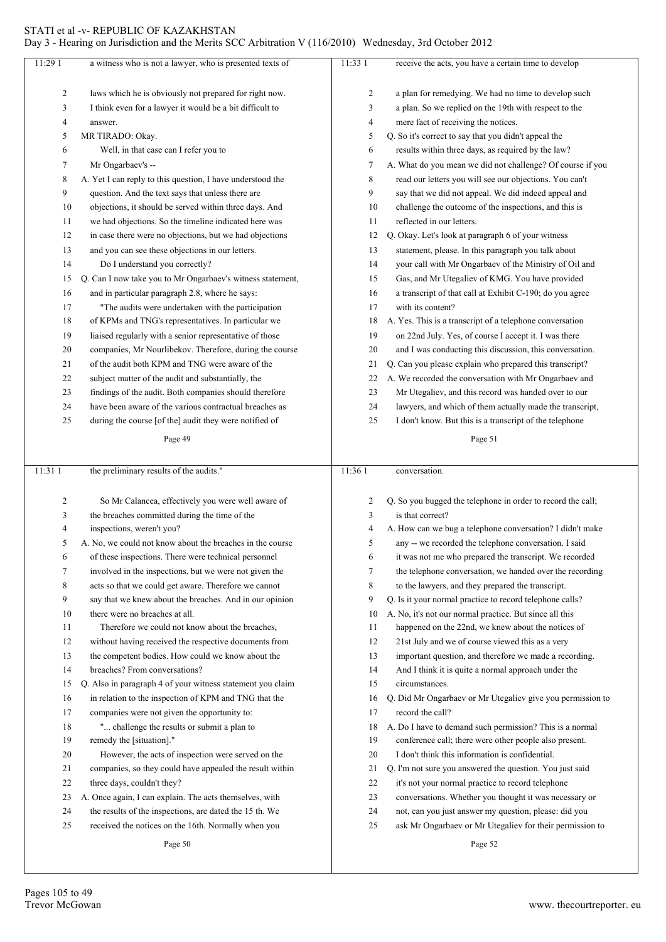|                | a witness who is not a lawyer, who is presented texts of       | 11:33 1        | receive the acts, you have a certain time to develop                |
|----------------|----------------------------------------------------------------|----------------|---------------------------------------------------------------------|
| $\overline{c}$ | laws which he is obviously not prepared for right now.         | $\overline{2}$ | a plan for remedying. We had no time to develop such                |
| 3              | I think even for a lawyer it would be a bit difficult to       | 3              | a plan. So we replied on the 19th with respect to the               |
| 4              | answer.                                                        | $\overline{4}$ | mere fact of receiving the notices.                                 |
| 5              | MR TIRADO: Okay.                                               | 5              | Q. So it's correct to say that you didn't appeal the                |
| 6              | Well, in that case can I refer you to                          | 6              | results within three days, as required by the law?                  |
| 7              | Mr Ongarbaev's --                                              | 7              | A. What do you mean we did not challenge? Of course if you          |
| 8              | A. Yet I can reply to this question, I have understood the     | 8              | read our letters you will see our objections. You can't             |
| 9              | question. And the text says that unless there are              | 9              | say that we did not appeal. We did indeed appeal and                |
| 10             | objections, it should be served within three days. And         | 10             | challenge the outcome of the inspections, and this is               |
| 11             | we had objections. So the timeline indicated here was          | 11             | reflected in our letters.                                           |
| 12             | in case there were no objections, but we had objections        | 12             | Q. Okay. Let's look at paragraph 6 of your witness                  |
| 13             | and you can see these objections in our letters.               | 13             | statement, please. In this paragraph you talk about                 |
| 14             | Do I understand you correctly?                                 | 14             | your call with Mr Ongarbaev of the Ministry of Oil and              |
| 15             | Q. Can I now take you to Mr Ongarbaev's witness statement,     | 15             | Gas, and Mr Utegaliev of KMG. You have provided                     |
| 16             | and in particular paragraph 2.8, where he says:                | 16             | a transcript of that call at Exhibit C-190; do you agree            |
| 17             | "The audits were undertaken with the participation             | 17             | with its content?                                                   |
| 18             | of KPMs and TNG's representatives. In particular we            | 18             | A. Yes. This is a transcript of a telephone conversation            |
| 19             | liaised regularly with a senior representative of those        | 19             | on 22nd July. Yes, of course I accept it. I was there               |
| 20             | companies, Mr Nourlibekov. Therefore, during the course        | $20\,$         | and I was conducting this discussion, this conversation.            |
| 21             | of the audit both KPM and TNG were aware of the                | 21             | Q. Can you please explain who prepared this transcript?             |
| 22             | subject matter of the audit and substantially, the             | 22             | A. We recorded the conversation with Mr Ongarbaev and               |
| 23             | findings of the audit. Both companies should therefore         | 23             | Mr Utegaliev, and this record was handed over to our                |
| 24             | have been aware of the various contractual breaches as         | 24             | lawyers, and which of them actually made the transcript,            |
| 25             | during the course [of the] audit they were notified of         | $25\,$         | I don't know. But this is a transcript of the telephone             |
|                | Page 49                                                        |                | Page 51                                                             |
|                |                                                                |                |                                                                     |
| 11:31 1        | the preliminary results of the audits."                        | 11:36 1        | conversation.                                                       |
|                |                                                                |                |                                                                     |
| 2              | So Mr Calancea, effectively you were well aware of             | 2              | Q. So you bugged the telephone in order to record the call;         |
| 3              |                                                                |                |                                                                     |
|                | the breaches committed during the time of the                  | 3              | is that correct?                                                    |
| 4              | inspections, weren't you?                                      | $\overline{4}$ | A. How can we bug a telephone conversation? I didn't make           |
| 5              | A. No, we could not know about the breaches in the course      | 5              | any -- we recorded the telephone conversation. I said               |
| 6              | of these inspections. There were technical personnel           | 6              | it was not me who prepared the transcript. We recorded              |
| 7              | involved in the inspections, but we were not given the         | 7              | the telephone conversation, we handed over the recording            |
| 8              | acts so that we could get aware. Therefore we cannot           | 8              | to the lawyers, and they prepared the transcript.                   |
| 9              | say that we knew about the breaches. And in our opinion        | 9              | Q. Is it your normal practice to record telephone calls?            |
| 10             | there were no breaches at all.                                 | 10             | A. No, it's not our normal practice. But since all this             |
| 11             | Therefore we could not know about the breaches,                | 11             | happened on the 22nd, we knew about the notices of                  |
| 12             | without having received the respective documents from          | 12             | 21st July and we of course viewed this as a very                    |
| 13             | the competent bodies. How could we know about the              | 13             | important question, and therefore we made a recording.              |
| 14             | breaches? From conversations?                                  | 14             | And I think it is quite a normal approach under the                 |
| 15             | Q. Also in paragraph 4 of your witness statement you claim     | 15             | circumstances.                                                      |
| 16             | in relation to the inspection of KPM and TNG that the          | 16             | Q. Did Mr Ongarbaev or Mr Utegaliev give you permission to          |
| 17             | companies were not given the opportunity to:                   | 17             | record the call?                                                    |
| 18             | " challenge the results or submit a plan to                    | 18             | A. Do I have to demand such permission? This is a normal            |
| 19             | remedy the [situation]."                                       | 19             | conference call; there were other people also present.              |
| 20             | However, the acts of inspection were served on the             | 20             | I don't think this information is confidential.                     |
| 21             | companies, so they could have appealed the result within       | 21             | Q. I'm not sure you answered the question. You just said            |
| 22             | three days, couldn't they?                                     | 22             | it's not your normal practice to record telephone                   |
| 23             | A. Once again, I can explain. The acts themselves, with        | 23             | conversations. Whether you thought it was necessary or              |
| 24             | the results of the inspections, are dated the 15 th. We        | 24             | not, can you just answer my question, please: did you               |
| 25             | received the notices on the 16th. Normally when you<br>Page 50 | 25             | ask Mr Ongarbaev or Mr Utegaliev for their permission to<br>Page 52 |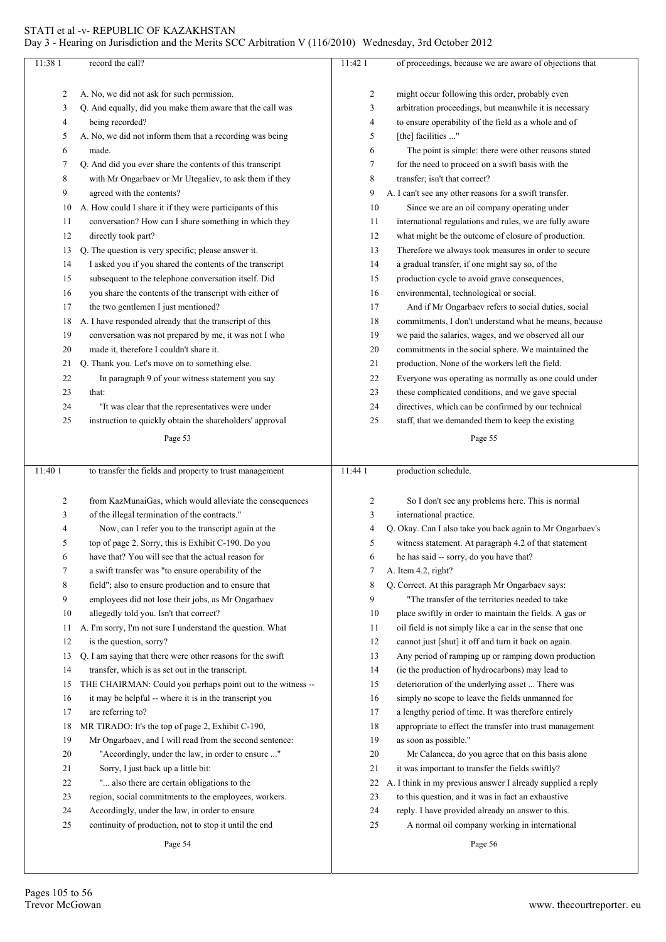#### STATI et al -v- REPUBLIC OF KAZAKHSTAN

Day 3 - Hearing on Jurisdiction and the Merits SCC Arbitration V (116/2010) Wednesday, 3rd October 2012

| 11:38 1        | record the call?                                                                                                      | 11:42 1        | of proceedings, because we are aware of objections that                                                 |
|----------------|-----------------------------------------------------------------------------------------------------------------------|----------------|---------------------------------------------------------------------------------------------------------|
|                |                                                                                                                       |                |                                                                                                         |
| 2              | A. No, we did not ask for such permission.                                                                            | $\overline{c}$ | might occur following this order, probably even                                                         |
| 3              | Q. And equally, did you make them aware that the call was                                                             | 3              | arbitration proceedings, but meanwhile it is necessary                                                  |
| 4              | being recorded?                                                                                                       | 4              | to ensure operability of the field as a whole and of                                                    |
| 5              | A. No, we did not inform them that a recording was being                                                              | 5              | [the] facilities "                                                                                      |
| 6              | made.                                                                                                                 | 6              | The point is simple: there were other reasons stated                                                    |
| 7              | Q. And did you ever share the contents of this transcript                                                             | 7              | for the need to proceed on a swift basis with the                                                       |
| 8              | with Mr Ongarbaev or Mr Utegaliev, to ask them if they                                                                | 8              | transfer; isn't that correct?                                                                           |
| 9              | agreed with the contents?                                                                                             | 9              | A. I can't see any other reasons for a swift transfer.                                                  |
| 10             | A. How could I share it if they were participants of this                                                             | 10             | Since we are an oil company operating under                                                             |
| 11             | conversation? How can I share something in which they                                                                 | 11             | international regulations and rules, we are fully aware                                                 |
| 12             | directly took part?                                                                                                   | 12             | what might be the outcome of closure of production.                                                     |
| 13             | Q. The question is very specific; please answer it.                                                                   | 13             | Therefore we always took measures in order to secure                                                    |
| 14             | I asked you if you shared the contents of the transcript                                                              | 14             | a gradual transfer, if one might say so, of the                                                         |
| 15             | subsequent to the telephone conversation itself. Did                                                                  | 15             | production cycle to avoid grave consequences,                                                           |
| 16             | you share the contents of the transcript with either of                                                               | 16             | environmental, technological or social.                                                                 |
| 17             | the two gentlemen I just mentioned?                                                                                   | 17             | And if Mr Ongarbaev refers to social duties, social                                                     |
| 18             | A. I have responded already that the transcript of this                                                               | 18             | commitments, I don't understand what he means, because                                                  |
| 19             | conversation was not prepared by me, it was not I who                                                                 | 19             | we paid the salaries, wages, and we observed all our                                                    |
| 20             | made it, therefore I couldn't share it.                                                                               | 20             | commitments in the social sphere. We maintained the                                                     |
| 21             | Q. Thank you. Let's move on to something else.                                                                        | 21             | production. None of the workers left the field.                                                         |
| 22             | In paragraph 9 of your witness statement you say                                                                      | 22             | Everyone was operating as normally as one could under                                                   |
| 23             | that:                                                                                                                 | 23             | these complicated conditions, and we gave special                                                       |
| 24             | "It was clear that the representatives were under                                                                     | 24             | directives, which can be confirmed by our technical                                                     |
| 25             | instruction to quickly obtain the shareholders' approval                                                              | 25             | staff, that we demanded them to keep the existing                                                       |
|                | Page 53                                                                                                               |                | Page 55                                                                                                 |
|                |                                                                                                                       |                |                                                                                                         |
| 11:40 1        | to transfer the fields and property to trust management                                                               | 11:44 1        | production schedule.                                                                                    |
|                |                                                                                                                       |                |                                                                                                         |
| $\overline{c}$ | from KazMunaiGas, which would alleviate the consequences                                                              | 2              | So I don't see any problems here. This is normal                                                        |
| 3              | of the illegal termination of the contracts."                                                                         | 3              | international practice.                                                                                 |
| $\overline{4}$ | Now, can I refer you to the transcript again at the                                                                   | 4              | Q. Okay. Can I also take you back again to Mr Ongarbaev's                                               |
| 5              | top of page 2. Sorry, this is Exhibit C-190. Do you                                                                   | 5              | witness statement. At paragraph 4.2 of that statement                                                   |
| 6              | have that? You will see that the actual reason for                                                                    | 6              | he has said -- sorry, do you have that?                                                                 |
| $\tau$         | a swift transfer was "to ensure operability of the                                                                    | $\tau$         | A. Item 4.2, right?                                                                                     |
| $\,8$          | field"; also to ensure production and to ensure that                                                                  | 8              | Q. Correct. At this paragraph Mr Ongarbaev says:                                                        |
| 9              | employees did not lose their jobs, as Mr Ongarbaev                                                                    | 9              | "The transfer of the territories needed to take                                                         |
| 10             | allegedly told you. Isn't that correct?                                                                               | 10             | place swiftly in order to maintain the fields. A gas or                                                 |
| 11             | A. I'm sorry, I'm not sure I understand the question. What                                                            | 11             | oil field is not simply like a car in the sense that one                                                |
| 12             | is the question, sorry?                                                                                               | 12             | cannot just [shut] it off and turn it back on again.                                                    |
| 13             | Q. I am saying that there were other reasons for the swift                                                            | 13             | Any period of ramping up or ramping down production                                                     |
| 14             | transfer, which is as set out in the transcript.                                                                      | 14             | (ie the production of hydrocarbons) may lead to                                                         |
| 15             | THE CHAIRMAN: Could you perhaps point out to the witness --<br>it may be helpful -- where it is in the transcript you | 15<br>16       | deterioration of the underlying asset  There was                                                        |
| 16<br>17       | are referring to?                                                                                                     | 17             | simply no scope to leave the fields unmanned for<br>a lengthy period of time. It was therefore entirely |
| 18             | MR TIRADO: It's the top of page 2, Exhibit C-190,                                                                     | 18             | appropriate to effect the transfer into trust management                                                |
| 19             | Mr Ongarbaev, and I will read from the second sentence:                                                               | 19             | as soon as possible."                                                                                   |
| 20             | "Accordingly, under the law, in order to ensure "                                                                     | 20             | Mr Calancea, do you agree that on this basis alone                                                      |
| 21             | Sorry, I just back up a little bit:                                                                                   | 21             | it was important to transfer the fields swiftly?                                                        |
| 22             | " also there are certain obligations to the                                                                           | 22             | A. I think in my previous answer I already supplied a reply                                             |
| 23             | region, social commitments to the employees, workers.                                                                 | 23             | to this question, and it was in fact an exhaustive                                                      |
| 24             | Accordingly, under the law, in order to ensure                                                                        | 24             | reply. I have provided already an answer to this.                                                       |
| 25             | continuity of production, not to stop it until the end                                                                | 25             | A normal oil company working in international                                                           |
|                |                                                                                                                       |                |                                                                                                         |
|                | Page 54                                                                                                               |                | Page 56                                                                                                 |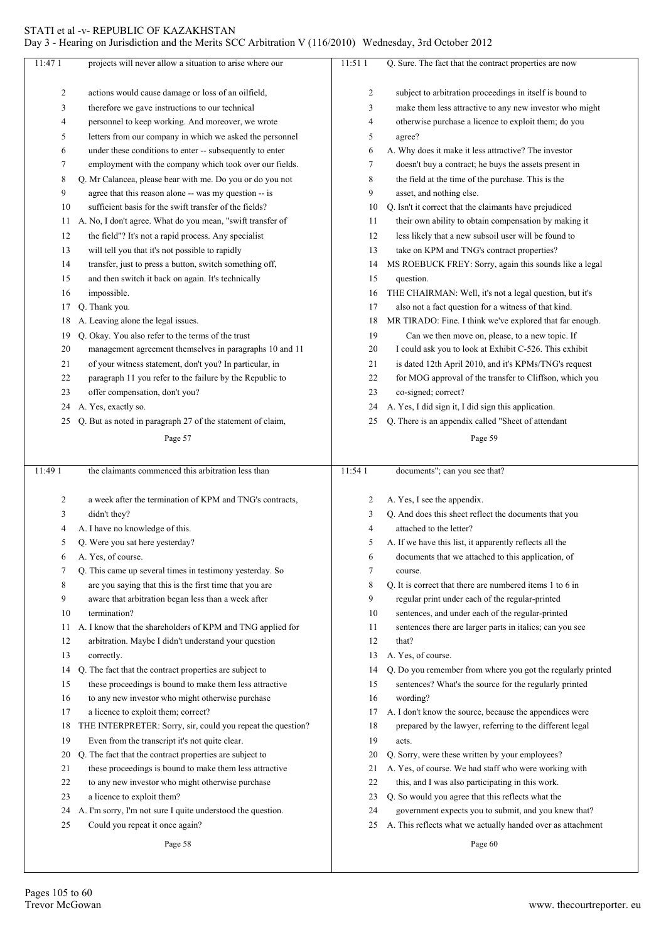| 11:47 1        | projects will never allow a situation to arise where our    | 11:51 1        | Q. Sure. The fact that the contract properties are now                 |
|----------------|-------------------------------------------------------------|----------------|------------------------------------------------------------------------|
|                |                                                             |                |                                                                        |
| $\overline{c}$ | actions would cause damage or loss of an oilfield,          | $\overline{c}$ | subject to arbitration proceedings in itself is bound to               |
| 3              | therefore we gave instructions to our technical             | 3              | make them less attractive to any new investor who might                |
| 4              | personnel to keep working. And moreover, we wrote           | $\overline{4}$ | otherwise purchase a licence to exploit them; do you                   |
| 5              | letters from our company in which we asked the personnel    | 5              | agree?                                                                 |
| 6              | under these conditions to enter -- subsequently to enter    | 6              | A. Why does it make it less attractive? The investor                   |
| 7              | employment with the company which took over our fields.     | 7              | doesn't buy a contract; he buys the assets present in                  |
| 8              | Q. Mr Calancea, please bear with me. Do you or do you not   | 8              | the field at the time of the purchase. This is the                     |
| 9              | agree that this reason alone -- was my question -- is       | 9              | asset, and nothing else.                                               |
| 10             | sufficient basis for the swift transfer of the fields?      | 10             | Q. Isn't it correct that the claimants have prejudiced                 |
| 11             | A. No, I don't agree. What do you mean, "swift transfer of  | 11             | their own ability to obtain compensation by making it                  |
| 12             | the field"? It's not a rapid process. Any specialist        | 12             | less likely that a new subsoil user will be found to                   |
| 13             | will tell you that it's not possible to rapidly             | 13             | take on KPM and TNG's contract properties?                             |
| 14             | transfer, just to press a button, switch something off,     | 14             | MS ROEBUCK FREY: Sorry, again this sounds like a legal                 |
| 15             | and then switch it back on again. It's technically          | 15             | question.                                                              |
| 16             | impossible.                                                 | 16             | THE CHAIRMAN: Well, it's not a legal question, but it's                |
| 17             | Q. Thank you.                                               | 17             | also not a fact question for a witness of that kind.                   |
| 18             | A. Leaving alone the legal issues.                          | 18             | MR TIRADO: Fine. I think we've explored that far enough.               |
| 19             | Q. Okay. You also refer to the terms of the trust           | 19             | Can we then move on, please, to a new topic. If                        |
| 20             | management agreement themselves in paragraphs 10 and 11     | 20             | I could ask you to look at Exhibit C-526. This exhibit                 |
| 21             | of your witness statement, don't you? In particular, in     | 21             | is dated 12th April 2010, and it's KPMs/TNG's request                  |
| 22             | paragraph 11 you refer to the failure by the Republic to    | 22             | for MOG approval of the transfer to Cliffson, which you                |
| 23             | offer compensation, don't you?                              | 23             | co-signed; correct?                                                    |
| 24             | A. Yes, exactly so.                                         | 24             | A. Yes, I did sign it, I did sign this application.                    |
| 25             | Q. But as noted in paragraph 27 of the statement of claim,  | 25             | Q. There is an appendix called "Sheet of attendant                     |
|                | Page 57                                                     |                | Page 59                                                                |
|                |                                                             |                |                                                                        |
|                |                                                             |                |                                                                        |
| 11:49 1        | the claimants commenced this arbitration less than          | 11:54 1        | documents"; can you see that?                                          |
|                |                                                             |                |                                                                        |
| 2              | a week after the termination of KPM and TNG's contracts,    | 2              | A. Yes, I see the appendix.                                            |
| 3              | didn't they?                                                | 3              | Q. And does this sheet reflect the documents that you                  |
| 4              | A. I have no knowledge of this.                             | $\overline{4}$ | attached to the letter?                                                |
| 5              | Q. Were you sat here yesterday?                             | 5              | A. If we have this list, it apparently reflects all the                |
| 6              | A. Yes, of course.                                          | 6              | documents that we attached to this application, of                     |
| 7              | Q. This came up several times in testimony yesterday. So    | 7              | course.                                                                |
| 8              | are you saying that this is the first time that you are     | 8              | Q. It is correct that there are numbered items 1 to 6 in               |
| 9              | aware that arbitration began less than a week after         | 9              | regular print under each of the regular-printed                        |
| 10             | termination?                                                | 10             | sentences, and under each of the regular-printed                       |
| 11             | A. I know that the shareholders of KPM and TNG applied for  | 11             | sentences there are larger parts in italics; can you see               |
| 12             | arbitration. Maybe I didn't understand your question        | 12             | that?                                                                  |
| 13             | correctly.                                                  | 13             | A. Yes, of course.                                                     |
| 14             | Q. The fact that the contract properties are subject to     | 14             | Q. Do you remember from where you got the regularly printed            |
| 15             | these proceedings is bound to make them less attractive     | 15             | sentences? What's the source for the regularly printed                 |
| 16             | to any new investor who might otherwise purchase            | 16             | wording?                                                               |
| 17             | a licence to exploit them; correct?                         | 17             | A. I don't know the source, because the appendices were                |
| 18             | THE INTERPRETER: Sorry, sir, could you repeat the question? | 18             | prepared by the lawyer, referring to the different legal               |
| 19             | Even from the transcript it's not quite clear.              | 19             | acts.                                                                  |
| 20             | Q. The fact that the contract properties are subject to     | 20             | Q. Sorry, were these written by your employees?                        |
| 21             | these proceedings is bound to make them less attractive     | 21             | A. Yes, of course. We had staff who were working with                  |
| 22             | to any new investor who might otherwise purchase            | 22             | this, and I was also participating in this work.                       |
| 23<br>24       | a licence to exploit them?                                  | 23<br>24       | Q. So would you agree that this reflects what the                      |
|                | A. I'm sorry, I'm not sure I quite understood the question. | 25             | government expects you to submit, and you knew that?                   |
| 25             | Could you repeat it once again?<br>Page 58                  |                | A. This reflects what we actually handed over as attachment<br>Page 60 |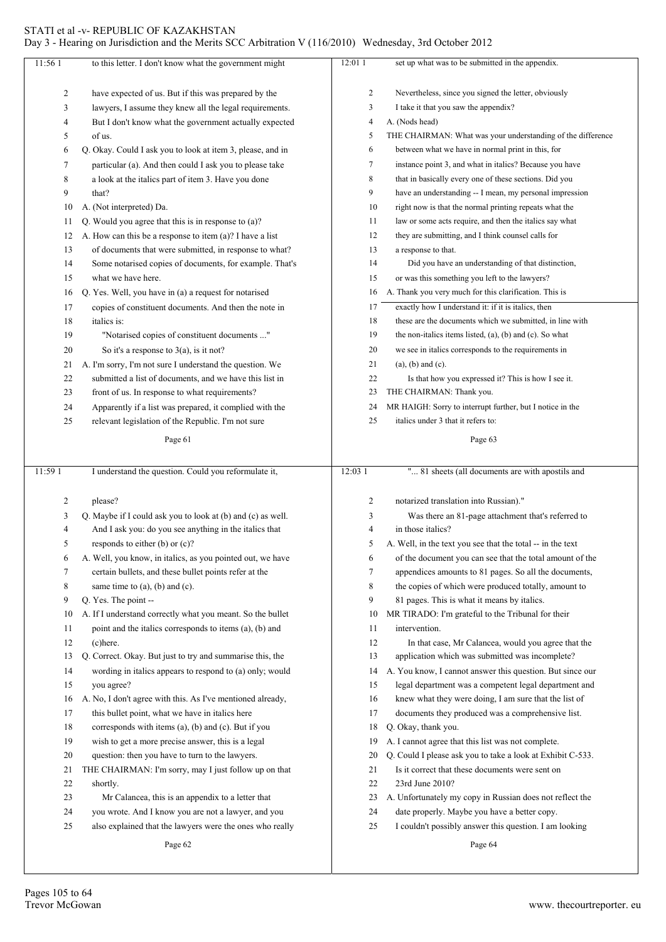| 11:56 1 | to this letter. I don't know what the government might              | 12:01 1        | set up what was to be submitted in the appendix.                  |
|---------|---------------------------------------------------------------------|----------------|-------------------------------------------------------------------|
| 2       | have expected of us. But if this was prepared by the                | $\overline{c}$ | Nevertheless, since you signed the letter, obviously              |
| 3       | lawyers, I assume they knew all the legal requirements.             | 3              | I take it that you saw the appendix?                              |
| 4       | But I don't know what the government actually expected              | 4              | A. (Nods head)                                                    |
| 5       | of us.                                                              | 5              | THE CHAIRMAN: What was your understanding of the difference       |
| 6       | Q. Okay. Could I ask you to look at item 3, please, and in          | 6              | between what we have in normal print in this, for                 |
| 7       | particular (a). And then could I ask you to please take             | 7              | instance point 3, and what in italics? Because you have           |
| 8       | a look at the italics part of item 3. Have you done                 | 8              | that in basically every one of these sections. Did you            |
| 9       | that?                                                               | 9              | have an understanding -- I mean, my personal impression           |
|         |                                                                     |                | right now is that the normal printing repeats what the            |
| 10      | A. (Not interpreted) Da.                                            | 10             |                                                                   |
| 11      | Q. Would you agree that this is in response to (a)?                 | 11             | law or some acts require, and then the italics say what           |
| 12      | A. How can this be a response to item (a)? I have a list            | 12             | they are submitting, and I think counsel calls for                |
| 13      | of documents that were submitted, in response to what?              | 13             | a response to that.                                               |
| 14      | Some notarised copies of documents, for example. That's             | 14             | Did you have an understanding of that distinction,                |
| 15      | what we have here.                                                  | 15             | or was this something you left to the lawyers?                    |
| 16      | Q. Yes. Well, you have in (a) a request for notarised               | 16             | A. Thank you very much for this clarification. This is            |
| 17      | copies of constituent documents. And then the note in               | 17             | exactly how I understand it: if it is italics, then               |
| 18      | italics is:                                                         | 18             | these are the documents which we submitted, in line with          |
| 19      | "Notarised copies of constituent documents "                        | 19             | the non-italics items listed, (a), (b) and (c). So what           |
| 20      | So it's a response to $3(a)$ , is it not?                           | 20             | we see in italics corresponds to the requirements in              |
| 21      | A. I'm sorry, I'm not sure I understand the question. We            | 21             | $(a)$ , $(b)$ and $(c)$ .                                         |
| 22      | submitted a list of documents, and we have this list in             | 22             | Is that how you expressed it? This is how I see it.               |
| 23      | front of us. In response to what requirements?                      | 23             | THE CHAIRMAN: Thank you.                                          |
| 24      | Apparently if a list was prepared, it complied with the             | 24             | MR HAIGH: Sorry to interrupt further, but I notice in the         |
| 25      | relevant legislation of the Republic. I'm not sure                  | 25             | italics under 3 that it refers to:                                |
|         | Page 61                                                             |                | Page 63                                                           |
|         |                                                                     |                |                                                                   |
|         |                                                                     |                |                                                                   |
| 11:59 1 | I understand the question. Could you reformulate it,                | 12:03 1        | " 81 sheets (all documents are with apostils and                  |
|         |                                                                     |                |                                                                   |
| 2       | please?                                                             | 2              | notarized translation into Russian)."                             |
| 3       | Q. Maybe if I could ask you to look at (b) and (c) as well.         | 3              | Was there an 81-page attachment that's referred to                |
| 4       | And I ask you: do you see anything in the italics that              | $\overline{4}$ | in those italics?                                                 |
| 5       | responds to either $(b)$ or $(c)$ ?                                 | 5              | A. Well, in the text you see that the total -- in the text        |
| 6       | A. Well, you know, in italics, as you pointed out, we have          | 6              | of the document you can see that the total amount of the          |
| 7       | certain bullets, and these bullet points refer at the               | 7              | appendices amounts to 81 pages. So all the documents,             |
| 8       | same time to $(a)$ , $(b)$ and $(c)$ .                              | 8              | the copies of which were produced totally, amount to              |
| 9       | Q. Yes. The point --                                                | 9              | 81 pages. This is what it means by italics.                       |
| 10      | A. If I understand correctly what you meant. So the bullet          | 10             | MR TIRADO: I'm grateful to the Tribunal for their                 |
| 11      | point and the italics corresponds to items (a), (b) and             | 11             | intervention.                                                     |
| 12      | (c)here.                                                            | 12<br>13       | In that case, Mr Calancea, would you agree that the               |
| 13      | Q. Correct. Okay. But just to try and summarise this, the           |                | application which was submitted was incomplete?                   |
| 14      | wording in italics appears to respond to (a) only; would            | 14             | A. You know, I cannot answer this question. But since our         |
| 15      | you agree?                                                          | 15             | legal department was a competent legal department and             |
| 16      | A. No, I don't agree with this. As I've mentioned already,          | 16             | knew what they were doing, I am sure that the list of             |
| 17      | this bullet point, what we have in italics here                     | 17             | documents they produced was a comprehensive list.                 |
| $18\,$  | corresponds with items (a), (b) and (c). But if you                 | 18             | Q. Okay, thank you.                                               |
| 19      | wish to get a more precise answer, this is a legal                  | 19             | A. I cannot agree that this list was not complete.                |
| 20      | question: then you have to turn to the lawyers.                     | 20             | Q. Could I please ask you to take a look at Exhibit C-533.        |
| 21      | THE CHAIRMAN: I'm sorry, may I just follow up on that               | 21             | Is it correct that these documents were sent on                   |
| 22      | shortly.                                                            | 22             | 23rd June 2010?                                                   |
| 23      | Mr Calancea, this is an appendix to a letter that                   | 23             | A. Unfortunately my copy in Russian does not reflect the          |
| 24      | you wrote. And I know you are not a lawyer, and you                 | 24             | date properly. Maybe you have a better copy.                      |
| 25      | also explained that the lawyers were the ones who really<br>Page 62 | 25             | I couldn't possibly answer this question. I am looking<br>Page 64 |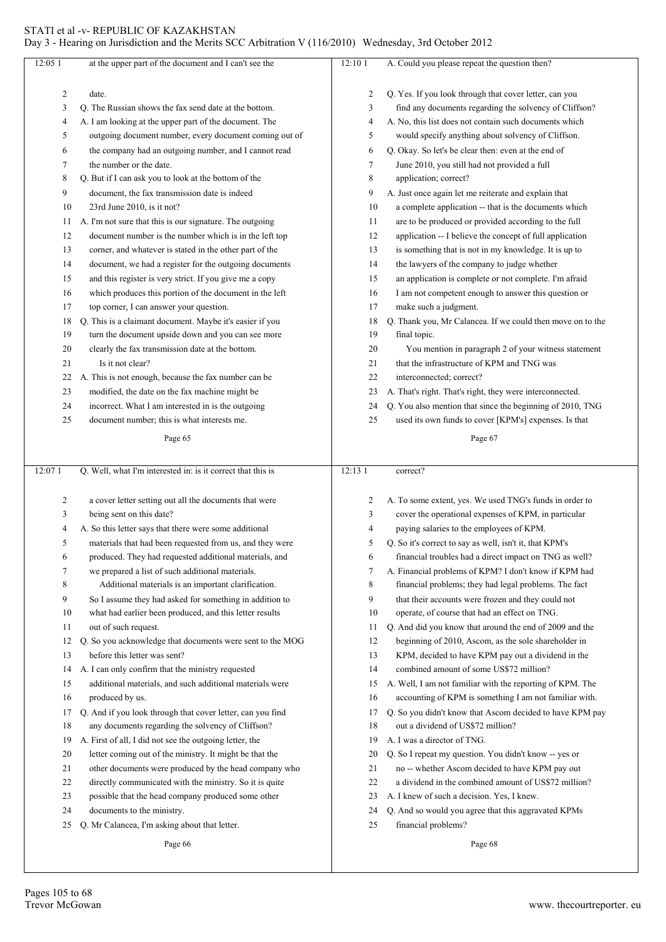| 12:05 1  | at the upper part of the document and I can't see the                            | 12:10 1        | A. Could you please repeat the question then?                                                     |
|----------|----------------------------------------------------------------------------------|----------------|---------------------------------------------------------------------------------------------------|
| 2        | date.                                                                            | $\overline{c}$ | Q. Yes. If you look through that cover letter, can you                                            |
| 3        | Q. The Russian shows the fax send date at the bottom.                            | 3              | find any documents regarding the solvency of Cliffson?                                            |
| 4        | A. I am looking at the upper part of the document. The                           | $\overline{4}$ | A. No, this list does not contain such documents which                                            |
| 5        | outgoing document number, every document coming out of                           | 5              | would specify anything about solvency of Cliffson.                                                |
| 6        | the company had an outgoing number, and I cannot read                            | 6              | Q. Okay. So let's be clear then: even at the end of                                               |
| 7        | the number or the date.                                                          | 7              | June 2010, you still had not provided a full                                                      |
| 8        | Q. But if I can ask you to look at the bottom of the                             | 8              | application; correct?                                                                             |
| 9        | document, the fax transmission date is indeed                                    | 9              | A. Just once again let me reiterate and explain that                                              |
| 10       | 23rd June 2010, is it not?                                                       | 10             | a complete application -- that is the documents which                                             |
| 11       | A. I'm not sure that this is our signature. The outgoing                         | 11             | are to be produced or provided according to the full                                              |
| 12       | document number is the number which is in the left top                           | 12             | application -- I believe the concept of full application                                          |
| 13       | corner, and whatever is stated in the other part of the                          | 13             | is something that is not in my knowledge. It is up to                                             |
| 14       | document, we had a register for the outgoing documents                           | 14             | the lawyers of the company to judge whether                                                       |
| 15       | and this register is very strict. If you give me a copy                          | 15             | an application is complete or not complete. I'm afraid                                            |
| 16       | which produces this portion of the document in the left                          | 16             | I am not competent enough to answer this question or                                              |
| 17       | top corner, I can answer your question.                                          | 17             | make such a judgment.                                                                             |
| 18       | Q. This is a claimant document. Maybe it's easier if you                         | 18             | Q. Thank you, Mr Calancea. If we could then move on to the                                        |
| 19       | turn the document upside down and you can see more                               | 19             | final topic.                                                                                      |
| 20       | clearly the fax transmission date at the bottom.                                 | 20             | You mention in paragraph 2 of your witness statement                                              |
| 21       | Is it not clear?                                                                 | 21             | that the infrastructure of KPM and TNG was                                                        |
| 22       | A. This is not enough, because the fax number can be                             | 22             | interconnected; correct?                                                                          |
| 23       | modified, the date on the fax machine might be                                   | 23             | A. That's right. That's right, they were interconnected.                                          |
| 24       | incorrect. What I am interested in is the outgoing                               | 24             | Q. You also mention that since the beginning of 2010, TNG                                         |
| 25       | document number; this is what interests me.                                      | 25             | used its own funds to cover [KPM's] expenses. Is that                                             |
|          | Page 65                                                                          |                | Page 67                                                                                           |
|          |                                                                                  |                |                                                                                                   |
| 12:07 1  | Q. Well, what I'm interested in: is it correct that this is                      | 12:131         | correct?                                                                                          |
| 2        | a cover letter setting out all the documents that were                           | 2              | A. To some extent, yes. We used TNG's funds in order to                                           |
| 3        | being sent on this date?                                                         | 3              | cover the operational expenses of KPM, in particular                                              |
| 4        | A. So this letter says that there were some additional                           | 4              | paying salaries to the employees of KPM.                                                          |
| 5        | materials that had been requested from us, and they were                         | 5              | Q. So it's correct to say as well, isn't it, that KPM's                                           |
| 6        | produced. They had requested additional materials, and                           | 6              | financial troubles had a direct impact on TNG as well?                                            |
| 7        | we prepared a list of such additional materials.                                 | 7              | A. Financial problems of KPM? I don't know if KPM had                                             |
| 8        | Additional materials is an important clarification.                              | 8              | financial problems; they had legal problems. The fact                                             |
| 9        | So I assume they had asked for something in addition to                          | 9              | that their accounts were frozen and they could not                                                |
| 10       | what had earlier been produced, and this letter results                          | 10             | operate, of course that had an effect on TNG.                                                     |
| 11       | out of such request.                                                             | 11             | Q. And did you know that around the end of 2009 and the                                           |
| 12       | Q. So you acknowledge that documents were sent to the MOG                        | 12             | beginning of 2010, Ascom, as the sole shareholder in                                              |
| 13       | before this letter was sent?                                                     | 13             | KPM, decided to have KPM pay out a dividend in the                                                |
| 14       | A. I can only confirm that the ministry requested                                | 14             | combined amount of some US\$72 million?                                                           |
| 15       | additional materials, and such additional materials were                         | 15             | A. Well, I am not familiar with the reporting of KPM. The                                         |
| 16       | produced by us.                                                                  | 16             | accounting of KPM is something I am not familiar with.                                            |
| 17       | Q. And if you look through that cover letter, can you find                       | 17             | Q. So you didn't know that Ascom decided to have KPM pay                                          |
| 18       | any documents regarding the solvency of Cliffson?                                | 18             | out a dividend of US\$72 million?                                                                 |
| 19       | A. First of all, I did not see the outgoing letter, the                          | 19             | A. I was a director of TNG.                                                                       |
| 20       | letter coming out of the ministry. It might be that the                          | 20             | Q. So I repeat my question. You didn't know -- yes or                                             |
| 21       | other documents were produced by the head company who                            | 21             | no -- whether Ascom decided to have KPM pay out                                                   |
| 22       | directly communicated with the ministry. So it is quite                          | 22             | a dividend in the combined amount of US\$72 million?                                              |
| 23<br>24 | possible that the head company produced some other<br>documents to the ministry. | 23<br>24       | A. I knew of such a decision. Yes, I knew.<br>Q. And so would you agree that this aggravated KPMs |
| 25       | Q. Mr Calancea, I'm asking about that letter.                                    | 25             | financial problems?                                                                               |
|          | Page 66                                                                          |                | Page 68                                                                                           |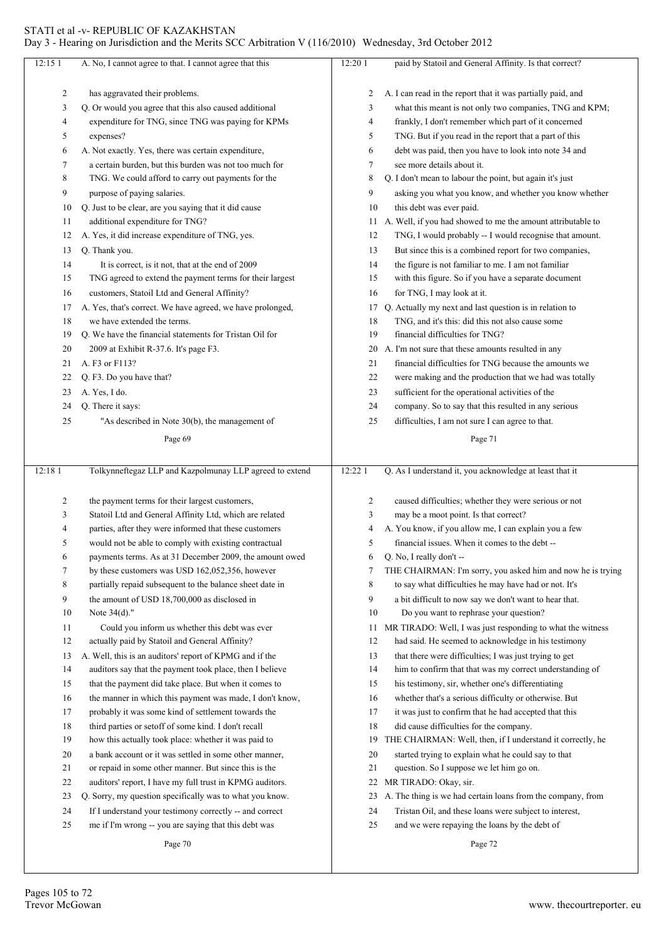| 12:15 1        | A. No, I cannot agree to that. I cannot agree that this                                                       | 12:20 1        | paid by Statoil and General Affinity. Is that correct?                                                      |
|----------------|---------------------------------------------------------------------------------------------------------------|----------------|-------------------------------------------------------------------------------------------------------------|
| $\overline{c}$ | has aggravated their problems.                                                                                | 2              | A. I can read in the report that it was partially paid, and                                                 |
| 3              | Q. Or would you agree that this also caused additional                                                        | 3              | what this meant is not only two companies, TNG and KPM;                                                     |
| 4              | expenditure for TNG, since TNG was paying for KPMs                                                            | 4              | frankly, I don't remember which part of it concerned                                                        |
| 5              | expenses?                                                                                                     | 5              | TNG. But if you read in the report that a part of this                                                      |
| 6              | A. Not exactly. Yes, there was certain expenditure,                                                           | 6              | debt was paid, then you have to look into note 34 and                                                       |
| $\tau$         | a certain burden, but this burden was not too much for                                                        | $\tau$         | see more details about it.                                                                                  |
| 8              | TNG. We could afford to carry out payments for the                                                            | 8              | Q. I don't mean to labour the point, but again it's just                                                    |
| 9              | purpose of paying salaries.                                                                                   | 9              | asking you what you know, and whether you know whether                                                      |
| 10             | Q. Just to be clear, are you saying that it did cause                                                         | 10             | this debt was ever paid.                                                                                    |
| 11             | additional expenditure for TNG?                                                                               | 11             | A. Well, if you had showed to me the amount attributable to                                                 |
| 12             | A. Yes, it did increase expenditure of TNG, yes.                                                              | 12             | TNG, I would probably -- I would recognise that amount.                                                     |
|                |                                                                                                               |                |                                                                                                             |
| 13             | Q. Thank you.                                                                                                 | 13             | But since this is a combined report for two companies,                                                      |
| 14             | It is correct, is it not, that at the end of 2009<br>TNG agreed to extend the payment terms for their largest | 14<br>15       | the figure is not familiar to me. I am not familiar<br>with this figure. So if you have a separate document |
| 15             |                                                                                                               |                |                                                                                                             |
| 16             | customers, Statoil Ltd and General Affinity?                                                                  | 16             | for TNG, I may look at it.                                                                                  |
| 17             | A. Yes, that's correct. We have agreed, we have prolonged,                                                    | 17             | Q. Actually my next and last question is in relation to                                                     |
| 18             | we have extended the terms.                                                                                   | 18             | TNG, and it's this: did this not also cause some                                                            |
| 19             | Q. We have the financial statements for Tristan Oil for                                                       | 19             | financial difficulties for TNG?                                                                             |
| 20             | 2009 at Exhibit R-37.6. It's page F3.                                                                         | 20             | A. I'm not sure that these amounts resulted in any                                                          |
| 21             | A. F3 or F113?                                                                                                | 21             | financial difficulties for TNG because the amounts we                                                       |
| 22             | Q. F3. Do you have that?                                                                                      | 22             | were making and the production that we had was totally                                                      |
| 23             | A. Yes, I do.                                                                                                 | 23             | sufficient for the operational activities of the                                                            |
| 24             | Q. There it says:                                                                                             | 24             | company. So to say that this resulted in any serious                                                        |
| 25             | "As described in Note 30(b), the management of                                                                | 25             | difficulties, I am not sure I can agree to that.                                                            |
|                | Page 69                                                                                                       |                | Page 71                                                                                                     |
|                |                                                                                                               |                |                                                                                                             |
|                |                                                                                                               |                |                                                                                                             |
| 12:18 1        | Tolkynneftegaz LLP and Kazpolmunay LLP agreed to extend                                                       | 12:22 1        | Q. As I understand it, you acknowledge at least that it                                                     |
|                |                                                                                                               |                |                                                                                                             |
| 2              | the payment terms for their largest customers,                                                                | $\overline{c}$ | caused difficulties; whether they were serious or not                                                       |
| 3              | Statoil Ltd and General Affinity Ltd, which are related                                                       | 3              | may be a moot point. Is that correct?                                                                       |
| 4              | parties, after they were informed that these customers                                                        | 4              | A. You know, if you allow me, I can explain you a few                                                       |
| 5              | would not be able to comply with existing contractual                                                         | 5              | financial issues. When it comes to the debt --                                                              |
| 6              | payments terms. As at 31 December 2009, the amount owed                                                       | 6              | Q. No, I really don't --                                                                                    |
| 7              | by these customers was USD 162,052,356, however                                                               | 7              | THE CHAIRMAN: I'm sorry, you asked him and now he is trying                                                 |
| 8              | partially repaid subsequent to the balance sheet date in                                                      | 8              | to say what difficulties he may have had or not. It's                                                       |
| 9              | the amount of USD 18,700,000 as disclosed in                                                                  | 9              | a bit difficult to now say we don't want to hear that.                                                      |
| 10             | Note 34(d)."                                                                                                  | 10             | Do you want to rephrase your question?                                                                      |
| 11             | Could you inform us whether this debt was ever                                                                | 11             | MR TIRADO: Well, I was just responding to what the witness                                                  |
| 12             | actually paid by Statoil and General Affinity?                                                                | 12             | had said. He seemed to acknowledge in his testimony                                                         |
| 13             | A. Well, this is an auditors' report of KPMG and if the                                                       | 13             | that there were difficulties; I was just trying to get                                                      |
| 14             | auditors say that the payment took place, then I believe                                                      | 14             | him to confirm that that was my correct understanding of                                                    |
| 15             | that the payment did take place. But when it comes to                                                         | 15             | his testimony, sir, whether one's differentiating                                                           |
| 16             | the manner in which this payment was made, I don't know,                                                      | 16             | whether that's a serious difficulty or otherwise. But                                                       |
| 17             | probably it was some kind of settlement towards the                                                           | 17             | it was just to confirm that he had accepted that this                                                       |
| 18             | third parties or setoff of some kind. I don't recall                                                          | 18             | did cause difficulties for the company.                                                                     |
| 19             | how this actually took place: whether it was paid to                                                          | 19             | THE CHAIRMAN: Well, then, if I understand it correctly, he                                                  |
| 20             | a bank account or it was settled in some other manner,                                                        | 20             | started trying to explain what he could say to that                                                         |
| 21             | or repaid in some other manner. But since this is the                                                         | 21             | question. So I suppose we let him go on.                                                                    |
| 22             | auditors' report, I have my full trust in KPMG auditors.                                                      | 22             | MR TIRADO: Okay, sir.                                                                                       |
| 23             | Q. Sorry, my question specifically was to what you know.                                                      | 23             | A. The thing is we had certain loans from the company, from                                                 |
| 24             | If I understand your testimony correctly -- and correct                                                       | 24             | Tristan Oil, and these loans were subject to interest,                                                      |
| 25             | me if I'm wrong -- you are saying that this debt was<br>Page 70                                               | 25             | and we were repaying the loans by the debt of<br>Page 72                                                    |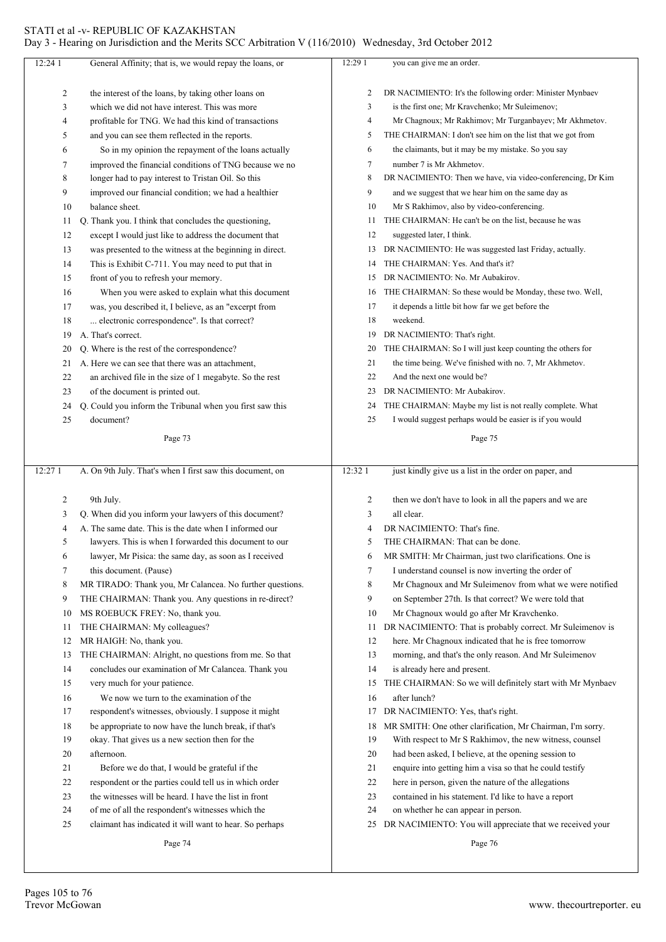| 12:241              | General Affinity; that is, we would repay the loans, or                                                         | 12:29 1              | you can give me an order.                                           |
|---------------------|-----------------------------------------------------------------------------------------------------------------|----------------------|---------------------------------------------------------------------|
|                     |                                                                                                                 |                      |                                                                     |
| $\overline{2}$      | the interest of the loans, by taking other loans on                                                             | 2                    | DR NACIMIENTO: It's the following order: Minister Mynbaev           |
| 3                   | which we did not have interest. This was more                                                                   | 3                    | is the first one; Mr Kravchenko; Mr Suleimenov;                     |
| $\overline{4}$      | profitable for TNG. We had this kind of transactions                                                            | 4                    | Mr Chagnoux; Mr Rakhimov; Mr Turganbayev; Mr Akhmetov.              |
| 5                   | and you can see them reflected in the reports.                                                                  | 5                    | THE CHAIRMAN: I don't see him on the list that we got from          |
| 6                   | So in my opinion the repayment of the loans actually                                                            | 6                    | the claimants, but it may be my mistake. So you say                 |
| 7                   | improved the financial conditions of TNG because we no                                                          | 7                    | number 7 is Mr Akhmetov.                                            |
| 8                   | longer had to pay interest to Tristan Oil. So this                                                              | 8                    | DR NACIMIENTO: Then we have, via video-conferencing, Dr Kim         |
| 9                   | improved our financial condition; we had a healthier                                                            | 9                    | and we suggest that we hear him on the same day as                  |
| 10                  | balance sheet.                                                                                                  | 10                   | Mr S Rakhimov, also by video-conferencing.                          |
| 11                  | Q. Thank you. I think that concludes the questioning,                                                           | 11                   | THE CHAIRMAN: He can't be on the list, because he was               |
| 12                  | except I would just like to address the document that                                                           | 12                   | suggested later, I think.                                           |
| 13                  | was presented to the witness at the beginning in direct.                                                        | 13                   | DR NACIMIENTO: He was suggested last Friday, actually.              |
| 14                  | This is Exhibit C-711. You may need to put that in                                                              | 14                   | THE CHAIRMAN: Yes. And that's it?                                   |
| 15                  | front of you to refresh your memory.                                                                            | 15                   | DR NACIMIENTO: No. Mr Aubakirov.                                    |
| 16                  | When you were asked to explain what this document                                                               | 16                   | THE CHAIRMAN: So these would be Monday, these two. Well,            |
| 17                  | was, you described it, I believe, as an "excerpt from                                                           | 17                   | it depends a little bit how far we get before the                   |
| 18                  | electronic correspondence". Is that correct?                                                                    | 18                   | weekend.                                                            |
| 19                  | A. That's correct.                                                                                              | 19                   | DR NACIMIENTO: That's right.                                        |
| 20                  | Q. Where is the rest of the correspondence?                                                                     | 20                   | THE CHAIRMAN: So I will just keep counting the others for           |
| 21                  | A. Here we can see that there was an attachment,                                                                | 21                   | the time being. We've finished with no. 7, Mr Akhmetov.             |
| 22                  |                                                                                                                 | 22                   | And the next one would be?                                          |
|                     | an archived file in the size of 1 megabyte. So the rest                                                         |                      |                                                                     |
| 23                  | of the document is printed out.                                                                                 | 23                   | DR NACIMIENTO: Mr Aubakirov.                                        |
| 24                  | Q. Could you inform the Tribunal when you first saw this                                                        | 24                   | THE CHAIRMAN: Maybe my list is not really complete. What            |
| 25                  | document?                                                                                                       | 25                   | I would suggest perhaps would be easier is if you would             |
|                     | Page 73                                                                                                         |                      | Page 75                                                             |
|                     |                                                                                                                 |                      |                                                                     |
|                     |                                                                                                                 |                      |                                                                     |
| 12:27 1             | A. On 9th July. That's when I first saw this document, on                                                       | 12:321               | just kindly give us a list in the order on paper, and               |
| 2                   | 9th July.                                                                                                       | 2                    | then we don't have to look in all the papers and we are             |
| 3                   |                                                                                                                 | 3                    | all clear.                                                          |
| $\overline{4}$      | Q. When did you inform your lawyers of this document?<br>A. The same date. This is the date when I informed our |                      |                                                                     |
| 5                   |                                                                                                                 | 4<br>5               | DR NACIMIENTO: That's fine.<br>THE CHAIRMAN: That can be done.      |
|                     | lawyers. This is when I forwarded this document to our                                                          |                      |                                                                     |
| 6<br>$\overline{7}$ | lawyer, Mr Pisica: the same day, as soon as I received                                                          | 6<br>$7\phantom{.0}$ | MR SMITH: Mr Chairman, just two clarifications. One is              |
| 8                   | this document. (Pause)                                                                                          | 8                    | I understand counsel is now inverting the order of                  |
|                     | MR TIRADO: Thank you, Mr Calancea. No further questions.                                                        |                      | Mr Chagnoux and Mr Suleimenov from what we were notified            |
| 9                   | THE CHAIRMAN: Thank you. Any questions in re-direct?                                                            | 9                    | on September 27th. Is that correct? We were told that               |
| 10                  | MS ROEBUCK FREY: No, thank you.                                                                                 | 10                   | Mr Chagnoux would go after Mr Kravchenko.                           |
| 11                  | THE CHAIRMAN: My colleagues?                                                                                    | 11                   | DR NACIMIENTO: That is probably correct. Mr Suleimenov is           |
| 12                  | MR HAIGH: No, thank you.                                                                                        | 12                   | here. Mr Chagnoux indicated that he is free tomorrow                |
| 13                  | THE CHAIRMAN: Alright, no questions from me. So that                                                            | 13                   | morning, and that's the only reason. And Mr Suleimenov              |
| 14                  | concludes our examination of Mr Calancea. Thank you                                                             | 14                   | is already here and present.                                        |
| 15                  | very much for your patience.                                                                                    | 15                   | THE CHAIRMAN: So we will definitely start with Mr Mynbaev           |
| 16                  | We now we turn to the examination of the                                                                        | 16                   | after lunch?                                                        |
| 17                  | respondent's witnesses, obviously. I suppose it might                                                           | 17                   | DR NACIMIENTO: Yes, that's right.                                   |
| 18                  | be appropriate to now have the lunch break, if that's                                                           | 18                   | MR SMITH: One other clarification, Mr Chairman, I'm sorry.          |
| 19                  | okay. That gives us a new section then for the                                                                  | 19                   | With respect to Mr S Rakhimov, the new witness, counsel             |
| 20                  | afternoon.                                                                                                      | 20                   | had been asked, I believe, at the opening session to                |
| 21                  | Before we do that, I would be grateful if the                                                                   | 21                   | enquire into getting him a visa so that he could testify            |
| 22                  | respondent or the parties could tell us in which order                                                          | 22                   | here in person, given the nature of the allegations                 |
| 23                  | the witnesses will be heard. I have the list in front                                                           | 23                   | contained in his statement. I'd like to have a report               |
| 24                  | of me of all the respondent's witnesses which the                                                               | 24                   | on whether he can appear in person.                                 |
| 25                  | claimant has indicated it will want to hear. So perhaps<br>Page 74                                              | 25                   | DR NACIMIENTO: You will appreciate that we received your<br>Page 76 |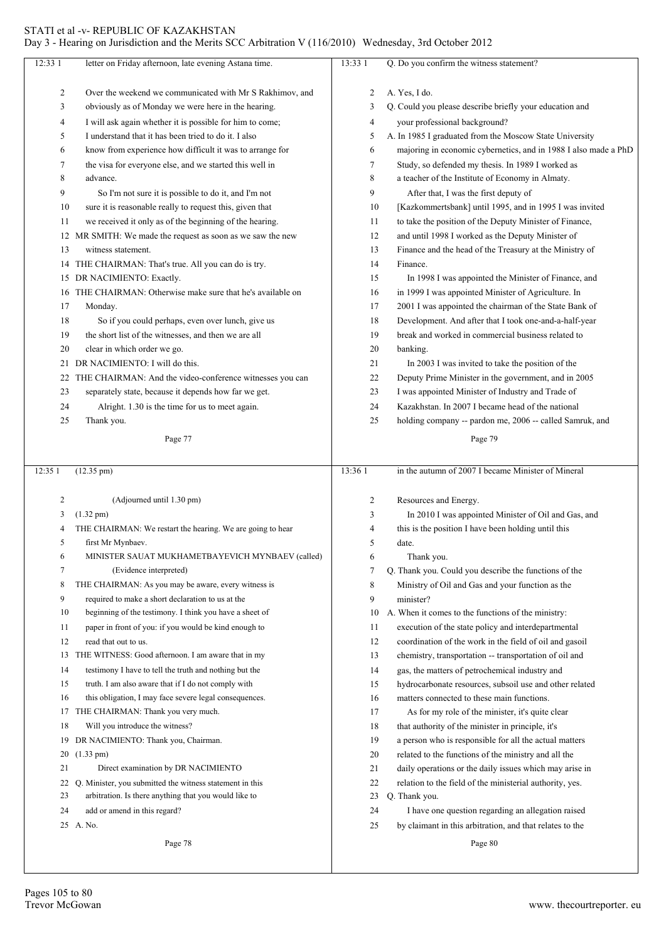| 12:33 1  | letter on Friday afternoon, late evening Astana time.                             | 13:33 1  | Q. Do you confirm the witness statement?                                                                      |
|----------|-----------------------------------------------------------------------------------|----------|---------------------------------------------------------------------------------------------------------------|
|          |                                                                                   |          |                                                                                                               |
| 2        | Over the weekend we communicated with Mr S Rakhimov, and                          | 2        | A. Yes, I do.                                                                                                 |
| 3        | obviously as of Monday we were here in the hearing.                               | 3        | Q. Could you please describe briefly your education and                                                       |
| 4        | I will ask again whether it is possible for him to come;                          | 4        | your professional background?                                                                                 |
| 5        | I understand that it has been tried to do it. I also                              | 5        | A. In 1985 I graduated from the Moscow State University                                                       |
| 6        | know from experience how difficult it was to arrange for                          | 6        | majoring in economic cybernetics, and in 1988 I also made a PhD                                               |
| 7        | the visa for everyone else, and we started this well in                           | 7        | Study, so defended my thesis. In 1989 I worked as                                                             |
| 8        | advance.                                                                          | 8        | a teacher of the Institute of Economy in Almaty.                                                              |
| 9        | So I'm not sure it is possible to do it, and I'm not                              | 9        | After that, I was the first deputy of                                                                         |
| 10       | sure it is reasonable really to request this, given that                          | 10       | [Kazkommertsbank] until 1995, and in 1995 I was invited                                                       |
| 11       | we received it only as of the beginning of the hearing.                           | 11       | to take the position of the Deputy Minister of Finance,                                                       |
|          | 12 MR SMITH: We made the request as soon as we saw the new                        | 12       | and until 1998 I worked as the Deputy Minister of                                                             |
| 13       | witness statement.                                                                | 13       | Finance and the head of the Treasury at the Ministry of                                                       |
| 14       | THE CHAIRMAN: That's true. All you can do is try.                                 | 14       | Finance.                                                                                                      |
| 15       | DR NACIMIENTO: Exactly.                                                           | 15       | In 1998 I was appointed the Minister of Finance, and                                                          |
| 16       | THE CHAIRMAN: Otherwise make sure that he's available on                          | 16       | in 1999 I was appointed Minister of Agriculture. In                                                           |
| 17       | Monday.                                                                           | 17       | 2001 I was appointed the chairman of the State Bank of                                                        |
| 18       | So if you could perhaps, even over lunch, give us                                 | 18       | Development. And after that I took one-and-a-half-year                                                        |
| 19       | the short list of the witnesses, and then we are all                              | 19       | break and worked in commercial business related to                                                            |
| 20       | clear in which order we go.                                                       | 20       | banking.                                                                                                      |
| 21       | DR NACIMIENTO: I will do this.                                                    | 21       | In 2003 I was invited to take the position of the                                                             |
| 22       | THE CHAIRMAN: And the video-conference witnesses you can                          | 22       | Deputy Prime Minister in the government, and in 2005                                                          |
| 23       | separately state, because it depends how far we get.                              | 23       | I was appointed Minister of Industry and Trade of                                                             |
| 24<br>25 | Alright. 1.30 is the time for us to meet again.<br>Thank you.                     | 24<br>25 | Kazakhstan. In 2007 I became head of the national<br>holding company -- pardon me, 2006 -- called Samruk, and |
|          |                                                                                   |          |                                                                                                               |
|          | Page 77                                                                           |          | Page 79                                                                                                       |
|          |                                                                                   |          |                                                                                                               |
|          |                                                                                   |          |                                                                                                               |
| 12:35 1  | $(12.35 \text{ pm})$                                                              | 13:36 1  | in the autumn of 2007 I became Minister of Mineral                                                            |
|          |                                                                                   |          |                                                                                                               |
| 2<br>3   | (Adjourned until 1.30 pm)                                                         | 2        | Resources and Energy.                                                                                         |
| 4        | $(1.32 \text{ pm})$<br>THE CHAIRMAN: We restart the hearing. We are going to hear | 3<br>4   | In 2010 I was appointed Minister of Oil and Gas, and                                                          |
| 5        | first Mr Mynbaev.                                                                 | 5        | this is the position I have been holding until this<br>date.                                                  |
| 6        | MINISTER SAUAT MUKHAMETBAYEVICH MYNBAEV (called)                                  | 6        | Thank you.                                                                                                    |
| 7        | (Evidence interpreted)                                                            | 7        | Q. Thank you. Could you describe the functions of the                                                         |
| 8        | THE CHAIRMAN: As you may be aware, every witness is                               | 8        | Ministry of Oil and Gas and your function as the                                                              |
| 9        | required to make a short declaration to us at the                                 | 9        | minister?                                                                                                     |
| 10       | beginning of the testimony. I think you have a sheet of                           | 10       | A. When it comes to the functions of the ministry:                                                            |
| 11       | paper in front of you: if you would be kind enough to                             | 11       | execution of the state policy and interdepartmental                                                           |
| 12       | read that out to us.                                                              | 12       | coordination of the work in the field of oil and gasoil                                                       |
| 13       | THE WITNESS: Good afternoon. I am aware that in my                                | 13       | chemistry, transportation -- transportation of oil and                                                        |
| 14       | testimony I have to tell the truth and nothing but the                            | 14       | gas, the matters of petrochemical industry and                                                                |
| 15       | truth. I am also aware that if I do not comply with                               | 15       | hydrocarbonate resources, subsoil use and other related                                                       |
| 16       | this obligation, I may face severe legal consequences.                            | 16       | matters connected to these main functions.                                                                    |
|          | 17 THE CHAIRMAN: Thank you very much.                                             | 17       | As for my role of the minister, it's quite clear                                                              |
| 18       | Will you introduce the witness?                                                   | 18       | that authority of the minister in principle, it's                                                             |
| 19       | DR NACIMIENTO: Thank you, Chairman.                                               | 19       | a person who is responsible for all the actual matters                                                        |
| 20       | $(1.33 \text{ pm})$                                                               | 20       | related to the functions of the ministry and all the                                                          |
| 21       | Direct examination by DR NACIMIENTO                                               | 21       | daily operations or the daily issues which may arise in                                                       |
| 22       | Q. Minister, you submitted the witness statement in this                          | 22       | relation to the field of the ministerial authority, yes.                                                      |
| 23       | arbitration. Is there anything that you would like to                             | 23       | Q. Thank you.                                                                                                 |
| 24       | add or amend in this regard?                                                      | 24       | I have one question regarding an allegation raised                                                            |
|          | 25 A. No.                                                                         | 25       | by claimant in this arbitration, and that relates to the                                                      |
|          | Page 78                                                                           |          | Page 80                                                                                                       |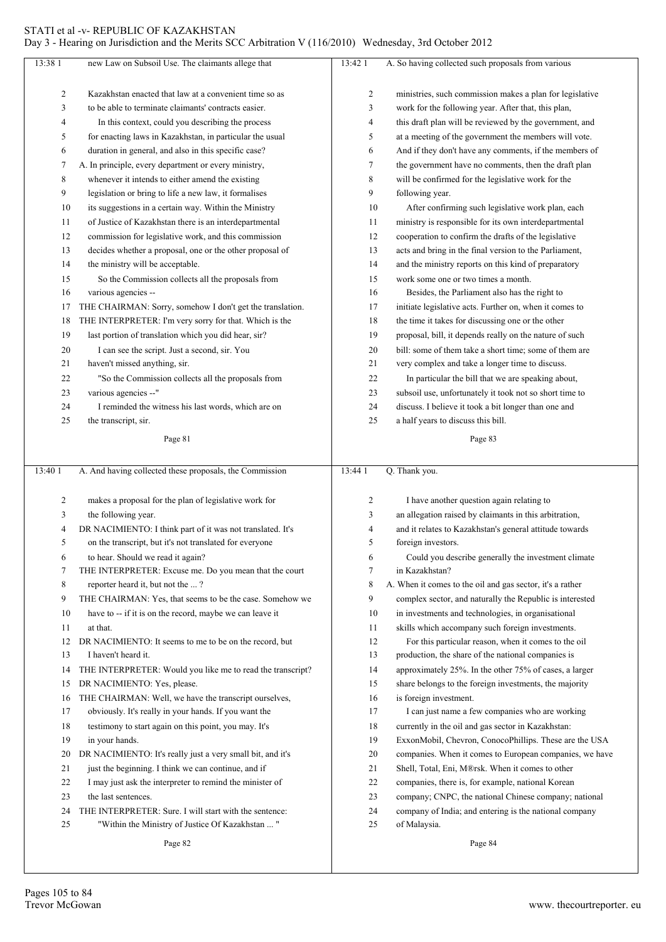# STATI et al -v- REPUBLIC OF KAZAKHSTAN

# Day 3 - Hearing on Jurisdiction and the Merits SCC Arbitration V (116/2010) Wednesday, 3rd October 2012

| 13:38 1 | new Law on Subsoil Use. The claimants allege that          | 13:42 1        | A. So having collected such proposals from various                                                              |
|---------|------------------------------------------------------------|----------------|-----------------------------------------------------------------------------------------------------------------|
|         |                                                            |                |                                                                                                                 |
|         | Kazakhstan enacted that law at a convenient time so as     | $\overline{c}$ |                                                                                                                 |
| 2<br>3  | to be able to terminate claimants' contracts easier.       | 3              | ministries, such commission makes a plan for legislative<br>work for the following year. After that, this plan, |
| 4       | In this context, could you describing the process          | 4              | this draft plan will be reviewed by the government, and                                                         |
|         | for enacting laws in Kazakhstan, in particular the usual   | 5              | at a meeting of the government the members will vote.                                                           |
| 5       |                                                            |                |                                                                                                                 |
| 6       | duration in general, and also in this specific case?       | 6              | And if they don't have any comments, if the members of                                                          |
| 7       | A. In principle, every department or every ministry,       | 7              | the government have no comments, then the draft plan                                                            |
| 8<br>9  | whenever it intends to either amend the existing           | 8<br>9         | will be confirmed for the legislative work for the<br>following year.                                           |
|         | legislation or bring to life a new law, it formalises      |                |                                                                                                                 |
| 10      | its suggestions in a certain way. Within the Ministry      | 10             | After confirming such legislative work plan, each                                                               |
| 11      | of Justice of Kazakhstan there is an interdepartmental     | 11             | ministry is responsible for its own interdepartmental                                                           |
| 12      | commission for legislative work, and this commission       | 12             | cooperation to confirm the drafts of the legislative                                                            |
| 13      | decides whether a proposal, one or the other proposal of   | 13             | acts and bring in the final version to the Parliament,                                                          |
| 14      | the ministry will be acceptable.                           | 14             | and the ministry reports on this kind of preparatory                                                            |
| 15      | So the Commission collects all the proposals from          | 15             | work some one or two times a month.                                                                             |
| 16      | various agencies --                                        | 16             | Besides, the Parliament also has the right to                                                                   |
| 17      | THE CHAIRMAN: Sorry, somehow I don't get the translation.  | 17             | initiate legislative acts. Further on, when it comes to                                                         |
| 18      | THE INTERPRETER: I'm very sorry for that. Which is the     | 18             | the time it takes for discussing one or the other                                                               |
| 19      | last portion of translation which you did hear, sir?       | 19             | proposal, bill, it depends really on the nature of such                                                         |
| 20      | I can see the script. Just a second, sir. You              | 20             | bill: some of them take a short time; some of them are                                                          |
| 21      | haven't missed anything, sir.                              | 21             | very complex and take a longer time to discuss.                                                                 |
| 22      | "So the Commission collects all the proposals from         | 22             | In particular the bill that we are speaking about,                                                              |
| 23      | various agencies --"                                       | 23             | subsoil use, unfortunately it took not so short time to                                                         |
| 24      | I reminded the witness his last words, which are on        | 24             | discuss. I believe it took a bit longer than one and                                                            |
| 25      | the transcript, sir.                                       | 25             | a half years to discuss this bill.                                                                              |
|         | Page 81                                                    |                | Page 83                                                                                                         |
|         |                                                            |                |                                                                                                                 |
| 13:40 1 | A. And having collected these proposals, the Commission    | 13:44 1        | Q. Thank you.                                                                                                   |
|         |                                                            |                |                                                                                                                 |
|         |                                                            |                |                                                                                                                 |
| 2       | makes a proposal for the plan of legislative work for      | 2              | I have another question again relating to                                                                       |
| 3       | the following year.                                        | 3              | an allegation raised by claimants in this arbitration,                                                          |
| 4       | DR NACIMIENTO: I think part of it was not translated. It's | $\overline{4}$ | and it relates to Kazakhstan's general attitude towards                                                         |
| 5       | on the transcript, but it's not translated for everyone    | 5              | foreign investors.                                                                                              |
| 6       | to hear. Should we read it again?                          | 6              | Could you describe generally the investment climate                                                             |
| 7       | THE INTERPRETER: Excuse me. Do you mean that the court     | 7              | in Kazakhstan?                                                                                                  |
| 8       | reporter heard it, but not the ?                           | 8              | A. When it comes to the oil and gas sector, it's a rather                                                       |
| 9       | THE CHAIRMAN: Yes, that seems to be the case. Somehow we   | 9              | complex sector, and naturally the Republic is interested                                                        |
| 10      | have to -- if it is on the record, maybe we can leave it   | 10             | in investments and technologies, in organisational                                                              |
| 11      | at that.                                                   | 11             | skills which accompany such foreign investments.                                                                |
| 12      | DR NACIMIENTO: It seems to me to be on the record, but     | 12             | For this particular reason, when it comes to the oil                                                            |
| 13      | I haven't heard it.                                        | 13             | production, the share of the national companies is                                                              |
| 14      | THE INTERPRETER: Would you like me to read the transcript? | 14             | approximately 25%. In the other 75% of cases, a larger                                                          |
| 15      | DR NACIMIENTO: Yes, please.                                | 15             | share belongs to the foreign investments, the majority                                                          |
| 16      | THE CHAIRMAN: Well, we have the transcript ourselves,      | 16             | is foreign investment.                                                                                          |
| 17      | obviously. It's really in your hands. If you want the      | 17             | I can just name a few companies who are working                                                                 |
| 18      | testimony to start again on this point, you may. It's      | 18             | currently in the oil and gas sector in Kazakhstan:                                                              |
| 19      | in your hands.                                             | 19             | ExxonMobil, Chevron, ConocoPhillips. These are the USA                                                          |
| 20      | DR NACIMIENTO: It's really just a very small bit, and it's | 20             | companies. When it comes to European companies, we have                                                         |
| 21      | just the beginning. I think we can continue, and if        | 21             | Shell, Total, Eni, M®rsk. When it comes to other                                                                |
| 22      | I may just ask the interpreter to remind the minister of   | 22             | companies, there is, for example, national Korean                                                               |
| 23      | the last sentences.                                        | 23             | company; CNPC, the national Chinese company; national                                                           |
| 24      | THE INTERPRETER: Sure. I will start with the sentence:     | 24             | company of India; and entering is the national company                                                          |
| 25      | "Within the Ministry of Justice Of Kazakhstan  "           | 25             | of Malaysia.                                                                                                    |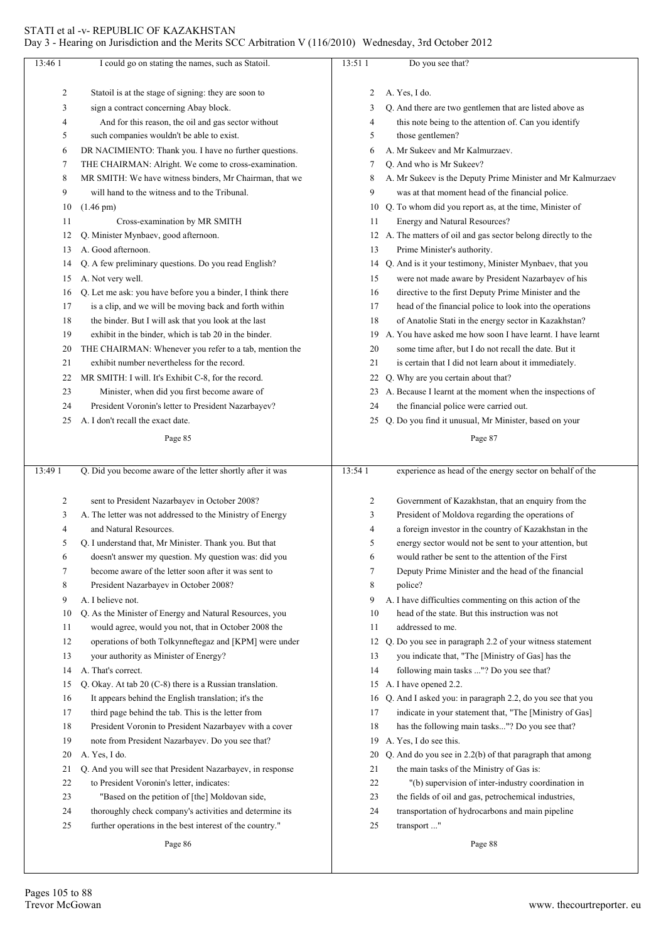| 13:46 1 | I could go on stating the names, such as Statoil.          | 13:51 1 | Do you see that?                                               |
|---------|------------------------------------------------------------|---------|----------------------------------------------------------------|
| 2       | Statoil is at the stage of signing: they are soon to       | 2       | A. Yes, I do.                                                  |
| 3       | sign a contract concerning Abay block.                     | 3       | Q. And there are two gentlemen that are listed above as        |
| 4       | And for this reason, the oil and gas sector without        | 4       | this note being to the attention of. Can you identify          |
| 5       | such companies wouldn't be able to exist.                  | 5       | those gentlemen?                                               |
| 6       | DR NACIMIENTO: Thank you. I have no further questions.     | 6       | A. Mr Sukeev and Mr Kalmurzaev.                                |
| 7       | THE CHAIRMAN: Alright. We come to cross-examination.       | 7       | Q. And who is Mr Sukeev?                                       |
| 8       | MR SMITH: We have witness binders, Mr Chairman, that we    | 8       | A. Mr Sukeev is the Deputy Prime Minister and Mr Kalmurzaev    |
|         |                                                            |         |                                                                |
| 9       | will hand to the witness and to the Tribunal.              | 9       | was at that moment head of the financial police.               |
| 10      | $(1.46 \text{ pm})$                                        |         | 10 Q. To whom did you report as, at the time, Minister of      |
| 11      | Cross-examination by MR SMITH                              | 11      | Energy and Natural Resources?                                  |
| 12      | Q. Minister Mynbaev, good afternoon.                       |         | 12 A. The matters of oil and gas sector belong directly to the |
| 13      | A. Good afternoon.                                         | 13      | Prime Minister's authority.                                    |
| 14      | Q. A few preliminary questions. Do you read English?       |         | 14 Q. And is it your testimony, Minister Mynbaev, that you     |
| 15      | A. Not very well.                                          | 15      | were not made aware by President Nazarbayev of his             |
| 16      | Q. Let me ask: you have before you a binder, I think there | 16      | directive to the first Deputy Prime Minister and the           |
| 17      | is a clip, and we will be moving back and forth within     | 17      | head of the financial police to look into the operations       |
| 18      | the binder. But I will ask that you look at the last       | 18      | of Anatolie Stati in the energy sector in Kazakhstan?          |
| 19      | exhibit in the binder, which is tab 20 in the binder.      |         | 19 A. You have asked me how soon I have learnt. I have learnt  |
| 20      | THE CHAIRMAN: Whenever you refer to a tab, mention the     | 20      | some time after, but I do not recall the date. But it          |
| 21      | exhibit number nevertheless for the record.                | 21      | is certain that I did not learn about it immediately.          |
| 22      | MR SMITH: I will. It's Exhibit C-8, for the record.        | 22      | Q. Why are you certain about that?                             |
| 23      | Minister, when did you first become aware of               | 23      | A. Because I learnt at the moment when the inspections of      |
| 24      | President Voronin's letter to President Nazarbayev?        | 24      | the financial police were carried out.                         |
| 25      | A. I don't recall the exact date.                          |         | 25 Q. Do you find it unusual, Mr Minister, based on your       |
|         | Page 85                                                    |         | Page 87                                                        |
|         |                                                            |         |                                                                |
| 13:49 1 | Q. Did you become aware of the letter shortly after it was | 13:54 1 | experience as head of the energy sector on behalf of the       |
| 2       | sent to President Nazarbayev in October 2008?              | 2       | Government of Kazakhstan, that an enquiry from the             |
| 3       | A. The letter was not addressed to the Ministry of Energy  | 3       | President of Moldova regarding the operations of               |
| 4       | and Natural Resources.                                     | 4       | a foreign investor in the country of Kazakhstan in the         |
| 5       | Q. I understand that, Mr Minister. Thank you. But that     | 5       | energy sector would not be sent to your attention, but         |
| 6       | doesn't answer my question. My question was: did you       | 6       | would rather be sent to the attention of the First             |
| 7       | become aware of the letter soon after it was sent to       | 7       | Deputy Prime Minister and the head of the financial            |
| 8       | President Nazarbayev in October 2008?                      | 8       | police?                                                        |
| 9       | A. I believe not.                                          | 9       | A. I have difficulties commenting on this action of the        |
| 10      | Q. As the Minister of Energy and Natural Resources, you    | 10      | head of the state. But this instruction was not                |
| 11      | would agree, would you not, that in October 2008 the       | 11      | addressed to me.                                               |
| 12      | operations of both Tolkynneftegaz and [KPM] were under     |         | 12 Q. Do you see in paragraph 2.2 of your witness statement    |
| 13      | your authority as Minister of Energy?                      | 13      | you indicate that, "The [Ministry of Gas] has the              |
| 14      | A. That's correct.                                         | 14      | following main tasks "? Do you see that?                       |
| 15      | Q. Okay. At tab 20 (C-8) there is a Russian translation.   | 15      | A. I have opened 2.2.                                          |
| 16      | It appears behind the English translation; it's the        | 16      | Q. And I asked you: in paragraph 2.2, do you see that you      |
| 17      | third page behind the tab. This is the letter from         | 17      | indicate in your statement that, "The [Ministry of Gas]        |
| 18      | President Voronin to President Nazarbayev with a cover     | 18      | has the following main tasks"? Do you see that?                |
| 19      | note from President Nazarbayev. Do you see that?           | 19      | A. Yes, I do see this.                                         |
| 20      | A. Yes, I do.                                              | 20      | Q. And do you see in 2.2(b) of that paragraph that among       |
| 21      | Q. And you will see that President Nazarbayev, in response | 21      | the main tasks of the Ministry of Gas is:                      |
| 22      | to President Voronin's letter, indicates:                  | 22      | "(b) supervision of inter-industry coordination in             |
| 23      | "Based on the petition of [the] Moldovan side,             | 23      | the fields of oil and gas, petrochemical industries,           |
| 24      | thoroughly check company's activities and determine its    | 24      | transportation of hydrocarbons and main pipeline               |
| 25      | further operations in the best interest of the country."   | 25      | transport "                                                    |
|         |                                                            |         |                                                                |
|         | Page 86                                                    |         | Page 88                                                        |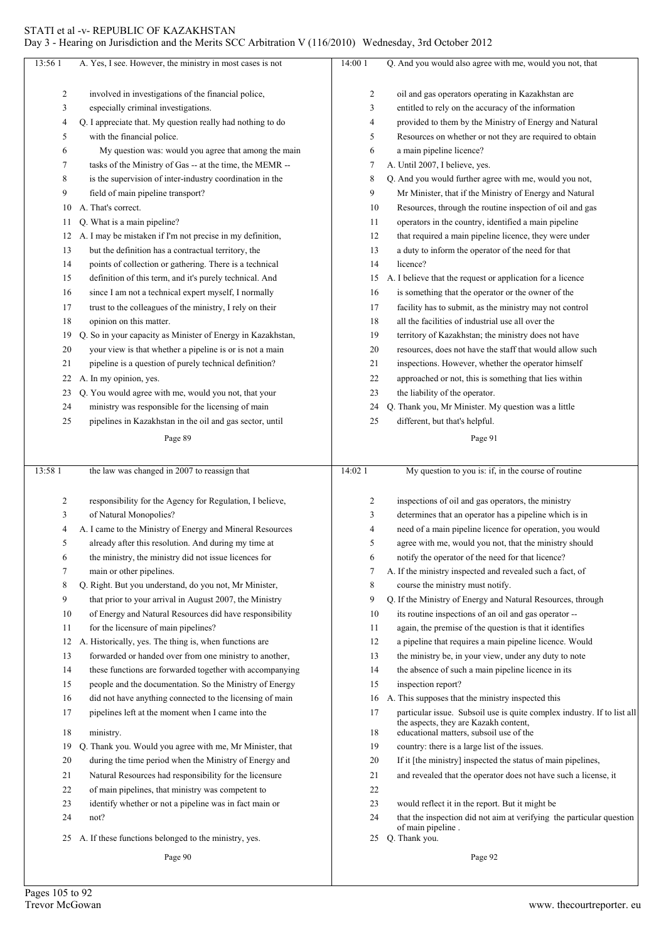| 13:56 1        | A. Yes, I see. However, the ministry in most cases is not      | 14:00 1                  | Q. And you would also agree with me, would you not, that                                                                                                    |
|----------------|----------------------------------------------------------------|--------------------------|-------------------------------------------------------------------------------------------------------------------------------------------------------------|
| $\overline{c}$ | involved in investigations of the financial police,            | 2                        | oil and gas operators operating in Kazakhstan are                                                                                                           |
| 3              | especially criminal investigations.                            | 3                        | entitled to rely on the accuracy of the information                                                                                                         |
| 4              | Q. I appreciate that. My question really had nothing to do     | 4                        | provided to them by the Ministry of Energy and Natural                                                                                                      |
| 5              | with the financial police.                                     | 5                        | Resources on whether or not they are required to obtain                                                                                                     |
| 6              | My question was: would you agree that among the main           | 6                        | a main pipeline licence?                                                                                                                                    |
| 7              | tasks of the Ministry of Gas -- at the time, the MEMR --       | 7                        | A. Until 2007, I believe, yes.                                                                                                                              |
|                |                                                                |                          | Q. And you would further agree with me, would you not,                                                                                                      |
| 8              | is the supervision of inter-industry coordination in the       | 8                        |                                                                                                                                                             |
| 9              | field of main pipeline transport?                              | 9                        | Mr Minister, that if the Ministry of Energy and Natural                                                                                                     |
| 10             | A. That's correct.                                             | 10                       | Resources, through the routine inspection of oil and gas                                                                                                    |
| 11             | Q. What is a main pipeline?                                    | 11                       | operators in the country, identified a main pipeline                                                                                                        |
| 12             | A. I may be mistaken if I'm not precise in my definition,      | 12                       | that required a main pipeline licence, they were under                                                                                                      |
| 13             | but the definition has a contractual territory, the            | 13                       | a duty to inform the operator of the need for that                                                                                                          |
| 14             | points of collection or gathering. There is a technical        | 14                       | licence?                                                                                                                                                    |
| 15             | definition of this term, and it's purely technical. And        | 15                       | A. I believe that the request or application for a licence                                                                                                  |
| 16             | since I am not a technical expert myself, I normally           | 16                       | is something that the operator or the owner of the                                                                                                          |
| 17             | trust to the colleagues of the ministry, I rely on their       | 17                       | facility has to submit, as the ministry may not control                                                                                                     |
| 18             | opinion on this matter.                                        | 18                       | all the facilities of industrial use all over the                                                                                                           |
| 19             | Q. So in your capacity as Minister of Energy in Kazakhstan,    | 19                       | territory of Kazakhstan; the ministry does not have                                                                                                         |
| 20             | your view is that whether a pipeline is or is not a main       | $20\,$                   | resources, does not have the staff that would allow such                                                                                                    |
| 21             | pipeline is a question of purely technical definition?         | 21                       | inspections. However, whether the operator himself                                                                                                          |
|                |                                                                |                          |                                                                                                                                                             |
| 22             | A. In my opinion, yes.                                         | $22\,$                   | approached or not, this is something that lies within                                                                                                       |
| 23             | Q. You would agree with me, would you not, that your           | 23                       | the liability of the operator.                                                                                                                              |
| 24             | ministry was responsible for the licensing of main             | 24                       | Q. Thank you, Mr Minister. My question was a little                                                                                                         |
| 25             | pipelines in Kazakhstan in the oil and gas sector, until       | 25                       | different, but that's helpful.                                                                                                                              |
|                | Page 89                                                        |                          | Page 91                                                                                                                                                     |
|                |                                                                |                          |                                                                                                                                                             |
| 13:58 1        | the law was changed in 2007 to reassign that                   | 14:02 1                  | My question to you is: if, in the course of routine                                                                                                         |
|                |                                                                |                          |                                                                                                                                                             |
| $\overline{c}$ | responsibility for the Agency for Regulation, I believe,       | 2                        | inspections of oil and gas operators, the ministry                                                                                                          |
| 3              | of Natural Monopolies?                                         | 3                        | determines that an operator has a pipeline which is in                                                                                                      |
| 4              | A. I came to the Ministry of Energy and Mineral Resources      | $\overline{\mathcal{A}}$ | need of a main pipeline licence for operation, you would                                                                                                    |
| 5              | already after this resolution. And during my time at           | 5                        | agree with me, would you not, that the ministry should                                                                                                      |
| 6              | the ministry, the ministry did not issue licences for          | 6                        | notify the operator of the need for that licence?                                                                                                           |
| 7              | main or other pipelines.                                       | 7                        | A. If the ministry inspected and revealed such a fact, of                                                                                                   |
| 8              | Q. Right. But you understand, do you not, Mr Minister,         | 8                        | course the ministry must notify.                                                                                                                            |
| 9              | that prior to your arrival in August 2007, the Ministry        | 9                        | Q. If the Ministry of Energy and Natural Resources, through                                                                                                 |
| 10             | of Energy and Natural Resources did have responsibility        | $10\,$                   | its routine inspections of an oil and gas operator --                                                                                                       |
| 11             | for the licensure of main pipelines?                           | 11                       | again, the premise of the question is that it identifies                                                                                                    |
| 12             | A. Historically, yes. The thing is, when functions are         | 12                       | a pipeline that requires a main pipeline licence. Would                                                                                                     |
|                |                                                                |                          |                                                                                                                                                             |
| 13             | forwarded or handed over from one ministry to another,         | 13                       | the ministry be, in your view, under any duty to note                                                                                                       |
| 14             | these functions are forwarded together with accompanying       | 14                       | the absence of such a main pipeline licence in its                                                                                                          |
| 15             | people and the documentation. So the Ministry of Energy        | 15                       | inspection report?                                                                                                                                          |
| 16             | did not have anything connected to the licensing of main       | 16                       | A. This supposes that the ministry inspected this                                                                                                           |
| 17<br>18       | pipelines left at the moment when I came into the<br>ministry. | 17<br>18                 | particular issue. Subsoil use is quite complex industry. If to list all<br>the aspects, they are Kazakh content,<br>educational matters, subsoil use of the |
|                |                                                                | 19                       |                                                                                                                                                             |
| 19             | Q. Thank you. Would you agree with me, Mr Minister, that       |                          | country: there is a large list of the issues.                                                                                                               |
| 20             | during the time period when the Ministry of Energy and         | 20                       | If it [the ministry] inspected the status of main pipelines,                                                                                                |
| 21             | Natural Resources had responsibility for the licensure         | 21                       | and revealed that the operator does not have such a license, it                                                                                             |
| 22             | of main pipelines, that ministry was competent to              | $22\,$                   |                                                                                                                                                             |
| 23             | identify whether or not a pipeline was in fact main or         | 23                       | would reflect it in the report. But it might be                                                                                                             |
| 24             | not?                                                           | 24                       | that the inspection did not aim at verifying the particular question<br>of main pipeline.                                                                   |
| 25             | A. If these functions belonged to the ministry, yes.           | 25                       | Q. Thank you.                                                                                                                                               |
|                | Page 90                                                        |                          | Page 92                                                                                                                                                     |
|                |                                                                |                          |                                                                                                                                                             |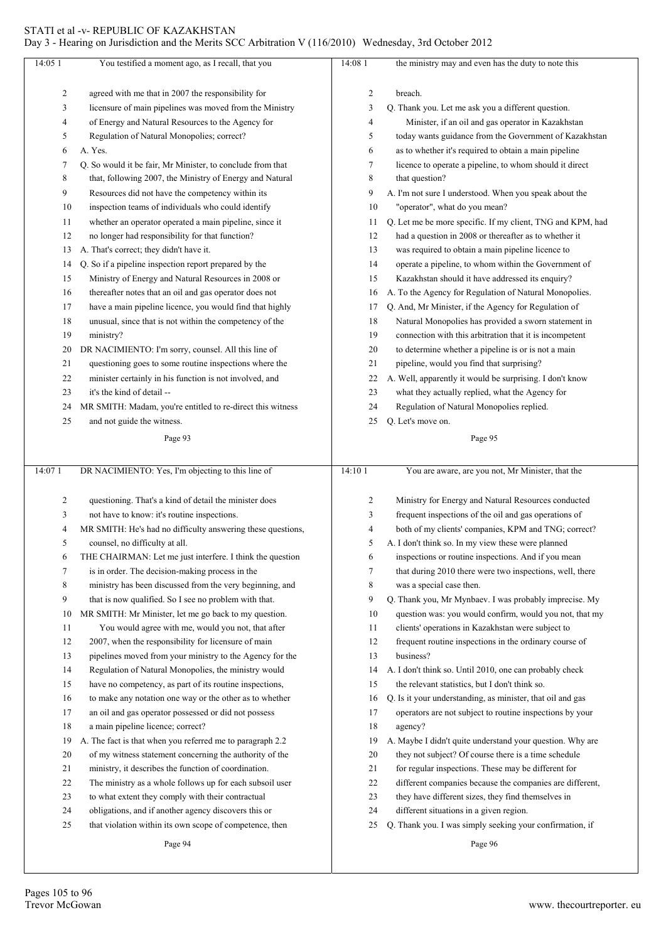| 14:05 1                  | You testified a moment ago, as I recall, that you           | 14:08 1 | the ministry may and even has the duty to note this        |
|--------------------------|-------------------------------------------------------------|---------|------------------------------------------------------------|
| 2                        | agreed with me that in 2007 the responsibility for          | 2       | breach.                                                    |
| 3                        | licensure of main pipelines was moved from the Ministry     | 3       | Q. Thank you. Let me ask you a different question.         |
| 4                        | of Energy and Natural Resources to the Agency for           | 4       | Minister, if an oil and gas operator in Kazakhstan         |
| 5                        | Regulation of Natural Monopolies; correct?                  | 5       | today wants guidance from the Government of Kazakhstan     |
| 6                        | A. Yes.                                                     | 6       | as to whether it's required to obtain a main pipeline      |
| 7                        | Q. So would it be fair, Mr Minister, to conclude from that  | $\tau$  | licence to operate a pipeline, to whom should it direct    |
| 8                        | that, following 2007, the Ministry of Energy and Natural    | 8       | that question?                                             |
| 9                        | Resources did not have the competency within its            | 9       | A. I'm not sure I understood. When you speak about the     |
| 10                       | inspection teams of individuals who could identify          | 10      | "operator", what do you mean?                              |
| 11                       | whether an operator operated a main pipeline, since it      | 11      | Q. Let me be more specific. If my client, TNG and KPM, had |
| 12                       | no longer had responsibility for that function?             | 12      | had a question in 2008 or thereafter as to whether it      |
| 13                       | A. That's correct; they didn't have it.                     | 13      | was required to obtain a main pipeline licence to          |
| 14                       | Q. So if a pipeline inspection report prepared by the       | 14      | operate a pipeline, to whom within the Government of       |
| 15                       | Ministry of Energy and Natural Resources in 2008 or         | 15      | Kazakhstan should it have addressed its enquiry?           |
| 16                       | thereafter notes that an oil and gas operator does not      | 16      | A. To the Agency for Regulation of Natural Monopolies.     |
| 17                       | have a main pipeline licence, you would find that highly    | 17      | Q. And, Mr Minister, if the Agency for Regulation of       |
| 18                       | unusual, since that is not within the competency of the     | 18      | Natural Monopolies has provided a sworn statement in       |
| 19                       | ministry?                                                   | 19      | connection with this arbitration that it is incompetent    |
| 20                       | DR NACIMIENTO: I'm sorry, counsel. All this line of         | 20      | to determine whether a pipeline is or is not a main        |
| 21                       | questioning goes to some routine inspections where the      | 21      | pipeline, would you find that surprising?                  |
| 22                       | minister certainly in his function is not involved, and     | 22      | A. Well, apparently it would be surprising. I don't know   |
| 23                       | it's the kind of detail --                                  | 23      | what they actually replied, what the Agency for            |
| 24                       | MR SMITH: Madam, you're entitled to re-direct this witness  | 24      | Regulation of Natural Monopolies replied.                  |
| 25                       | and not guide the witness.                                  | 25      | Q. Let's move on.                                          |
|                          | Page 93                                                     |         | Page 95                                                    |
|                          |                                                             |         |                                                            |
|                          |                                                             |         |                                                            |
| 14:07 1                  | DR NACIMIENTO: Yes, I'm objecting to this line of           | 14:10 1 | You are aware, are you not, Mr Minister, that the          |
| $\overline{c}$           | questioning. That's a kind of detail the minister does      | 2       | Ministry for Energy and Natural Resources conducted        |
| 3                        | not have to know: it's routine inspections.                 | 3       | frequent inspections of the oil and gas operations of      |
| $\overline{\mathcal{A}}$ | MR SMITH: He's had no difficulty answering these questions, | 4       | both of my clients' companies, KPM and TNG; correct?       |
| 5                        | counsel, no difficulty at all.                              | 5       | A. I don't think so. In my view these were planned         |
| 6                        | THE CHAIRMAN: Let me just interfere. I think the question   | 6       | inspections or routine inspections. And if you mean        |
| 7                        | is in order. The decision-making process in the             | 7       | that during 2010 there were two inspections, well, there   |
| 8                        | ministry has been discussed from the very beginning, and    | 8       | was a special case then.                                   |
| 9                        | that is now qualified. So I see no problem with that.       | 9       | Q. Thank you, Mr Mynbaev. I was probably imprecise. My     |
| 10                       | MR SMITH: Mr Minister, let me go back to my question.       | 10      | question was: you would confirm, would you not, that my    |
| 11                       | You would agree with me, would you not, that after          | 11      | clients' operations in Kazakhstan were subject to          |
| 12                       | 2007, when the responsibility for licensure of main         | 12      | frequent routine inspections in the ordinary course of     |
| 13                       | pipelines moved from your ministry to the Agency for the    | 13      | business?                                                  |
| 14                       | Regulation of Natural Monopolies, the ministry would        | 14      | A. I don't think so. Until 2010, one can probably check    |
| 15                       | have no competency, as part of its routine inspections,     | 15      | the relevant statistics, but I don't think so.             |
| 16                       | to make any notation one way or the other as to whether     | 16      | Q. Is it your understanding, as minister, that oil and gas |
| 17                       | an oil and gas operator possessed or did not possess        | 17      | operators are not subject to routine inspections by your   |
| 18                       | a main pipeline licence; correct?                           | $18\,$  | agency?                                                    |
| 19                       | A. The fact is that when you referred me to paragraph 2.2   | 19      | A. Maybe I didn't quite understand your question. Why are  |
| 20                       | of my witness statement concerning the authority of the     | 20      | they not subject? Of course there is a time schedule       |
| 21                       | ministry, it describes the function of coordination.        | 21      | for regular inspections. These may be different for        |
| 22                       | The ministry as a whole follows up for each subsoil user    | 22      | different companies because the companies are different,   |
| 23                       | to what extent they comply with their contractual           | 23      | they have different sizes, they find themselves in         |
| 24                       | obligations, and if another agency discovers this or        | 24      | different situations in a given region.                    |
| 25                       | that violation within its own scope of competence, then     | 25      | Q. Thank you. I was simply seeking your confirmation, if   |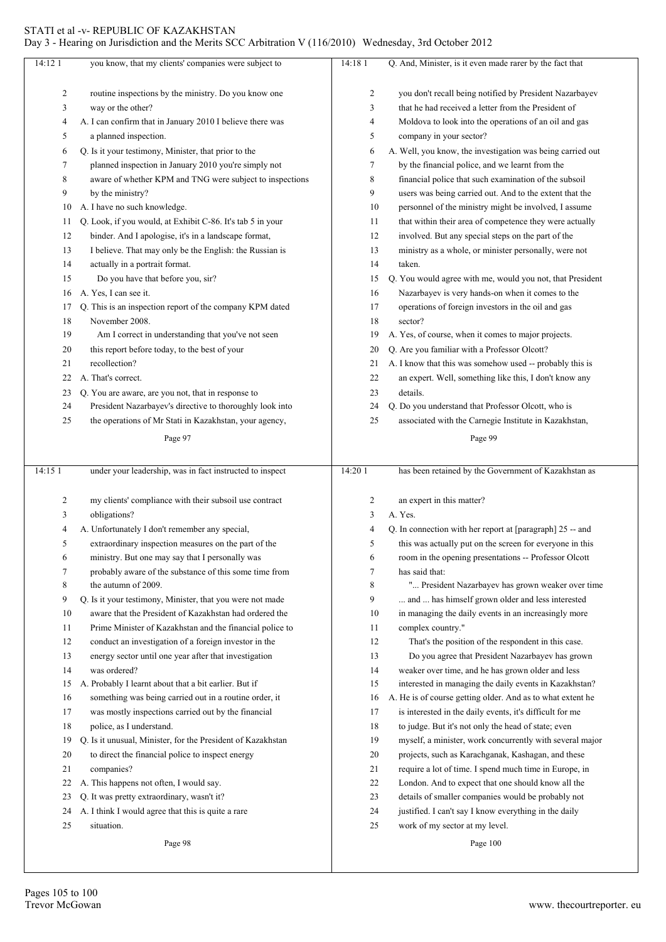| 14:12 1        | you know, that my clients' companies were subject to        | 14:18 1 | Q. And, Minister, is it even made rarer by the fact that   |
|----------------|-------------------------------------------------------------|---------|------------------------------------------------------------|
| $\overline{2}$ | routine inspections by the ministry. Do you know one        | 2       | you don't recall being notified by President Nazarbayev    |
| 3              | way or the other?                                           | 3       | that he had received a letter from the President of        |
| 4              | A. I can confirm that in January 2010 I believe there was   | 4       | Moldova to look into the operations of an oil and gas      |
| 5              | a planned inspection.                                       | 5       | company in your sector?                                    |
| 6              | Q. Is it your testimony, Minister, that prior to the        | 6       | A. Well, you know, the investigation was being carried out |
| 7              | planned inspection in January 2010 you're simply not        | 7       | by the financial police, and we learnt from the            |
| 8              | aware of whether KPM and TNG were subject to inspections    | 8       | financial police that such examination of the subsoil      |
| 9              | by the ministry?                                            | 9       | users was being carried out. And to the extent that the    |
| 10             | A. I have no such knowledge.                                | 10      | personnel of the ministry might be involved, I assume      |
| 11             | Q. Look, if you would, at Exhibit C-86. It's tab 5 in your  | 11      | that within their area of competence they were actually    |
| 12             | binder. And I apologise, it's in a landscape format,        | 12      | involved. But any special steps on the part of the         |
| 13             | I believe. That may only be the English: the Russian is     | 13      | ministry as a whole, or minister personally, were not      |
| 14             | actually in a portrait format.                              | 14      | taken.                                                     |
| 15             | Do you have that before you, sir?                           | 15      | Q. You would agree with me, would you not, that President  |
| 16             | A. Yes, I can see it.                                       | 16      | Nazarbayev is very hands-on when it comes to the           |
| 17             | Q. This is an inspection report of the company KPM dated    | 17      | operations of foreign investors in the oil and gas         |
| 18             | November 2008.                                              | 18      | sector?                                                    |
| 19             | Am I correct in understanding that you've not seen          | 19      | A. Yes, of course, when it comes to major projects.        |
| 20             | this report before today, to the best of your               | 20      | Q. Are you familiar with a Professor Olcott?               |
| 21             | recollection?                                               | 21      | A. I know that this was somehow used -- probably this is   |
| 22             | A. That's correct.                                          | 22      | an expert. Well, something like this, I don't know any     |
| 23             | Q. You are aware, are you not, that in response to          | 23      | details.                                                   |
| 24             | President Nazarbayev's directive to thoroughly look into    | 24      | Q. Do you understand that Professor Olcott, who is         |
| 25             | the operations of Mr Stati in Kazakhstan, your agency,      | 25      | associated with the Carnegie Institute in Kazakhstan,      |
|                | Page 97                                                     |         | Page 99                                                    |
|                |                                                             |         |                                                            |
| 14:15 1        | under your leadership, was in fact instructed to inspect    | 14:20 1 | has been retained by the Government of Kazakhstan as       |
|                |                                                             |         |                                                            |
| $\overline{c}$ | my clients' compliance with their subsoil use contract      | 2       | an expert in this matter?                                  |
| 3              | obligations?                                                | 3       | A. Yes.                                                    |
| 4              | A. Unfortunately I don't remember any special,              | 4       | Q. In connection with her report at [paragraph] 25 -- and  |
| 5              | extraordinary inspection measures on the part of the        | 5       | this was actually put on the screen for everyone in this   |
| 6              | ministry. But one may say that I personally was             | 6       | room in the opening presentations -- Professor Olcott      |
| 7              | probably aware of the substance of this some time from      | 7       | has said that:                                             |
| 8              | the autumn of 2009.                                         | 8       | " President Nazarbayev has grown weaker over time          |
| 9              | Q. Is it your testimony, Minister, that you were not made   | 9       | and  has himself grown older and less interested           |
| 10             | aware that the President of Kazakhstan had ordered the      | 10      | in managing the daily events in an increasingly more       |
| 11             | Prime Minister of Kazakhstan and the financial police to    | 11      | complex country."                                          |
| 12             | conduct an investigation of a foreign investor in the       | 12      | That's the position of the respondent in this case.        |
| 13             | energy sector until one year after that investigation       | 13      | Do you agree that President Nazarbayev has grown           |
| 14             | was ordered?                                                | 14      | weaker over time, and he has grown older and less          |
| 15             | A. Probably I learnt about that a bit earlier. But if       | 15      | interested in managing the daily events in Kazakhstan?     |
| 16             | something was being carried out in a routine order, it      | 16      | A. He is of course getting older. And as to what extent he |
| 17             | was mostly inspections carried out by the financial         | 17      | is interested in the daily events, it's difficult for me   |
| 18             | police, as I understand.                                    | 18      | to judge. But it's not only the head of state; even        |
| 19             | Q. Is it unusual, Minister, for the President of Kazakhstan | 19      | myself, a minister, work concurrently with several major   |
| 20             | to direct the financial police to inspect energy            | 20      | projects, such as Karachganak, Kashagan, and these         |
| 21             | companies?                                                  | 21      | require a lot of time. I spend much time in Europe, in     |
| 22             | A. This happens not often, I would say.                     | 22      | London. And to expect that one should know all the         |
| 23             | Q. It was pretty extraordinary, wasn't it?                  | 23      | details of smaller companies would be probably not         |
| 24             | A. I think I would agree that this is quite a rare          | 24      | justified. I can't say I know everything in the daily      |
| 25             | situation.                                                  | 25      | work of my sector at my level.                             |
|                | Page 98                                                     |         | Page 100                                                   |
|                |                                                             |         |                                                            |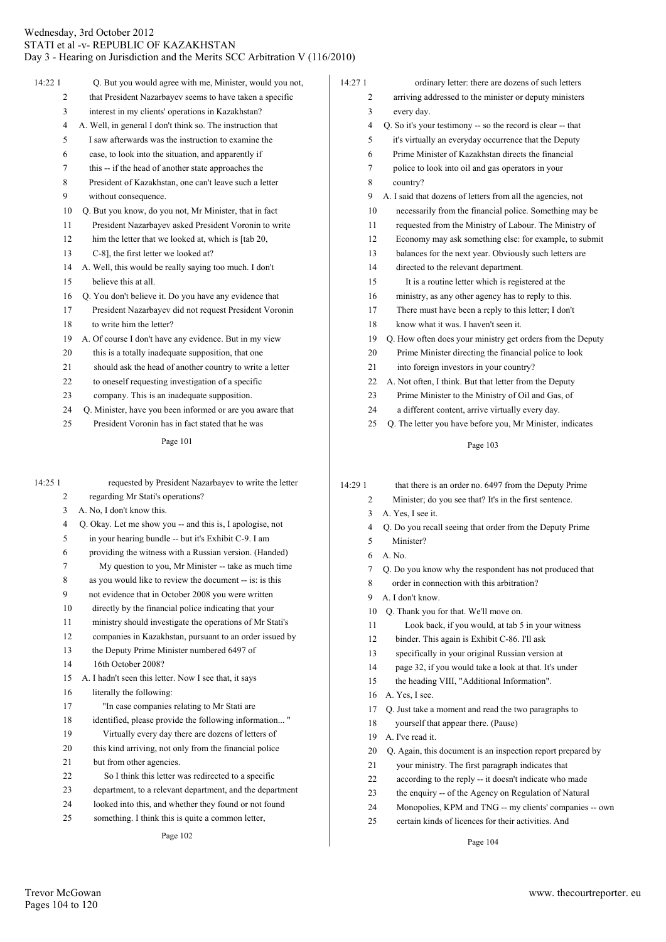- 14:22 1 Q. But you would agree with me, Minister, would you not,
	- that President Nazarbayev seems to have taken a specific
	- interest in my clients' operations in Kazakhstan?
	- A. Well, in general I don't think so. The instruction that
	- I saw afterwards was the instruction to examine the
	- case, to look into the situation, and apparently if
	- this -- if the head of another state approaches the
	- President of Kazakhstan, one can't leave such a letter
	- without consequence.
	- Q. But you know, do you not, Mr Minister, that in fact
	- President Nazarbayev asked President Voronin to write
	- 12 him the letter that we looked at, which is [tab 20,
	- C-8], the first letter we looked at?
	- A. Well, this would be really saying too much. I don't
	- believe this at all.
	- Q. You don't believe it. Do you have any evidence that
	- President Nazarbayev did not request President Voronin
	- to write him the letter?
	- A. Of course I don't have any evidence. But in my view
	- 20 this is a totally inadequate supposition, that one
	- should ask the head of another country to write a letter
	- to oneself requesting investigation of a specific
	- company. This is an inadequate supposition.
	- Q. Minister, have you been informed or are you aware that
	- President Voronin has in fact stated that he was

#### Page 101

| 14:25 1 | requested by President Nazarbayev to write the letter     |
|---------|-----------------------------------------------------------|
| 2       | regarding Mr Stati's operations?                          |
| 3       | A. No. I don't know this.                                 |
| 4       | Q. Okay. Let me show you -- and this is, I apologise, not |
| 5       | in your hearing bundle -- but it's Exhibit C-9. I am      |
| 6       | providing the witness with a Russian version. (Handed)    |
| 7       | My question to you, Mr Minister -- take as much time      |
| 8       | as you would like to review the document -- is: is this   |

- not evidence that in October 2008 you were written
- directly by the financial police indicating that your
- ministry should investigate the operations of Mr Stati's
- companies in Kazakhstan, pursuant to an order issued by
- the Deputy Prime Minister numbered 6497 of
- 16th October 2008?
- A. I hadn't seen this letter. Now I see that, it says
- literally the following:
- "In case companies relating to Mr Stati are
- identified, please provide the following information... "
- Virtually every day there are dozens of letters of
- this kind arriving, not only from the financial police
- but from other agencies.
- So I think this letter was redirected to a specific
- department, to a relevant department, and the department
- looked into this, and whether they found or not found
- something. I think this is quite a common letter,

Page 102

- 14:27 1 ordinary letter: there are dozens of such letters arriving addressed to the minister or deputy ministers every day. Q. So it's your testimony -- so the record is clear -- that it's virtually an everyday occurrence that the Deputy
	- Prime Minister of Kazakhstan directs the financial
	- police to look into oil and gas operators in your
	- country?
	- A. I said that dozens of letters from all the agencies, not
	- necessarily from the financial police. Something may be
	- requested from the Ministry of Labour. The Ministry of
	- Economy may ask something else: for example, to submit
	- 13 balances for the next year. Obviously such letters are
	- directed to the relevant department.
	- It is a routine letter which is registered at the
	- ministry, as any other agency has to reply to this.
	- There must have been a reply to this letter; I don't
	- know what it was. I haven't seen it.
	- Q. How often does your ministry get orders from the Deputy
	- Prime Minister directing the financial police to look
	- into foreign investors in your country?
	- A. Not often, I think. But that letter from the Deputy
	- Prime Minister to the Ministry of Oil and Gas, of
	- a different content, arrive virtually every day.
	- 25 Q. The letter you have before you, Mr Minister, indicates

#### Page 103

- 14:29 1 that there is an order no. 6497 from the Deputy Prime Minister; do you see that? It's in the first sentence.
	- A. Yes, I see it.
	- Q. Do you recall seeing that order from the Deputy Prime
	- Minister?
	- A. No.
	- Q. Do you know why the respondent has not produced that
	- order in connection with this arbitration?
	- A. I don't know.
	- 10 O. Thank you for that. We'll move on.
	- Look back, if you would, at tab 5 in your witness
	- binder. This again is Exhibit C-86. I'll ask
	- specifically in your original Russian version at
	- page 32, if you would take a look at that. It's under
	- the heading VIII, "Additional Information".
	- A. Yes, I see.
	- Q. Just take a moment and read the two paragraphs to
	- yourself that appear there. (Pause)
	- A. I've read it.
	- Q. Again, this document is an inspection report prepared by
	- your ministry. The first paragraph indicates that
	- according to the reply -- it doesn't indicate who made
	- the enquiry -- of the Agency on Regulation of Natural
	- Monopolies, KPM and TNG -- my clients' companies -- own
	- certain kinds of licences for their activities. And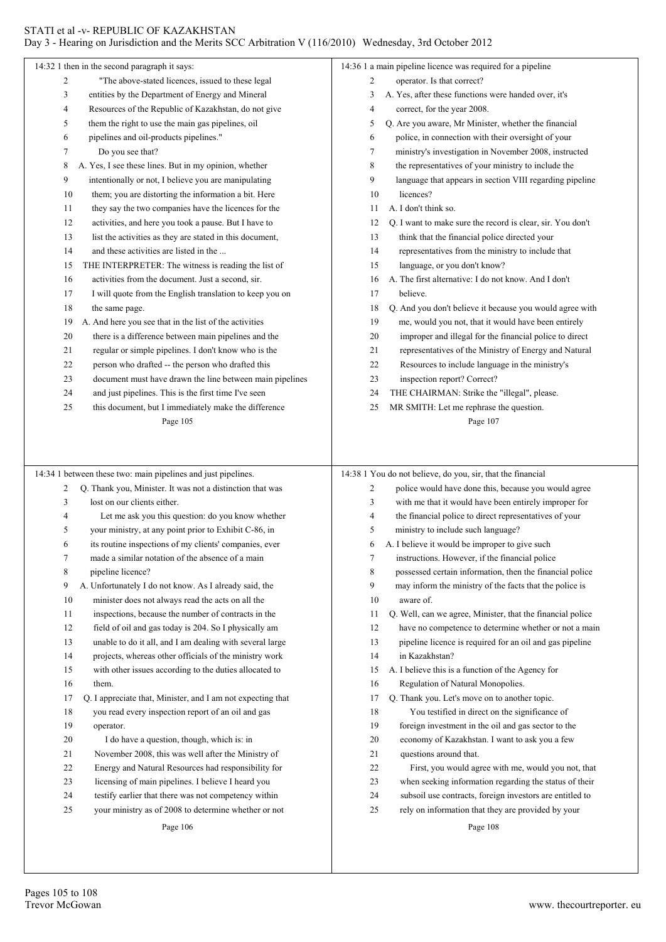|                | 14:32 1 then in the second paragraph it says:                                                              | 14:36 1 a main pipeline licence was required for a pipeline                                                        |
|----------------|------------------------------------------------------------------------------------------------------------|--------------------------------------------------------------------------------------------------------------------|
| $\overline{c}$ | "The above-stated licences, issued to these legal                                                          | $\overline{c}$<br>operator. Is that correct?                                                                       |
| 3              | entities by the Department of Energy and Mineral                                                           | A. Yes, after these functions were handed over, it's<br>3                                                          |
| 4              | Resources of the Republic of Kazakhstan, do not give                                                       | correct, for the year 2008.<br>$\overline{4}$                                                                      |
| 5              | them the right to use the main gas pipelines, oil                                                          | Q. Are you aware, Mr Minister, whether the financial<br>5                                                          |
| 6              | pipelines and oil-products pipelines."                                                                     | police, in connection with their oversight of your<br>6                                                            |
| 7              | Do you see that?                                                                                           | ministry's investigation in November 2008, instructed<br>7                                                         |
| 8              | A. Yes, I see these lines. But in my opinion, whether                                                      | 8<br>the representatives of your ministry to include the                                                           |
| 9              | intentionally or not, I believe you are manipulating                                                       | 9<br>language that appears in section VIII regarding pipeline                                                      |
| 10             | them; you are distorting the information a bit. Here                                                       | licences?<br>10                                                                                                    |
| 11             | they say the two companies have the licences for the                                                       | A. I don't think so.<br>11                                                                                         |
| 12             | activities, and here you took a pause. But I have to                                                       | 12<br>Q. I want to make sure the record is clear, sir. You don't                                                   |
| 13             | list the activities as they are stated in this document,                                                   | 13<br>think that the financial police directed your                                                                |
| 14             | and these activities are listed in the                                                                     | representatives from the ministry to include that<br>14                                                            |
| 15             | THE INTERPRETER: The witness is reading the list of                                                        | language, or you don't know?<br>15                                                                                 |
| 16             | activities from the document. Just a second, sir.                                                          | A. The first alternative: I do not know. And I don't<br>16                                                         |
| 17             | I will quote from the English translation to keep you on                                                   | 17<br>believe.                                                                                                     |
| 18             | the same page.                                                                                             | 18<br>Q. And you don't believe it because you would agree with                                                     |
| 19             | A. And here you see that in the list of the activities                                                     | 19<br>me, would you not, that it would have been entirely                                                          |
| 20             | there is a difference between main pipelines and the                                                       | improper and illegal for the financial police to direct<br>20                                                      |
| 21             | regular or simple pipelines. I don't know who is the                                                       | representatives of the Ministry of Energy and Natural<br>21                                                        |
| 22             | person who drafted -- the person who drafted this                                                          | $22\,$<br>Resources to include language in the ministry's                                                          |
| 23             | document must have drawn the line between main pipelines                                                   | 23<br>inspection report? Correct?                                                                                  |
| 24             | and just pipelines. This is the first time I've seen                                                       | 24<br>THE CHAIRMAN: Strike the "illegal", please.                                                                  |
| 25             | this document, but I immediately make the difference                                                       | MR SMITH: Let me rephrase the question.<br>25                                                                      |
|                | Page 105                                                                                                   | Page 107                                                                                                           |
|                |                                                                                                            |                                                                                                                    |
|                |                                                                                                            |                                                                                                                    |
|                |                                                                                                            |                                                                                                                    |
| 2              | 14:34 1 between these two: main pipelines and just pipelines.                                              | 14:38 1 You do not believe, do you, sir, that the financial<br>2                                                   |
| 3              | Q. Thank you, Minister. It was not a distinction that was<br>lost on our clients either.                   | police would have done this, because you would agree<br>with me that it would have been entirely improper for<br>3 |
| 4              |                                                                                                            | 4                                                                                                                  |
| 5              | Let me ask you this question: do you know whether<br>your ministry, at any point prior to Exhibit C-86, in | the financial police to direct representatives of your<br>5<br>ministry to include such language?                  |
| 6              | its routine inspections of my clients' companies, ever                                                     | 6<br>A. I believe it would be improper to give such                                                                |
| $\tau$         | made a similar notation of the absence of a main                                                           | $\tau$<br>instructions. However, if the financial police                                                           |
| 8              | pipeline licence?                                                                                          | 8<br>possessed certain information, then the financial police                                                      |
| 9              | A. Unfortunately I do not know. As I already said, the                                                     | 9<br>may inform the ministry of the facts that the police is                                                       |
| 10             | minister does not always read the acts on all the                                                          | 10<br>aware of.                                                                                                    |
| 11             | inspections, because the number of contracts in the                                                        | Q. Well, can we agree, Minister, that the financial police<br>11                                                   |
| 12             | field of oil and gas today is 204. So I physically am                                                      | have no competence to determine whether or not a main<br>12                                                        |
| 13             | unable to do it all, and I am dealing with several large                                                   | pipeline licence is required for an oil and gas pipeline<br>13                                                     |
| 14             | projects, whereas other officials of the ministry work                                                     | 14<br>in Kazakhstan?                                                                                               |
| 15             | with other issues according to the duties allocated to                                                     | A. I believe this is a function of the Agency for<br>15                                                            |
| 16             | them.                                                                                                      | 16<br>Regulation of Natural Monopolies.                                                                            |
| 17             | Q. I appreciate that, Minister, and I am not expecting that                                                | 17<br>Q. Thank you. Let's move on to another topic.                                                                |
| 18             | you read every inspection report of an oil and gas                                                         | 18<br>You testified in direct on the significance of                                                               |
| 19             | operator.                                                                                                  | 19<br>foreign investment in the oil and gas sector to the                                                          |
| 20             | I do have a question, though, which is: in                                                                 | 20<br>economy of Kazakhstan. I want to ask you a few                                                               |
| 21             | November 2008, this was well after the Ministry of                                                         | 21<br>questions around that.                                                                                       |
| 22             | Energy and Natural Resources had responsibility for                                                        | $22\,$<br>First, you would agree with me, would you not, that                                                      |
| 23             | licensing of main pipelines. I believe I heard you                                                         | 23<br>when seeking information regarding the status of their                                                       |
| 24             | testify earlier that there was not competency within                                                       | 24<br>subsoil use contracts, foreign investors are entitled to                                                     |
| 25             | your ministry as of 2008 to determine whether or not                                                       | 25<br>rely on information that they are provided by your                                                           |
|                | Page 106                                                                                                   | Page 108                                                                                                           |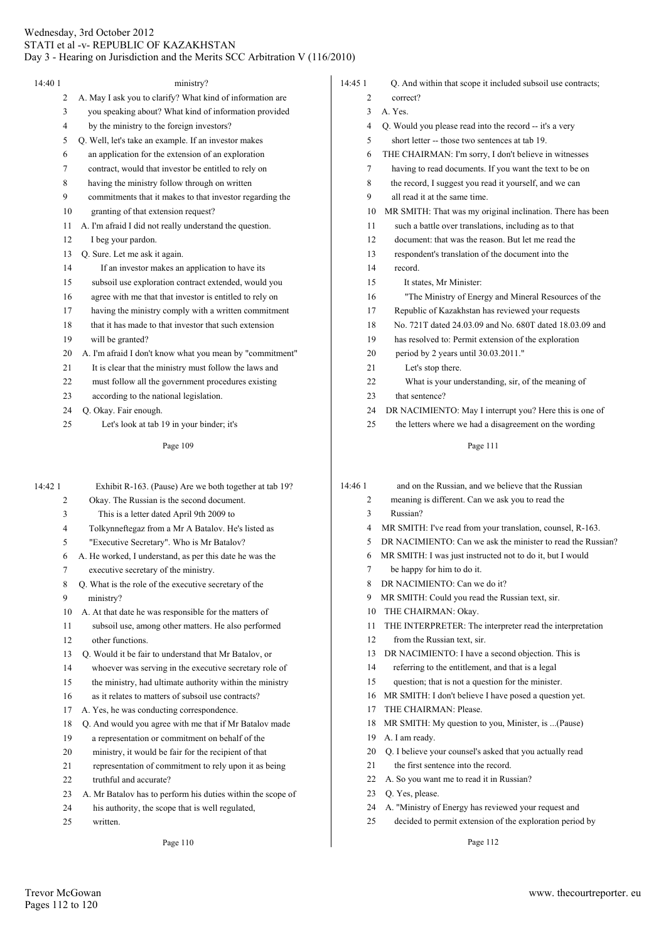- 14:40 1 ministry?
	- A. May I ask you to clarify? What kind of information are
	- you speaking about? What kind of information provided
	- by the ministry to the foreign investors?
	- Q. Well, let's take an example. If an investor makes
	- an application for the extension of an exploration
	- contract, would that investor be entitled to rely on
	- having the ministry follow through on written
	- commitments that it makes to that investor regarding the
	- granting of that extension request?
	- A. I'm afraid I did not really understand the question.
	- I beg your pardon.
	- 13 O. Sure. Let me ask it again.
	- If an investor makes an application to have its
	- subsoil use exploration contract extended, would you
	- agree with me that that investor is entitled to rely on
	- having the ministry comply with a written commitment
	- 18 that it has made to that investor that such extension
	- will be granted?
	- A. I'm afraid I don't know what you mean by "commitment"
	- 21 It is clear that the ministry must follow the laws and
	- must follow all the government procedures existing
	- according to the national legislation.
	- Q. Okay. Fair enough.
	- Let's look at tab 19 in your binder; it's

#### Page 109

| 14:42 1 | Exhibit R-163. (Pause) Are we both together at tab 19?  |
|---------|---------------------------------------------------------|
| 2       | Okay. The Russian is the second document.               |
| 3       | This is a letter dated April 9th 2009 to                |
| 4       | Tolkynneftegaz from a Mr A Batalov. He's listed as      |
| 5       | "Executive Secretary". Who is Mr Batalov?               |
| 6       | A. He worked, I understand, as per this date he was the |
| 7       | executive secretary of the ministry.                    |
| 8       | Q. What is the role of the executive secretary of the   |

- ministry?
- A. At that date he was responsible for the matters of
- subsoil use, among other matters. He also performed
- other functions.
- Q. Would it be fair to understand that Mr Batalov, or
- whoever was serving in the executive secretary role of
- the ministry, had ultimate authority within the ministry
- as it relates to matters of subsoil use contracts?
- A. Yes, he was conducting correspondence.
- Q. And would you agree with me that if Mr Batalov made
- a representation or commitment on behalf of the
- ministry, it would be fair for the recipient of that
- representation of commitment to rely upon it as being
- 22 truthful and accurate?
- A. Mr Batalov has to perform his duties within the scope of
- his authority, the scope that is well regulated,
- written.

Page 110

- 14:45 1 Q. And within that scope it included subsoil use contracts; correct? A. Yes. Q. Would you please read into the record -- it's a very short letter -- those two sentences at tab 19. THE CHAIRMAN: I'm sorry, I don't believe in witnesses having to read documents. If you want the text to be on
	- 8 the record, I suggest you read it yourself, and we can
	- all read it at the same time.
	- MR SMITH: That was my original inclination. There has been
	- such a battle over translations, including as to that
	- document: that was the reason. But let me read the
	- respondent's translation of the document into the
	- record.
	- It states, Mr Minister:
	- "The Ministry of Energy and Mineral Resources of the
	- Republic of Kazakhstan has reviewed your requests
	- No. 721T dated 24.03.09 and No. 680T dated 18.03.09 and
	- has resolved to: Permit extension of the exploration
	- period by 2 years until 30.03.2011."
	- Let's stop there.
	- What is your understanding, sir, of the meaning of
	- that sentence?
	- DR NACIMIENTO: May I interrupt you? Here this is one of
	- the letters where we had a disagreement on the wording

#### Page 111

| 2 | meaning is different. Can we ask you to read the              |
|---|---------------------------------------------------------------|
| 3 | Russian?                                                      |
| 4 | MR SMITH: I've read from your translation, counsel, R-163.    |
|   | 5 DR NACIMIENTO: Can we ask the minister to read the Russian? |
|   | 6 MR SMITH: I was just instructed not to do it, but I would   |
|   |                                                               |

14:46 1 and on the Russian, and we believe that the Russian

- be happy for him to do it.
- 8 DR NACIMIENTO: Can we do it?
- MR SMITH: Could you read the Russian text, sir.
- THE CHAIRMAN: Okay.
- THE INTERPRETER: The interpreter read the interpretation
- from the Russian text, sir.
- DR NACIMIENTO: I have a second objection. This is
- referring to the entitlement, and that is a legal
- question; that is not a question for the minister.
- MR SMITH: I don't believe I have posed a question yet.
- THE CHAIRMAN: Please.
- MR SMITH: My question to you, Minister, is ...(Pause)
- A. I am ready.
- Q. I believe your counsel's asked that you actually read
- the first sentence into the record.
- 22 A. So you want me to read it in Russian?
- Q. Yes, please.
- A. "Ministry of Energy has reviewed your request and
- decided to permit extension of the exploration period by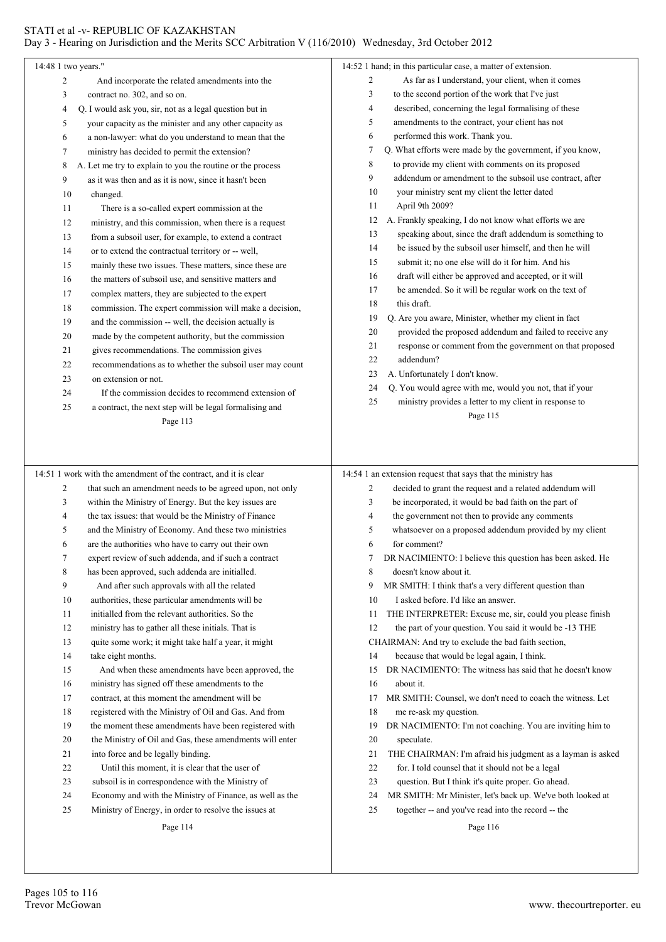| 14:48 1 two years." |                                                                  | 14:52 1 hand; in this particular case, a matter of extension.              |
|---------------------|------------------------------------------------------------------|----------------------------------------------------------------------------|
| 2                   | And incorporate the related amendments into the                  | 2<br>As far as I understand, your client, when it comes                    |
| 3                   | contract no. 302, and so on.                                     | to the second portion of the work that I've just<br>3                      |
| 4                   | Q. I would ask you, sir, not as a legal question but in          | 4<br>described, concerning the legal formalising of these                  |
| 5                   | your capacity as the minister and any other capacity as          | 5<br>amendments to the contract, your client has not                       |
| 6                   | a non-lawyer: what do you understand to mean that the            | performed this work. Thank you.<br>6                                       |
| 7                   | ministry has decided to permit the extension?                    | Q. What efforts were made by the government, if you know,<br>7             |
| 8                   | A. Let me try to explain to you the routine or the process       | to provide my client with comments on its proposed<br>8                    |
| 9                   | as it was then and as it is now, since it hasn't been            | 9<br>addendum or amendment to the subsoil use contract, after              |
| 10                  | changed.                                                         | 10<br>your ministry sent my client the letter dated                        |
| 11                  | There is a so-called expert commission at the                    | April 9th 2009?<br>11                                                      |
| 12                  | ministry, and this commission, when there is a request           | A. Frankly speaking, I do not know what efforts we are<br>12               |
| 13                  |                                                                  | 13<br>speaking about, since the draft addendum is something to             |
|                     | from a subsoil user, for example, to extend a contract           | 14<br>be issued by the subsoil user himself, and then he will              |
| 14                  | or to extend the contractual territory or -- well,               | 15<br>submit it; no one else will do it for him. And his                   |
| 15                  | mainly these two issues. These matters, since these are          | 16<br>draft will either be approved and accepted, or it will               |
| 16                  | the matters of subsoil use, and sensitive matters and            | 17<br>be amended. So it will be regular work on the text of                |
| 17                  | complex matters, they are subjected to the expert                | 18<br>this draft.                                                          |
| 18                  | commission. The expert commission will make a decision,          | Q. Are you aware, Minister, whether my client in fact<br>19                |
| 19                  | and the commission -- well, the decision actually is             | provided the proposed addendum and failed to receive any<br>20             |
| 20                  | made by the competent authority, but the commission              | response or comment from the government on that proposed<br>21             |
| 21                  | gives recommendations. The commission gives                      | addendum?<br>22                                                            |
| 22                  | recommendations as to whether the subsoil user may count         | A. Unfortunately I don't know.                                             |
| 23                  | on extension or not.                                             | 23                                                                         |
| 24                  | If the commission decides to recommend extension of              | Q. You would agree with me, would you not, that if your<br>24              |
| 25                  | a contract, the next step will be legal formalising and          | 25<br>ministry provides a letter to my client in response to               |
|                     | Page 113                                                         | Page 115                                                                   |
|                     |                                                                  |                                                                            |
|                     |                                                                  |                                                                            |
|                     |                                                                  |                                                                            |
|                     |                                                                  |                                                                            |
|                     | 14:51 1 work with the amendment of the contract, and it is clear | 14:54 1 an extension request that says that the ministry has               |
| 2                   | that such an amendment needs to be agreed upon, not only         | $\overline{c}$<br>decided to grant the request and a related addendum will |
| 3                   | within the Ministry of Energy. But the key issues are            | 3<br>be incorporated, it would be bad faith on the part of                 |
| 4                   | the tax issues: that would be the Ministry of Finance            | the government not then to provide any comments<br>4                       |
| 5                   | and the Ministry of Economy. And these two ministries            | 5<br>whatsoever on a proposed addendum provided by my client               |
| 6                   | are the authorities who have to carry out their own              | for comment?<br>6                                                          |
| 7                   | expert review of such addenda, and if such a contract            | DR NACIMIENTO: I believe this question has been asked. He<br>7             |
| 8                   | has been approved, such addenda are initialled.                  | 8<br>doesn't know about it.                                                |
| 9                   | And after such approvals with all the related                    | MR SMITH: I think that's a very different question than<br>9               |
| 10                  | authorities, these particular amendments will be                 | I asked before. I'd like an answer.<br>10                                  |
| 11                  | initialled from the relevant authorities. So the                 | THE INTERPRETER: Excuse me, sir, could you please finish<br>11             |
| 12                  | ministry has to gather all these initials. That is               | the part of your question. You said it would be -13 THE<br>12              |
| 13                  | quite some work; it might take half a year, it might             | CHAIRMAN: And try to exclude the bad faith section,                        |
| 14                  | take eight months.                                               | because that would be legal again, I think.<br>14                          |
| 15                  | And when these amendments have been approved, the                | DR NACIMIENTO: The witness has said that he doesn't know<br>15             |
| 16                  | ministry has signed off these amendments to the                  | 16<br>about it.                                                            |
| 17                  | contract, at this moment the amendment will be                   | MR SMITH: Counsel, we don't need to coach the witness. Let<br>17           |
| 18                  | registered with the Ministry of Oil and Gas. And from            | me re-ask my question.<br>18                                               |
| 19                  | the moment these amendments have been registered with            | DR NACIMIENTO: I'm not coaching. You are inviting him to<br>19             |
| 20                  | the Ministry of Oil and Gas, these amendments will enter         | 20<br>speculate.                                                           |
| 21                  | into force and be legally binding.                               | THE CHAIRMAN: I'm afraid his judgment as a layman is asked<br>21           |
| $22\,$              | Until this moment, it is clear that the user of                  | 22<br>for. I told counsel that it should not be a legal                    |
| 23                  | subsoil is in correspondence with the Ministry of                | question. But I think it's quite proper. Go ahead.<br>23                   |
| 24                  | Economy and with the Ministry of Finance, as well as the         | MR SMITH: Mr Minister, let's back up. We've both looked at<br>24           |
| 25                  | Ministry of Energy, in order to resolve the issues at            | 25<br>together -- and you've read into the record -- the                   |
|                     | Page 114                                                         | Page 116                                                                   |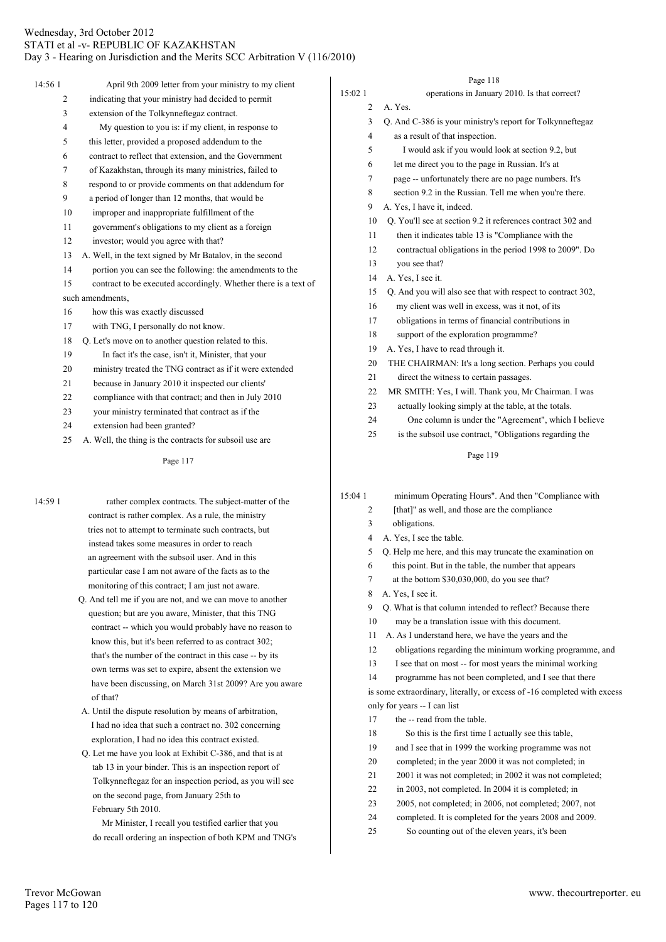- 14:56 1 April 9th 2009 letter from your ministry to my client
	- indicating that your ministry had decided to permit
	- extension of the Tolkynneftegaz contract.
	- My question to you is: if my client, in response to
	- this letter, provided a proposed addendum to the
	- contract to reflect that extension, and the Government
	- of Kazakhstan, through its many ministries, failed to
	- respond to or provide comments on that addendum for
	- a period of longer than 12 months, that would be
	- improper and inappropriate fulfillment of the
	- government's obligations to my client as a foreign
	- investor; would you agree with that?
	- A. Well, in the text signed by Mr Batalov, in the second
	- portion you can see the following: the amendments to the
	- contract to be executed accordingly. Whether there is a text of such amendments,
	- how this was exactly discussed
	- with TNG, I personally do not know.
	- Q. Let's move on to another question related to this.
	- In fact it's the case, isn't it, Minister, that your
	- ministry treated the TNG contract as if it were extended
	- because in January 2010 it inspected our clients'
	- compliance with that contract; and then in July 2010
	- 23 vour ministry terminated that contract as if the
	- extension had been granted?
	- A. Well, the thing is the contracts for subsoil use are

Page 117

14:59 1 rather complex contracts. The subject-matter of the contract is rather complex. As a rule, the ministry tries not to attempt to terminate such contracts, but instead takes some measures in order to reach an agreement with the subsoil user. And in this particular case I am not aware of the facts as to the monitoring of this contract; I am just not aware.

- Q. And tell me if you are not, and we can move to another question; but are you aware, Minister, that this TNG contract -- which you would probably have no reason to know this, but it's been referred to as contract 302; that's the number of the contract in this case -- by its own terms was set to expire, absent the extension we have been discussing, on March 31st 2009? Are you aware of that?
- A. Until the dispute resolution by means of arbitration, I had no idea that such a contract no. 302 concerning exploration, I had no idea this contract existed.
- Q. Let me have you look at Exhibit C-386, and that is at tab 13 in your binder. This is an inspection report of Tolkynneftegaz for an inspection period, as you will see on the second page, from January 25th to February 5th 2010.

Mr Minister, I recall you testified earlier that you do recall ordering an inspection of both KPM and TNG's

|                | Page 118                                                    |
|----------------|-------------------------------------------------------------|
| 15:02 1        | operations in January 2010. Is that correct?                |
| 2              | A. Yes.                                                     |
| 3              | Q. And C-386 is your ministry's report for Tolkynneftegaz   |
| 4              | as a result of that inspection.                             |
| 5              | I would ask if you would look at section 9.2, but           |
| 6              | let me direct you to the page in Russian. It's at           |
| 7              | page -- unfortunately there are no page numbers. It's       |
| 8              | section 9.2 in the Russian. Tell me when you're there.      |
| 9              | A. Yes, I have it, indeed.                                  |
| 10             | Q. You'll see at section 9.2 it references contract 302 and |
| 11             | then it indicates table 13 is "Compliance with the          |
| 12             | contractual obligations in the period 1998 to 2009". Do     |
| 13             | you see that?                                               |
| 14             | A. Yes, I see it.                                           |
| 15             | Q. And you will also see that with respect to contract 302, |
| 16             | my client was well in excess, was it not, of its            |
| 17             | obligations in terms of financial contributions in          |
| 18             | support of the exploration programme?                       |
| 19             | A. Yes, I have to read through it.                          |
| 20             | THE CHAIRMAN: It's a long section. Perhaps you could        |
| 21             | direct the witness to certain passages.                     |
| 22             | MR SMITH: Yes, I will. Thank you, Mr Chairman. I was        |
| 23             | actually looking simply at the table, at the totals.        |
| 24             | One column is under the "Agreement", which I believe        |
| 25             | is the subsoil use contract, "Obligations regarding the     |
|                | Page 119                                                    |
|                |                                                             |
|                |                                                             |
| 15:04 1        | minimum Operating Hours". And then "Compliance with         |
| $\overline{c}$ | [that]" as well, and those are the compliance               |
| 3              | obligations.                                                |
| 4              | A. Yes, I see the table.                                    |
| 5              | O. Help me here, and this may truncate the examination on   |
| 6              | this point. But in the table, the number that appears       |
| 7              | at the bottom \$30,030,000, do you see that?                |
| 8              | A. Yes. I see it.                                           |

- Q. What is that column intended to reflect? Because there
- may be a translation issue with this document.
- A. As I understand here, we have the years and the
- obligations regarding the minimum working programme, and
- I see that on most -- for most years the minimal working

 programme has not been completed, and I see that there is some extraordinary, literally, or excess of -16 completed with excess

- only for years -- I can list
- 17 the -- read from the table.
- So this is the first time I actually see this table,
- and I see that in 1999 the working programme was not
- completed; in the year 2000 it was not completed; in
- 2001 it was not completed; in 2002 it was not completed;
- in 2003, not completed. In 2004 it is completed; in
- 2005, not completed; in 2006, not completed; 2007, not
- completed. It is completed for the years 2008 and 2009.
- So counting out of the eleven years, it's been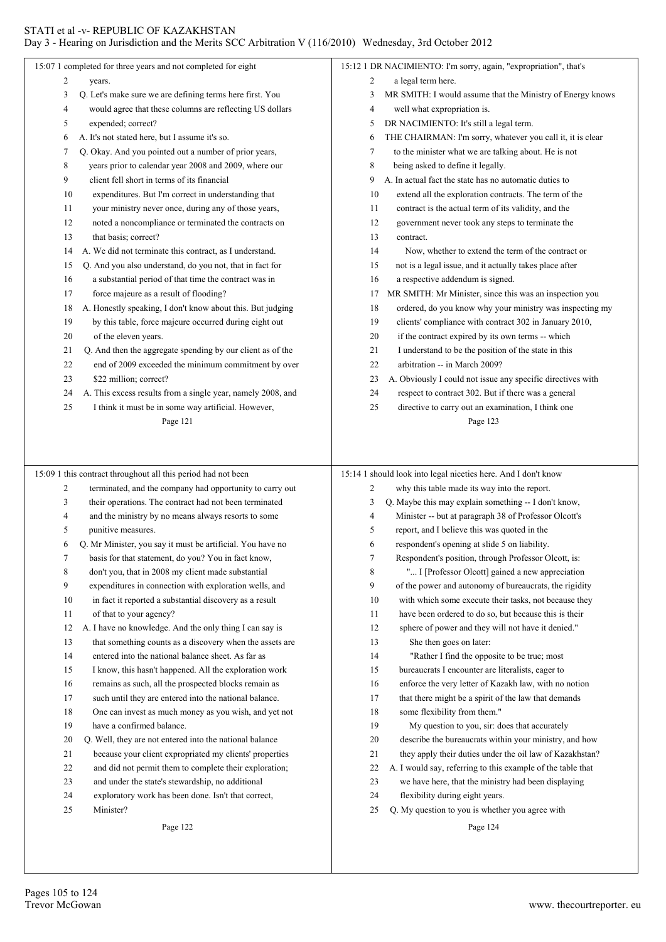|          | 15:07 1 completed for three years and not completed for eight                                              |          | 15:12 1 DR NACIMIENTO: I'm sorry, again, "expropriation", that's                                                        |
|----------|------------------------------------------------------------------------------------------------------------|----------|-------------------------------------------------------------------------------------------------------------------------|
| 2        | years.                                                                                                     | 2        | a legal term here.                                                                                                      |
| 3        | Q. Let's make sure we are defining terms here first. You                                                   | 3        | MR SMITH: I would assume that the Ministry of Energy knows                                                              |
| 4        | would agree that these columns are reflecting US dollars                                                   | 4        | well what expropriation is.                                                                                             |
| 5        | expended; correct?                                                                                         | 5        | DR NACIMIENTO: It's still a legal term.                                                                                 |
| 6        | A. It's not stated here, but I assume it's so.                                                             | 6        | THE CHAIRMAN: I'm sorry, whatever you call it, it is clear                                                              |
| 7        | Q. Okay. And you pointed out a number of prior years,                                                      | 7        | to the minister what we are talking about. He is not                                                                    |
| 8        | years prior to calendar year 2008 and 2009, where our                                                      | 8        | being asked to define it legally.                                                                                       |
| 9        | client fell short in terms of its financial                                                                | 9        | A. In actual fact the state has no automatic duties to                                                                  |
| 10       | expenditures. But I'm correct in understanding that                                                        | 10       | extend all the exploration contracts. The term of the                                                                   |
| 11       | your ministry never once, during any of those years,                                                       | 11       | contract is the actual term of its validity, and the                                                                    |
| 12       | noted a noncompliance or terminated the contracts on                                                       | 12       | government never took any steps to terminate the                                                                        |
| 13       | that basis; correct?                                                                                       | 13       | contract.                                                                                                               |
| 14       | A. We did not terminate this contract, as I understand.                                                    | 14       | Now, whether to extend the term of the contract or                                                                      |
| 15       | Q. And you also understand, do you not, that in fact for                                                   | 15       | not is a legal issue, and it actually takes place after                                                                 |
| 16       | a substantial period of that time the contract was in                                                      | 16       | a respective addendum is signed.                                                                                        |
| 17       | force majeure as a result of flooding?                                                                     | 17       | MR SMITH: Mr Minister, since this was an inspection you                                                                 |
| 18       | A. Honestly speaking, I don't know about this. But judging                                                 | 18       | ordered, do you know why your ministry was inspecting my                                                                |
| 19       | by this table, force majeure occurred during eight out                                                     | 19       | clients' compliance with contract 302 in January 2010,                                                                  |
| 20       | of the eleven years.                                                                                       | 20       | if the contract expired by its own terms -- which                                                                       |
| 21       | Q. And then the aggregate spending by our client as of the                                                 | 21       | I understand to be the position of the state in this                                                                    |
| 22       | end of 2009 exceeded the minimum commitment by over                                                        | 22       | arbitration -- in March 2009?                                                                                           |
| 23       | \$22 million; correct?                                                                                     | 23       | A. Obviously I could not issue any specific directives with                                                             |
| 24       | A. This excess results from a single year, namely 2008, and                                                | 24       | respect to contract 302. But if there was a general                                                                     |
| 25       | I think it must be in some way artificial. However,                                                        | 25       | directive to carry out an examination, I think one                                                                      |
|          | Page 121                                                                                                   |          | Page 123                                                                                                                |
|          |                                                                                                            |          |                                                                                                                         |
|          | 15:09 1 this contract throughout all this period had not been                                              |          | 15:14 1 should look into legal niceties here. And I don't know                                                          |
| 2        | terminated, and the company had opportunity to carry out                                                   | 2        | why this table made its way into the report.                                                                            |
| 3        | their operations. The contract had not been terminated                                                     | 3        | Q. Maybe this may explain something -- I don't know,                                                                    |
| 4        | and the ministry by no means always resorts to some                                                        | 4        | Minister -- but at paragraph 38 of Professor Olcott's                                                                   |
| 5        | punitive measures.                                                                                         | 5        | report, and I believe this was quoted in the                                                                            |
| 6        | Q. Mr Minister, you say it must be artificial. You have no                                                 | 6        | respondent's opening at slide 5 on liability.                                                                           |
| 7        | basis for that statement, do you? You in fact know,                                                        | $\tau$   | Respondent's position, through Professor Olcott, is:                                                                    |
| 8        | don't you, that in 2008 my client made substantial                                                         | 8        | " I [Professor Olcott] gained a new appreciation                                                                        |
| 9        | expenditures in connection with exploration wells, and                                                     | 9        | of the power and autonomy of bureaucrats, the rigidity                                                                  |
| 10       | in fact it reported a substantial discovery as a result                                                    | 10       | with which some execute their tasks, not because they                                                                   |
| 11       | of that to your agency?                                                                                    | 11       | have been ordered to do so, but because this is their                                                                   |
| 12       | A. I have no knowledge. And the only thing I can say is                                                    | 12       | sphere of power and they will not have it denied."                                                                      |
| 13       | that something counts as a discovery when the assets are                                                   | 13       | She then goes on later:                                                                                                 |
| 14       | entered into the national balance sheet. As far as                                                         | 14       | "Rather I find the opposite to be true; most                                                                            |
| 15       | I know, this hasn't happened. All the exploration work                                                     | 15       | bureaucrats I encounter are literalists, eager to                                                                       |
| 16       | remains as such, all the prospected blocks remain as                                                       | 16       | enforce the very letter of Kazakh law, with no notion                                                                   |
| 17       | such until they are entered into the national balance.                                                     | 17       | that there might be a spirit of the law that demands                                                                    |
| $18\,$   | One can invest as much money as you wish, and yet not                                                      | 18       | some flexibility from them."                                                                                            |
| 19       | have a confirmed balance.                                                                                  | 19       | My question to you, sir: does that accurately                                                                           |
| 20       | Q. Well, they are not entered into the national balance                                                    | 20       | describe the bureaucrats within your ministry, and how                                                                  |
| 21<br>22 | because your client expropriated my clients' properties                                                    | 21       | they apply their duties under the oil law of Kazakhstan?<br>A. I would say, referring to this example of the table that |
| 23       | and did not permit them to complete their exploration;<br>and under the state's stewardship, no additional | 22<br>23 | we have here, that the ministry had been displaying                                                                     |
| 24       | exploratory work has been done. Isn't that correct,                                                        | 24       | flexibility during eight years.                                                                                         |
| 25       | Minister?                                                                                                  | 25       | Q. My question to you is whether you agree with                                                                         |
|          |                                                                                                            |          |                                                                                                                         |
|          | Page 122                                                                                                   |          | Page 124                                                                                                                |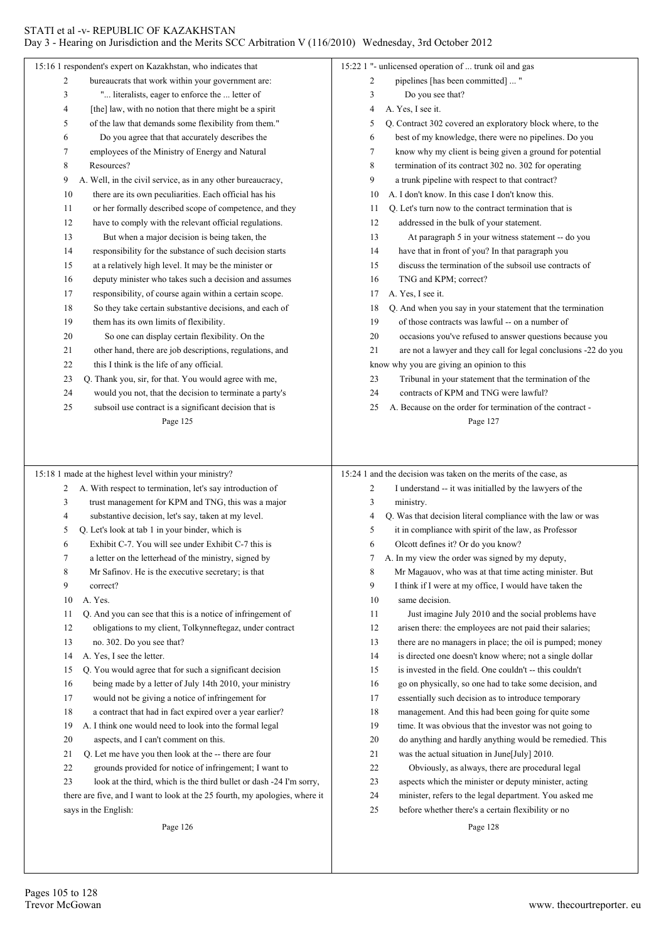| 15:16 1 respondent's expert on Kazakhstan, who indicates that               | 15:22 1 "- unlicensed operation of  trunk oil and gas            |
|-----------------------------------------------------------------------------|------------------------------------------------------------------|
| 2                                                                           | pipelines [has been committed]  "                                |
| bureaucrats that work within your government are:                           | 2                                                                |
| 3                                                                           | 3                                                                |
| " literalists, eager to enforce the  letter of                              | Do you see that?                                                 |
| [the] law, with no notion that there might be a spirit                      | A. Yes, I see it.                                                |
| 4                                                                           | 4                                                                |
| 5                                                                           | Q. Contract 302 covered an exploratory block where, to the       |
| of the law that demands some flexibility from them."                        | 5                                                                |
| Do you agree that that accurately describes the                             | best of my knowledge, there were no pipelines. Do you            |
| 6                                                                           | 6                                                                |
| employees of the Ministry of Energy and Natural                             | know why my client is being given a ground for potential         |
| 7                                                                           | 7                                                                |
| 8                                                                           | termination of its contract 302 no. 302 for operating            |
| Resources?                                                                  | 8                                                                |
| 9                                                                           | 9                                                                |
| A. Well, in the civil service, as in any other bureaucracy,                 | a trunk pipeline with respect to that contract?                  |
| 10                                                                          | A. I don't know. In this case I don't know this.                 |
| there are its own peculiarities. Each official has his                      | 10                                                               |
| or her formally described scope of competence, and they                     | Q. Let's turn now to the contract termination that is            |
| 11                                                                          | 11                                                               |
| 12                                                                          | addressed in the bulk of your statement.                         |
| have to comply with the relevant official regulations.                      | 12                                                               |
| 13                                                                          | At paragraph 5 in your witness statement -- do you               |
| But when a major decision is being taken, the                               | 13                                                               |
| 14                                                                          | 14                                                               |
| responsibility for the substance of such decision starts                    | have that in front of you? In that paragraph you                 |
| 15                                                                          | discuss the termination of the subsoil use contracts of          |
| at a relatively high level. It may be the minister or                       | 15                                                               |
| deputy minister who takes such a decision and assumes                       | 16                                                               |
| 16                                                                          | TNG and KPM; correct?                                            |
| 17                                                                          | A. Yes, I see it.                                                |
| responsibility, of course again within a certain scope.                     | 17                                                               |
| 18                                                                          | Q. And when you say in your statement that the termination       |
| So they take certain substantive decisions, and each of                     | 18                                                               |
| 19                                                                          | 19                                                               |
| them has its own limits of flexibility.                                     | of those contracts was lawful -- on a number of                  |
| 20                                                                          | 20                                                               |
| So one can display certain flexibility. On the                              | occasions you've refused to answer questions because you         |
| 21                                                                          | 21                                                               |
| other hand, there are job descriptions, regulations, and                    | are not a lawyer and they call for legal conclusions -22 do you  |
| 22<br>this I think is the life of any official.                             | know why you are giving an opinion to this                       |
| 23                                                                          | 23                                                               |
| Q. Thank you, sir, for that. You would agree with me,                       | Tribunal in your statement that the termination of the           |
| 24                                                                          | 24                                                               |
| would you not, that the decision to terminate a party's                     | contracts of KPM and TNG were lawful?                            |
| 25                                                                          | 25                                                               |
| subsoil use contract is a significant decision that is                      | A. Because on the order for termination of the contract -        |
| Page 125                                                                    | Page 127                                                         |
| 15:18 1 made at the highest level within your ministry?                     | 15:24 1 and the decision was taken on the merits of the case, as |
| A. With respect to termination, let's say introduction of                   | 2                                                                |
| 2                                                                           | I understand -- it was initialled by the lawyers of the          |
| 3                                                                           | 3                                                                |
| trust management for KPM and TNG, this was a major                          | ministry.                                                        |
| 4                                                                           | Q. Was that decision literal compliance with the law or was      |
| substantive decision, let's say, taken at my level.                         | 4                                                                |
| 5                                                                           | it in compliance with spirit of the law, as Professor            |
| Q. Let's look at tab 1 in your binder, which is                             | 5                                                                |
| 6                                                                           | 6                                                                |
| Exhibit C-7. You will see under Exhibit C-7 this is                         | Olcott defines it? Or do you know?                               |
| 7                                                                           | A. In my view the order was signed by my deputy,                 |
| a letter on the letterhead of the ministry, signed by                       | 7                                                                |
| 8                                                                           | Mr Magauov, who was at that time acting minister. But            |
| Mr Safinov. He is the executive secretary; is that                          | 8                                                                |
| 9                                                                           | 9                                                                |
| correct?                                                                    | I think if I were at my office, I would have taken the           |
| A. Yes.                                                                     | same decision.                                                   |
| 10                                                                          | 10                                                               |
| 11                                                                          | 11                                                               |
| Q. And you can see that this is a notice of infringement of                 | Just imagine July 2010 and the social problems have              |
| 12                                                                          | 12                                                               |
| obligations to my client, Tolkynneftegaz, under contract                    | arisen there: the employees are not paid their salaries;         |
| 13                                                                          | there are no managers in place; the oil is pumped; money         |
| no. 302. Do you see that?                                                   | 13                                                               |
| A. Yes, I see the letter.                                                   | 14                                                               |
| 14                                                                          | is directed one doesn't know where; not a single dollar          |
| 15                                                                          | 15                                                               |
| Q. You would agree that for such a significant decision                     | is invested in the field. One couldn't -- this couldn't          |
| 16                                                                          | 16                                                               |
| being made by a letter of July 14th 2010, your ministry                     | go on physically, so one had to take some decision, and          |
| 17                                                                          | 17                                                               |
| would not be giving a notice of infringement for                            | essentially such decision as to introduce temporary              |
| 18                                                                          | 18                                                               |
| a contract that had in fact expired over a year earlier?                    | management. And this had been going for quite some               |
|                                                                             |                                                                  |
| A. I think one would need to look into the formal legal                     | 19                                                               |
| 19                                                                          | time. It was obvious that the investor was not going to          |
| 20                                                                          | 20                                                               |
| aspects, and I can't comment on this.                                       | do anything and hardly anything would be remedied. This          |
| Q. Let me have you then look at the -- there are four                       | 21                                                               |
| 21                                                                          | was the actual situation in June[July] 2010.                     |
| 22                                                                          | 22                                                               |
| grounds provided for notice of infringement; I want to                      | Obviously, as always, there are procedural legal                 |
| 23                                                                          | 23                                                               |
| look at the third, which is the third bullet or dash -24 I'm sorry,         | aspects which the minister or deputy minister, acting            |
| there are five, and I want to look at the 25 fourth, my apologies, where it | minister, refers to the legal department. You asked me<br>24     |
| says in the English:                                                        | 25<br>before whether there's a certain flexibility or no         |
| Page 126                                                                    | Page 128                                                         |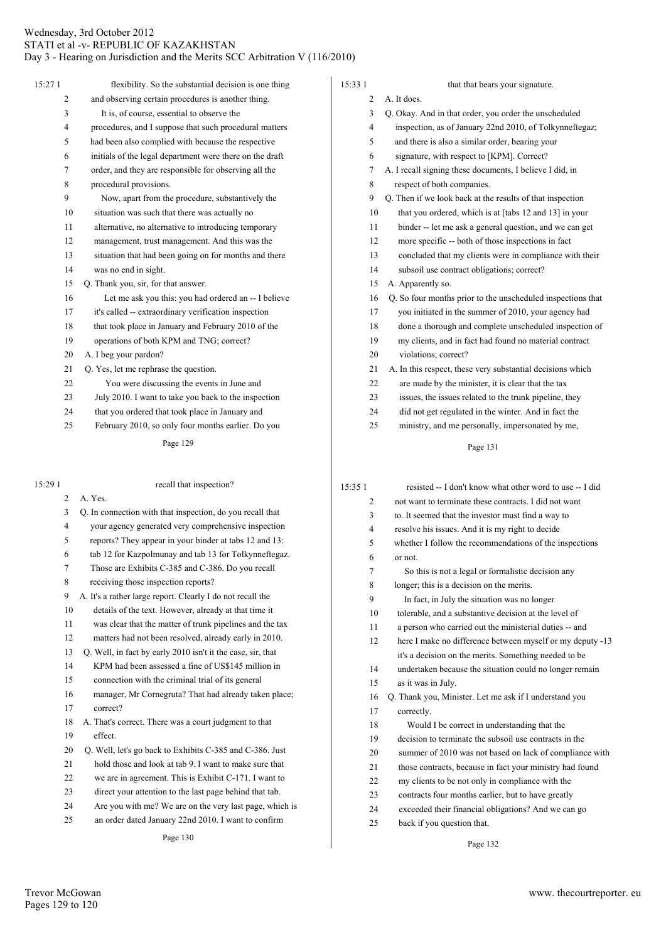| 15:27 1                  | flexibility. So the substantial decision is one thing    |
|--------------------------|----------------------------------------------------------|
| $\overline{c}$           | and observing certain procedures is another thing.       |
| 3                        | It is, of course, essential to observe the               |
| $\overline{\mathcal{L}}$ | procedures, and I suppose that such procedural matters   |
| 5                        | had been also complied with because the respective       |
| 6                        | initials of the legal department were there on the draft |
| 7                        | order, and they are responsible for observing all the    |
| 8                        | procedural provisions.                                   |
| 9                        | Now, apart from the procedure, substantively the         |
| 10                       | situation was such that there was actually no            |
| 11                       | alternative, no alternative to introducing temporary     |
| 12                       | management, trust management. And this was the           |
| 13                       | situation that had been going on for months and there    |
| 14                       | was no end in sight.                                     |
| 15                       | Q. Thank you, sir, for that answer.                      |
| 16                       | Let me ask you this: you had ordered an -- I believe     |
| 17                       | it's called -- extraordinary verification inspection     |
| 18                       | that took place in January and February 2010 of the      |
| 19                       | operations of both KPM and TNG; correct?                 |
| 20                       | A. I beg your pardon?                                    |
| 21                       | Q. Yes, let me rephrase the question.                    |
| 22                       | You were discussing the events in June and               |
| 23                       | July 2010. I want to take you back to the inspection     |
| 24                       | that you ordered that took place in January and          |
| 25                       | February 2010, so only four months earlier. Do you       |
|                          |                                                          |

# Page 129

#### 15:29 1 recall that inspection?

- A. Yes.
- Q. In connection with that inspection, do you recall that
- your agency generated very comprehensive inspection
- reports? They appear in your binder at tabs 12 and 13:
- tab 12 for Kazpolmunay and tab 13 for Tolkynneftegaz.
- Those are Exhibits C-385 and C-386. Do you recall
- receiving those inspection reports?
- A. It's a rather large report. Clearly I do not recall the
- details of the text. However, already at that time it
- was clear that the matter of trunk pipelines and the tax
- matters had not been resolved, already early in 2010.
- Q. Well, in fact by early 2010 isn't it the case, sir, that
- KPM had been assessed a fine of US\$145 million in
- connection with the criminal trial of its general
- manager, Mr Cornegruta? That had already taken place;
- correct?
- A. That's correct. There was a court judgment to that effect.
- 
- Q. Well, let's go back to Exhibits C-385 and C-386. Just
- hold those and look at tab 9. I want to make sure that
- we are in agreement. This is Exhibit C-171. I want to
- direct your attention to the last page behind that tab.
- Are you with me? We are on the very last page, which is
- an order dated January 22nd 2010. I want to confirm

# Page 130

| 15:33 1 |                | that that bears your signature.                                   |
|---------|----------------|-------------------------------------------------------------------|
|         | $\mathfrak{D}$ | A. It does.                                                       |
|         | 3              | Q. Okay. And in that order, you order the unscheduled             |
|         | 4              | inspection, as of January 22nd 2010, of Tolkynneftegaz;           |
|         | 5              | and there is also a similar order, bearing your                   |
|         | 6              | signature, with respect to [KPM]. Correct?                        |
|         | 7              | A. I recall signing these documents, I believe I did, in          |
|         | 8              | respect of both companies.                                        |
|         | 9              | Q. Then if we look back at the results of that inspection         |
|         | 10             | that you ordered, which is at [tabs 12 and 13] in your            |
|         | 11             | binder -- let me ask a general question, and we can get           |
|         | 12             | more specific -- both of those inspections in fact                |
|         | 13             | concluded that my clients were in compliance with their           |
|         | 14             | subsoil use contract obligations; correct?                        |
|         | 15             | A. Apparently so.                                                 |
|         | 16             | Q. So four months prior to the unscheduled inspections that       |
|         | 17             | you initiated in the summer of 2010, your agency had              |
|         | 18             | done a thorough and complete unscheduled inspection of            |
|         | 1 <sub>0</sub> | and official could be foot food formal are accepted to called all |

- my clients, and in fact had found no material contract violations; correct?
- A. In this respect, these very substantial decisions which
- are made by the minister, it is clear that the tax
- issues, the issues related to the trunk pipeline, they
- 24 did not get regulated in the winter. And in fact the
- ministry, and me personally, impersonated by me,

#### Page 131

| 15:35 1        | resisted -- I don't know what other word to use -- I did  |
|----------------|-----------------------------------------------------------|
| 2              | not want to terminate these contracts. I did not want     |
| 3              | to. It seemed that the investor must find a way to        |
| $\overline{4}$ | resolve his issues. And it is my right to decide          |
| 5              | whether I follow the recommendations of the inspections   |
| 6              | or not.                                                   |
| 7              | So this is not a legal or formalistic decision any        |
| 8              | longer; this is a decision on the merits.                 |
| 9              | In fact, in July the situation was no longer              |
| 10             | tolerable, and a substantive decision at the level of     |
| 11             | a person who carried out the ministerial duties -- and    |
| 12             | here I make no difference between myself or my deputy -13 |
|                | it's a decision on the merits. Something needed to be     |
| 14             | undertaken because the situation could no longer remain   |
| 15             | as it was in July.                                        |
| 16             | Q. Thank you, Minister. Let me ask if I understand you    |
| 17             | correctly.                                                |
| 18             | Would I be correct in understanding that the              |
| 19             | decision to terminate the subsoil use contracts in the    |
| 20             | summer of 2010 was not based on lack of compliance with   |
| 21             | those contracts, because in fact your ministry had found  |
| 22             | my clients to be not only in compliance with the          |
| 23             | contracts four months earlier, but to have greatly        |
| 24             | exceeded their financial obligations? And we can go       |
| 25             | back if you question that.                                |
|                |                                                           |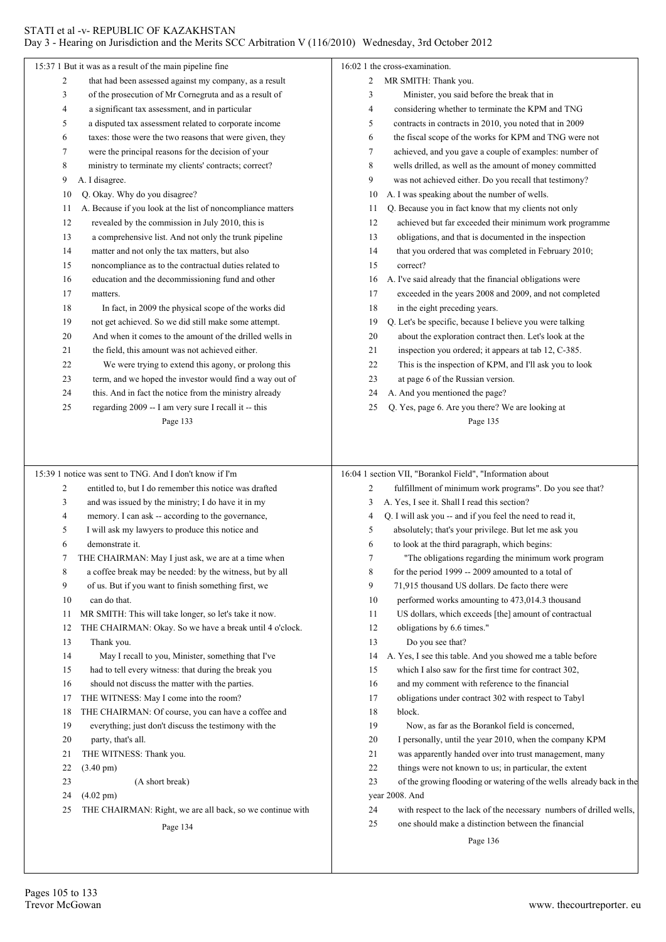|                | 15:37 1 But it was as a result of the main pipeline fine    | 16:02 1 the cross-examination.                                              |
|----------------|-------------------------------------------------------------|-----------------------------------------------------------------------------|
| 2              | that had been assessed against my company, as a result      | MR SMITH: Thank you.<br>2                                                   |
| 3              | of the prosecution of Mr Cornegruta and as a result of      | 3<br>Minister, you said before the break that in                            |
| $\overline{4}$ | a significant tax assessment, and in particular             | considering whether to terminate the KPM and TNG<br>$\overline{4}$          |
| 5              | a disputed tax assessment related to corporate income       | 5<br>contracts in contracts in 2010, you noted that in 2009                 |
| 6              | taxes: those were the two reasons that were given, they     | 6<br>the fiscal scope of the works for KPM and TNG were not                 |
| $\tau$         | were the principal reasons for the decision of your         | $\tau$<br>achieved, and you gave a couple of examples: number of            |
| 8              | ministry to terminate my clients' contracts; correct?       | $\,8\,$<br>wells drilled, as well as the amount of money committed          |
| 9              | A. I disagree.                                              | 9<br>was not achieved either. Do you recall that testimony?                 |
| 10             | Q. Okay. Why do you disagree?                               | A. I was speaking about the number of wells.<br>10                          |
| 11             | A. Because if you look at the list of noncompliance matters | Q. Because you in fact know that my clients not only<br>11                  |
| 12             | revealed by the commission in July 2010, this is            | 12<br>achieved but far exceeded their minimum work programme                |
| 13             | a comprehensive list. And not only the trunk pipeline       | 13<br>obligations, and that is documented in the inspection                 |
| 14             | matter and not only the tax matters, but also               | 14<br>that you ordered that was completed in February 2010;                 |
| 15             | noncompliance as to the contractual duties related to       | 15<br>correct?                                                              |
| 16             | education and the decommissioning fund and other            | A. I've said already that the financial obligations were<br>16              |
| 17             | matters.                                                    | exceeded in the years 2008 and 2009, and not completed<br>17                |
| 18             | In fact, in 2009 the physical scope of the works did        | 18<br>in the eight preceding years.                                         |
| 19             | not get achieved. So we did still make some attempt.        | Q. Let's be specific, because I believe you were talking<br>19              |
| 20             | And when it comes to the amount of the drilled wells in     | 20<br>about the exploration contract then. Let's look at the                |
| 21             | the field, this amount was not achieved either.             | 21<br>inspection you ordered; it appears at tab 12, C-385.                  |
| 22             | We were trying to extend this agony, or prolong this        | 22<br>This is the inspection of KPM, and I'll ask you to look               |
| 23             | term, and we hoped the investor would find a way out of     | 23<br>at page 6 of the Russian version.                                     |
| 24             | this. And in fact the notice from the ministry already      | A. And you mentioned the page?<br>24                                        |
| 25             | regarding 2009 -- I am very sure I recall it -- this        | Q. Yes, page 6. Are you there? We are looking at<br>25                      |
|                | Page 133                                                    | Page 135                                                                    |
|                | 15:39 1 notice was sent to TNG. And I don't know if I'm     | 16:04 1 section VII, "Borankol Field", "Information about                   |
| $\overline{c}$ | entitled to, but I do remember this notice was drafted      | fulfillment of minimum work programs". Do you see that?<br>2                |
| 3              | and was issued by the ministry; I do have it in my          | A. Yes, I see it. Shall I read this section?<br>3                           |
| 4              | memory. I can ask -- according to the governance,           | Q. I will ask you -- and if you feel the need to read it,<br>$\overline{4}$ |
| 5              | I will ask my lawyers to produce this notice and            | 5<br>absolutely; that's your privilege. But let me ask you                  |
| 6              | demonstrate it.                                             | 6<br>to look at the third paragraph, which begins:                          |
| 7              | THE CHAIRMAN: May I just ask, we are at a time when         | $\tau$<br>"The obligations regarding the minimum work program               |
| 8              | a coffee break may be needed: by the witness, but by all    | for the period 1999 -- 2009 amounted to a total of<br>8                     |
| 9              | of us. But if you want to finish something first, we        | 9<br>71,915 thousand US dollars. De facto there were                        |
| 10             | can do that.                                                | 10<br>performed works amounting to 473,014.3 thousand                       |
| 11             | MR SMITH: This will take longer, so let's take it now.      | 11<br>US dollars, which exceeds [the] amount of contractual                 |
| 12             | THE CHAIRMAN: Okay. So we have a break until 4 o'clock.     | 12<br>obligations by 6.6 times."                                            |
| 13             | Thank you.                                                  | 13<br>Do you see that?                                                      |
| 14             | May I recall to you, Minister, something that I've          | A. Yes, I see this table. And you showed me a table before<br>14            |
| 15             | had to tell every witness: that during the break you        | 15<br>which I also saw for the first time for contract 302,                 |
| 16             | should not discuss the matter with the parties.             | 16<br>and my comment with reference to the financial                        |
| 17             | THE WITNESS: May I come into the room?                      | 17<br>obligations under contract 302 with respect to Tabyl                  |
| 18             | THE CHAIRMAN: Of course, you can have a coffee and          | 18<br>block.                                                                |
| 19             | everything; just don't discuss the testimony with the       | 19<br>Now, as far as the Borankol field is concerned,                       |
| 20             | party, that's all.                                          | $20\,$<br>I personally, until the year 2010, when the company KPM           |
| 21             | THE WITNESS: Thank you.                                     | 21<br>was apparently handed over into trust management, many                |
| 22             | $(3.40 \text{ pm})$                                         | 22<br>things were not known to us; in particular, the extent                |
| 23             | (A short break)                                             | 23<br>of the growing flooding or watering of the wells already back in the  |
| 24             | $(4.02 \text{ pm})$                                         | year 2008. And                                                              |
| 25             | THE CHAIRMAN: Right, we are all back, so we continue with   | with respect to the lack of the necessary numbers of drilled wells,<br>24   |
|                | Page 134                                                    | 25<br>one should make a distinction between the financial                   |
|                |                                                             | Page 136                                                                    |
|                |                                                             |                                                                             |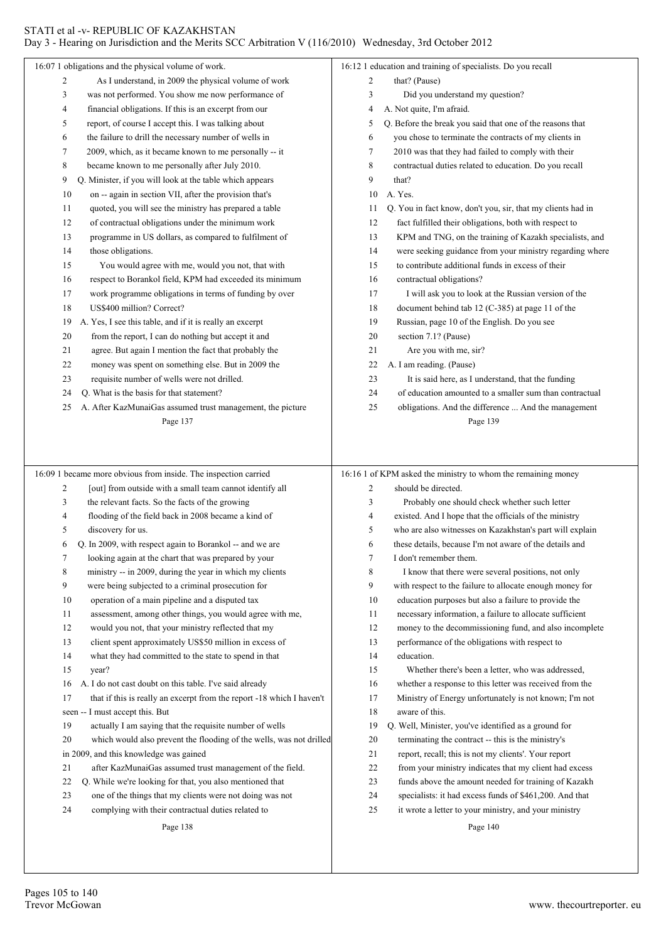| 16:07 1 obligations and the physical volume of work.                  | 16:12 1 education and training of specialists. Do you recall  |
|-----------------------------------------------------------------------|---------------------------------------------------------------|
| As I understand, in 2009 the physical volume of work                  | $\overline{c}$                                                |
| 2                                                                     | that? (Pause)                                                 |
| 3                                                                     | Did you understand my question?                               |
| was not performed. You show me now performance of                     | 3                                                             |
| 4                                                                     | A. Not quite, I'm afraid.                                     |
| financial obligations. If this is an excerpt from our                 | 4                                                             |
| 5                                                                     | Q. Before the break you said that one of the reasons that     |
| report, of course I accept this. I was talking about                  | 5                                                             |
| 6                                                                     | you chose to terminate the contracts of my clients in         |
| the failure to drill the necessary number of wells in                 | 6                                                             |
| 2009, which, as it became known to me personally -- it                | 7                                                             |
| 7                                                                     | 2010 was that they had failed to comply with their            |
| 8                                                                     | 8                                                             |
| became known to me personally after July 2010.                        | contractual duties related to education. Do you recall        |
| Q. Minister, if you will look at the table which appears              | 9                                                             |
| 9                                                                     | that?                                                         |
| 10                                                                    | A. Yes.                                                       |
| on -- again in section VII, after the provision that's                | 10                                                            |
| quoted, you will see the ministry has prepared a table                | Q. You in fact know, don't you, sir, that my clients had in   |
| 11                                                                    | 11                                                            |
| 12                                                                    | 12                                                            |
| of contractual obligations under the minimum work                     | fact fulfilled their obligations, both with respect to        |
| programme in US dollars, as compared to fulfilment of                 | KPM and TNG, on the training of Kazakh specialists, and       |
| 13                                                                    | 13                                                            |
| those obligations.                                                    | were seeking guidance from your ministry regarding where      |
| 14                                                                    | 14                                                            |
| You would agree with me, would you not, that with                     | to contribute additional funds in excess of their             |
| 15                                                                    | 15                                                            |
| respect to Borankol field, KPM had exceeded its minimum               | 16                                                            |
| 16                                                                    | contractual obligations?                                      |
| work programme obligations in terms of funding by over                | 17                                                            |
| 17                                                                    | I will ask you to look at the Russian version of the          |
| 18                                                                    | 18                                                            |
| US\$400 million? Correct?                                             | document behind tab 12 (C-385) at page 11 of the              |
| A. Yes, I see this table, and if it is really an excerpt              | 19                                                            |
| 19                                                                    | Russian, page 10 of the English. Do you see                   |
| 20                                                                    | 20                                                            |
| from the report, I can do nothing but accept it and                   | section 7.1? (Pause)                                          |
| 21                                                                    | Are you with me, sir?                                         |
| agree. But again I mention the fact that probably the                 | 21                                                            |
| 22                                                                    | A. I am reading. (Pause)                                      |
| money was spent on something else. But in 2009 the                    | 22                                                            |
| 23                                                                    | It is said here, as I understand, that the funding            |
| requisite number of wells were not drilled.                           | 23                                                            |
| Q. What is the basis for that statement?                              | 24                                                            |
| 24                                                                    | of education amounted to a smaller sum than contractual       |
| A. After KazMunaiGas assumed trust management, the picture            | 25                                                            |
| 25                                                                    | obligations. And the difference  And the management           |
| Page 137                                                              | Page 139                                                      |
|                                                                       |                                                               |
|                                                                       |                                                               |
|                                                                       |                                                               |
| 16:09 1 became more obvious from inside. The inspection carried       | 16:16 1 of KPM asked the ministry to whom the remaining money |
| 2                                                                     | $\overline{c}$                                                |
| [out] from outside with a small team cannot identify all              | should be directed.                                           |
| 3                                                                     | 3                                                             |
| the relevant facts. So the facts of the growing                       | Probably one should check whether such letter                 |
| 4                                                                     | existed. And I hope that the officials of the ministry        |
| flooding of the field back in 2008 became a kind of                   | 4                                                             |
| 5                                                                     | 5                                                             |
| discovery for us.                                                     | who are also witnesses on Kazakhstan's part will explain      |
| Q. In 2009, with respect again to Borankol -- and we are              | 6                                                             |
| 6                                                                     | these details, because I'm not aware of the details and       |
| 7                                                                     | I don't remember them.                                        |
| looking again at the chart that was prepared by your                  | 7                                                             |
| 8                                                                     | 8                                                             |
| ministry -- in 2009, during the year in which my clients              | I know that there were several positions, not only            |
| 9                                                                     | 9                                                             |
| were being subjected to a criminal prosecution for                    | with respect to the failure to allocate enough money for      |
| operation of a main pipeline and a disputed tax                       | education purposes but also a failure to provide the          |
| 10                                                                    | 10                                                            |
| 11                                                                    | 11                                                            |
| assessment, among other things, you would agree with me,              | necessary information, a failure to allocate sufficient       |
| 12                                                                    | 12                                                            |
| would you not, that your ministry reflected that my                   | money to the decommissioning fund, and also incomplete        |
| client spent approximately US\$50 million in excess of                | performance of the obligations with respect to                |
| 13                                                                    | 13                                                            |
| 14                                                                    | 14                                                            |
| what they had committed to the state to spend in that                 | education.                                                    |
| 15                                                                    | 15                                                            |
| year?                                                                 | Whether there's been a letter, who was addressed,             |
| A. I do not cast doubt on this table. I've said already               | 16                                                            |
| 16                                                                    | whether a response to this letter was received from the       |
| 17                                                                    | 17                                                            |
| that if this is really an excerpt from the report -18 which I haven't | Ministry of Energy unfortunately is not known; I'm not        |
| seen -- I must accept this. But                                       | 18<br>aware of this.                                          |
| actually I am saying that the requisite number of wells               | 19                                                            |
| 19                                                                    | Q. Well, Minister, you've identified as a ground for          |
| which would also prevent the flooding of the wells, was not drilled   | 20                                                            |
| 20                                                                    | terminating the contract -- this is the ministry's            |
| in 2009, and this knowledge was gained                                | 21<br>report, recall; this is not my clients'. Your report    |
| 21                                                                    | $22\,$                                                        |
| after KazMunaiGas assumed trust management of the field.              | from your ministry indicates that my client had excess        |
| Q. While we're looking for that, you also mentioned that              | 23                                                            |
| 22                                                                    | funds above the amount needed for training of Kazakh          |
| one of the things that my clients were not doing was not              | 24                                                            |
| 23                                                                    | specialists: it had excess funds of \$461,200. And that       |
| 24                                                                    | 25                                                            |
| complying with their contractual duties related to                    | it wrote a letter to your ministry, and your ministry         |
| Page 138                                                              | Page 140                                                      |
|                                                                       |                                                               |
|                                                                       |                                                               |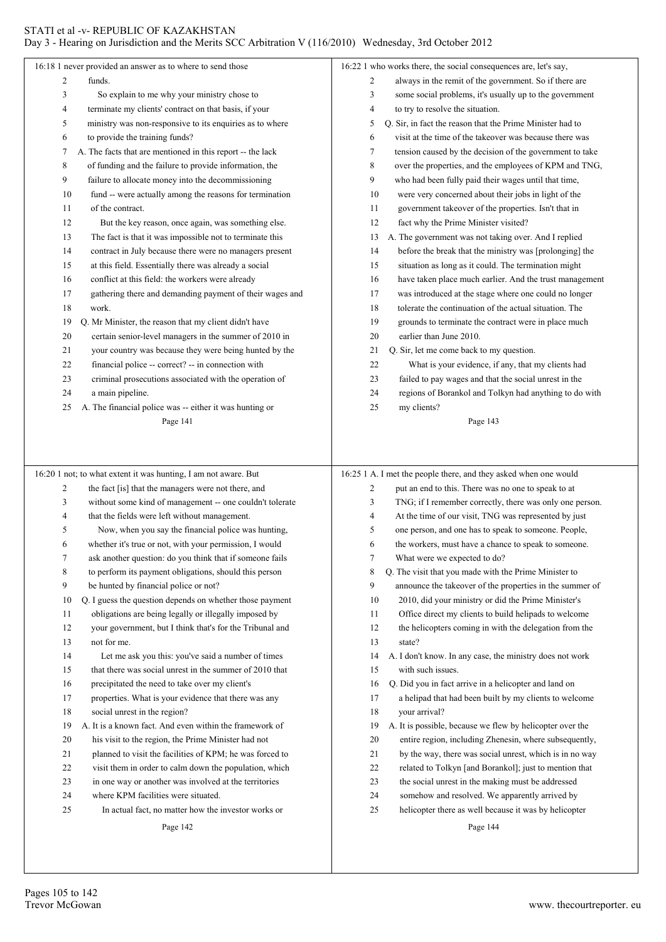|          | 16:18 1 never provided an answer as to where to send those                                                      |          | 16:22 1 who works there, the social consequences are, let's say,                                                  |
|----------|-----------------------------------------------------------------------------------------------------------------|----------|-------------------------------------------------------------------------------------------------------------------|
| 2        | funds.                                                                                                          | 2        | always in the remit of the government. So if there are                                                            |
| 3        | So explain to me why your ministry chose to                                                                     | 3        | some social problems, it's usually up to the government                                                           |
| 4        | terminate my clients' contract on that basis, if your                                                           | 4        | to try to resolve the situation.                                                                                  |
| 5        | ministry was non-responsive to its enquiries as to where                                                        | 5        | Q. Sir, in fact the reason that the Prime Minister had to                                                         |
| 6        | to provide the training funds?                                                                                  | 6        | visit at the time of the takeover was because there was                                                           |
| 7        | A. The facts that are mentioned in this report -- the lack                                                      | 7        | tension caused by the decision of the government to take                                                          |
| 8        | of funding and the failure to provide information, the                                                          | 8        | over the properties, and the employees of KPM and TNG,                                                            |
| 9        | failure to allocate money into the decommissioning                                                              | 9        | who had been fully paid their wages until that time,                                                              |
| 10       | fund -- were actually among the reasons for termination                                                         | 10       | were very concerned about their jobs in light of the                                                              |
| 11       | of the contract.                                                                                                | 11       | government takeover of the properties. Isn't that in                                                              |
| 12       | But the key reason, once again, was something else.                                                             | 12       | fact why the Prime Minister visited?                                                                              |
| 13       | The fact is that it was impossible not to terminate this                                                        | 13       | A. The government was not taking over. And I replied                                                              |
| 14       | contract in July because there were no managers present                                                         | 14       | before the break that the ministry was [prolonging] the                                                           |
| 15       | at this field. Essentially there was already a social                                                           | 15       | situation as long as it could. The termination might                                                              |
| 16       | conflict at this field: the workers were already                                                                | 16       | have taken place much earlier. And the trust management                                                           |
| 17       | gathering there and demanding payment of their wages and                                                        | 17       | was introduced at the stage where one could no longer                                                             |
| 18       | work.                                                                                                           | 18       | tolerate the continuation of the actual situation. The                                                            |
| 19       | Q. Mr Minister, the reason that my client didn't have                                                           | 19       | grounds to terminate the contract were in place much                                                              |
| 20       | certain senior-level managers in the summer of 2010 in                                                          | 20       | earlier than June 2010.                                                                                           |
| 21       | your country was because they were being hunted by the                                                          | 21       | Q. Sir, let me come back to my question.                                                                          |
| 22       | financial police -- correct? -- in connection with                                                              | 22       | What is your evidence, if any, that my clients had                                                                |
| 23       | criminal prosecutions associated with the operation of                                                          | 23       | failed to pay wages and that the social unrest in the                                                             |
| 24       | a main pipeline.                                                                                                | 24       | regions of Borankol and Tolkyn had anything to do with                                                            |
| 25       | A. The financial police was -- either it was hunting or                                                         | 25       | my clients?                                                                                                       |
|          | Page 141                                                                                                        |          | Page 143                                                                                                          |
|          |                                                                                                                 |          |                                                                                                                   |
|          | 16:20 1 not; to what extent it was hunting, I am not aware. But                                                 |          | 16:25 1 A. I met the people there, and they asked when one would                                                  |
| 2        | the fact [is] that the managers were not there, and                                                             | 2        | put an end to this. There was no one to speak to at                                                               |
| 3        | without some kind of management -- one couldn't tolerate                                                        | 3        | TNG; if I remember correctly, there was only one person.                                                          |
| 4        | that the fields were left without management.                                                                   | 4        | At the time of our visit, TNG was represented by just                                                             |
| 5        | Now, when you say the financial police was hunting,                                                             | 5        | one person, and one has to speak to someone. People,                                                              |
| 6        | whether it's true or not, with your permission, I would                                                         | 6        | the workers, must have a chance to speak to someone.                                                              |
| 7        | ask another question: do you think that if someone fails                                                        | $\tau$   | What were we expected to do?                                                                                      |
| 8        | to perform its payment obligations, should this person                                                          | 8        | Q. The visit that you made with the Prime Minister to                                                             |
| 9        | be hunted by financial police or not?                                                                           | 9        | announce the takeover of the properties in the summer of                                                          |
| 10       | Q. I guess the question depends on whether those payment                                                        | 10       | 2010, did your ministry or did the Prime Minister's                                                               |
| 11       | obligations are being legally or illegally imposed by                                                           | 11       | Office direct my clients to build helipads to welcome                                                             |
| 12       | your government, but I think that's for the Tribunal and                                                        | 12       | the helicopters coming in with the delegation from the                                                            |
| 13       | not for me.                                                                                                     | 13       | state?                                                                                                            |
| 14       | Let me ask you this: you've said a number of times                                                              | 14       | A. I don't know. In any case, the ministry does not work                                                          |
| 15       | that there was social unrest in the summer of 2010 that                                                         | 15       | with such issues.                                                                                                 |
| 16       | precipitated the need to take over my client's                                                                  | 16       | Q. Did you in fact arrive in a helicopter and land on                                                             |
| 17       | properties. What is your evidence that there was any                                                            | 17       | a helipad that had been built by my clients to welcome                                                            |
| 18       | social unrest in the region?<br>A. It is a known fact. And even within the framework of                         | 18<br>19 | your arrival?                                                                                                     |
| 19<br>20 |                                                                                                                 | 20       | A. It is possible, because we flew by helicopter over the                                                         |
| 21       | his visit to the region, the Prime Minister had not<br>planned to visit the facilities of KPM; he was forced to | 21       | entire region, including Zhenesin, where subsequently,<br>by the way, there was social unrest, which is in no way |
| 22       | visit them in order to calm down the population, which                                                          | 22       | related to Tolkyn [and Borankol]; just to mention that                                                            |
| 23       | in one way or another was involved at the territories                                                           | 23       | the social unrest in the making must be addressed                                                                 |
| 24       | where KPM facilities were situated.                                                                             | 24       | somehow and resolved. We apparently arrived by                                                                    |
| 25       | In actual fact, no matter how the investor works or                                                             | 25       | helicopter there as well because it was by helicopter                                                             |
|          | Page 142                                                                                                        |          | Page 144                                                                                                          |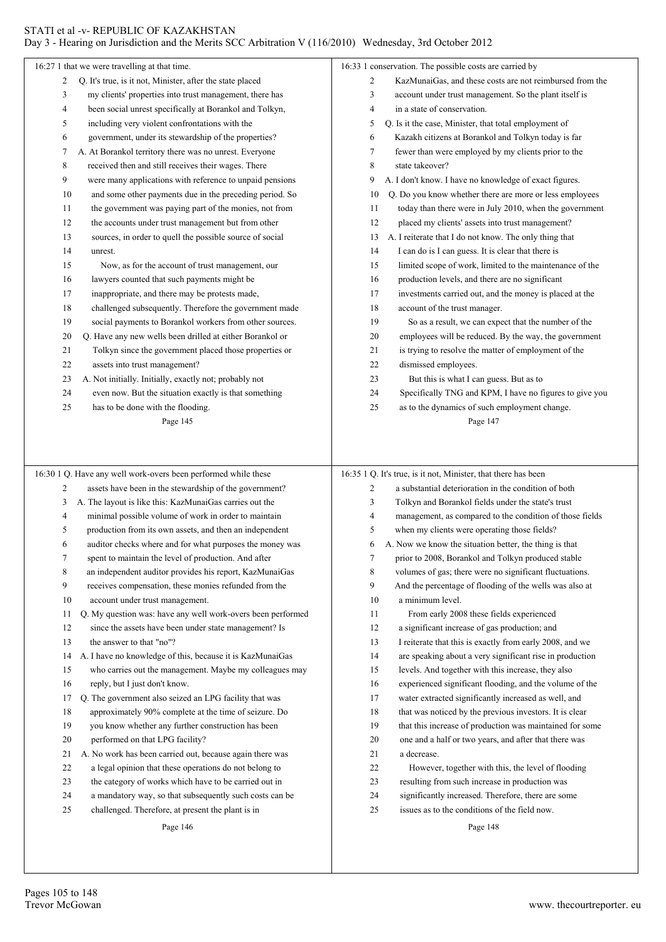|                | 16:27 1 that we were travelling at that time.                  |                | 16:33 1 conservation. The possible costs are carried by        |
|----------------|----------------------------------------------------------------|----------------|----------------------------------------------------------------|
| 2              | Q. It's true, is it not, Minister, after the state placed      | 2              | KazMunaiGas, and these costs are not reimbursed from the       |
| 3              | my clients' properties into trust management, there has        | 3              | account under trust management. So the plant itself is         |
| 4              | been social unrest specifically at Borankol and Tolkyn,        | $\overline{4}$ | in a state of conservation.                                    |
| 5              | including very violent confrontations with the                 | 5              | Q. Is it the case, Minister, that total employment of          |
| 6              | government, under its stewardship of the properties?           | 6              | Kazakh citizens at Borankol and Tolkyn today is far            |
| 7              | A. At Borankol territory there was no unrest. Everyone         | $\tau$         | fewer than were employed by my clients prior to the            |
| $\,8\,$        | received then and still receives their wages. There            | 8              | state takeover?                                                |
| 9              | were many applications with reference to unpaid pensions       | 9              | A. I don't know. I have no knowledge of exact figures.         |
| 10             | and some other payments due in the preceding period. So        | 10             | Q. Do you know whether there are more or less employees        |
| 11             | the government was paying part of the monies, not from         | 11             | today than there were in July 2010, when the government        |
| 12             | the accounts under trust management but from other             | 12             | placed my clients' assets into trust management?               |
| 13             | sources, in order to quell the possible source of social       | 13             | A. I reiterate that I do not know. The only thing that         |
| 14             | unrest.                                                        | 14             | I can do is I can guess. It is clear that there is             |
| 15             | Now, as for the account of trust management, our               | 15             | limited scope of work, limited to the maintenance of the       |
| 16             | lawyers counted that such payments might be                    | 16             | production levels, and there are no significant                |
| 17             | inappropriate, and there may be protests made,                 | 17             | investments carried out, and the money is placed at the        |
| 18             | challenged subsequently. Therefore the government made         | 18             | account of the trust manager.                                  |
| 19             | social payments to Borankol workers from other sources.        | 19             | So as a result, we can expect that the number of the           |
| 20             | Q. Have any new wells been drilled at either Borankol or       | 20             | employees will be reduced. By the way, the government          |
| 21             | Tolkyn since the government placed those properties or         | 21             | is trying to resolve the matter of employment of the           |
| 22             | assets into trust management?                                  | 22             | dismissed employees.                                           |
| 23             | A. Not initially. Initially, exactly not; probably not         | 23             | But this is what I can guess. But as to                        |
| 24             | even now. But the situation exactly is that something          | 24             | Specifically TNG and KPM, I have no figures to give you        |
| 25             | has to be done with the flooding.                              | 25             | as to the dynamics of such employment change.                  |
|                | Page 145                                                       |                | Page 147                                                       |
|                |                                                                |                |                                                                |
|                |                                                                |                |                                                                |
|                |                                                                |                |                                                                |
|                |                                                                |                |                                                                |
|                | 16:30 1 Q. Have any well work-overs been performed while these |                | 16:35 1 Q. It's true, is it not, Minister, that there has been |
| 2              | assets have been in the stewardship of the government?         | $\overline{c}$ | a substantial deterioration in the condition of both           |
| 3              | A. The layout is like this: KazMunaiGas carries out the        | 3              | Tolkyn and Borankol fields under the state's trust             |
| $\overline{4}$ | minimal possible volume of work in order to maintain           | $\overline{4}$ | management, as compared to the condition of those fields       |
| 5              | production from its own assets, and then an independent        | 5              | when my clients were operating those fields?                   |
| 6              | auditor checks where and for what purposes the money was       | 6              | A. Now we know the situation better, the thing is that         |
| 7              | spent to maintain the level of production. And after           | 7              | prior to 2008, Borankol and Tolkyn produced stable             |
| 8              | an independent auditor provides his report, KazMunaiGas        | 8              | volumes of gas; there were no significant fluctuations.        |
| 9              | receives compensation, these monies refunded from the          | 9              | And the percentage of flooding of the wells was also at        |
| 10             | account under trust management.                                | 10             | a minimum level.                                               |
| 11             | Q. My question was: have any well work-overs been performed    | 11             | From early 2008 these fields experienced                       |
| 12             | since the assets have been under state management? Is          | 12             | a significant increase of gas production; and                  |
| 13             | the answer to that "no"?                                       | 13             | I reiterate that this is exactly from early 2008, and we       |
| 14             | A. I have no knowledge of this, because it is KazMunaiGas      | 14             | are speaking about a very significant rise in production       |
| 15             | who carries out the management. Maybe my colleagues may        | 15             | levels. And together with this increase, they also             |
| 16             | reply, but I just don't know.                                  | 16             | experienced significant flooding, and the volume of the        |
| 17             | Q. The government also seized an LPG facility that was         | 17             | water extracted significantly increased as well, and           |
| 18             | approximately 90% complete at the time of seizure. Do          | 18             | that was noticed by the previous investors. It is clear        |
| 19             | you know whether any further construction has been             | 19             | that this increase of production was maintained for some       |
| 20             | performed on that LPG facility?                                | $20\,$         | one and a half or two years, and after that there was          |
| 21             | A. No work has been carried out, because again there was       | 21             | a decrease.                                                    |
| 22             | a legal opinion that these operations do not belong to         | $22\,$         | However, together with this, the level of flooding             |
| 23             | the category of works which have to be carried out in          | 23             | resulting from such increase in production was                 |
| 24             | a mandatory way, so that subsequently such costs can be        | 24             | significantly increased. Therefore, there are some             |
| 25             | challenged. Therefore, at present the plant is in              | 25             | issues as to the conditions of the field now.                  |
|                | Page 146                                                       |                | Page 148                                                       |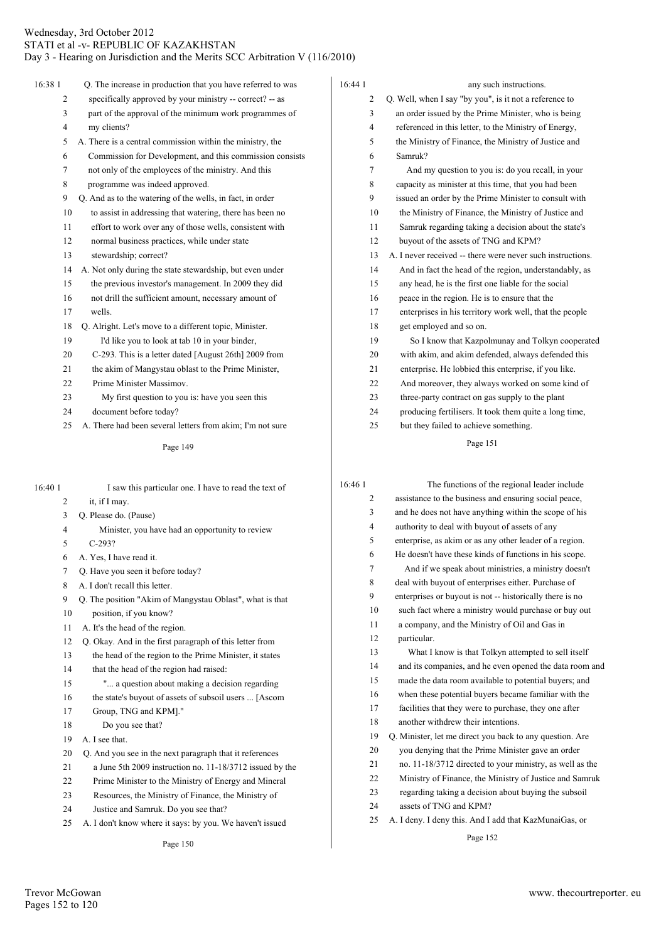### Wednesday, 3rd October 2012 STATI et al -v- REPUBLIC OF KAZAKHSTAN Day 3 - Hearing on Jurisdiction and the Merits SCC Arbitration V (116/2010)

| 16:38 1        | Q. The increase in production that you have referred to was | 16:44 1 | any such instructions.                                     |
|----------------|-------------------------------------------------------------|---------|------------------------------------------------------------|
| 2              | specifically approved by your ministry -- correct? -- as    | 2       | Q. Well, when I say "by you", is it not a reference to     |
| 3              | part of the approval of the minimum work programmes of      | 3       | an order issued by the Prime Minister, who is being        |
| 4              | my clients?                                                 | 4       | referenced in this letter, to the Ministry of Energy,      |
| 5              | A. There is a central commission within the ministry, the   | 5       | the Ministry of Finance, the Ministry of Justice and       |
| 6              | Commission for Development, and this commission consists    | 6       | Samruk?                                                    |
| $\overline{7}$ | not only of the employees of the ministry. And this         | 7       | And my question to you is: do you recall, in your          |
| 8              | programme was indeed approved.                              | 8       | capacity as minister at this time, that you had been       |
| 9              | Q. And as to the watering of the wells, in fact, in order   | 9       | issued an order by the Prime Minister to consult with      |
| 10             | to assist in addressing that watering, there has been no    | 10      | the Ministry of Finance, the Ministry of Justice and       |
| 11             | effort to work over any of those wells, consistent with     | 11      | Samruk regarding taking a decision about the state's       |
| 12             | normal business practices, while under state                | 12      | buyout of the assets of TNG and KPM?                       |
| 13             | stewardship; correct?                                       | 13      | A. I never received -- there were never such instructions. |
| 14             | A. Not only during the state stewardship, but even under    | 14      | And in fact the head of the region, understandably, as     |
| 15             | the previous investor's management. In 2009 they did        | 15      | any head, he is the first one liable for the social        |
| 16             | not drill the sufficient amount, necessary amount of        | 16      | peace in the region. He is to ensure that the              |
| 17             | wells.                                                      | 17      | enterprises in his territory work well, that the people    |
| 18             | Q. Alright. Let's move to a different topic, Minister.      | 18      | get employed and so on.                                    |
| 19             | I'd like you to look at tab 10 in your binder,              | 19      | So I know that Kazpolmunay and Tolkyn cooperated           |
| 20             | C-293. This is a letter dated [August 26th] 2009 from       | 20      | with akim, and akim defended, always defended this         |
| 21             | the akim of Mangystau oblast to the Prime Minister,         | 21      | enterprise. He lobbied this enterprise, if you like.       |
| 22             | Prime Minister Massimov.                                    | 22      | And moreover, they always worked on some kind of           |
| 23             | My first question to you is: have you seen this             | 23      | three-party contract on gas supply to the plant            |
| 24             | document before today?                                      | 24      | producing fertilisers. It took them quite a long time,     |
| 25             | A. There had been several letters from akim; I'm not sure   | 25      | but they failed to achieve something.                      |
|                |                                                             |         |                                                            |

#### Page 149

| 16:40 1        | I saw this particular one. I have to read the text of    | 16 |
|----------------|----------------------------------------------------------|----|
| 2              | it, if I may.                                            |    |
| 3              | Q. Please do. (Pause)                                    |    |
| $\overline{4}$ | Minister, you have had an opportunity to review          |    |
| 5              | $C-293?$                                                 |    |
| 6              | A. Yes, I have read it.                                  |    |
| 7              | Q. Have you seen it before today?                        |    |
| 8              | A. I don't recall this letter.                           |    |
| 9              | Q. The position "Akim of Mangystau Oblast", what is that |    |
| 10             | position, if you know?                                   |    |
| 11             | A. It's the head of the region.                          |    |
| 12             | Q. Okay. And in the first paragraph of this letter from  |    |
| 13             | the head of the region to the Prime Minister, it states  |    |
| 14             | that the head of the region had raised:                  |    |
| 15             | " a question about making a decision regarding           |    |
| 16             | the state's buyout of assets of subsoil users  [Ascom    |    |
| 17             | Group, TNG and KPM]."                                    |    |
| 18             | Do you see that?                                         |    |
| 19             | A. I see that.                                           |    |
| 20             | Q. And you see in the next paragraph that it references  |    |
| 21             | a June 5th 2009 instruction no. 11-18/3712 issued by the |    |
| 22             | Prime Minister to the Ministry of Energy and Mineral     |    |
| 23             | Resources, the Ministry of Finance, the Ministry of      |    |
| 24             | Justice and Samruk. Do you see that?                     |    |
| 25             | A. I don't know where it says: by you. We haven't issued |    |
|                | Page 150                                                 |    |
|                |                                                          |    |
|                |                                                          |    |

16:46 1 The functions of the regional leader include assistance to the business and ensuring social peace, and he does not have anything within the scope of his authority to deal with buyout of assets of any enterprise, as akim or as any other leader of a region. He doesn't have these kinds of functions in his scope. And if we speak about ministries, a ministry doesn't deal with buyout of enterprises either. Purchase of enterprises or buyout is not -- historically there is no such fact where a ministry would purchase or buy out a company, and the Ministry of Oil and Gas in particular. What I know is that Tolkyn attempted to sell itself and its companies, and he even opened the data room and made the data room available to potential buyers; and when these potential buyers became familiar with the facilities that they were to purchase, they one after another withdrew their intentions. Q. Minister, let me direct you back to any question. Are you denying that the Prime Minister gave an order no. 11-18/3712 directed to your ministry, as well as the Ministry of Finance, the Ministry of Justice and Samruk regarding taking a decision about buying the subsoil assets of TNG and KPM? A. I deny. I deny this. And I add that KazMunaiGas, or Page 152

Page 151

#### Trevor McGowan www. thecourtreporter. eu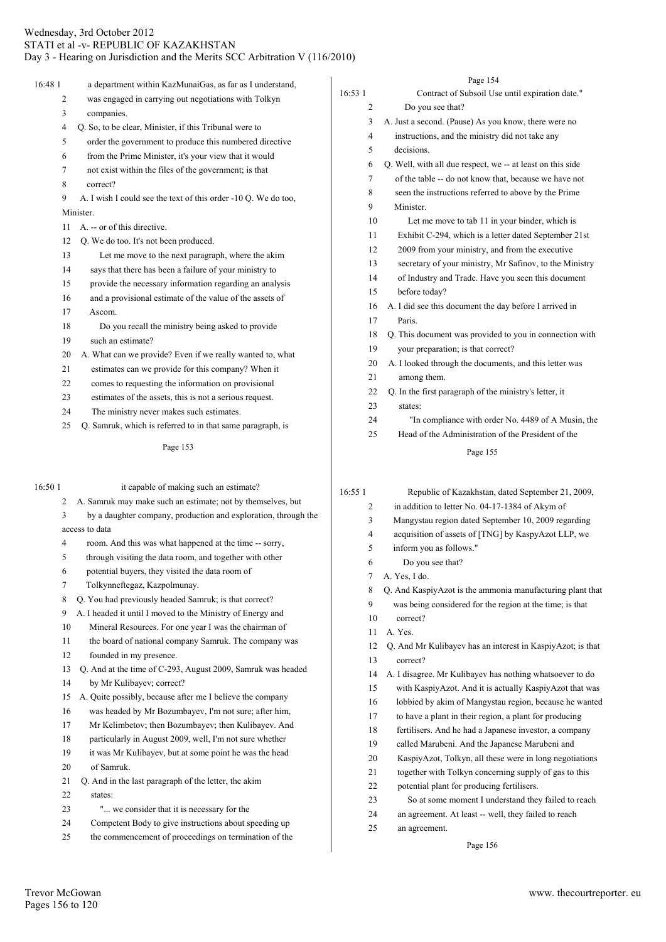## Wednesday, 3rd October 2012 STATI et al -v- REPUBLIC OF KAZAKHSTAN Day 3 - Hearing on Jurisdiction and the Merits SCC Arbitration V (116/2010)

- 16:48 1 a department within KazMunaiGas, as far as I understand,
	- was engaged in carrying out negotiations with Tolkyn
	- companies.
	- Q. So, to be clear, Minister, if this Tribunal were to
	- order the government to produce this numbered directive
	- from the Prime Minister, it's your view that it would
	- not exist within the files of the government; is that
	- correct?

A. I wish I could see the text of this order -10 Q. We do too,

#### Minister.

- A. -- or of this directive.
- 12 Q. We do too. It's not been produced.
- Let me move to the next paragraph, where the akim
- says that there has been a failure of your ministry to
- provide the necessary information regarding an analysis
- and a provisional estimate of the value of the assets of
- Ascom.
- Do you recall the ministry being asked to provide
- such an estimate?
- A. What can we provide? Even if we really wanted to, what
- estimates can we provide for this company? When it
- comes to requesting the information on provisional
- estimates of the assets, this is not a serious request.
- 24 The ministry never makes such estimates.
- Q. Samruk, which is referred to in that same paragraph, is

#### Page 153

- 16:50 1 it capable of making such an estimate?
	- A. Samruk may make such an estimate; not by themselves, but
	- by a daughter company, production and exploration, through the access to data
	- room. And this was what happened at the time -- sorry,
	- through visiting the data room, and together with other
	- potential buyers, they visited the data room of
	- Tolkynneftegaz, Kazpolmunay.
	- Q. You had previously headed Samruk; is that correct?
	- A. I headed it until I moved to the Ministry of Energy and
	- Mineral Resources. For one year I was the chairman of
	- the board of national company Samruk. The company was
	- founded in my presence.
	- Q. And at the time of C-293, August 2009, Samruk was headed
	- by Mr Kulibayev; correct?
	- A. Quite possibly, because after me I believe the company
	- was headed by Mr Bozumbayev, I'm not sure; after him,
	- Mr Kelimbetov; then Bozumbayev; then Kulibayev. And
	- particularly in August 2009, well, I'm not sure whether
	- it was Mr Kulibayev, but at some point he was the head of Samruk.
	- Q. And in the last paragraph of the letter, the akim
	- 22 states:
	- "... we consider that it is necessary for the
	- Competent Body to give instructions about speeding up
	- the commencement of proceedings on termination of the

| 16:53 1        | Contract of Subsoil Use until expiration date."            |
|----------------|------------------------------------------------------------|
| $\overline{2}$ | Do you see that?                                           |
| 3              | A. Just a second. (Pause) As you know, there were no       |
| 4              | instructions, and the ministry did not take any            |
| 5              | decisions.                                                 |
| 6              | Q. Well, with all due respect, we -- at least on this side |
| 7              | of the table -- do not know that, because we have not      |
| 8              | seen the instructions referred to above by the Prime       |
| 9              | Minister.                                                  |
| 10             | Let me move to tab 11 in your binder, which is             |
| 11             | Exhibit C-294, which is a letter dated September 21st      |
| 12             | 2009 from your ministry, and from the executive            |
| 13             | secretary of your ministry, Mr Safinov, to the Ministry    |
| 14             | of Industry and Trade. Have you seen this document         |
| 15             | before today?                                              |
| 16             | A. I did see this document the day before I arrived in     |
| 17             | Paris.                                                     |
| 18             | Q. This document was provided to you in connection with    |
| 19             | your preparation; is that correct?                         |
| 20             | A. I looked through the documents, and this letter was     |
| 21             | among them.                                                |
| 22             | Q. In the first paragraph of the ministry's letter, it     |
| 23             | states:                                                    |
| 24             | "In compliance with order No. 4489 of A Musin, the         |
| 25             | Head of the Administration of the President of the         |
|                | Page 155                                                   |
| 16:55 1        | Republic of Kazakhstan, dated September 21, 2009,          |
| $\overline{2}$ | in addition to letter No. 04-17-1384 of Akym of            |

Page 154

- Mangystau region dated September 10, 2009 regarding
- acquisition of assets of [TNG] by KaspyAzot LLP, we
- inform you as follows."
- Do you see that?
- A. Yes, I do.
- Q. And KaspiyAzot is the ammonia manufacturing plant that
- was being considered for the region at the time; is that
- correct?
- A. Yes.
- Q. And Mr Kulibayev has an interest in KaspiyAzot; is that correct?
- A. I disagree. Mr Kulibayev has nothing whatsoever to do
- with KaspiyAzot. And it is actually KaspiyAzot that was
- lobbied by akim of Mangystau region, because he wanted
- to have a plant in their region, a plant for producing
- fertilisers. And he had a Japanese investor, a company
- called Marubeni. And the Japanese Marubeni and
- KaspiyAzot, Tolkyn, all these were in long negotiations
- together with Tolkyn concerning supply of gas to this
- potential plant for producing fertilisers.
- So at some moment I understand they failed to reach
- an agreement. At least -- well, they failed to reach
- an agreement.

Page 156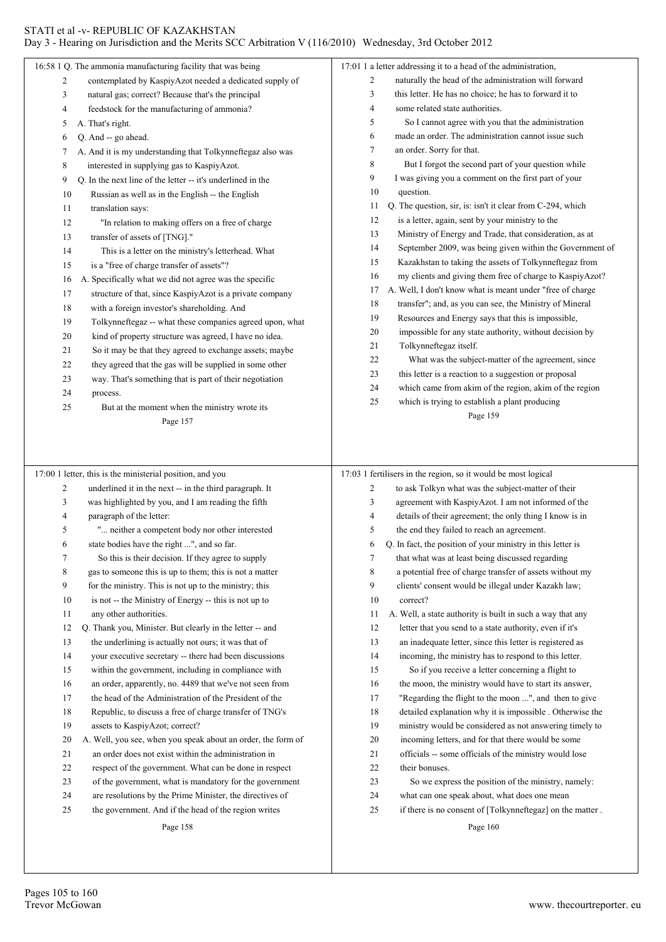|        | 16:58 1 Q. The ammonia manufacturing facility that was being |                | 17:01 1 a letter addressing it to a head of the administration, |
|--------|--------------------------------------------------------------|----------------|-----------------------------------------------------------------|
| 2      | contemplated by KaspiyAzot needed a dedicated supply of      | $\overline{c}$ | naturally the head of the administration will forward           |
| 3      | natural gas; correct? Because that's the principal           | 3              | this letter. He has no choice; he has to forward it to          |
| 4      | feedstock for the manufacturing of ammonia?                  | 4              | some related state authorities.                                 |
| 5      | A. That's right.                                             | 5              | So I cannot agree with you that the administration              |
| 6      | Q. And -- go ahead.                                          | 6              | made an order. The administration cannot issue such             |
| 7      | A. And it is my understanding that Tolkynneftegaz also was   | 7              | an order. Sorry for that.                                       |
| 8      | interested in supplying gas to KaspiyAzot.                   | 8              | But I forgot the second part of your question while             |
| 9      | Q. In the next line of the letter -- it's underlined in the  | 9              | I was giving you a comment on the first part of your            |
| 10     | Russian as well as in the English -- the English             | 10             | question.                                                       |
| 11     | translation says:                                            | 11             | Q. The question, sir, is: isn't it clear from C-294, which      |
| 12     | "In relation to making offers on a free of charge            | 12             | is a letter, again, sent by your ministry to the                |
| 13     | transfer of assets of [TNG]."                                | 13             | Ministry of Energy and Trade, that consideration, as at         |
| 14     | This is a letter on the ministry's letterhead. What          | 14             | September 2009, was being given within the Government of        |
| 15     | is a "free of charge transfer of assets"?                    | 15             | Kazakhstan to taking the assets of Tolkynneftegaz from          |
| 16     | A. Specifically what we did not agree was the specific       | 16             | my clients and giving them free of charge to KaspiyAzot?        |
| 17     | structure of that, since KaspiyAzot is a private company     | 17             | A. Well, I don't know what is meant under "free of charge       |
| 18     | with a foreign investor's shareholding. And                  | 18             | transfer"; and, as you can see, the Ministry of Mineral         |
| 19     | Tolkynneftegaz -- what these companies agreed upon, what     | 19             | Resources and Energy says that this is impossible,              |
| $20\,$ | kind of property structure was agreed, I have no idea.       | 20             | impossible for any state authority, without decision by         |
| 21     | So it may be that they agreed to exchange assets; maybe      | 21             | Tolkynneftegaz itself.                                          |
| 22     | they agreed that the gas will be supplied in some other      | 22             | What was the subject-matter of the agreement, since             |
| 23     | way. That's something that is part of their negotiation      | 23             | this letter is a reaction to a suggestion or proposal           |
| 24     |                                                              | 24             | which came from akim of the region, akim of the region          |
|        | process.                                                     | 25             | which is trying to establish a plant producing                  |
| 25     | But at the moment when the ministry wrote its<br>Page 157    |                | Page 159                                                        |
|        |                                                              |                |                                                                 |
|        |                                                              |                |                                                                 |
|        |                                                              |                |                                                                 |
|        |                                                              |                |                                                                 |
|        | 17:00 1 letter, this is the ministerial position, and you    |                | 17:03 1 fertilisers in the region, so it would be most logical  |
| 2      | underlined it in the next -- in the third paragraph. It      | $\overline{c}$ | to ask Tolkyn what was the subject-matter of their              |
| 3      | was highlighted by you, and I am reading the fifth           | 3              | agreement with KaspiyAzot. I am not informed of the             |
| 4      | paragraph of the letter:                                     | 4              | details of their agreement; the only thing I know is in         |
| 5      | " neither a competent body nor other interested              | 5              | the end they failed to reach an agreement.                      |
| 6      | state bodies have the right ", and so far.                   | 6              | Q. In fact, the position of your ministry in this letter is     |
| $\tau$ | So this is their decision. If they agree to supply           | $\tau$         | that what was at least being discussed regarding                |
| 8      | gas to someone this is up to them; this is not a matter      | 8              | a potential free of charge transfer of assets without my        |
| 9      | for the ministry. This is not up to the ministry; this       | 9              | clients' consent would be illegal under Kazakh law;             |
| 10     | is not -- the Ministry of Energy -- this is not up to        | 10             | correct?                                                        |
| 11     | any other authorities.                                       | 11             | A. Well, a state authority is built in such a way that any      |
| 12     | Q. Thank you, Minister. But clearly in the letter -- and     | 12             | letter that you send to a state authority, even if it's         |
| 13     | the underlining is actually not ours; it was that of         | 13             | an inadequate letter, since this letter is registered as        |
| 14     | your executive secretary -- there had been discussions       | 14             | incoming, the ministry has to respond to this letter.           |
| 15     | within the government, including in compliance with          | 15             | So if you receive a letter concerning a flight to               |
| 16     | an order, apparently, no. 4489 that we've not seen from      | 16             | the moon, the ministry would have to start its answer,          |
| 17     | the head of the Administration of the President of the       | 17             | "Regarding the flight to the moon ", and then to give           |
| 18     | Republic, to discuss a free of charge transfer of TNG's      | 18             | detailed explanation why it is impossible . Otherwise the       |
| 19     | assets to KaspiyAzot; correct?                               | 19             | ministry would be considered as not answering timely to         |
| 20     | A. Well, you see, when you speak about an order, the form of | 20             | incoming letters, and for that there would be some              |
| 21     | an order does not exist within the administration in         | 21             | officials -- some officials of the ministry would lose          |
| $22\,$ | respect of the government. What can be done in respect       | 22             | their bonuses.                                                  |
| 23     | of the government, what is mandatory for the government      | 23             | So we express the position of the ministry, namely:             |
| 24     | are resolutions by the Prime Minister, the directives of     | 24             | what can one speak about, what does one mean                    |
| 25     | the government. And if the head of the region writes         | 25             | if there is no consent of [Tolkynneftegaz] on the matter.       |
|        | Page 158                                                     |                | Page 160                                                        |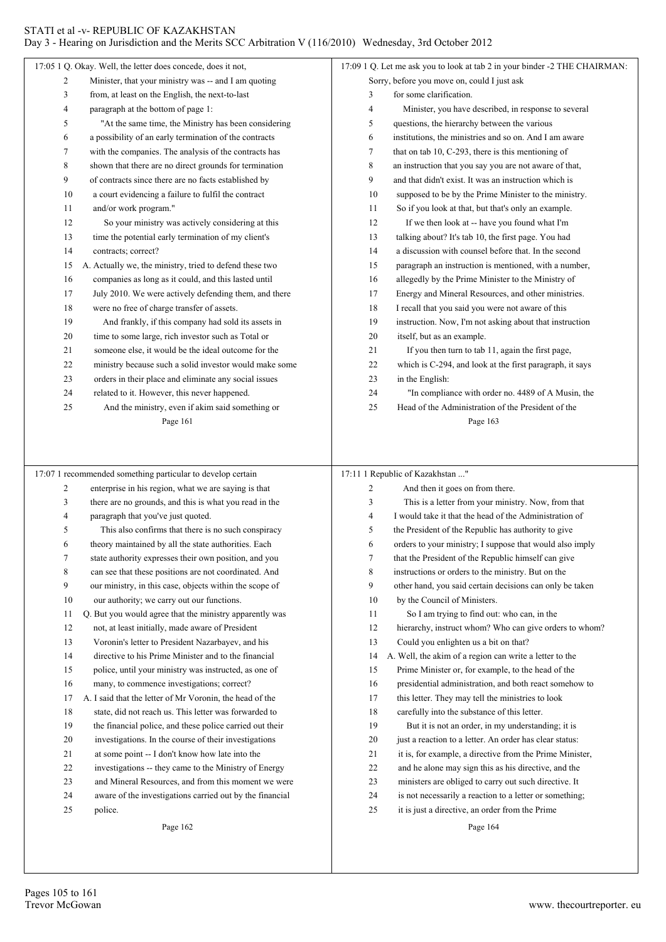|        | 17:05 1 Q. Okay. Well, the letter does concede, does it not,                                 |                     | 17:09 1 Q. Let me ask you to look at tab 2 in your binder -2 THE CHAIRMAN:                                    |
|--------|----------------------------------------------------------------------------------------------|---------------------|---------------------------------------------------------------------------------------------------------------|
| 2      | Minister, that your ministry was -- and I am quoting                                         |                     | Sorry, before you move on, could I just ask                                                                   |
| 3      | from, at least on the English, the next-to-last                                              | 3                   | for some clarification.                                                                                       |
| 4      | paragraph at the bottom of page 1:                                                           | 4                   | Minister, you have described, in response to several                                                          |
| 5      | "At the same time, the Ministry has been considering                                         | 5                   | questions, the hierarchy between the various                                                                  |
| 6      | a possibility of an early termination of the contracts                                       | 6                   | institutions, the ministries and so on. And I am aware                                                        |
| 7      | with the companies. The analysis of the contracts has                                        | 7                   | that on tab 10, C-293, there is this mentioning of                                                            |
| 8      | shown that there are no direct grounds for termination                                       | 8                   | an instruction that you say you are not aware of that,                                                        |
| 9      | of contracts since there are no facts established by                                         | 9                   | and that didn't exist. It was an instruction which is                                                         |
| 10     | a court evidencing a failure to fulfil the contract                                          | 10                  | supposed to be by the Prime Minister to the ministry.                                                         |
| 11     | and/or work program."                                                                        | 11                  | So if you look at that, but that's only an example.                                                           |
| 12     | So your ministry was actively considering at this                                            | 12                  | If we then look at -- have you found what I'm                                                                 |
| 13     | time the potential early termination of my client's                                          | 13                  | talking about? It's tab 10, the first page. You had                                                           |
| 14     | contracts; correct?                                                                          | 14                  | a discussion with counsel before that. In the second                                                          |
| 15     | A. Actually we, the ministry, tried to defend these two                                      | 15                  | paragraph an instruction is mentioned, with a number,                                                         |
| 16     | companies as long as it could, and this lasted until                                         | 16                  | allegedly by the Prime Minister to the Ministry of                                                            |
| 17     | July 2010. We were actively defending them, and there                                        | 17                  | Energy and Mineral Resources, and other ministries.                                                           |
| 18     | were no free of charge transfer of assets.                                                   | 18                  | I recall that you said you were not aware of this                                                             |
| 19     | And frankly, if this company had sold its assets in                                          | 19                  | instruction. Now, I'm not asking about that instruction                                                       |
| 20     | time to some large, rich investor such as Total or                                           | 20                  | itself, but as an example.                                                                                    |
| 21     | someone else, it would be the ideal outcome for the                                          | 21                  | If you then turn to tab 11, again the first page,                                                             |
| 22     | ministry because such a solid investor would make some                                       | 22                  | which is C-294, and look at the first paragraph, it says                                                      |
| 23     | orders in their place and eliminate any social issues                                        | 23                  | in the English:                                                                                               |
| 24     | related to it. However, this never happened.                                                 | 24                  | "In compliance with order no. 4489 of A Musin, the                                                            |
| 25     | And the ministry, even if akim said something or                                             | 25                  | Head of the Administration of the President of the                                                            |
|        | Page 161                                                                                     |                     | Page 163                                                                                                      |
|        |                                                                                              |                     |                                                                                                               |
|        |                                                                                              |                     |                                                                                                               |
|        |                                                                                              |                     |                                                                                                               |
|        | 17:07 1 recommended something particular to develop certain                                  |                     | 17:11 1 Republic of Kazakhstan "                                                                              |
| 2<br>3 | enterprise in his region, what we are saying is that                                         | $\overline{c}$<br>3 | And then it goes on from there.                                                                               |
| 4      | there are no grounds, and this is what you read in the<br>paragraph that you've just quoted. | 4                   | This is a letter from your ministry. Now, from that<br>I would take it that the head of the Administration of |
| 5      | This also confirms that there is no such conspiracy                                          | 5                   | the President of the Republic has authority to give                                                           |
| 6      | theory maintained by all the state authorities. Each                                         | 6                   | orders to your ministry; I suppose that would also imply                                                      |
| $\tau$ | state authority expresses their own position, and you                                        | $\tau$              | that the President of the Republic himself can give                                                           |
| 8      | can see that these positions are not coordinated. And                                        | 8                   | instructions or orders to the ministry. But on the                                                            |
| 9      | our ministry, in this case, objects within the scope of                                      | 9                   | other hand, you said certain decisions can only be taken                                                      |
| 10     | our authority; we carry out our functions.                                                   | 10                  | by the Council of Ministers.                                                                                  |
| 11     | Q. But you would agree that the ministry apparently was                                      | 11                  | So I am trying to find out: who can, in the                                                                   |
| 12     | not, at least initially, made aware of President                                             | 12                  | hierarchy, instruct whom? Who can give orders to whom?                                                        |
| 13     | Voronin's letter to President Nazarbayev, and his                                            | 13                  | Could you enlighten us a bit on that?                                                                         |
| 14     | directive to his Prime Minister and to the financial                                         | 14                  | A. Well, the akim of a region can write a letter to the                                                       |
| 15     | police, until your ministry was instructed, as one of                                        | 15                  | Prime Minister or, for example, to the head of the                                                            |
| 16     | many, to commence investigations; correct?                                                   | 16                  | presidential administration, and both react somehow to                                                        |
| 17     | A. I said that the letter of Mr Voronin, the head of the                                     | 17                  | this letter. They may tell the ministries to look                                                             |
| 18     | state, did not reach us. This letter was forwarded to                                        | 18                  | carefully into the substance of this letter.                                                                  |
| 19     | the financial police, and these police carried out their                                     | 19                  | But it is not an order, in my understanding; it is                                                            |
| 20     | investigations. In the course of their investigations                                        | 20                  | just a reaction to a letter. An order has clear status:                                                       |
| 21     | at some point -- I don't know how late into the                                              | 21                  | it is, for example, a directive from the Prime Minister,                                                      |
| 22     | investigations -- they came to the Ministry of Energy                                        | 22                  | and he alone may sign this as his directive, and the                                                          |
| 23     | and Mineral Resources, and from this moment we were                                          | 23                  | ministers are obliged to carry out such directive. It                                                         |
| 24     | aware of the investigations carried out by the financial                                     | 24                  | is not necessarily a reaction to a letter or something;                                                       |
| 25     | police.                                                                                      | 25                  | it is just a directive, an order from the Prime                                                               |
|        | Page 162                                                                                     |                     | Page 164                                                                                                      |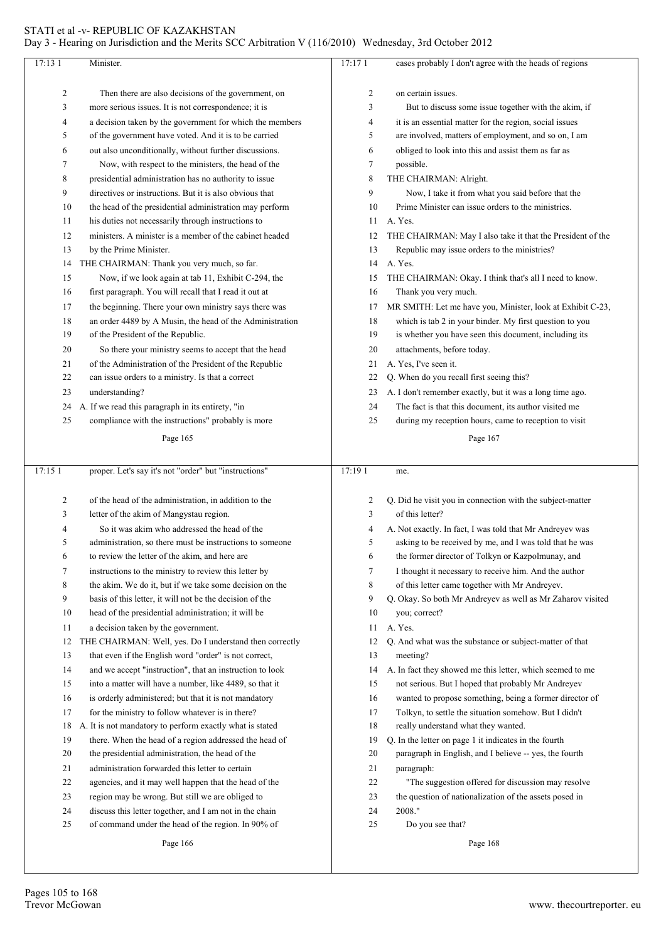| 17:13 1        | Minister.                                                                                                      | 17:171  | cases probably I don't agree with the heads of regions     |
|----------------|----------------------------------------------------------------------------------------------------------------|---------|------------------------------------------------------------|
| $\overline{c}$ | Then there are also decisions of the government, on                                                            | 2       | on certain issues.                                         |
| 3              | more serious issues. It is not correspondence; it is                                                           | 3       | But to discuss some issue together with the akim, if       |
|                | a decision taken by the government for which the members                                                       |         | it is an essential matter for the region, social issues    |
| 4              |                                                                                                                | 4       |                                                            |
| 5              | of the government have voted. And it is to be carried                                                          | 5       | are involved, matters of employment, and so on, I am       |
| 6              | out also unconditionally, without further discussions.                                                         | 6       | obliged to look into this and assist them as far as        |
| 7              | Now, with respect to the ministers, the head of the                                                            | 7       | possible.                                                  |
| 8              | presidential administration has no authority to issue                                                          | 8       | THE CHAIRMAN: Alright.                                     |
| 9              | directives or instructions. But it is also obvious that                                                        | 9       | Now, I take it from what you said before that the          |
| 10             | the head of the presidential administration may perform                                                        | 10      | Prime Minister can issue orders to the ministries.         |
| 11             | his duties not necessarily through instructions to                                                             | 11      | A. Yes.                                                    |
| 12             | ministers. A minister is a member of the cabinet headed                                                        | 12      | THE CHAIRMAN: May I also take it that the President of the |
| 13             | by the Prime Minister.                                                                                         | 13      | Republic may issue orders to the ministries?               |
| 14             | THE CHAIRMAN: Thank you very much, so far.                                                                     | 14      | A. Yes.                                                    |
| 15             | Now, if we look again at tab 11, Exhibit C-294, the                                                            | 15      | THE CHAIRMAN: Okay. I think that's all I need to know.     |
| 16             | first paragraph. You will recall that I read it out at                                                         | 16      | Thank you very much.                                       |
| 17             | the beginning. There your own ministry says there was                                                          | 17      | MR SMITH: Let me have you, Minister, look at Exhibit C-23, |
| 18             | an order 4489 by A Musin, the head of the Administration                                                       | 18      | which is tab 2 in your binder. My first question to you    |
| 19             | of the President of the Republic.                                                                              | 19      | is whether you have seen this document, including its      |
|                |                                                                                                                | 20      | attachments, before today.                                 |
| 20             | So there your ministry seems to accept that the head<br>of the Administration of the President of the Republic |         | A. Yes, I've seen it.                                      |
| 21             |                                                                                                                | 21      |                                                            |
| 22             | can issue orders to a ministry. Is that a correct                                                              | 22      | Q. When do you recall first seeing this?                   |
| 23             | understanding?                                                                                                 | 23      | A. I don't remember exactly, but it was a long time ago.   |
| 24             | A. If we read this paragraph in its entirety, "in                                                              | 24      | The fact is that this document, its author visited me      |
| 25             | compliance with the instructions" probably is more                                                             | 25      | during my reception hours, came to reception to visit      |
|                | Page 165                                                                                                       |         | Page 167                                                   |
|                |                                                                                                                |         |                                                            |
| 17:151         | proper. Let's say it's not "order" but "instructions"                                                          | 17:19 1 | me.                                                        |
|                |                                                                                                                |         |                                                            |
| $\overline{c}$ | of the head of the administration, in addition to the                                                          | 2       | Q. Did he visit you in connection with the subject-matter  |
| 3              | letter of the akim of Mangystau region.                                                                        | 3       | of this letter?                                            |
| 4              | So it was akim who addressed the head of the                                                                   | 4       | A. Not exactly. In fact, I was told that Mr Andreyev was   |
| 5              | administration, so there must be instructions to someone                                                       | 5       | asking to be received by me, and I was told that he was    |
| 6              | to review the letter of the akim, and here are                                                                 | 6       | the former director of Tolkyn or Kazpolmunay, and          |
| 7              | instructions to the ministry to review this letter by                                                          | 7       | I thought it necessary to receive him. And the author      |
| 8              | the akim. We do it, but if we take some decision on the                                                        | 8       | of this letter came together with Mr Andreyev.             |
| 9              | basis of this letter, it will not be the decision of the                                                       | 9       | Q. Okay. So both Mr Andreyev as well as Mr Zaharov visited |
| 10             | head of the presidential administration; it will be                                                            | 10      | you; correct?                                              |
| 11             | a decision taken by the government.                                                                            | 11      | A. Yes.                                                    |
| 12             | THE CHAIRMAN: Well, yes. Do I understand then correctly                                                        | 12      | Q. And what was the substance or subject-matter of that    |
| 13             | that even if the English word "order" is not correct,                                                          | 13      | meeting?                                                   |
| 14             | and we accept "instruction", that an instruction to look                                                       | 14      | A. In fact they showed me this letter, which seemed to me  |
| 15             | into a matter will have a number, like 4489, so that it                                                        | 15      | not serious. But I hoped that probably Mr Andreyev         |
| 16             | is orderly administered; but that it is not mandatory                                                          | 16      | wanted to propose something, being a former director of    |
| 17             | for the ministry to follow whatever is in there?                                                               | 17      | Tolkyn, to settle the situation somehow. But I didn't      |
| 18             | A. It is not mandatory to perform exactly what is stated                                                       | 18      | really understand what they wanted.                        |
| 19             | there. When the head of a region addressed the head of                                                         | 19      | Q. In the letter on page 1 it indicates in the fourth      |
| 20             | the presidential administration, the head of the                                                               | 20      | paragraph in English, and I believe -- yes, the fourth     |
|                |                                                                                                                | 21      | paragraph:                                                 |
|                |                                                                                                                |         |                                                            |
| 21             | administration forwarded this letter to certain                                                                |         |                                                            |
| 22             | agencies, and it may well happen that the head of the                                                          | 22      | "The suggestion offered for discussion may resolve         |
| 23             | region may be wrong. But still we are obliged to                                                               | 23      | the question of nationalization of the assets posed in     |
| 24             | discuss this letter together, and I am not in the chain                                                        | 24      | 2008."                                                     |
| 25             | of command under the head of the region. In 90% of                                                             | 25      | Do you see that?                                           |
|                | Page 166                                                                                                       |         | Page 168                                                   |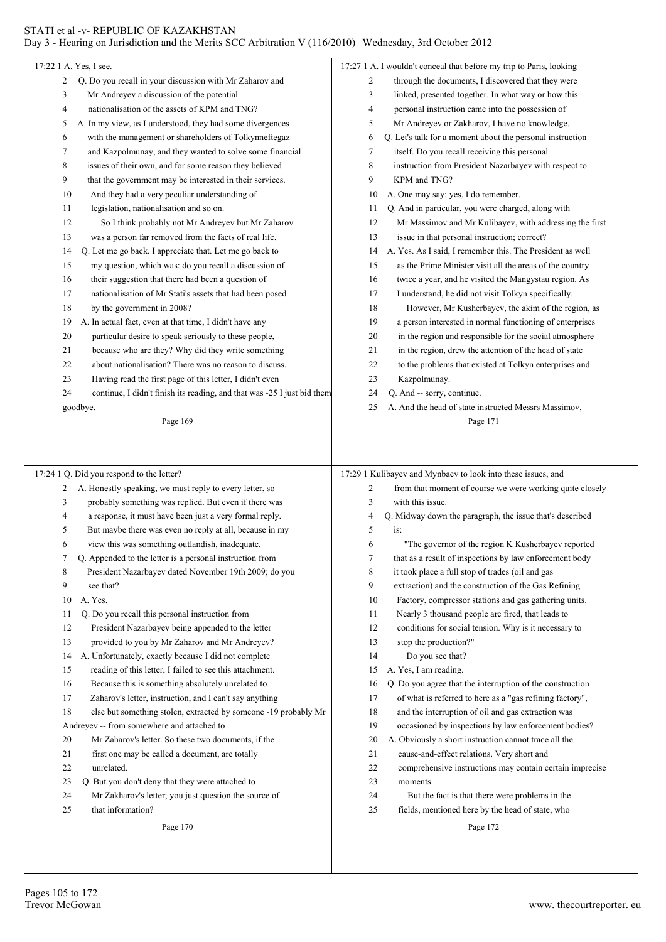| 17:22 1 A. Yes, I see.                                                        | 17:27 1 A. I wouldn't conceal that before my trip to Paris, looking                                                   |  |
|-------------------------------------------------------------------------------|-----------------------------------------------------------------------------------------------------------------------|--|
| Q. Do you recall in your discussion with Mr Zaharov and<br>2                  | through the documents, I discovered that they were<br>2                                                               |  |
| 3<br>Mr Andreyev a discussion of the potential                                | 3<br>linked, presented together. In what way or how this                                                              |  |
| nationalisation of the assets of KPM and TNG?<br>$\overline{4}$               | personal instruction came into the possession of<br>4                                                                 |  |
| A. In my view, as I understood, they had some divergences<br>5                | 5<br>Mr Andreyev or Zakharov, I have no knowledge.                                                                    |  |
| with the management or shareholders of Tolkynneftegaz<br>6                    | Q. Let's talk for a moment about the personal instruction<br>6                                                        |  |
| 7<br>and Kazpolmunay, and they wanted to solve some financial                 | itself. Do you recall receiving this personal<br>7                                                                    |  |
| 8<br>issues of their own, and for some reason they believed                   | 8<br>instruction from President Nazarbayev with respect to                                                            |  |
| 9<br>that the government may be interested in their services.                 | 9<br>KPM and TNG?                                                                                                     |  |
| And they had a very peculiar understanding of<br>10                           | A. One may say: yes, I do remember.<br>10                                                                             |  |
| 11<br>legislation, nationalisation and so on.                                 | Q. And in particular, you were charged, along with<br>11                                                              |  |
| 12<br>So I think probably not Mr Andreyev but Mr Zaharov                      | 12<br>Mr Massimov and Mr Kulibayev, with addressing the first                                                         |  |
| 13<br>was a person far removed from the facts of real life.                   | 13<br>issue in that personal instruction; correct?                                                                    |  |
| Q. Let me go back. I appreciate that. Let me go back to<br>14                 | A. Yes. As I said, I remember this. The President as well<br>14                                                       |  |
| 15<br>my question, which was: do you recall a discussion of                   | 15<br>as the Prime Minister visit all the areas of the country                                                        |  |
| 16<br>their suggestion that there had been a question of                      | 16<br>twice a year, and he visited the Mangystau region. As                                                           |  |
| nationalisation of Mr Stati's assets that had been posed<br>17                | I understand, he did not visit Tolkyn specifically.<br>17                                                             |  |
| 18                                                                            | 18                                                                                                                    |  |
| by the government in 2008?                                                    | However, Mr Kusherbayev, the akim of the region, as<br>19<br>a person interested in normal functioning of enterprises |  |
| A. In actual fact, even at that time, I didn't have any<br>19                 |                                                                                                                       |  |
| 20<br>particular desire to speak seriously to these people,                   | in the region and responsible for the social atmosphere<br>20                                                         |  |
| 21<br>because who are they? Why did they write something                      | in the region, drew the attention of the head of state<br>21                                                          |  |
| $22\,$<br>about nationalisation? There was no reason to discuss.              | 22<br>to the problems that existed at Tolkyn enterprises and                                                          |  |
| 23<br>Having read the first page of this letter, I didn't even                | 23<br>Kazpolmunay.                                                                                                    |  |
| 24<br>continue, I didn't finish its reading, and that was -25 I just bid them | Q. And -- sorry, continue.<br>24                                                                                      |  |
| goodbye.                                                                      | A. And the head of state instructed Messrs Massimov,<br>25                                                            |  |
| Page 169                                                                      | Page 171                                                                                                              |  |
|                                                                               |                                                                                                                       |  |
|                                                                               |                                                                                                                       |  |
|                                                                               |                                                                                                                       |  |
|                                                                               |                                                                                                                       |  |
| 17:24 1 Q. Did you respond to the letter?<br>2                                | 17:29 1 Kulibayev and Mynbaev to look into these issues, and<br>2                                                     |  |
| A. Honestly speaking, we must reply to every letter, so<br>3                  | from that moment of course we were working quite closely<br>3<br>with this issue.                                     |  |
| probably something was replied. But even if there was<br>4                    |                                                                                                                       |  |
| a response, it must have been just a very formal reply.                       | Q. Midway down the paragraph, the issue that's described<br>4                                                         |  |
| But maybe there was even no reply at all, because in my<br>5                  | 5<br>is:                                                                                                              |  |
| 6<br>view this was something outlandish, inadequate.                          | 6<br>"The governor of the region K Kusherbayev reported                                                               |  |
| Q. Appended to the letter is a personal instruction from<br>7                 | 7<br>that as a result of inspections by law enforcement body                                                          |  |
| 8<br>President Nazarbayev dated November 19th 2009; do you                    | 8<br>it took place a full stop of trades (oil and gas                                                                 |  |
| 9<br>see that?                                                                | 9<br>extraction) and the construction of the Gas Refining                                                             |  |
| A. Yes.<br>10                                                                 | 10<br>Factory, compressor stations and gas gathering units.                                                           |  |
| Q. Do you recall this personal instruction from<br>11                         | Nearly 3 thousand people are fired, that leads to<br>11                                                               |  |
| President Nazarbayev being appended to the letter<br>12                       | 12<br>conditions for social tension. Why is it necessary to                                                           |  |
| provided to you by Mr Zaharov and Mr Andreyev?<br>13                          | 13<br>stop the production?"                                                                                           |  |
| A. Unfortunately, exactly because I did not complete<br>14                    | Do you see that?<br>14                                                                                                |  |
| reading of this letter, I failed to see this attachment.<br>15                | 15<br>A. Yes, I am reading.                                                                                           |  |
| Because this is something absolutely unrelated to<br>16                       | Q. Do you agree that the interruption of the construction<br>16                                                       |  |
| Zaharov's letter, instruction, and I can't say anything<br>17                 | 17<br>of what is referred to here as a "gas refining factory",                                                        |  |
| 18<br>else but something stolen, extracted by someone -19 probably Mr         | 18<br>and the interruption of oil and gas extraction was                                                              |  |
| Andreyev -- from somewhere and attached to                                    | 19<br>occasioned by inspections by law enforcement bodies?                                                            |  |
| 20<br>Mr Zaharov's letter. So these two documents, if the                     | 20<br>A. Obviously a short instruction cannot trace all the                                                           |  |
| 21<br>first one may be called a document, are totally                         | 21<br>cause-and-effect relations. Very short and                                                                      |  |
| 22<br>unrelated.                                                              | 22<br>comprehensive instructions may contain certain imprecise                                                        |  |
| 23<br>Q. But you don't deny that they were attached to                        | 23<br>moments.                                                                                                        |  |
| 24<br>Mr Zakharov's letter; you just question the source of                   | 24<br>But the fact is that there were problems in the                                                                 |  |
| 25<br>that information?                                                       | 25<br>fields, mentioned here by the head of state, who                                                                |  |
| Page 170                                                                      | Page 172                                                                                                              |  |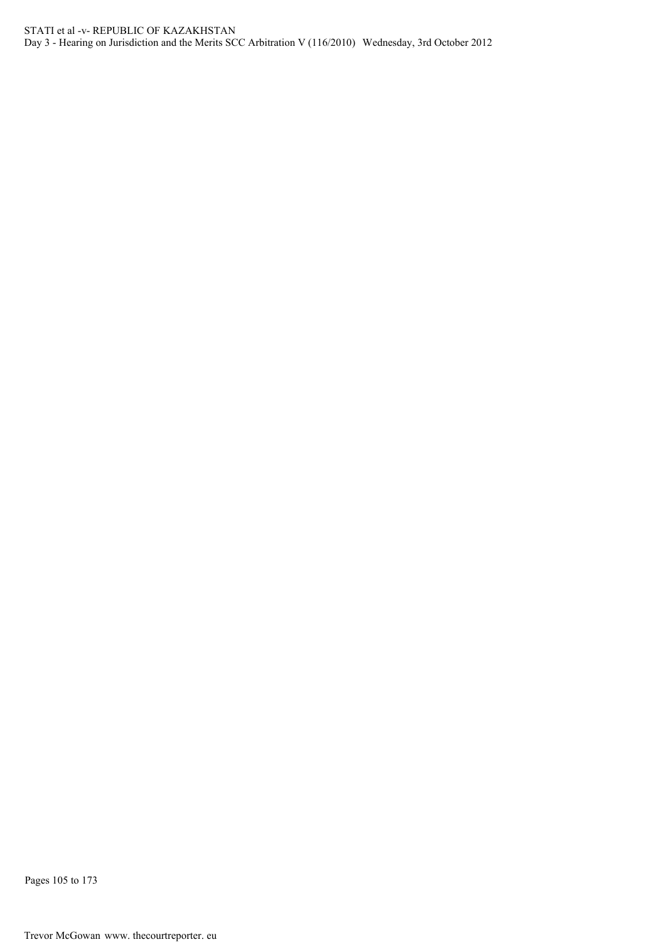Pages 105 to 173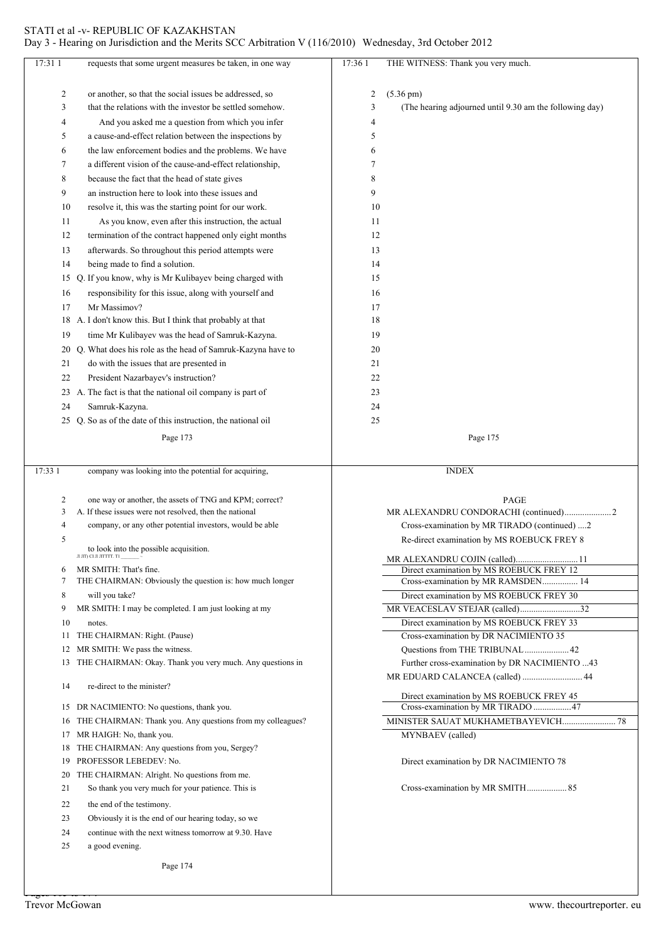| 17:31 1 | requests that some urgent measures be taken, in one way        | 17:36 1  | THE WITNESS: Thank you very much.                                          |
|---------|----------------------------------------------------------------|----------|----------------------------------------------------------------------------|
| 2       | or another, so that the social issues be addressed, so         | 2        | $(5.36 \text{ pm})$                                                        |
| 3       | that the relations with the investor be settled somehow.       | 3        | (The hearing adjourned until 9.30 am the following day)                    |
| 4       | And you asked me a question from which you infer               | 4        |                                                                            |
| 5       | a cause-and-effect relation between the inspections by         | 5        |                                                                            |
|         |                                                                |          |                                                                            |
| 6       | the law enforcement bodies and the problems. We have           | 6        |                                                                            |
| 7       | a different vision of the cause-and-effect relationship,       | 7        |                                                                            |
| 8       | because the fact that the head of state gives                  | 8        |                                                                            |
| 9       | an instruction here to look into these issues and              | 9        |                                                                            |
| 10      | resolve it, this was the starting point for our work.          | 10       |                                                                            |
| 11      | As you know, even after this instruction, the actual           | 11       |                                                                            |
| 12      | termination of the contract happened only eight months         | 12       |                                                                            |
| 13      | afterwards. So throughout this period attempts were            | 13       |                                                                            |
| 14      | being made to find a solution.                                 | 14       |                                                                            |
| 15      | Q. If you know, why is Mr Kulibayev being charged with         | 15       |                                                                            |
| 16      | responsibility for this issue, along with yourself and         | 16       |                                                                            |
| 17      | Mr Massimov?                                                   |          |                                                                            |
|         |                                                                | 17<br>18 |                                                                            |
|         | 18 A. I don't know this. But I think that probably at that     |          |                                                                            |
| 19      | time Mr Kulibayev was the head of Samruk-Kazyna.               | 19       |                                                                            |
| 20      | Q. What does his role as the head of Samruk-Kazyna have to     | 20       |                                                                            |
| 21      | do with the issues that are presented in                       | 21       |                                                                            |
| 22      | President Nazarbayev's instruction?                            | 22       |                                                                            |
|         | 23 A. The fact is that the national oil company is part of     | 23       |                                                                            |
| 24      | Samruk-Kazyna.                                                 | 24       |                                                                            |
| 25      | Q. So as of the date of this instruction, the national oil     | 25       |                                                                            |
|         | Page 173                                                       |          | Page 175                                                                   |
|         |                                                                |          |                                                                            |
|         |                                                                |          |                                                                            |
|         |                                                                |          |                                                                            |
| 17:33 1 | company was looking into the potential for acquiring,          |          | <b>INDEX</b>                                                               |
|         |                                                                |          |                                                                            |
| 2       | one way or another, the assets of TNG and KPM; correct?        |          | PAGE                                                                       |
| 3       | A. If these issues were not resolved, then the national        |          | MR ALEXANDRU CONDORACHI (continued) 2                                      |
| 4       | company, or any other potential investors, would be able       |          | Cross-examination by MR TIRADO (continued) 2                               |
| 5       |                                                                |          | Re-direct examination by MS ROEBUCK FREY 8                                 |
|         | to look into the possible acquisition.<br>Л ЛТ) СІ Л ЛТТТТ. ТІ |          |                                                                            |
| 6       | MR SMITH: That's fine.                                         |          | MR ALEXANDRU COJIN (called) 11<br>Direct examination by MS ROEBUCK FREY 12 |
| 7       | THE CHAIRMAN: Obviously the question is: how much longer       |          | Cross-examination by MR RAMSDEN 14                                         |
| 8       | will you take?                                                 |          | Direct examination by MS ROEBUCK FREY 30                                   |
| 9       | MR SMITH: I may be completed. I am just looking at my          |          | MR VEACESLAV STEJAR (called)32                                             |
| 10      | notes.                                                         |          | Direct examination by MS ROEBUCK FREY 33                                   |
| 11      | THE CHAIRMAN: Right. (Pause)                                   |          | Cross-examination by DR NACIMIENTO 35                                      |
| 12      | MR SMITH: We pass the witness.                                 |          | Questions from THE TRIBUNAL  42                                            |
| 13      | THE CHAIRMAN: Okay. Thank you very much. Any questions in      |          | Further cross-examination by DR NACIMIENTO 43                              |
|         |                                                                |          |                                                                            |
| 14      | re-direct to the minister?                                     |          | MR EDUARD CALANCEA (called)  44                                            |
|         |                                                                |          | Direct examination by MS ROEBUCK FREY 45                                   |
|         | 15 DR NACIMIENTO: No questions, thank you.                     |          | Cross-examination by MR TIRADO 47                                          |
| 16      | THE CHAIRMAN: Thank you. Any questions from my colleagues?     |          |                                                                            |
|         | 17 MR HAIGH: No, thank you.                                    |          | MYNBAEV (called)                                                           |
| 18      | THE CHAIRMAN: Any questions from you, Sergey?                  |          |                                                                            |
| 19      | PROFESSOR LEBEDEV: No.                                         |          | Direct examination by DR NACIMIENTO 78                                     |
| 20      | THE CHAIRMAN: Alright. No questions from me.                   |          |                                                                            |
| 21      | So thank you very much for your patience. This is              |          | Cross-examination by MR SMITH 85                                           |
| 22      | the end of the testimony.                                      |          |                                                                            |
| 23      | Obviously it is the end of our hearing today, so we            |          |                                                                            |
| 24      | continue with the next witness tomorrow at 9.30. Have          |          |                                                                            |
| 25      | a good evening.                                                |          |                                                                            |
|         | Page 174                                                       |          |                                                                            |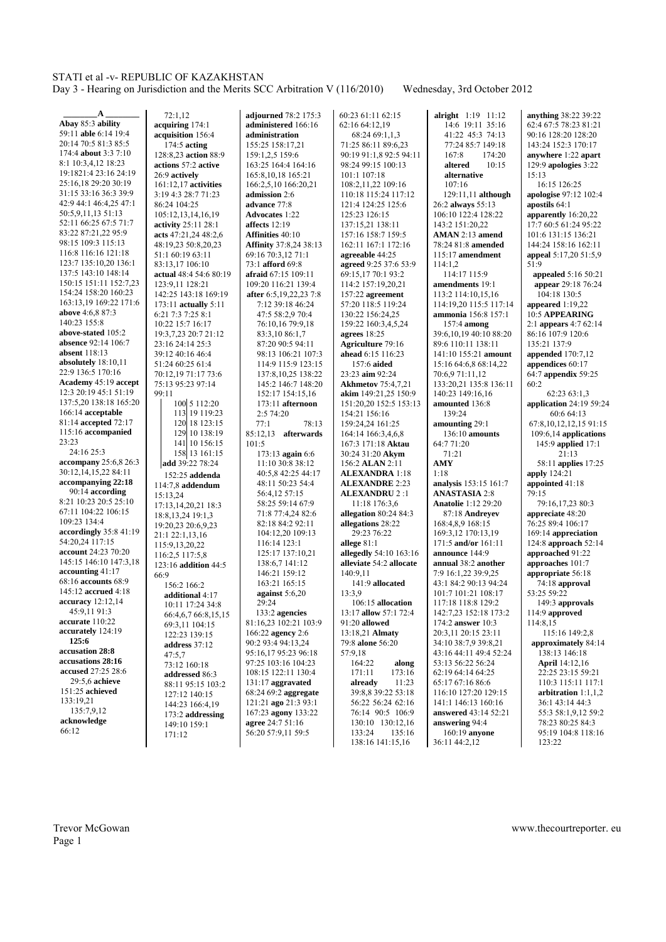Wednesday, 3rd October 2012

alright 1:19 11:12

Abay  $85:3$  ability 59:11 able 6:14 19:4 20:14 70:5 81:3 85:5 174:4 about 3:3 7:10 8:1 10:3,4,12 18:23 19:1821:4 23:16 24:19 25:16 18 29:20 30:19  $31.1533.16363399$ 42:9 44:1 46:4,25 47:1 50:5,9,11,13 51:13 52:11 66:25 67:5 71:7 83:22 87:21.22 95:9  $98.15109.3115.13$ 116:8 116:16 121:18 123:7 135:10.20 136:1 137:5 143:10 148:14 150:15 151:11 152:7,23 154.24 158.20 160.23 163:13 19 169:22 171:6 ahove  $4.6887.3$  $140.23.155.8$ above-stated 105:2 absence 92:14 106:7 ahsent  $118.13$ absolutely 18:10,11  $22.9136.5170.16$ Academy 45:19 accept 12:3 20:19 45:1 51:19 137:5,20 138:18 165:20 166:14 acceptable 81:14 accepted 72:17 115:16 accompanied 23:23 24:16 25:3 accompany 25:6,8 26:3  $30:12,14,15,2284:11$ accompanying 22:18 90:14 according 8:21 10:23 20:5 25:10 67:11 104:22 106:15 109:23 134:4 accordingly  $35:841:19$  $54.2024117.15$ account 24:23 70:20 145:15 146:10 147:3,18 accounting 41:17 68:16 accounts 68:9  $145.12$  accrued  $4.18$ accuracy 12:12,14  $45.91191.3$ accurate 110:22 accurately 124:19  $125:6$  $acensation 28.8$ accusations 28.16 accused 27:25 28:6 29:5,6 achieve  $151.25$  achieved 133:19,21  $135.7912$ acknowledge 66:12

 $72:1.12$ acquiring 174:1 acquisition 156:4  $174:5$  acting 128:8,23 action 88:9 actions 57:2 active 26:9 actively 161:12,17 activities 3:19 4:3 28:7 71:23 86:24 104:25 105:12.13.14.16.19 activity 25:11.28:1 acts 47:21,24 48:2,6 48:19.23 50:8.20.23  $51.160.1963.11$ 83:13,17 106:10 actual 48:4 54:6 80:19 123:9,11 128:21 142:25 143:18 169:19 173:11 actually 5:11 6:21 7:3 7:25 8:1 10:22 15:7 16:17 19:3.7.23 20:7.21:12 23:16 24:14 25:3 39:12 40:16 46:4 51:24 60:25 61:4 70.12.19.71.17.73.6 75:13 95:23 97:14  $99.11$ 100 5 112:20<br>113 19 119:23 120 18 123:15 129 10 138:19 141 10 156:15 158 13 161:15 add 39:22 78:24  $152:25$  addenda  $114:7.8$  addendum  $15:13.24$ 17:13,14,20,21 18:3 18:8, 13, 24 19:1, 3  $19.2023206923$  $21 \cdot 1$   $22 \cdot 1$  13 16 115.9 13 20 22  $116.25117.58$ 123:16 addition 44:5  $66.9$ 156:2 166:2 additional  $4.17$ 10:11 17:24 34:8 66:4,6,7 66:8,15,15 69:3.11 104:15 122:23 139:15 address 37:12  $47.57$ 73:12 160:18 addressed 86:3 88:11 95:15 103:2 127:12 140:15  $144.23$  166.4 19 173:2 addressing 149:10 159:1 171:12

adjourned 78:2 175:3 administered 166:16 administration 155:25 158:17.21 159:1,2,5 159:6  $163.25$   $164.4$   $164.16$ 165:8, 10, 18 165:21 166:2,5,10 166:20,21 admission 2:6 advance  $77.8$ Advocates 1:22 affects  $12-19$ Affinities 40:10 Affinity 37:8,24 38:13  $69.1670.312711$  $73:1$  afford  $69:8$ afraid 67:15 109:11 109:20 116:21 139:4 after 6:5 19 22 23 7:8 7:12 39:18 46:24 47:5 58:2,9 70:4 76:10.16 79:9.18  $83.31086.17$ 87:20 90:5 94:11 98:13 106:21 107:3 114:9 115:9 123:15 137:8,10,25 138:22 145:2 146:7 148:20  $152.17154.1516$  $173.11$  afternoon  $2.574.20$  $77:1$ 78:13 85:12,13 afterwards  $101:5$  $173.13$  again 6.6  $11-1030.838-12$ 40:5,8 42:25 44:17 48:11 50:23 54:4 56:4,12 57:15 58:25 59:14 67:9 71:8 77:4.24 82:6  $82.1884.292.11$ 104:12,20 109:13 116:14 123:1 125:17 137:10,21  $138.67141.12$  $1/6.21$  150.12 163:21 165:15 against 5:6,20  $29:24$ 133:2 agencies  $81:1623102:21103:9$ 166:22 agency 2:6 90:2 93:4 94:13,24 95:16,17 95:23 96:18 97:25 103:16 104:23 108:15 122:11 130:4 131:17 aggravated 68:24 69:2 aggregate 121:21 ago 21:3 93:1 167:23 agony 133:22 agree 24:7 51:16 56:20 57:9,11 59:5

60:23 61:11 62:15 62:16 64:12,19 68:24 69:1,1,3 71:25 86:11 89:6.23 90:19 91:1,8 92:5 94:11  $98.2499.15100.13$  $101:1107:18$ 108:2,11,22 109:16 110:18 115:24 117:12 121:4 124:25 125:6  $125:23$   $126:15$  $137.1521138.11$ 157:16 158:7 159:5 162:11 167:1 172:16 agreeable 44:25 agreed 9:25 37:6 53:9  $69.151770.193.2$ 114:2 157:19.20.21 157:22 agreement 57:20 118:5 119:24 130:22 156:24,25 159:22 160:3,4,5,24 agrees  $18.25$ Agriculture 79:16 ahead 6:15 116:23 157:6 aided  $23.23$  aim  $92.24$ **Akhmetov** 75:4.7.21 akim 149.21.25.150.9 151:20.20 152:5 153:13 154:21 156:16 159:24,24 161:25 164:14 166:3,4,6,8 167:3 171:18 Aktau  $30.2431.20$  Akvm 156:2 ALAN 2:11 **ALEXANDRA** 1:18 **ALEXANDRE 2:23 ALEXANDRU 2:1**  $11:18$  176:3.6 allegation 80:24 84:3 allegations 28:22  $29.2376.22$ allege 81:1 allegedly 54:10 163:16 alleviate 54:2 allocate  $140.011$ 141:9 allocated 13:3.9 106:15 allocation 13:17 allow 57:1 72:4  $91:20$  allowed  $13.1821$  Almaty 79:8 alone 56:20  $57:9.18$ 164:22 along  $171:11$  $173:16$ already  $11.23$ 39:8,8 39:22 53:18 56:22 56:24 62:16 76:14 90:5 106:9 130:10 130:12,16  $133:24$  $135:16$ 

138:16 141:15,16

36:11 44:2.12

14:6 19:11 35:16  $41.22$   $45.3$   $74.13$ 77:24 85:7 149:18  $167:8$  $174:20$ altered  $10:15$ alternative 107:16 129:11,11 although  $26.2$  always  $55.13$ 106:10 122:4 128:22  $143.2151.2022$  $AMAN$   $2.13$  amend 78:24 81:8 amended 115:17 amendment  $114:1,2$  $114.17115.9$ amendments 19:1  $113.2$   $114.10$  15 16 114:19.20 115:5 117:14 ammonia 156:8 157:1 157:4 among 39:6 10 19 40:10 88:20 89.6 110.11 138.11 141:10 155:21 amount 15:16 64:6,8 68:14,22  $70.6971.1112$ 133:20.21 135:8 136:11  $140.23$   $149.16$  16 amounted  $136.8$  $139.24$ amounting 29:1  $136:10$  amounts 64:7 71:20  $71.21$ AMY  $1:18$ analysis 153:15 161:7 **ANASTASIA 2:8 Anatolie** 1:12 29:20 87:18 Andrevev  $168.489168.15$ 169:3,12 170:13,19 171:5 and/or 161:11 announce 144:9 annual  $38.2$  another  $7.916.12239.925$ 43:1 84:2 90:13 94:24 101:7 101:21 108:17 117:18 118:8 129:2 142:7.23 152:18 173:2  $174.2$  answer  $10.3$  $20.31120.1523.11$ 34:10 38:7,9 39:8,21 43:16 44:11 49:4 52:24 53:13 56:22 56:24 62:19 64:14 64:25  $65.176716866$  $116:10$  127 $:20$  129 $:15$ 141:1 146:13 160:16 answered 43:14 52:21 answering 94:4  $160:19$  anvone

anything 38:22 39:22 62:4 67:5 78:23 81:21 90:16 128:20 128:20 143:24 152:3 170:17 anywhere 1:22 apart 129:9 apologies 3:22  $15:13$ 16:15 126:25 apologise 97:12 102:4 apostils  $64:1$ apparently  $16:20.22$  $17.760.561.2495.22$  $101.6131.15136.21$ 144:24 158:16 162:11 appeal 5:17,20 51:5.9  $51:9$ appealed 5:16 50:21 appear 29:18 76:24  $104.18$  130.5 appeared 1:19,22 10:5 APPEARING 2:1 appears 4:7 62:14 86:16 107:9 120:6 135:21 137:9 appended 170:7,12 appendices  $60:17$ 64:7 appendix 59:25  $60:2$  $62.2363.13$ application 24:19 59:24 60:6 64:13 67:8, 10, 12, 12, 15 91:15  $109.6, 14$  applications 145:9 applied 17:1  $21-13$ 58:11 applies 17:25 apply  $124:21$ appointed 41:18  $79:15$ 79:16.17.23 80:3 appreciate  $48:20$ 76.25 89.4 106.17 169:14 appreciation 124:8 approach 52:14 approached 91:22 approaches 101:7 appropriate 56:18  $74:18$  approval 53:25 59:22 149:3 approvals  $114:9$  approved  $114.815$ 115:16 149:2.8 approximately 84:14 138:13 146:18 April 14:12,16 22:25 23:15 59:21  $110.3115.11117.1$ arbitration 1:1.1.2  $36:143:1444:3$ 55:3 58:1,9,12 59:2 78:23 80:25 84:3 95:19 104:8 118:16  $123.22$ 

**Trevor McGowan** Page 1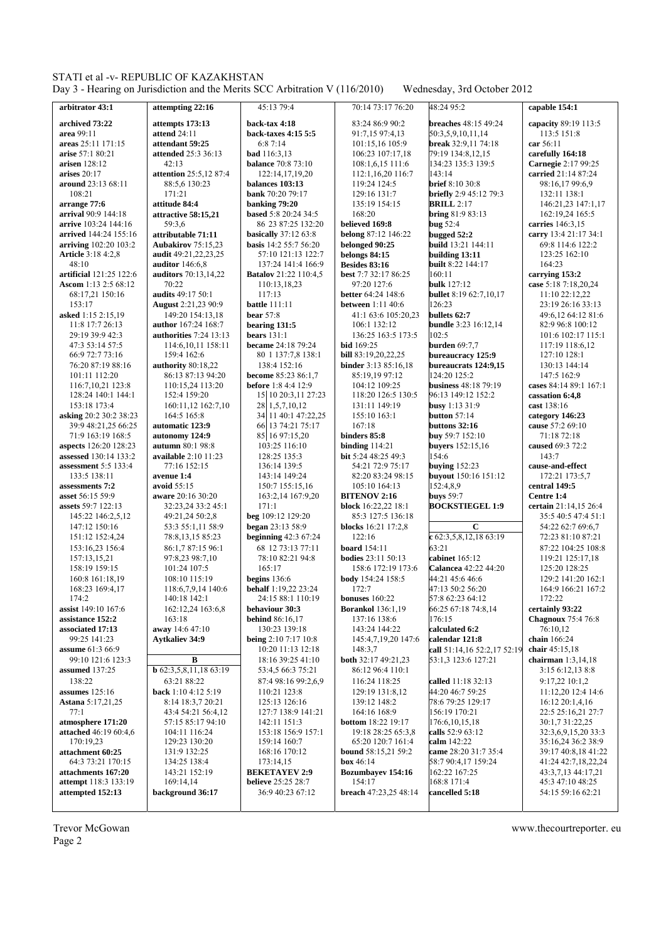| arbitrator 43:1                         | attempting 22:16                              | 45:13 79:4                   | 70:14 73:17 76:20              | 48:24 95:2                    | capable 154:1          |
|-----------------------------------------|-----------------------------------------------|------------------------------|--------------------------------|-------------------------------|------------------------|
| archived 73:22                          | attempts 173:13                               | back-tax 4:18                | 83:24 86:9 90:2                | breaches 48:15 49:24          | capacity 89:19 113:5   |
| area 99:11                              | attend 24:11                                  | back-taxes 4:15 5:5          | 91:7,15 97:4,13                | 50:3,5,9,10,11,14             | 113:5 151:8            |
| areas 25:11 171:15                      |                                               | 6:87:14                      |                                |                               | car 56:11              |
|                                         | attendant 59:25<br><b>attended</b> 25:3 36:13 |                              | 101:15,16 105:9                | <b>break</b> $32:9,1174:18$   |                        |
| arise 57:1 80:21                        |                                               | bad 116:3,13                 | 106:23 107:17,18               | 79:19 134:8,12,15             | carefully 164:18       |
| arisen $128:12$                         | 42:13                                         | <b>balance</b> 70:8 73:10    | 108:1,6,15 111:6               | 134:23 135:3 139:5            | Carnegie 2:17 99:25    |
| arises $20:17$                          | attention 25:5,12 87:4                        | 122:14,17,19,20              | 112:1,16,20 116:7              | 143:14                        | carried 21:14 87:24    |
| around 23:13 68:11                      | 88:5,6 130:23                                 | balances 103:13              | 119:24 124:5                   | <b>brief</b> 8:10 30:8        | 98:16,17 99:6,9        |
| 108:21                                  | 171:21                                        | bank 70:20 79:17             | 129:16 131:7                   | <b>briefly</b> 2:9 45:12 79:3 | 132:11 138:1           |
| arrange 77:6                            | attitude 84:4                                 | banking 79:20                | 135:19 154:15                  | <b>BRILL 2:17</b>             | 146:21,23 147:1,17     |
| arrival 90:9 144:18                     | attractive 58:15,21                           | <b>based</b> 5:8 20:24 34:5  | 168:20                         | bring $81:983:13$             | 162:19,24 165:5        |
| arrive 103:24 144:16                    | 59:3,6                                        | 86 23 87:25 132:20           | believed 169:8                 | $bugg$ 52:4                   | carries 146:3,15       |
| arrived 144:24 155:16                   | attributable 71:11                            | basically $37:1263:8$        | belong 87:12 146:22            | bugged $52:2$                 | carry 13:4 21:17 34:1  |
| arriving 102:20 103:2                   | <b>Aubakirov</b> 75:15,23                     | <b>basis</b> 14:2 55:7 56:20 | belonged 90:25                 | <b>build</b> 13:21 144:11     | 69:8 114:6 122:2       |
| <b>Article 3:18 4:2.8</b>               | audit 49:21,22,23,25                          | 57:10 121:13 122:7           | belongs 84:15                  | building 13:11                | 123:25 162:10          |
| 48:10                                   | auditor $146:6,8$                             | 137:24 141:4 166:9           | <b>Besides 83:16</b>           | <b>built</b> 8:22 144:17      | 164:23                 |
| artificial 121:25 122:6                 | auditors 70:13,14,22                          | <b>Batalov</b> 21:22 110:4,5 | best 7:7 32:17 86:25           | 160:11                        | carrying 153:2         |
| Ascom 1:13 2:5 68:12                    | 70:22                                         | 110:13,18,23                 | 97:20 127:6                    | <b>bulk</b> 127:12            | case 5:18 7:18,20,24   |
| 68:17,21 150:16                         | audits 49:17 50:1                             | 117:13                       | <b>better</b> 64:24 148:6      | <b>bullet</b> 8:19 62:7,10,17 | 11:10 22:12,22         |
| 153:17                                  | August 2:21,23 90:9                           | <b>battle</b> 111:11         | <b>between</b> 1:11 40:6       | 126:23                        | 23:19 26:16 33:13      |
| asked 1:15 2:15,19                      | 149:20 154:13,18                              | bear $57:8$                  | 41:1 63:6 105:20,23            | bullets 62:7                  | 49:6,12 64:12 81:6     |
|                                         |                                               |                              |                                |                               |                        |
| 11:8 17:7 26:13                         | author 167:24 168:7                           | bearing 131:5                | 106:1 132:12                   | <b>bundle</b> 3:23 16:12,14   | 82:9 96:8 100:12       |
| 29:19 39:9 42:3                         | <b>authorities</b> 7:24 13:13                 | bears $131:1$                | 136:25 163:5 173:5             | 102:5                         | 101:6 102:17 115:1     |
| 47:3 53:14 57:5                         | 114:6, 10, 11 158:11                          | became 24:18 79:24           | <b>bid</b> 169:25              | burden $69:7.7$               | 117:19 118:6,12        |
| 66:9 72:7 73:16                         | 159:4 162:6                                   | 80 1 137:7,8 138:1           | <b>bill</b> 83:19,20,22,25     | bureaucracy 125:9             | 127:10 128:1           |
| 76:20 87:19 88:16                       | authority $80:18,22$                          | 138:4 152:16                 | <b>binder</b> $3:1385:16,18$   | bureaucrats 124:9,15          | 130:13 144:14          |
| 101:11 112:20                           | 86:13 87:13 94:20                             | become 85:23 86:1,7          | 85:19,19 97:12                 | 124:20 125:2                  | 147:5 162:9            |
| 116:7,10,21 123:8                       | 110:15.24 113:20                              | <b>before</b> 1:8 4:4 12:9   | 104:12 109:25                  | business 48:18 79:19          | cases 84:14 89:1 167:1 |
| 128:24 140:1 144:1                      | 152:4 159:20                                  | 15 10 20:3,11 27:23          | 118:20 126:5 130:5             | 96:13 149:12 152:2            | cassation 6:4,8        |
| 153:18 173:4                            | 160:11,12 162:7,10                            | 28 1,5,7,10,12               | 131:11 149:19                  | busy $1:1331:9$               | cast 138:16            |
| asking 20:2 30:2 38:23                  | 164:5 165:8                                   | 34 11 40:1 47:22,25          | 155:10 163:1                   | button $57:14$                | category 146:23        |
| 39:9 48:21,25 66:25                     | automatic 123:9                               | 66 13 74:21 75:17            | 167:18                         | <b>buttons</b> 32:16          | cause 57:2 69:10       |
| 71:9 163:19 168:5                       | autonomy 124:9                                | 85 16 97:15,20               | binders 85:8                   | buy 59:7 $152:10$             | 71:18 72:18            |
| aspects 126:20 128:23                   | autumn 80:1 98:8                              | 103:25 116:10                | binding $114:21$               | buyers $152:15,16$            | caused 69:3 72:2       |
| assessed 130:14 133:2                   | available 2:10 11:23                          | 128:25 135:3                 | bit 5:24 48:25 49:3            | 154:6                         | 143:7                  |
| assessment $5:5$ 133:4                  | 77:16 152:15                                  | 136:14 139:5                 | 54:21 72:9 75:17               | buying $152:23$               | cause-and-effect       |
| 133:5 138:11                            | avenue 1:4                                    | 143:14 149:24                | 82:20 83:24 98:15              | buyout 150:16 151:12          | 172:21 173:5,7         |
| assessments 7:2                         | avoid 55:15                                   | 150:7 155:15,16              | 105:10 164:13                  | 152:4,8,9                     | central 149:5          |
| asset 56:15 59:9                        | aware 20:16 30:20                             | 163:2,14 167:9,20            | <b>BITENOV 2:16</b>            | buys $59:7$                   | Centre 1:4             |
| assets 59:7 122:13                      | 32:23,24 33:2 45:1                            | 171:1                        | block $16:22,22$ $18:1$        | <b>BOCKSTIEGEL 1:9</b>        | certain 21:14,15 26:4  |
| 145:22 146:2,5,12                       | 49:21,24 50:2,8                               | beg 109:12 129:20            | 85:3 127:5 136:18              |                               | 35:5 40:5 47:4 51:1    |
| 147:12 150:16                           | 53:3 55:1,11 58:9                             | began $23:1358:9$            | blocks 16:21 17:2,8            | $\mathbf C$                   | 54:22 62:7 69:6,7      |
| 151:12 152:4,24                         | 78:8,13,15 85:23                              | beginning $42:367:24$        | 122:16                         | c 62:3,5,8,12,18 63:19        | 72:23 81:10 87:21      |
| 153:16.23 156:4                         | 86:1,7 87:15 96:1                             | 68 12 73:13 77:11            | <b>board</b> 154:11            | 63:21                         | 87:22 104:25 108:8     |
| 157:13,15,21                            | 97:8,23 98:7,10                               | 78:10 82:21 94:8             | <b>bodies</b> 23:11 50:13      | cabinet 165:12                | 119:21 125:17,18       |
| 158:19 159:15                           | 101:24 107:5                                  | 165:17                       | 158:6 172:19 173:6             | Calancea 42:22 44:20          | 125:20 128:25          |
| 160:8 161:18,19                         | 108:10 115:19                                 | begins $136:6$               | body 154:24 158:5              | 44:21 45:6 46:6               | 129:2 141:20 162:1     |
| 168:23 169:4,17                         | 118:6,7,9,14 140:6                            | <b>behalf</b> 1:19,22 23:24  | 172:7                          | 47:13 50:2 56:20              | 164:9 166:21 167:2     |
| 174:2                                   | 140:18 142:1                                  | 24:15 88:1 110:19            | bonuses $160:22$               | 57:8 62:23 64:12              | 172:22                 |
|                                         | 162:12,24 163:6,8                             | behaviour 30:3               | <b>Borankol</b> 136:1,19       | 66:25 67:18 74:8,14           | certainly 93:22        |
| assist 149:10 167:6<br>assistance 152:2 | 163:18                                        | <b>behind</b> 86:16,17       | 137:16 138:6                   | 176:15                        | Chagnoux 75:4 76:8     |
| associated 17:13                        | away 14:6 47:10                               | 130:23 139:18                | 143:24 144:22                  | calculated 6:2                | 76:10,12               |
| 99:25 141:23                            |                                               |                              |                                |                               |                        |
|                                         | <b>Aytkaliev 34:9</b>                         | <b>being</b> $2:107:1710:8$  | 145:4,7,19,20 147:6<br>148:3.7 | calendar 121:8                | chain 166:24           |
| assume 61:3 66:9                        |                                               | 10:20 11:13 12:18            |                                | call 51:14,16 52:2,17 52:19   | chair $45:15,18$       |
| 99:10 121:6 123:3                       | $\, {\bf B}$                                  | 18:16 39:25 41:10            | both 32:17 49:21,23            | 53:1,3 123:6 127:21           | chairman 1:3,14,18     |
| assumed 137:25                          | <b>b</b> $62:3,5,8,11,18$ $63:19$             | 53:4,5 66:3 75:21            | 86:12 96:4 110:1               |                               | 3:15 6:12,13 8:8       |
| 138:22                                  | 63:21 88:22                                   | 87:4 98:16 99:2,6,9          | 116:24 118:25                  | called 11:18 32:13            | 9:17,22 10:1,2         |
| assumes $125:16$                        | back 1:10 4:12 5:19                           | 110:21 123:8                 | 129:19 131:8,12                | 44:20 46:7 59:25              | 11:12,20 12:4 14:6     |
| Astana 5:17,21,25                       | 8:14 18:3,7 20:21                             | 125:13 126:16                | 139:12 148:2                   | 78:6 79:25 129:17             | 16:12 20:1,4,16        |
| 77:1                                    | 43:4 54:21 56:4,12                            | 127:7 138:9 141:21           | 164:16 168:9                   | 156:19 170:21                 | 22:5 25:16.21 27:7     |
| atmosphere 171:20                       | 57:15 85:17 94:10                             | 142:11 151:3                 | <b>bottom</b> 18:22 19:17      | 176:6,10,15,18                | 30:1,7 31:22,25        |
| attached 46:19 60:4,6                   | 104:11 116:24                                 | 153:18 156:9 157:1           | 19:18 28:25 65:3,8             | calls 52:9 63:12              | 32:3,6,9,15,20 33:3    |
| 170:19,23                               | 129:23 130:20                                 | 159:14 160:7                 | 65:20 120:7 161:4              | <b>calm</b> 142:22            | 35:16,24 36:2 38:9     |
| attachment 60:25                        | 131:9 132:25                                  | 168:16 170:12                | <b>bound</b> 58:15,21 59:2     | came 28:20 31:7 35:4          | 39:17 40:8,18 41:22    |
| 64:3 73:21 170:15                       | 134:25 138:4                                  | 173:14,15                    | box $46:14$                    | 58:7 90:4,17 159:24           | 41:24 42:7,18,22,24    |
| attachments 167:20                      | 143:21 152:19                                 | <b>BEKETAYEV 2:9</b>         | Bozumbayev 154:16              | 162:22 167:25                 | 43:3,7,13 44:17,21     |
| attempt 118:3 133:19                    | 169:14,14                                     | <b>believe</b> 25:25 28:7    | 154:17                         | 168:8 171:4                   | 45:3 47:10 48:25       |
| attempted 152:13                        | background 36:17                              | 36:9 40:23 67:12             | breach 47:23,25 48:14          | cancelled 5:18                | 54:15 59:16 62:21      |

Trevor McGowan<br>Page 2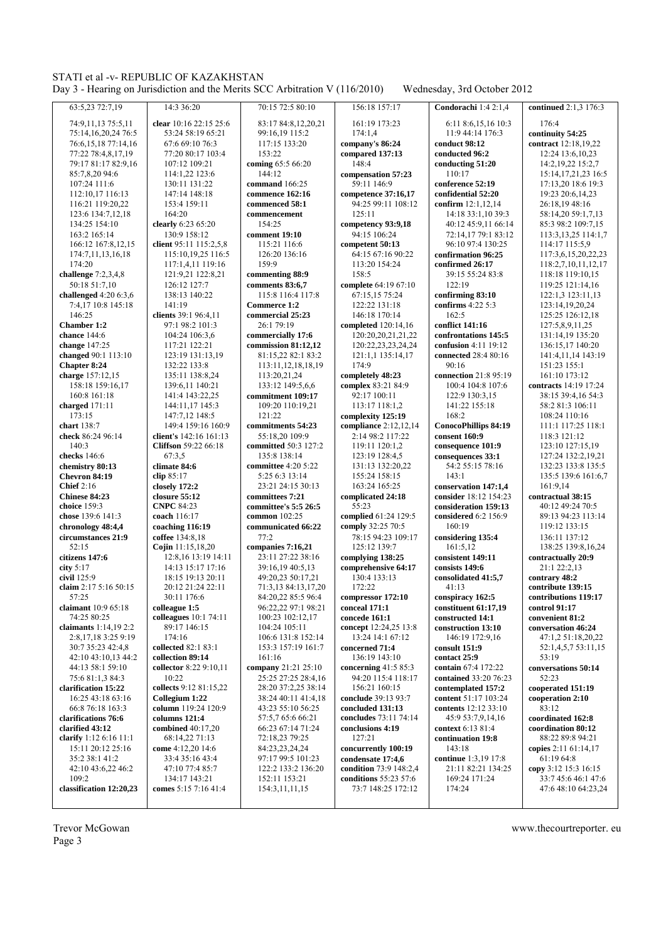Wednesday, 3rd October 2012

| 63:5,23 72:7,19         | 14:3 36:20             | 70:15 72:5 80:10           | 156:18 157:17          | Condorachi 1:4 2:1,4        | continued 2:1,3 176:3  |
|-------------------------|------------------------|----------------------------|------------------------|-----------------------------|------------------------|
| 74:9,11,13 75:5,11      | clear 10:16 22:15 25:6 | 83:17 84:8,12,20,21        | 161:19 173:23          | 6:11 8:6,15,16 10:3         | 176:4                  |
|                         |                        |                            | 174:1,4                |                             |                        |
| 75:14,16,20,24 76:5     | 53:24 58:19 65:21      | 99:16,19 115:2             |                        | 11:9 44:14 176:3            | continuity 54:25       |
| 76:6,15,18 77:14,16     | 67:6 69:10 76:3        | 117:15 133:20              | company's 86:24        | conduct 98:12               | contract 12:18,19,22   |
| 77:22 78:4,8,17,19      | 77:20 80:17 103:4      | 153:22                     | compared 137:13        | conducted 96:2              | 12:24 13:6,10,23       |
| 79:17 81:17 82:9,16     | 107:12 109:21          | coming 65:5 66:20          | 148:4                  | conducting 51:20            | 14:2, 19, 22 15:2, 7   |
| 85:7,8,20 94:6          | 114:1,22 123:6         | 144:12                     | compensation 57:23     | 110:17                      | 15:14, 17, 21, 23 16:5 |
| 107:24 111:6            | 130:11 131:22          | command 166:25             | 59:11 146:9            | conference 52:19            | 17:13,20 18:6 19:3     |
| 112:10,17 116:13        | 147:14 148:18          | commence 162:16            | competence 37:16,17    | confidential 52:20          | 19:23 20:6, 14, 23     |
| 116:21 119:20,22        | 153:4 159:11           | commenced 58:1             | 94:25 99:11 108:12     | confirm 12:1,12,14          | 26:18,19 48:16         |
| 123:6 134:7,12,18       | 164:20                 | commencement               | 125:11                 | 14:18 33:1,10 39:3          | 58:14,20 59:1,7,13     |
| 134:25 154:10           | clearly 6:23 65:20     | 154:25                     | competency 93:9,18     | 40:12 45:9,11 66:14         | 85:3 98:2 109:7,15     |
| 163:2 165:14            | 130:9 158:12           | comment 19:10              | 94:15 106:24           | 72:14,17 79:1 83:12         | 113:3,13,25 114:1,7    |
| 166:12 167:8,12,15      | client 95:11 115:2,5,8 | 115:21 116:6               | competent 50:13        | 96:10 97:4 130:25           | 114:17 115:5,9         |
| 174:7,11,13,16,18       | 115:10,19,25 116:5     | 126:20 136:16              | 64:15 67:16 90:22      | confirmation 96:25          | 117:3,6,15,20,22,23    |
| 174:20                  | 117:1,4,11 119:16      | 159:9                      | 113:20 154:24          | confirmed 26:17             | 118:2,7,10,11,12,17    |
| challenge $7:2,3,4,8$   | 121:9,21 122:8,21      | commenting 88:9            | 158:5                  | 39:15 55:24 83:8            | 118:18 119:10,15       |
| 50:18 51:7,10           | 126:12 127:7           | comments 83:6,7            | complete 64:19 67:10   | 122:19                      | 119:25 121:14,16       |
|                         |                        |                            |                        |                             |                        |
| challenged $4:206:3,6$  | 138:13 140:22          | 115:8 116:4 117:8          | 67:15,15 75:24         | confirming 83:10            | 122:1,3 123:11,13      |
| 7:4,17 10:8 145:18      | 141:19                 | <b>Commerce 1:2</b>        | 122:22 131:18          | confirms $4:22\,5:3$        | 123:14,19,20,24        |
| 146:25                  | clients 39:1 96:4,11   | commercial 25:23           | 146:18 170:14          | 162:5                       | 125:25 126:12,18       |
| <b>Chamber 1:2</b>      | 97:1 98:2 101:3        | 26:1 79:19                 | completed $120:14,16$  | conflict 141:16             | 127:5,8,9,11,25        |
| chance 144:6            | 104:24 106:3,6         | commercially 17:6          | 120:20, 20, 21, 21, 22 | confrontations 145:5        | 131:14,19 135:20       |
| change 147:25           | 117:21 122:21          | commission 81:12,12        | 120:22,23,23,24,24     | confusion 4:11 19:12        | 136:15,17 140:20       |
| changed 90:1 113:10     | 123:19 131:13,19       | 81:15,22 82:1 83:2         | 121:1,1 135:14,17      | connected 28:4 80:16        | 141:4,11,14 143:19     |
| <b>Chapter 8:24</b>     | 132:22 133:8           | 113:11, 12, 18, 18, 19     | 174:9                  | 90:16                       | 151:23 155:1           |
| charge 157:12,15        | 135:11 138:8,24        | 113:20,21,24               | completely 48:23       | connection 21:8 95:19       | 161:10 173:12          |
| 158:18 159:16,17        | 139:6,11 140:21        | 133:12 149:5,6,6           | complex 83:21 84:9     | 100:4 104:8 107:6           | contracts 14:19 17:24  |
| 160:8 161:18            | 141:4 143:22,25        | commitment 109:17          | 92:17 100:11           | 122:9 130:3,15              | 38:15 39:4,16 54:3     |
| charged $171:11$        | 144:11,17 145:3        | 109:20 110:19,21           | 113:17 118:1,2         | 141:22 155:18               | 58:2 81:3 106:11       |
| 173:15                  | 147:7,12 148:5         | 121:22                     | complexity 125:19      | 168:2                       | 108:24 110:16          |
| chart 138:7             | 149:4 159:16 160:9     | commitments 54:23          | compliance 2:12,12,14  | <b>ConocoPhillips 84:19</b> | 111:1 117:25 118:1     |
| check 86:24 96:14       | client's 142:16 161:13 | 55:18,20 109:9             | 2:14 98:2 117:22       | consent 160:9               | 118:3 121:12           |
| 140:3                   | Cliffson 59:22 66:18   | committed 50:3 127:2       | 119:11 120:1,2         | consequence 101:9           | 123:10 127:15,19       |
| checks 146:6            | 67:3,5                 | 135:8 138:14               | 123:19 128:4,5         | consequences 33:1           | 127:24 132:2,19,21     |
| chemistry 80:13         | climate 84:6           | <b>committee</b> 4:20 5:22 | 131:13 132:20,22       | 54:2 55:15 78:16            | 132:23 133:8 135:5     |
| Chevron 84:19           | clip $85:17$           | 5:25 6:3 13:14             | 155:24 158:15          | 143:1                       | 135:5 139:6 161:6,7    |
| <b>Chief</b> 2:16       | closely 172:2          | 23:21 24:15 30:13          | 163:24 165:25          | conservation 147:1,4        | 161:9,14               |
| Chinese 84:23           | closure 55:12          | committees 7:21            | complicated 24:18      | consider 18:12 154:23       | contractual 38:15      |
| choice 159:3            | <b>CNPC</b> 84:23      | committee's 5:5 26:5       | 55:23                  | consideration 159:13        | 40:12 49:24 70:5       |
| chose 139:6 141:3       | coach 116:17           | common 102:25              | complied 61:24 129:5   | considered 6:2 156:9        | 89:13 94:23 113:14     |
| chronology 48:4,4       | coaching 116:19        | communicated 66:22         | comply 32:25 70:5      | 160:19                      | 119:12 133:15          |
| circumstances 21:9      | coffee 134:8,18        | 77:2                       | 78:15 94:23 109:17     | considering 135:4           | 136:11 137:12          |
| 52:15                   | Cojin $11:15,18,20$    | companies 7:16,21          | 125:12 139:7           | 161:5,12                    | 138:25 139:8,16,24     |
| citizens 147:6          |                        | 23:11 27:22 38:16          |                        | consistent 149:11           |                        |
|                         | 12:8,16 13:19 14:11    |                            | complying 138:25       |                             | contractually 20:9     |
| city $5:17$             | 14:13 15:17 17:16      | 39:16,19 40:5,13           | comprehensive 64:17    | consists 149:6              | 21:1 22:2,13           |
| civil 125:9             | 18:15 19:13 20:11      | 49:20,23 50:17,21          | 130:4 133:13           | consolidated 41:5,7         | contrary 48:2          |
| claim 2:17 5:16 50:15   | 20:12 21:24 22:11      | 71:3,13 84:13,17,20        | 172:22                 | 41:13                       | contribute 139:15      |
| 57:25                   | 30:11 176:6            | 84:20,22 85:5 96:4         | compressor 172:10      | conspiracy 162:5            | contributions 119:17   |
| claimant 10:9 65:18     | colleague 1:5          | 96:22,22 97:1 98:21        | conceal 171:1          | constituent 61:17,19        | control 91:17          |
| 74:25 80:25             | colleagues $10:174:11$ | 100:23 102:12,17           | concede 161:1          | constructed 14:1            | convenient 81:2        |
| claimants $1:14,192:2$  | 89:17 146:15           | 104:24 105:11              | concept 12:24,25 13:8  | construction 13:10          | conversation 46:24     |
| 2:8,17,18 3:25 9:19     | 174:16                 | 106:6 131:8 152:14         | 13:24 14:1 67:12       | 146:19 172:9,16             | 47:1,2 51:18,20,22     |
| 30:7 35:23 42:4.8       | collected 82:1 83:1    | 153:3 157:19 161:7         | concerned 71:4         | consult 151:9               | 52:1,4,5,7 53:11,15    |
| 42:10 43:10,13 44:2     | collection 89:14       | 161:16                     | 136:19 143:10          | contact 25:9                | 53:19                  |
| 44:13 58:1 59:10        | collector 8:22 9:10,11 | company 21:21 25:10        | concerning $41:585:3$  | contain 67:4 172:22         | conversations 50:14    |
| 75:6 81:1,3 84:3        | 10:22                  | 25:25 27:25 28:4,16        | 94:20 115:4 118:17     | contained 33:20 76:23       | 52:23                  |
| clarification 15:22     | collects 9:12 81:15,22 | 28:20 37:2,25 38:14        | 156:21 160:15          | contemplated 157:2          | cooperated 151:19      |
| 16:25 43:18 63:16       | Collegium 1:22         | 38:24 40:11 41:4,18        | conclude 39:13 93:7    | content 51:17 103:24        | cooperation 2:10       |
| 66:8 76:18 163:3        | column 119:24 120:9    | 43:23 55:10 56:25          | concluded 131:13       | contents 12:12 33:10        | 83:12                  |
| clarifications 76:6     | columns 121:4          | 57:5,7 65:6 66:21          | concludes 73:11 74:14  | 45:9 53:7,9,14,16           | coordinated 162:8      |
| clarified 43:12         | combined 40:17,20      | 66:23 67:14 71:24          | conclusions 4:19       | context 6:13 81:4           | coordination 80:12     |
| clarify $1:126:1611:1$  | 68:14,22 71:13         | 72:18,23 79:25             | 127:21                 | continuation 19:8           | 88:22 89:8 94:21       |
| 15:11 20:12 25:16       | come 4:12,20 14:6      | 84:23,23,24,24             | concurrently 100:19    | 143:18                      | copies 2:11 61:14,17   |
| 35:2 38:1 41:2          | 33:4 35:16 43:4        | 97:17 99:5 101:23          | condensate 17:4,6      | continue 1:3,19 17:8        | 61:19 64:8             |
|                         |                        |                            |                        |                             |                        |
| 42:10 43:6,22 46:2      | 47:10 77:4 85:7        | 122:2 133:2 136:20         | condition 73:9 148:2,4 | 21:11 82:21 134:25          | copy 3:12 15:3 16:15   |
| 109:2                   | 134:17 143:21          | 152:11 153:21              | conditions 55:23 57:6  | 169:24 171:24               | 33:7 45:6 46:1 47:6    |
| classification 12:20,23 | comes 5:15 7:16 41:4   | 154:3,11,11,15             | 73:7 148:25 172:12     | 174:24                      | 47:6 48:10 64:23,24    |
|                         |                        |                            |                        |                             |                        |

Trevor McGowan<br>Page 3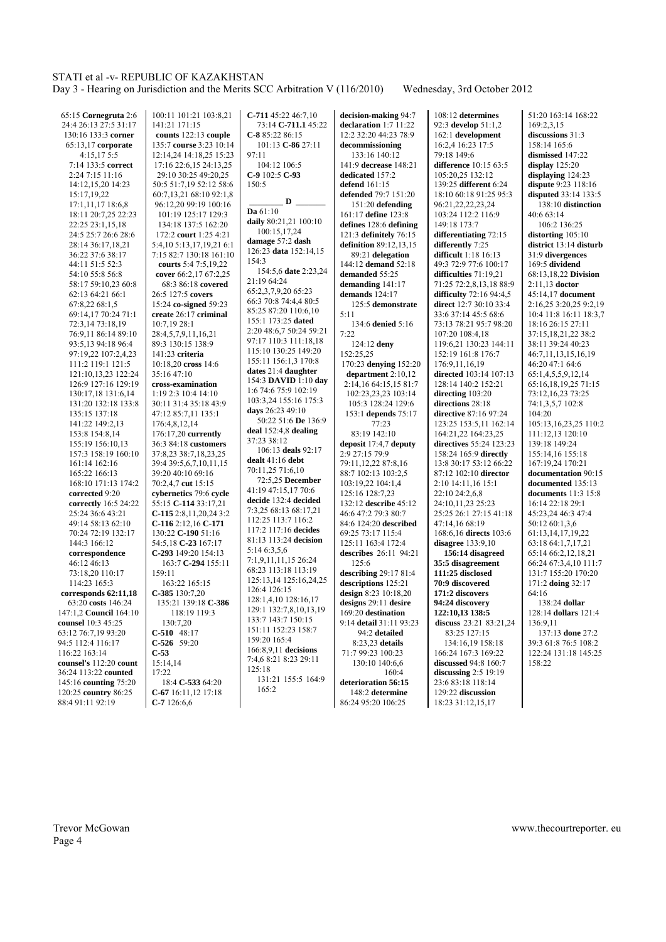65:15 Cornegruta 2:6 24:4 26:13 27:5 31:17 130:16 133:3 corner 65:13.17 corporate  $4:15,175:5$  $7.14$  133.5 correct  $2:247:1511:16$ 14:12,15,20 14:23 15:17,19,22  $17.111171868$ 18:11 20:7,25 22:23  $22.2523.11518$ 24:5 25:7 26:6 28:6 28:14 36:17,18,21 36:22 37:6 38:17 44:11 51:5 52:3  $54.10558568$ 58:17 59:10.23 60:8  $62.1364.2166.1$ 67:8,22 68:1,5 69:14,17 70:24 71:1 72:3.14 73:18.19 76.9 11 86.14 89.10 93:5.13 94:18 96:4 97:19,22 107:2,4,23 111:2 119:1 121:5 121:10,13,23 122:24 126:9 127:16 129:19 130.17 18 131.6 14 131:20 132:18 133:8 135:15 137:18 141:22 149:2,13 153:8 154:8,14 155:19 156:10.13  $157.3158.19160.10$  $161.14$   $162.16$ 165:22 166:13 168:10 171:13 174:2 corrected 9:20 correctly 16:5 24:22  $25.2436643.21$  $49.1458.1362.10$ 70:24 72:19 132:17 144:3 166:12 correspondence  $46.1246.13$ 73:18.20 110:17 114:23 165:3 corresponds 62:11,18 63:20 costs 146:24 147:1.2 Council 164:10 counsel  $10.345.25$ 63:12 76:7.19 93:20 94:5 112:4 116:17 116:22 163:14 counsel's 112:20 count 36:24 113:22 counted  $145.16$  counting  $75.20$ 120:25 country 86:25 88:4 91:11 92:19

100:11 101:21 103:8,21 141:21 171:15 counts 122:13 couple 135:7 course 3:23 10:14 12:14.24 14:18.25 15:23 17:16 22:6.15 24:13.25 29:10 30:25 49:20 25 50:5 51:7,19 52:12 58:6 60:7,13,21 68:10 92:1,8 96:12.20.99:19.100:16  $101:19$  125:17 129:3  $134.18$   $137.5$   $162.20$ 172:2 court 1:25 4:21 5:4,10 5:13,17,19,21 6:1 7:15 82:7 130:18 161:10 courts 5:4 7:5,19,22 cover  $66.21767.225$ 68:3 86:18 covered  $26.5$  127.5 covers 15:24 co-signed 59:23 create 26:17 criminal 10:7.19 28:1 28:4579111621 89:3 130:15 138:9 141:23 criteria 10:18,20 cross 14:6  $35.1647.10$ cross-examination  $1.19231041410$ 30:11 31:4 35:18 43:9 47:12 85:7,11 135:1 176:4,8,12,14 176:17,20 currently 36:3 84:18 customers 37:8.23.38:7.18.23.25 39:4 39:5.6.7.10.11.15 39:20 40:10 69:16 70:2,4,7 cut 15:15 cybernetics 79:6 cycle 55:15 C-114 33:17.21 C-115 2:8, 11, 20, 24 3:2  $C-1162:1216C-171$ 130:22 C-190 51:16 54:5.18 C-23 167:17 C-293 149:20 154:13 163:7 C-294 155:11  $150-11$ 163:22 165:15 C-385 130:7,20 135:21 139:18 C-386 118:19 119:3  $130.720$  $C-510$  48:17  $C-526$  59:20  $C-53$ 15:14,14  $17:22$  $18.4 \text{ C} - 533.64.20$ C-67 16:11,12 17:18  $C-7$  126:6,6

C-711 45:22 46:7,10 73:14 C-711.1 45:22 C-8 85:22 86:15 101:13 C-86 27:11  $97:11$  $104.12106.5$  $C-9$  102:5  $C-93$ 150:5 D Da  $61:10$ daily 80:21.21 100:10  $100 \cdot 15$  17 24 damage 57:2 dash 126:23 data 152:14,15  $154:3$ 154:5.6 date 2:23.24 21:19 64:24 65:2,3,7,9,20 65:23 66:3 70:8 74:4,4 80:5 85.25.87.20.110.6.10 155:1 173:25 dated  $2.2048:6750:2459:21$  $97.17110.3111.1818$ 115:10 130:25 149:20 155:11 156:1.3 170:8 dates 21:4 daughter 154:3 DAVID 1:10 day  $1.674675910219$  $103.3$  24 155.16 175.3 days 26:23 49:10 50:22 51:6 De 136:9 deal 152:4,8 dealing  $37:23.38:12$ 106:13 deals 92:17 dealt 41:16 debt 70:11.25 71:6.10 72:5,25 December 41:19 47:15,17 70:6 decide 132:4 decided 7:3.25 68:13 68:17.21 112:25 113:7 116:2 117:2 117:16 decides 81:13 113:24 decision 5:14 6:3,5,6  $7:1911111526:24$ 68:23 113:18 113:19 125:13,14 125:16,24,25 126:4 126:15 128:1,4,10 128:16,17 129:1 132:7.8.10.13.19  $133:7143:7150:15$ 151:11 152:23 158:7 159:20 165:4 166:8,9,11 decisions 7:4,6 8:21 8:23 29:11  $125:18$ 131:21 155:5 164:9  $165.2$ 

decision-making 94:7 declaration 1:7 11:22 12:2 32:20 44:23 78:9 decommissioning 133:16 140:12 141:9 decrease 148:21 dedicated 157:2 defend 161:15 defended 79:7 151:20 151:20 defending 161:17 define 123:8 defines 128:6 defining 121:3 definitely 76:15 definition 89:12,13,15 89:21 delegation 144:12 demand 52:18 demanded 55:25 demanding 141:17 demands  $124.17$ 125:5 demonstrate  $5:11$ 134:6 denied 5:16  $7:22$  $124:12$  denv 152:25,25 170:23 denying 152:20 department  $2:10,12$ 2:14.16 64:15.15 81:7  $102.232323103.14$ 105:3 128:24 129:6 153:1 depends 75:17  $77:23$ 83:19 142:10 deposit 17:4,7 deputy  $2.927.1579.9$ 79:11.12.22 87:8.16 88:7 102:13 103:2.5 103:19,22 104:1,4 125:16 128:7,23 132:12 describe 45:12  $46.647.279.380.7$ 84:6 124:20 described 69:25 73:17 115:4 125:11 163:4 172:4 describes 26:11 94:21  $125.6$ describing 29:17 81:4 descriptions 125:21 design 8:23 10:18,20 designs 29:11 desire 169:20 destination 9:14 detail 31:11 93:23  $94.2$  detailed 8:23,23 details 71:7 99:23 100:23 130:10 140:6,6  $160:4$ deterioration 56:15  $148.2$  determine 86:24 95:20 106:25

Wednesday, 3rd October 2012

108:12 determines 92:3 develop 51:1,2 162:1 development 16:2.4 16:23 17:5 79:18 149:6 difference  $10:1563:5$ 105:20,25 132:12 139:25 different 6:24 18:10 60:18 91:25 95:3 96:21.22.22.23.24 103:24 112:2 116:9  $140.18$   $173.7$ differentiating 72:15 differently 7:25 difficult 1:18 16:13 49:3 72:9 77:6 100:17 difficulties  $71:19.21$ 71:25 72:2,8,13,18 88:9 difficulty 72:16 94:4,5 direct 12:7 30:10 33:4 33:6 37:14 45:5 68:6 73:13 78:21 95:7 98:20  $107.20$   $108.4$  18 119:6.21 130:23 144:11 152:19 161:8 176:7 176:9,11,16,19 directed 103:14 107:13 128:14 140:2 152:21 directing 103:20 directions 28:18 directive 87:16 97:24 123:25 153:5,11 162:14 164:21,22 164:23,25 directives 55:24 123:23 158:24 165:9 directly 13:8 30:17 53:12 66:22 87:12 102:10 director 2:10 14:11,16 15:1 22:10 24:2,6,8 24:10.11.23 25:23 25:25 26:1 27:15 41:18  $47.141668.19$ 168:6,16 directs 103:6 disagree 133:9,10 156:14 disagreed 35:5 disagreement  $111.25$  disclosed 70:9 discovered 171:2 discovers 94:24 discovery 122:10.13 138:5 discuss 23.21 83.21 24  $83.25127.15$ 134:16,19 158:18 166:24 167:3 169:22 discussed 94:8 160:7 discussing  $2:5$  19:19  $23.683.18118.14$ 129:22 discussion 18:23 31:12,15,17

51:20 163:14 168:22 169:2,3,15 discussions 31:3 158:14 165:6 dismissed 147:22 display  $125:20$ displaying 124:23 dispute 9:23 118:16 disputed 33:14 133:5 138:10 distinction  $40:663:14$  $106.2136.25$ distorting 105:10 district 13:14 disturb 31:9 divergences 169:5 dividend 68:13.18.22 Division  $2:11.13$  doctor  $45:1417$  document 2:16.25 3:20.25 9:2.19 10:4 11:8 16:11 18:3.7 18:16 26:15 27:11  $37.15$  18 21 22 38.2 38:11 39:24 40:23 46:7,11,13,15,16,19 46:20 47:1 64:6 65:1,4,5,5,9,12,14 65:16.18.19.25 71:15 73:12.16.23 73:25 74:1,3,5,7 102:8  $104:20$ 105:13,16,23,25 110:2 111:12,13 120:10 139:18 149:24  $155.1416155.18$ 167:19.24 170:21 documentation 90:15 documented 135:13 documents 11:3 15:8 16:14 22:18 29:1 45:23.24 46:3 47:4  $50.1260.136$ 61:13,14,17,19,22 63:18 64:1,7,17,21 65:14 66:2.12.18.21  $66.246734101117$  $131.7155.20170.20$ 171:2 doing 32:17 64:16 138:24 dollar 128:14 dollars 121:4  $136.911$ 137:13 done 27:2 39:3 61:8 76:5 108:2 122:24 131:18 145:25 158:22

Trevor McGowan Page 4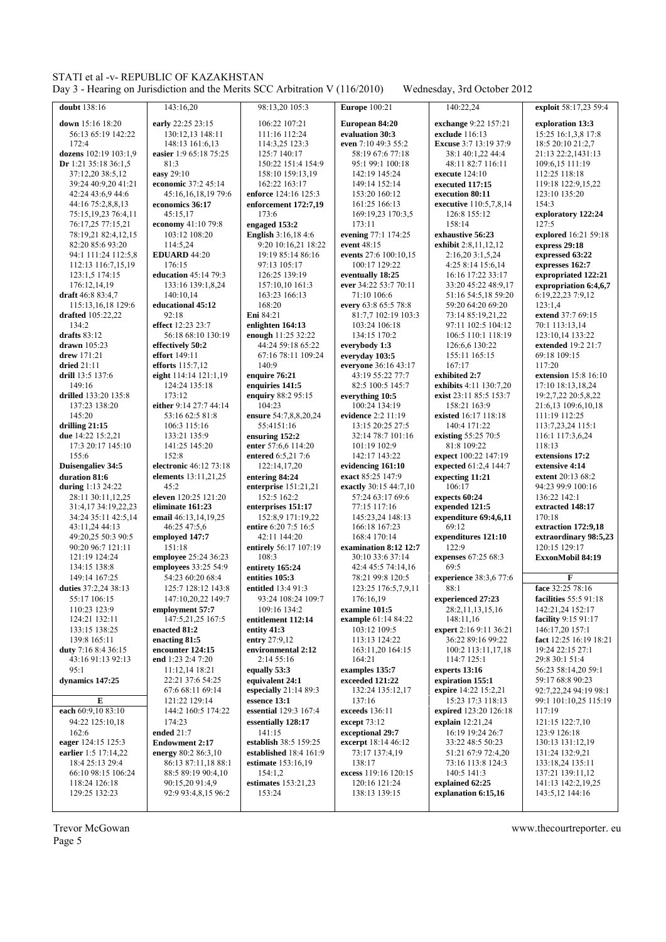Wednesday, 3rd October 2012

| doubt 138:16                           | 143:16,20                                   | 98:13,20 105:3                            | <b>Europe</b> 100:21                      | 140:22,24                                  | exploit 58:17,23 59:4                        |
|----------------------------------------|---------------------------------------------|-------------------------------------------|-------------------------------------------|--------------------------------------------|----------------------------------------------|
| down 15:16 18:20                       | early 22:25 23:15                           | 106:22 107:21                             | European 84:20                            | exchange 9:22 157:21                       | exploration 13:3                             |
| 56:13 65:19 142:22                     | 130:12,13 148:11                            | 111:16 112:24                             | evaluation 30:3                           | exclude 116:13                             | 15:25 16:1,3,8 17:8                          |
| 172:4                                  | 148:13 161:6,13                             | 114:3,25 123:3                            | even 7:10 49:3 55:2                       | <b>Excuse</b> 3:7 13:19 37:9               | 18:5 20:10 21:2,7                            |
| dozens 102:19 103:1,9                  | easier 1:9 65:18 75:25                      | 125:7 140:17                              | 58:19 67:6 77:18                          | 38:1 40:1,22 44:4                          | 21:13 22:2,1431:13                           |
| Dr 1:21 35:18 36:1,5                   | 81:3                                        | 150:22 151:4 154:9                        | 95:1 99:1 100:18                          | 48:11 82:7 116:11                          | 109:6,15 111:19                              |
| 37:12,20 38:5,12                       | easy 29:10                                  | 158:10 159:13,19                          | 142:19 145:24                             | execute 124:10                             | 112:25 118:18                                |
| 39:24 40:9,20 41:21                    | economic 37:2 45:14<br>45:16,16,18,19 79:6  | 162:22 163:17<br>enforce 124:16 125:3     | 149:14 152:14<br>153:20 160:12            | executed 117:15<br>execution 80:11         | 119:18 122:9,15,22<br>123:10 135:20          |
| 42:24 43:6,9 44:6<br>44:16 75:2,8,8,13 | economics 36:17                             | enforcement 172:7,19                      | 161:25 166:13                             | executive 110:5,7,8,14                     | 154:3                                        |
| 75:15, 19, 23 76: 4, 11                | 45:15,17                                    | 173:6                                     | 169:19,23 170:3,5                         | 126:8 155:12                               | exploratory 122:24                           |
| 76:17,25 77:15,21                      | economy 41:10 79:8                          | engaged 153:2                             | 173:11                                    | 158:14                                     | 127:5                                        |
| 78:19,21 82:4,12,15                    | 103:12 108:20                               | <b>English</b> 3:16,18 4:6                | evening 77:1 174:25                       | exhaustive 56:23                           | explored 16:21 59:18                         |
| 82:20 85:6 93:20                       | 114:5,24                                    | 9:20 10:16,21 18:22                       | event 48:15                               | exhibit 2:8,11,12,12                       | express 29:18                                |
| 94:1 111:24 112:5,8                    | <b>EDUARD 44:20</b>                         | 19:19 85:14 86:16                         | events 27:6 100:10,15                     | 2:16,203:1,5,24                            | expressed 63:22                              |
| 112:13 116:7,15,19                     | 176:15                                      | 97:13 105:17                              | 100:17 129:22                             | 4:25 8:14 15:6,14                          | expresses 162:7                              |
| 123:1,5 174:15<br>176:12,14,19         | education 45:14 79:3<br>133:16 139:1,8,24   | 126:25 139:19<br>157:10,10 161:3          | eventually 18:25<br>ever 34:22 53:7 70:11 | 16:16 17:22 33:17<br>33:20 45:22 48:9,17   | expropriated 122:21                          |
| draft $46:883:4,7$                     | 140:10,14                                   | 163:23 166:13                             | 71:10 106:6                               | 51:16 54:5,18 59:20                        | expropriation 6:4,6,7<br>6:19,22,23 7:9,12   |
| 115:13,16,18 129:6                     | educational 45:12                           | 168:20                                    | every 63:8 65:5 78:8                      | 59:20 64:20 69:20                          | 123:1,4                                      |
| drafted $105:22,22$                    | 92:18                                       | Eni 84:21                                 | 81:7,7 102:19 103:3                       | 73:14 85:19,21,22                          | extend 37:7 69:15                            |
| 134:2                                  | effect 12:23 23:7                           | enlighten 164:13                          | 103:24 106:18                             | 97:11 102:5 104:12                         | 70:1 113:13,14                               |
| drafts $83:12$                         | 56:18 68:10 130:19                          | enough 11:25 32:22                        | 134:15 170:2                              | 106:5 110:1 118:19                         | 123:10,14 133:22                             |
| drawn 105:23                           | effectively 50:2                            | 44:24 59:18 65:22                         | everybody 1:3                             | 126:6.6 130:22                             | extended 19:2 21:7                           |
| drew $171:21$<br>dried $21:11$         | effort 149:11                               | 67:16 78:11 109:24<br>140:9               | everyday 103:5                            | 155:11 165:15<br>167:17                    | 69:18 109:15<br>117:20                       |
| drill 13:5 137:6                       | efforts $115:7,12$<br>eight 114:14 121:1,19 | enquire 76:21                             | everyone 36:16 43:17<br>43:19 55:22 77:7  | exhibited 2:7                              | extension 15:8 16:10                         |
| 149:16                                 | 124:24 135:18                               | enquiries 141:5                           | 82:5 100:5 145:7                          | exhibits 4:11 130:7,20                     | 17:10 18:13,18,24                            |
| drilled 133:20 135:8                   | 173:12                                      | enquiry 88:2 95:15                        | everything 10:5                           | exist 23:11 85:5 153:7                     | 19:2,7,22 20:5,8,22                          |
| 137:23 138:20                          | either 9:14 27:7 44:14                      | 104:23                                    | 100:24 134:19                             | 158:21 163:9                               | 21:6,13 109:6,10,18                          |
| 145:20                                 | 53:16 62:5 81:8                             | ensure 54:7,8,8,20,24                     | evidence 2:2 11:19                        | existed 16:17 118:18                       | 111:19 112:25                                |
| drilling 21:15                         | 106:3 115:16                                | 55:4151:16                                | 13:15 20:25 27:5                          | 140:4 171:22                               | 113:7,23,24 115:1                            |
| due 14:22 15:2,21                      | 133:21 135:9                                | ensuring 152:2                            | 32:14 78:7 101:16                         | existing 55:25 70:5                        | 116:1 117:3,6,24                             |
| 17:3 20:17 145:10<br>155:6             | 141:25 145:20<br>152:8                      | enter 57:6,6 114:20<br>entered 6:5,21 7:6 | 101:19 102:9<br>142:17 143:22             | 81:8 109:22<br>expect 100:22 147:19        | 118:13<br>extensions 17:2                    |
| Duisengaliev 34:5                      | electronic 46:12 73:18                      | 122:14,17,20                              | evidencing 161:10                         | expected 61:2,4 144:7                      | extensive 4:14                               |
| duration 81:6                          | elements 13:11,21,25                        | entering 84:24                            | exact 85:25 147:9                         | expecting 11:21                            | extent 20:13 68:2                            |
| during $1:13\,24:22$                   | 45:2                                        | enterprise $151:21,21$                    | exactly 30:15 44:7,10                     | 106:17                                     | 94:23 99:9 100:16                            |
| 28:11 30:11,12,25                      | eleven 120:25 121:20                        | 152:5 162:2                               | 57:24 63:17 69:6                          | expects 60:24                              | 136:22 142:1                                 |
| 31:4,17 34:19,22,23                    | eliminate 161:23                            | enterprises 151:17                        | 77:15 117:16                              | expended 121:5                             | extracted 148:17                             |
| 34:24 35:11 42:5,14                    | email 46:13,14,19,25                        | 152:8,9 171:19,22                         | 145:23,24 148:13                          | expenditure 69:4,6,11<br>69:12             | 170:18                                       |
| 43:11,24 44:13<br>49:20,25 50:3 90:5   | 46:25 47:5,6<br>employed 147:7              | entire 6:20 7:5 16:5<br>42:11 144:20      | 166:18 167:23<br>168:4 170:14             | expenditures 121:10                        | extraction 172:9,18<br>extraordinary 98:5,23 |
| 90:20 96:7 121:11                      | 151:18                                      | entirely 56:17 107:19                     | examination 8:12 12:7                     | 122:9                                      | 120:15 129:17                                |
| 121:19 124:24                          | employee 25:24 36:23                        | 108:3                                     | 30:10 33:6 37:14                          | expenses 67:25 68:3                        | ExxonMobil 84:19                             |
| 134:15 138:8                           | employees 33:25 54:9                        | entirety 165:24                           | 42:4 45:5 74:14,16                        | 69:5                                       |                                              |
| 149:14 167:25                          | 54:23 60:20 68:4                            | entities 105:3                            | 78:21 99:8 120:5                          | experience 38:3,6 77:6                     | F                                            |
| duties 37:2,24 38:13                   | 125:7 128:12 143:8                          | entitled 13:4 91:3                        | 123:25 176:5,7,9,11                       | 88:1                                       | face 32:25 78:16                             |
| 55:17 106:15                           | 147:10,20,22 149:7                          | 93:24 108:24 109:7                        | 176:16,19                                 | experienced 27:23                          | facilities 55:5 91:18                        |
| 110:23 123:9                           | employment 57:7                             | 109:16 134:2                              | examine 101:5                             | 28:2,11,13,15,16                           | 142:21,24 152:17                             |
| 124:21 132:11                          | 147:5,21,25 167:5                           | entitlement 112:14<br>entity 41:3         | example 61:14 84:22                       | 148:11,16<br>expert 2:16 9:11 36:21        | facility 9:15 91:17<br>146:17.20 157:1       |
| 133:15 138:25<br>139:8 165:11          | enacted 81:2<br>enacting 81:5               | entry $27:9,12$                           | 103:12 109:5<br>113:13 124:22             | 36:22 89:16 99:22                          | fact 12:25 16:19 18:21                       |
| duty 7:16 8:4 36:15                    | encounter 124:15                            | environmental 2:12                        | 163:11,20 164:15                          | 100:2 113:11,17,18                         | 19:24 22:15 27:1                             |
| 43:16 91:13 92:13                      | end $1:23$ 2:4 7:20                         | 2:14 55:16                                | 164:21                                    | 114:7 125:1                                | 29:8 30:1 51:4                               |
| 95:1                                   | 11:12,14 18:21                              | equally 53:3                              | examples 135:7                            | experts 13:16                              | 56:23 58:14,20 59:1                          |
| dynamics 147:25                        | 22:21 37:6 54:25                            | equivalent 24:1                           | exceeded 121:22                           | expiration 155:1                           | 59:17 68:8 90:23                             |
|                                        | 67:6 68:11 69:14                            | especially $21:1489:3$                    | 132:24 135:12,17                          | expire 14:22 15:2,21                       | 92:7.22.24 94:19 98:1                        |
| E<br>each 60:9,10 83:10                | 121:22 129:14<br>144:2 160:5 174:22         | essence 13:1<br>essential 129:3 167:4     | 137:16<br>exceeds 136:11                  | 15:23 17:3 118:13<br>expired 123:20 126:18 | 99:1 101:10,25 115:19<br>117:19              |
| 94:22 125:10,18                        | 174:23                                      | essentially 128:17                        | except $73:12$                            | explain $12:21,24$                         | 121:15 122:7,10                              |
| 162:6                                  | ended $21:7$                                | 141:15                                    | exceptional 29:7                          | 16:19 19:24 26:7                           | 123:9 126:18                                 |
| eager 124:15 125:3                     | <b>Endowment 2:17</b>                       | establish 38:5 159:25                     | excerpt 18:14 46:12                       | 33:22 48:5 50:23                           | 130:13 131:12,19                             |
| earlier 1:5 17:14,22                   | energy 80:2 86:3,10                         | established $18:4 161:9$                  | 73:17 137:4,19                            | 51:21 67:9 72:4,20                         | 131:24 132:9,21                              |
| 18:4 25:13 29:4                        | 86:13 87:11,18 88:1                         | estimate 153:16,19                        | 138:17                                    | 73:16 113:8 124:3                          | 133:18,24 135:11                             |
| 66:10 98:15 106:24                     | 88:5 89:19 90:4,10                          | 154:1,2                                   | excess 119:16 120:15                      | 140:5 141:3                                | 137:21 139:11,12                             |
| 118:24 126:18                          | 90:15,20 91:4,9                             | estimates $153:21,23$                     | 120:16 121:24                             | explained 62:25                            | 141:13 142:2,19,25                           |
| 129:25 132:23                          | 92:9 93:4,8,15 96:2                         | 153:24                                    | 138:13 139:15                             | explanation 6:15,16                        | 143:5,12 144:16                              |
|                                        |                                             |                                           |                                           |                                            |                                              |

Trevor McGowan<br>Page 5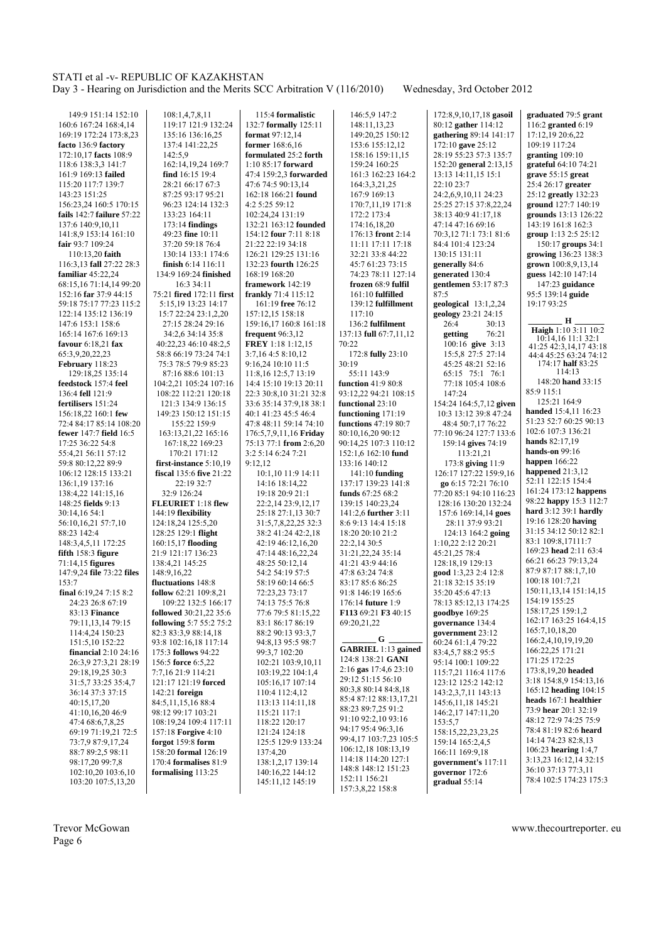160:6 167:24 168:4 14 169:19 172:24 173:8.23 facto 136:9 factory 172:10,17 facts 108:9 118:6 138:3.3 141:7 161:9 169:13 failed 115:20 117:7 139:7 143:23 151:25 156:23.24 160:5 170:15 fails 142:7 failure 57:22 137:6 140:9 10.11 141:8.9 153:14 161:10 fair 93:7 109:24 110:13,20 faith 116:3,13 fall 27:22 28:3 familiar  $45:22.24$  $68.151671.141499.20$ 152:16 far 37:9 44:15 59:18 75:17 77:23 115:2 122:14 135:12 136:19 147:6 153:1 158:6  $165.14$   $167.6$   $169.13$  $favour 6:18.21$   $fay$  $65:39202223$ February 118:23 129:18.25 135:14 feedstock 157:4 feel  $136.4$  fell  $121.9$ fertilisers 151:24 156:18,22 160:1 few 72:4 84:17 85:14 108:20 fewer 147:7 field 16:5 17:25 36:22 54:8 55:4 21 56:11 57:12 59.8 80.12 22 89.9 106:12 128:15 133:21 136:1,19 137:16 138:4,22 141:15,16 148:25 fields 9:13  $30.1416541$ 56:10.16.21.57:7.10 88:23 142:4 148:3,4,5,11 172:25 fifth 158:3 figure 71:14.15 figures 147:9,24 file 73:22 files  $153.7$ final 6:19,24 7:15 8:2 24:23 26:8 67:19 83:13 Finance 79.11.13.14.79.15 114:4.24 150:23 151:5,10 152:22 financial 2:10 24:16 26:3 9 27:3 21 28:19 29:18,19,25 30:3  $31.5733.253547$ 36:14 37:3 37:15 40:15,17,20 41:10,16,20 46:9 47:4 68:6,7,8,25 69:19 71:19.21 72:5 73.7987.91724  $88.789.2598.11$ 98:17,20 99:7,8 102:10,20 103:6,10 103:20 107:5,13,20

149:9 151:14 152:10

 $108:1,\!4,\!7,\!8,\!11$ 119:17 121:9 132:24 135:16 136:16.25  $137.4141.2225$ 142:5,9 162:14.19.24.169:7 find 16:15 19:4 28:21 66:17 67:3 87:25 93:17 95:21 96:23 124:14 132:3 133:23 164:11  $173:14$  findings 49:23 fine 10:11 37:20 59:18 76:4  $130.14$   $133.1$   $174.6$ finish 6:14 116:11 134:9 169:24 finished  $16.334.11$ 75:21 fired 172:11 first 5:15,19 13:23 14:17 15:7 22:24 23:1,2,20 27:15 28:24 29:16  $34.2634.1435.8$ 40:22.23 46:10 48:2.5 58:8 66:19 73:24 74:1 75:3 78:5 79:9 85:23 87:16 88:6 101:13 104:2,21 105:24 107:16  $108.22$   $112.21$   $120.18$  $121.3134.9136.15$ 149:23 150:12 151:15 155:22 159:9 163:13.21.22 165:16 167:18,22 169:23  $170.21$   $171.12$ first-instance 5:10.19 fiscal 135:6 five 21:22 22:19 32:7 32:9 126:24 FLEURIET 1:18 flew  $144.19$  flexibility 124:18.24 125:5.20 128:25 129:1 flight 160:15,17 flooding 21:9 121:17 136:23 138:4.21 145:25  $148.91622$ fluctuations  $148.8$ follow 62:21 109:8,21 109:22 132:5 166:17 followed 30:21,22 35:6 following 5:7 55:2 75:2 82:3 83:3.9 88:14.18 93:8 102:16,18 117:14 175:3 follows 94:22 156:5 force 6:5,22 7:7,16 21:9 114:21  $121 \cdot 17$  121  $\cdot 19$  forced  $142:21$  foreign 84:5,11,15,16 88:4 98:12 99:17 103:21 108:19,24 109:4 117:11 157:18 Forgive 4:10 forgot 159:8 form  $158.20$  formal  $126.19$ 170:4 formalises 81:9 formalising 113:25

115:4 formalistic 132:7 formally 125:11 format 97:12,14 former 168:6,16 formulated 25:2 forth  $1.10.85.17$  forward 47:4 159:2.3 forwarded 47:6 74:5 90:13,14 162:18 166:21 found  $4.25.2559.12$ 102:24,24 131:19  $132.21$   $163.12$  founded 154:12 four 7:11 8:18 21:22 22:19 34:18 126:21 129:25 131:16 132:23 fourth 126:25 168:19 168:20 framework  $142.19$ frankly 71:4 115:12 161:19 free 76:12 157:12,15 158:18 159:16,17 160:8 161:18 frequent 96:3.12 **FREV** 1.18 1.12 15  $3.7164.581012$ 9:16,24 10:10 11:5 11:8.16 12:5.7 13:19 14:4 15:10 19:13 20:11  $22.330.81031.2132.8$ 33:6 35:14 37:9.18 38:1 40:1 41:23 45:5 46:4 47:8 48:11 59:14 74:10 176:5.7.9.11.16 Friday 75:13 77:1 from 2:6.20  $3.2514624721$  $9.12.12$ 10:1.10 11:9 14:11 14:16 18:14,22 19:18 20:9 21:1 22:2.14 23:9.12.17  $25.1827.11330.7$ 31:5.7.8.22.25.32:3 38:2 41:24 42:2,18 42:19 46:12.16.20 47:14 48:16,22,24 48:25 50:12.14  $54.254.1957.5$  $58.1960.1466.5$ 72:23,23 73:17 74:13 75:5 76:8 77:6 79:5 81:15,22  $83.186.1786.19$ 88:2 90:13 93:3.7 94:8,13 95:5 98:7 99:3,7 102:20 102:21 103:9.10.11 103:19.22 104:1.4  $105.16$  17  $107.14$ 110:4 112:4.12 113:13 114:11,18 115:21 117:1 118:22 120:17 121:24 124:18 125:5 129:9 133:24  $137:4.20$ 138:1,2,17 139:14 140:16.22 144:12 145:11,12 145:19

146:5.9 147:2 148:11,13,23 149:20,25 150:12 153:6 155:12,12 158:16 159:11.15  $159.24160.25$ 161:3 162:23 164:2 164:3,3,21,25 167:9 169:13 170:7.11.19 171:8 172:2 173:4 174:16.18.20 176:13 front 2:14 11:11 17:11 17:18 32:21 33:8 44:22 45:7 61:23 73:15 74:23 78:11 127:14  $f_{\text{rozen}}$   $68.9$  fulfil  $161-10$  fulfilled 139:12 fulfillment  $117:10$ 136:2 fulfilment 137:13 full 67:7,11,12  $70.22$  $172.8$  fully  $23.10$  $30:19$  $55:11$  143:9 function 41:9 80:8 93:12.22.94:21.108:15 functional 23:10 functioning 171:19 functions 47:19 80:7 80:10.16.20 90:12 90:14.25 107:3 110:12  $152.16162.10$  fund  $133.16140.12$ 141:10 funding 137:17 139:23 141:8 funds 67:25 68:2 139:15 140:23.24  $141.26$  further  $3.11$  $8.69.1314.415.18$ 18:20 20:10 21:2 22:2.14 30:5 31:21,22,24 35:14 41:21 43:9 44:16  $47.863.2474.8$  $83.178568625$  $91.8146.191656$ 176:14 future 1:9 F113 69:21 F3 40:15 69:20,21,22 G **GABRIEL 1:13 gained** 124:8 138:21 GANI 2:16 gas 17:4.6 23:10 29:12 51:15 56:10 80:3.8 80:14 84:8.18 85:4 87:12 88:13.17.21 88:23 89:7,25 91:2 91:10 92:2,10 93:16 94:17 95:4 96:3.16 99:4.17 103:7.23 105:5  $106:12$  18  $108:13$  19  $114.18$   $114.20$   $127.1$ 148:8 148:12 151:23 152:11 156:21 157:3.8.22 158:8

#### gathering 89:14 141:17 172:10 gave 25:12 28:19 55:23 57:3 135:7 152:20 general 2:13,15 13:13 14:11.15 15:1 22:10 23:7 24:2.6.9.10.11 24:23 25:25 27:15 37:8.22.24 38:13 40:9 41:17,18  $47.1447.1669.16$  $70.31271.173.181.6$ 84:4 101:4 123:24 130:15 131:11 generally 84:6  $\frac{130.4}{\text{generated } }$ gentlemen 53:17 87:3  $87 - 5$ geological  $13:1,2,24$ geology 23:21 24:15  $30:13$  $26:4$ getting  $76.21$  $100:16$  give  $3.13$  $15.5827.527.14$ 45:25 48:21 52:16 65:15 75:1 76:1 77:18 105:4 108:6  $147.24$ 154:24 164:5.7.12 given 10:3 13:12 39:8 47:24 48:4 50:7,17 76:22 77:10 96:24 127:7 133:6 159:14 gives 74:19  $113.2121$ 173:8 giving 11:9 126:17 127:22 159:9.16 go 6:15 72:21 76:10 77:20 85:1 94:10 116:23 128:16 130:20 132:24 157.6 169:14 14 goes  $28.113799321$ 124:13 164:2 going 1:10,22 2:12 20:21 45:21,25 78:4 128:18.19 129:13 good 1:3,23 2:4 12:8  $21.1832.1535.19$ 35:20 45:6 47:13 78:13 85:12,13 174:25 goodbye 169:25 governance  $134.4$ government 23:12 60:24 61:1,4 79:22 83:4,5,7 88:2 95:5 95:14 100:1 109:22 115:7,21 116:4 117:6  $123.12$   $125.2$   $142.12$ 143:2.3.7.11 143:13 145:6,11,18 145:21 146:2,17 147:11,20 153:5,7 158:15.22.23.23.25  $159.14.165.2.45$  $166.11$   $169.9$   $18$ government's 117:11 governor 172:6

gradual 55:14

graduated 79:5 grant 116:2 granted 6:19 17:12,19 20:6,22 109:19 117:24 granting 109:10 grateful 64:10 74:21 grave 55:15 great 25:4 26:17 greater 25:12 greatly 132:23 ground 127:7 140:19 grounds 13:13 126:22  $143.19$   $161.8$   $162.3$ group 1:13 2:5 25:12 150:17 groups 34:1 growing 136:23 138:3 grown 100:8,9,13,14 guess 142:10 147:14 147:23 guidance 95:5 139:14 guide  $19.1793.25$  $H$ Haigh 1:10 3:11 10:2 10:14,16 11:1 32:1 41:25 42:3,14,17 43:18<br>44:4 45:25 63:24 74:12 174:17 half 83:25  $114.13$  $148.20$  hand  $33.15$  $85.9115.1$ 125:21 164:9 handed 15:4,11 16:23 51:23 52:7 60:25 90:13  $102.6107.3136.21$ hands 82:17,19 hands-on 99:16 happen  $166:22$ happened  $21:3,12$ 52:11 122:15 154:4 161.24 173:12 happens 98:22 happy 15:3 112:7 hard 3:12 39:1 hardly 19:16 128:20 having 31:15 34:12 50:12 82:1 83:1 109:8,17111:7 169.23 head  $2.1163.4$ 66.21 66.23 79.13 24 87:9 87:17 88:1,7,10 100:18 101:7,21 150:11,13,14 151:14,15  $154.19$   $155.25$ 158:17.25 159:1 2 162:17 163:25 164:4 15 165:7, 10, 18, 20 166:2,4,10,19,19,20 166:22,25 171:21  $171.25$   $172.25$  $173.81920$  headed 3:18 154:8,9 154:13,16 165:12 heading 104:15 heads  $167 \cdot 1$  healthier 73:9 hear 20:1 32:19 48:12 72:9 74:25 75:9 78:4 81:19 82:6 heard 14:14 74:23 82:8,13 106:23 hearing 1:4,7 3:13,23 16:12,14 32:15 36:10 37:13 77:3.11 78:4 102:5 174:23 175:3

**Trevor McGowan** Page 6

www.thecourtreporter. eu

Wednesday, 3rd October 2012

172:8,9,10,17,18 gasoil

80:12 gather 114:12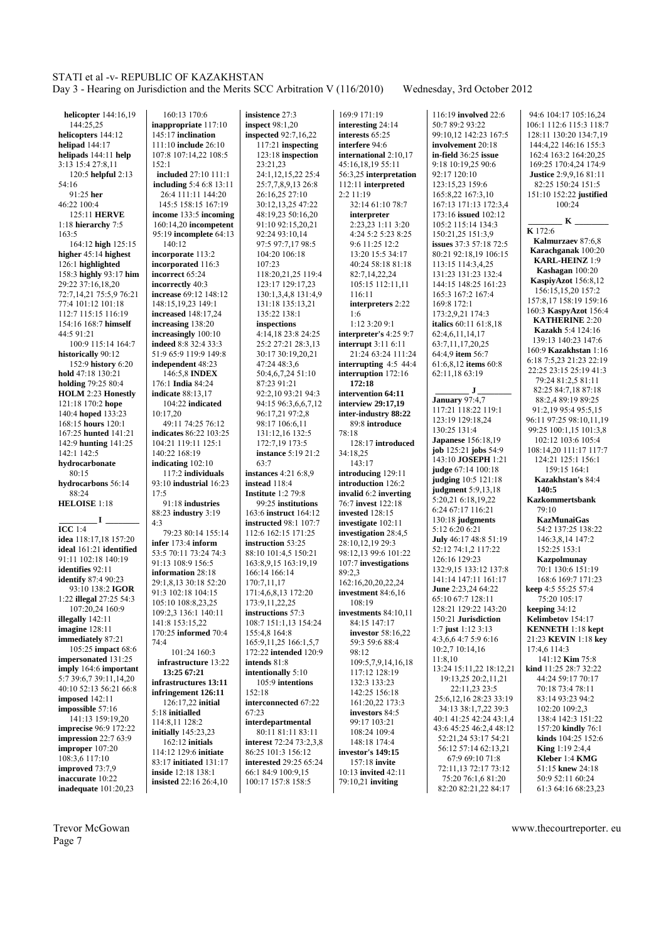helicopter 144:16,19  $144.2525$ helicopters 144:12 helipad 144:17 helipads 144:11 help  $3:13$  15:4 27:8 11 120:5 helpful 2:13 54:16 91:25 her  $46.22100.4$ 125:11 HERVE  $1:18$  hierarchy  $7:5$  $163:5$ 164:12 high 125:15 higher 45:14 highest 126:1 highlighted 158:3 highly 93:17 him 29:22 37:16.18.20  $72.7142175597621$ 77:4 101:12 101:18 112:7 115:15 116:19 154:16 168:7 himself  $44.591.21$  $100.9115.14164.7$ historically 90:12 152:9 history 6:20 hold 47:18 130:21 **holding** 79:25 80:4 HOLM 2.23 Honestly 121:18 170:2 hope 140:4 hoped 133:23 168:15 hours 120:1 167:25 hunted 141:21 142:9 hunting 141:25  $142.1142.5$ hydrocarbonate 80:15 hydrocarbons 56:14 88:24 **HELOISE** 1:18  $ICC 1.4$ idea 118:17,18 157:20 ideal 161:21 identified 91:11 102:18 140:19 identifies 92:11 **identify** 87:4 90:23 93:10 138:2 IGOR 1:22 illegal 27:25 54:3  $107.2024160.9$ illegally 142:11 **imagine** 128:11 immediately  $87:21$ 105:25 impact 68:6 impersonated 131:25 imply 164:6 important 5:7 39:6.7 39:11,14.20  $40.1052.1356.2166.8$ **imposed** 142:11 impossible  $57.16$ 141:13 159:19.20 imprecise 96:9 172:22 impression  $22:763:9$ improper  $107:20$ 108:3.6 117:10 improved 73:7,9 inaccurate 10:22 inadequate 101:20,23

160:13 170:6 inappropriate 117:10  $145:17$  inclination 111:10 include 26:10 107:8 107:14,22 108:5  $152 - 1$ included 27:10 111:1 including 5:4 6:8 13:11 26:4 111:11 144:20 145:5 158:15 167:19 income 133:5 incoming  $160.14.20$  incompetent 95:19 incomplete 64:13  $140.12$ incorporate 113:2 incorporated 116:3 incorrect  $65.24$ incorrectly  $40.3$ increase  $69.12$   $148.12$ 148:15,19,23 149:1 increased 148:17,24 increasing 138:20 increasingly 100:10 indeed  $8.832.433.3$  $51.965911991498$ independent 48:23 146:5.8 **INDEX** 176:1 India 84:24 indicate  $88.1317$ 104:22 indicated 10:17,20  $49.1174.2576.12$ indicates  $86:22$  103:25 104:21 119:11 125:1  $140.22$   $168.19$ indicating 102:10 117:2 individuals 93:10 industrial 16:23  $17:5$ 91:18 industries  $88.23$  industry  $3.19$  $4.3$ 79:23 80:14 155:14 infer 173:4 inform 53:5 70:11 73:24 74:3 91:13 108:9 156:5 information  $28:18$ 29:1.8.13.30:18.52:20  $91.3102.18104.15$ 105:10 108:8,23,25 109:2,3 136:1 140:11  $141.8$  153.15 22 170:25 informed 70:4  $74:4$ 101:24 160:3 infrastructure  $13:22$  $13.2567.21$ infrastructures 13.11 infringement 126:11 126:17.22 initial 5:18 initialled 114:8,11 128:2 initially 145:23.23  $162:12$  initials 114:12 129:6 initiate 83:17 initiated 131:17 inside 12:18 138:1 insisted 22:16 26:4,10

insistence  $27:3$ **inspect** 98:1,20 inspected 92:7,16,22  $117:21$  inspecting  $123:18$  inspection  $23.21.23$ 24:1.12.15.22 25:4 25:7,7,8,9,13 26:8  $26:16.25\ 27:10$ 30:12.13.25 47:22 48:19,23 50:16,20  $91 \cdot 1092 \cdot 15.20.21$ 92:24 93:10.14 97:5 97:7,17 98:5 104:20 106:18 107:23 118:20.21.25 119:4  $123.17129.1723$ 130:1.3.4.8 131:4.9 131:18 135:13,21  $135:22$   $138:1$ inspections 4:14,18 23:8 24:25  $25.227.2128.313$  $30.1730.192021$ 47:24 48:3,6 50:4,6,7,24 51:10 87:23 91:21  $92.2 10.93.21.94.3$ 94:15 96:3,6,6,7,12 96:17,21 97:2,8 98:17 106:6,11 131:12.16 132:5 172:7,19 173:5 instance 5:19 21:2  $63.7$ **instances** 4:21 6:8.9 instead 118:4 **Institute 1:2 79:8** 99:25 institutions  $163.6$  instruct  $164.12$ instructed  $98.1107.7$ 112:6 162:15 171:25 instruction 53:25 88:10 101:4,5 150:21 163:8.9.15 163:19.19  $166.14166.14$  $170.71117$ 171:4,6,8,13 172:20 173:9, 11, 22, 25 instructions 57:3 108:7 151:1.13 154:24 155:4.8 164:8 165:9,11,25 166:1,5,7 172:22 intended 120:9 intends  $81.8$ intentionally 5:10 105:9 intentions  $152.18$ interconnected 67:22 67:23 interdepartmental 80:11 81:11 83:11 interest  $72:24.73:2.3.8$ 86:25 101:3 156:12 interested 29:25 65:24 66:1 84:9 100:9,15 100:17 157:8 158:5

 $169.9171.19$ interesting 24:14 interests 65:25 interfere 94:6 international 2:10,17 45:16,18.19 55:11 56:3,25 interpretation 112:11 interpreted  $2.211.19$ 32:14 61:10 78:7 interpreter  $2.23.23.1.11.3.20$  $4:245:25:238:25$ 9:6 11:25 12:2 13:20 15:5 34:17 40:24 58:18 81:18 82.7 14 22 24  $105:15112:1111$  $116.11$ interpreters 2:22  $1:6$  $1:123:209:1$ interpreter's 4:25 9:7 interrupt  $3:116:11$  $21.2463.24111.24$ interrupting 4:5 44:4 interruption 172:16 172:18 intervention 64.11 interview 29:17.19 inter-industry 88:22 89:8 introduce  $78:18$ 128:17 introduced  $34.1825$  $143.17$ introducing 129:11 introduction 126:2 invalid 6:2 inverting 76:7 invest 122:18 invested  $128.15$ investigate 102:11 investigation 28:4,5 28:10.12.19 29:3 98:12,13 99:6 101:22 107:7 investigations  $80.23$ 162:16,20,20,22,24 investment 84:6,16 108:19 investments 84:10,11  $84.15147.17$ investor 58:16.22 59:3 59:6 88:4 98:12 109:5.7.9.14.16.18 117:12 128:19  $132:3$   $133:23$  $142.25$  156.18 161:20,22 173:3 investors 84:5 99:17 103:21  $108.24 109.4$ 148:18 174:4 investor's 149:15 157:18 invite 10:13 invited 42:11 79:10,21 inviting

#### 116:19 involved 22:6  $50.789.293.22$ 99:10.12 142:23 167:5 involvement 20:18 in-field 36:25 issue  $9.1810.1925906$ 92:17 120:10 123:15,23 159:6 165:8.22 167:3.10 167:13 171:13 172:3.4 173:16 issued 102:12  $105.2$  115 $\cdot$ 14 134 $\cdot$ 3 150:21.25 151:3.9 issues 37:3 57:18 72:5 80:21 92:18,19 106:15 113:15 114:3,4,25 131:23 131:23 132:4  $144.15$   $148.25$   $161.23$ 165:3 167:2 167:4 169:8 172:1 173:2,9,21 174:3 **italics** 60:11 61:8.18 62:4 6 11 14 17 63:7.11.17.20.25 64.4 9 item 56.7 61:6,8,12 items 60:8 62:11,18 63:19  $\frac{3}{\text{January } 97:4.7}$  $117.21$   $118.22$   $119.1$ 123:19 129:18.24 130:25 131:4 **Japanese** 156:18,19  $\overrightarrow{125:21}$  iobs 54:9 143:10 JOSEPH 1:21 judge 67:14 100:18 judging 10:5 121:18 judgment 5:9,13,18  $5:20,216:18,19,22$  $6:24$  67:17 116:21 130:18 judgments 5:12 6:20 6:21 July 46:17 48:8 51:19 52:12 74:1,2 117:22 126:16 129:23 132:9.15 133:12 137:8  $141.14$   $147.11$   $161.17$ June 2:23.24 64:22 65:10 67:7 128:11 128.21 129.22 143.20 150:21 Jurisdiction 1:7 iust 1:12 3:13  $4.3664.759616$  $10:2.710:14.16$  $11:8,10$ 13:24 15:11,22 18:12,21 19:13.25 20:2,11.21  $22.112323.5$ 25:6.12.16 28:23 33:19 34.13.38.1.7.22.39.3 40:1 41:25 42:24 43:1.4 43:6 45:25 46:2,4 48:12 52:21.24 53:17 54:21 56:12 57:14 62:13.21 67:9 69:10 71:8 72:11,13 72:17 73:12 75:20 76:1,6 81:20

82:20 82:21,22 84:17

Wednesday, 3rd October 2012

94:6 104:17 105:16.24  $106:1112:6115:3118:7$ 128:11 130:20 134:7,19 144:4.22 146:16 155:3 162:4 163:2 164:20.25 169:25 170:4.24 174:9 **Justice** 2:9,9,16 81:11 82:25 150:24 151:5 151:10 152:22 justified  $100.24$ 

K  $\overline{K}$  172:6 Kalmurzaev 87:6,8 Karachganak 100:20 KARL-HEINZ 1:9 Kashagan 100:20 KasnivAzot 156.8 12 156:15.15.20 157:2 157:8 17 158:19 159:16 160:3 KaspyAzot 156:4 **KATHERINE 2:20 Kazakh 5:4 124:16** 139:13 140:23 147:6 160:9 Kazakhstan 1:16 6:18 7:5,23 21:23 22:19 22:25 23:15 25:19 41:3 79:24 81:2,5 81:11 82:25 84:7 18 87:18 88.2.4 89.19 89.25  $91.21995495515$ 96:11 97:25 98:10,11,19 99:25 100:1,15 101:3,8 102:12 103:6 105:4  $108.1420111117171777$ 124:21 125:1 156:1  $159.15164.1$ Kazakhstan's 84.4  $140 - 5$ **Kazkommertsbank**  $79:10$ **KazMunaiGas** 54:2 137:25 138:22 146:3,8,14 147:2 152:25 153:1 Kazpolmunav 70:1 130:6 151:19  $168.6169.7171.23$ keep 4:5 55:25 57:4 75:20 105:17 keeping 34:12 Kelimbetov 154:17 **KENNETH 1:18 kept** 21.23 KEVIN 1:18 kev  $17:4.6114:3$ 141:12 Kim 75:8 kind 11:25 28:7 32:22 44:24 59:17 70:17 70.18 73.4 78.11  $83.1493.2394.2$  $102.20109.23$ 138:4 142:3 151:22 157:20 kindly 76:1 kinds 104:25 152:6 King 1:19 2:4.4 Kleber 1:4 KMG 51:15 knew 24:18 50:9 52:11 60:24 61:3 64:16 68:23,23

**Trevor McGowan** Page 7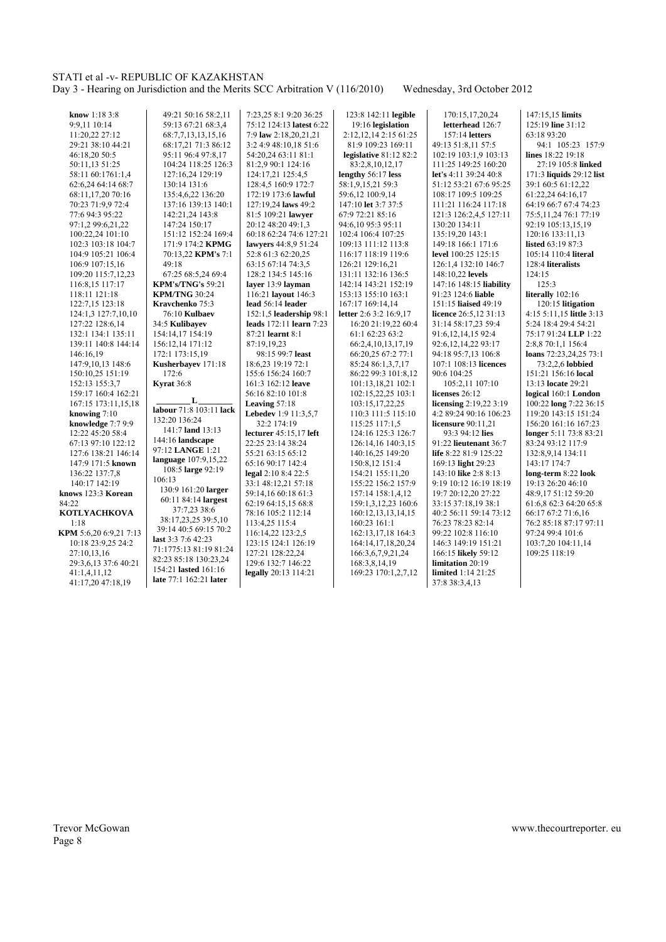Wednesday, 3rd October 2012

170:15,17,20,24

| <b>know</b> $1:183:8$  | 49:21 50:16 58:2,11     |
|------------------------|-------------------------|
| 9:9,11 10:14           | 59:13 67:21 68:3,4      |
| 11:20,22 27:12         | 68:7,7,13,13,15,16      |
| 29:21 38:10 44:21      | 68:17,21 71:3 86:12     |
| 46:18,20 50:5          | 95:11 96:4 97:8,17      |
| 50:11,13 51:25         | 104:24 118:25 126:3     |
| 58:11 60:1761:1,4      | 127:16,24 129:19        |
| 62:6,24 64:14 68:7     | 130:14 131:6            |
| 68:11,17,20 70:16      | 135:4,6,22 136:20       |
| 70:23 71:9,9 72:4      | 137:16 139:13 140:1     |
| 77:6 94:3 95:22        | 142:21,24 143:8         |
|                        | 147:24 150:17           |
| 97:1,2 99:6,21,22      |                         |
| 100:22,24 101:10       | 151:12 152:24 169:4     |
| 102:3 103:18 104:7     | 171:9 174:2 KPMG        |
| 104:9 105:21 106:4     | 70:13,22 KPM's 7:1      |
| 106:9 107:15,16        | 49:18                   |
| 109:20 115:7,12,23     | 67:25 68:5,24 69:4      |
| 116:8,15 117:17        | KPM's/TNG's 59:21       |
| 118:11 121:18          | <b>KPM/TNG 30:24</b>    |
| 122:7,15 123:18        | Kravchenko 75:3         |
| 124:1.3 127:7.10.10    | 76:10 Kulbaev           |
| 127:22 128:6,14        | 34:5 Kulibavev          |
| 132:1 134:1 135:11     | 154:14,17 154:19        |
| 139:11 140:8 144:14    | 156:12,14 171:12        |
| 146:16.19              | 172:1 173:15,19         |
| 147:9,10,13 148:6      | Kusherbayev 171:18      |
| 150:10,25 151:19       | 172:6                   |
| 152:13 155:3,7         | Kyrat 36:8              |
| 159:17 160:4 162:21    |                         |
| 167:15 173:11,15,18    | L                       |
| knowing $7:10$         | labour 71:8 103:11 lacl |
| knowledge 7:7 9:9      | 132:20 136:24           |
| 12:22 45:20 58:4       | 141:7 land 13:13        |
| 67:13 97:10 122:12     | 144:16 landscape        |
| 127:6 138:21 146:14    | 97:12 LANGE 1:21        |
| 147:9 171:5 known      | language 107:9,15,22    |
| 136:22 137:7,8         | 108:5 large 92:19       |
| 140:17 142:19          | 106:13                  |
| knows 123:3 Korean     | 130:9 161:20 larger     |
| 84:22                  | 60:11 84:14 largest     |
| <b>KOTLYACHKOVA</b>    | 37:7,23 38:6            |
| 1:18                   | 38:17,23,25 39:5,10     |
| KPM 5:6,20 6:9,21 7:13 | 39:14 40:5 69:15 70:2   |
| 10:18 23:9,25 24:2     | last 3:3 7:6 42:23      |
| 27:10,13,16            | 71:1775:13 81:19 81:24  |
| 29:3,6,13 37:6 40:21   | 82:23 85:18 130:23,24   |
| 41:1,4,11,12           | 154:21 lasted 161:16    |
| 41:17,20 47:18,19      | late 77:1 162:21 later  |
|                        |                         |

 $-1367.2168.34$ 75.12.124.13 latest 6.22  $:7,7,13,13,15,16$ 7:9 law 2:18,20,21,21 :17,21 71:3 86:12  $3.24948.1018516$  $:11\,96:4\,97:8.17$ 54:20,24 63:11 81:1  $4.24$  118:25 126:3  $81.2990 \cdot 1124 \cdot 16$ 27:16.24 129:19 124:17,21 125:4,5 0:14 131:6 128:4,5 160:9 172:7 5:4.6.22 136:20 172:19 173:6 lawful 37:16 139:13 140:1 127:19.24 laws 49:2 81:5 109:21 lawyer 2:21.24 143:8  $20.1248.2049.13$  $17.24$  150.17 1:12 152:24 169:4 60:18 62:24 74:6 127:21 lawyers 44:8,9 51:24 1:9 174:2 KPMG :13,22 KPM's 7:1 52:8 61:3 62:20,25 63:15 67:14 74:3,5  $:18$  $: 2568:5.2469:4$ 128:2 134:5 145:16  $'s/TNG's 59.21$ laver 13:0 lavman  $V$ TNG 30.24 116:21 layout 146:3 chenko 75:3 lead 56:14 leader :10 Kulbaev 152:1,5 leadership 98:1 leads  $172:11$  learn  $7:23$ Kulibavev 4.17 154:19  $87.21$  learnt  $8.1$  $12.14$   $171.12$  $87.191923$  $98.1599.7$  least  $173.1519$ erbayev 171:18 18:6,23 19:19 72:1 155:6 156:24 160:7  $\mathbf{u}$  36:8 161:3 162:12 leave  $56.1682.10101.8$  $\mathbf{L}$ Leaving 57:18  $\frac{1}{\text{ur }71:8103:11}$  lack Lebedev 1:9 11:3,5,7 20 136:24 32:2 174:19  $1:7$  land  $13:13$ lecturer 45:15.17 left 6 landscape 22:25 23:14 38:24 LANGE  $1:21$  $55.2163.1565.12$ age 107:9,15,22  $65.1690.17142.4$ 8:5 large 92:19 legal 2:10 8:4 22:5 33:1 48:12,21 57:18 :9 161:20 larger 59:14,16 60:18 61:3 11 84:14 largest 62:19 64:15.15 68:8  $37:7.23.38:6$  $78.16105.2112.14$  $17.23.25.39:5.10$ 113:4.25 115:4 4 40:5 69:15 70:2 116:14,22 123:2,5  $:37:642:23$ 123:15 124:1 126:19 75:13 81:19 81:24 127:21 128:22,24 85:18 130:23.24 129:6 132:7 146:22  $21$  lasted  $161:16$ legally 20:13 114:21 7:1 162:21 later

7:23.25 8:1 9:20 36:25 123:8 142:11 legible 19:16 legislation 2:12,12,14 2:15 61:25 81:9 109:23 169:11 legislative 81:12 82:2 83:2.8.10.12.17 lengthy 56:17 less 58:1,9,15,21 59:3 59:6.12 100:9.14 147:10 let 3:7 37:5 67:9 72:21 85:16 94:6.10 95:3 95:11 102:4 106:4 107:25 109:13 111:12 113:8 116:17 118:19 119:6 126:21 129:16.21  $131 \cdot 11$   $132 \cdot 16$   $136 \cdot 5$  $142.14$   $143.21$   $152.19$ 153:13 155:10 163:1 167:17 169:14,14 letter 2:6 3:2 16:9,17 16:20 21:19.22 60:4  $61.162.2363.2$ 66:2.4.10.13 17 19  $66.2025672771$ 85:24 86:1,3,7,17 86:22 99:3 101:8 12 101:13,18,21 102:1  $102.152225103.1$ 103:15.17.22.25 110:3 111:5 115:10 115:25 117:1,5 124:16 125:3 126:7 126:14,16 140:3,15 140:16.25 149:20  $150.812151.4$ 154:21 155:11,20 155:22 156:2 157:9 157:14 158:1,4,12 159:1.3.12.23 160:6 160:12 13 13 14 15  $160:23$   $161:1$ 162:13,17,18 164:3 164:14,17,18,20,24 166:3,6,7,9,21,24 168:3.8.14.19 169:23 170:1,2,7,12

letterhead 126.7 157:14 letters 49:13 51:8,11 57:5 102:19 103:1.9 103:13  $111.25$   $149.25$   $160.20$ let's 4:11 39:24 40:8 51:12 53:21 67:6 95:25 108:17 109:5 109:25 111:21 116:24 117:18 121:3 126:2.4.5 127:11  $130.20134.11$  $135:19.20$  143:1 149:18 166:1 171:6 level 100:25 125:15 126:1,4 132:10 146:7 148:10.22 levels  $147.16$   $148.15$  liability 91:23 124:6 liable 151:15 liaised 49:19 licence 26:5,12 31:13 31:14 58:17.23 59:4 91:6.12.14.15 92:4 92:6.12.14.22.93-17  $94.1895.713106.8$ 107:1 108:13 licences 90:6 104:25 105:2,11 107:10 licenses  $26:12$ licensing 2:19,22 3:19 4:2 89:24 90:16 106:23 licensure  $90:11,21$ 93:3 94:12 lies 91:22 lieutenant 36:7 life 8.22 81.9 125.22 169:13 light 29:23 143:10 like 2:8 8:13 9:19 10:12 16:19 18:19 19:7 20:12,20 27:22 33:15 37:18.19 38:1  $40.256.1159.1473.12$ 76.23 78.23 82.14 99:22 102:8 116:10 146:3 149:19 151:21 166:15 likely 59:12 limitation 20:19 limited  $1:14$  21:25 37:8 38:3.4.13

147:15.15 limits  $125:19$  line  $31:12$ 63:18 93:20 94:1 105:23 157:9 lines 18:22 19:18 27.19 105.8 linked 171:3 liquids 29:12 list 39:1 60:5 61:12,22 61:22.24 64:16.17 64:19 66:7 67:4 74:23 75:5,11,24 76:1 77:19  $92.19105.131519$ 120:16 133:11.13 listed 63:19 87:3 105:14 110:4 literal 128:4 literalists  $124.15$  $125.3$ literally 102:16 120:15 litigation 4:15 5:11,15 little 3:13 5:24 18:4 29:4 54:21 75.1791.24 LLP 1.22  $2.8870:1.1156:4$ loans 72:23,24,25 73:1 73:2,2,6 lobbied 151:21 156:16 local 13:13 locate 29:21 logical 160:1 London 100:22 long 7:22 36:15 119:20 143:15 151:24 156:20 161:16 167:23 longer 5:11 73:8 83:21 83:24 93:12 117:9 132.89 14 134.11  $143.17174.7$ long-term 8:22 look 19:13 26:20 46:10 48:9,17 51:12 59:20 61:6.8 62:3 64:20 65:8  $66:1767:271:616$ 76:2 85:18 87:17 97:11 97:24 99:4 101:6 103:7,20 104:11,14 109:25 118:19

**Trevor McGowan** Page 8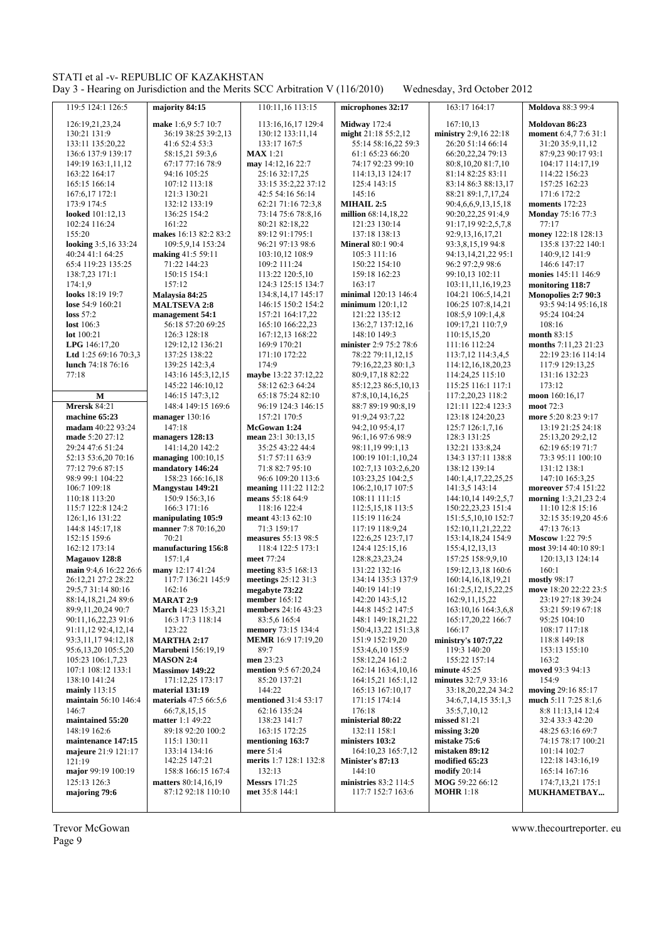Wednesday, 3rd October 2012

| 119:5 124:1 126:5                        | majority 84:15                             | 110:11,16 113:15                       | microphones 32:17                            | 163:17 164:17                                 | Moldova 88:3 99:4                          |
|------------------------------------------|--------------------------------------------|----------------------------------------|----------------------------------------------|-----------------------------------------------|--------------------------------------------|
| 126:19,21,23,24                          | make 1:6.9 5:7 10:7                        | 113:16,16,17 129:4                     | <b>Midway</b> 172:4                          | 167:10.13                                     | Moldovan 86:23                             |
| 130:21 131:9                             | 36:19 38:25 39:2,13                        | 130:12 133:11,14                       | might 21:18 55:2,12                          | ministry 2:9,16 22:18                         | moment 6:4,7 7:6 31:1                      |
| 133:11 135:20,22                         | 41:6 52:4 53:3                             | 133:17 167:5                           | 55:14 58:16,22 59:3                          | 26:20 51:14 66:14                             | 31:20 35:9,11,12                           |
| 136:6 137:9 139:17                       | 58:15,21 59:3,6                            | <b>MAX</b> 1:21                        | 61:1 65:23 66:20                             | 66:20,22,24 79:13                             | 87:9,23 90:17 93:1                         |
| 149:19 163:1,11,12                       | 67:17 77:16 78:9                           | may 14:12,16 22:7                      | 74:17 92:23 99:10                            | 80:8,10,20 81:7,10                            | 104:17 114:17,19                           |
| 163:22 164:17                            | 94:16 105:25                               | 25:16 32:17.25                         | 114:13,13 124:17                             | 81:14 82:25 83:11                             | 114:22 156:23                              |
| 165:15 166:14                            | 107:12 113:18                              | 33:15 35:2,22 37:12                    | 125:4 143:15                                 | 83:14 86:3 88:13,17                           | 157:25 162:23                              |
| 167:6,17 172:1                           | 121:3 130:21                               | 42:5 54:16 56:14                       | 145:16                                       | 88:21 89:1,7,17,24                            | 171:6 172:2                                |
| 173:9 174:5                              | 132:12 133:19                              | 62:21 71:16 72:3,8                     | <b>MIHAIL 2:5</b>                            | 90:4,6,6,9,13,15,18                           | moments 172:23                             |
| looked 101:12,13                         | 136:25 154:2                               | 73:14 75:6 78:8,16                     | million 68:14,18,22                          | 90:20,22,25 91:4,9                            | Monday 75:16 77:3                          |
| 102:24 116:24<br>155:20                  | 161:22                                     | 80:21 82:18,22                         | 121:23 130:14                                | 91:17,19 92:2,5,7,8                           | 77:17                                      |
| looking 3:5,16 33:24                     | makes 16:13 82:2 83:2<br>109:5,9,14 153:24 | 89:12 91:1795:1<br>96:21 97:13 98:6    | 137:18 138:13<br><b>Mineral 80:1 90:4</b>    | 92:9,13,16,17,21<br>93:3,8,15,19 94:8         | money 122:18 128:13<br>135:8 137:22 140:1  |
| 40:24 41:1 64:25                         | making 41:5 59:11                          | 103:10,12 108:9                        | 105:3 111:16                                 | 94:13,14,21,22 95:1                           | 140:9.12 141:9                             |
| 65:4 119:23 135:25                       | 71:22 144:23                               | 109:2 111:24                           | 150:22 154:10                                | 96:2 97:2,9 98:6                              | 146:6 147:17                               |
| 138:7,23 171:1                           | 150:15 154:1                               | 113:22 120:5,10                        | 159:18 162:23                                | 99:10,13 102:11                               | monies 145:11 146:9                        |
| 174:1,9                                  | 157:12                                     | 124:3 125:15 134:7                     | 163:17                                       | 103:11,11,16,19,23                            | monitoring 118:7                           |
| looks 18:19 19:7                         | Malaysia 84:25                             | 134:8,14,17 145:17                     | minimal 120:13 146:4                         | 104:21 106:5,14,21                            | <b>Monopolies 2:7 90:3</b>                 |
| lose 54:9 160:21                         | <b>MALTSEVA 2:8</b>                        | 146:15 150:2 154:2                     | minimum $120:1,12$                           | 106:25 107:8,14,21                            | 93:5 94:14 95:16,18                        |
| loss 57:2                                | management 54:1                            | 157:21 164:17,22                       | 121:22 135:12                                | 108:5,9 109:1,4,8                             | 95:24 104:24                               |
| lost $106:3$                             | 56:18 57:20 69:25                          | 165:10 166:22,23                       | 136:2,7 137:12,16                            | 109:17,21 110:7,9                             | 108:16                                     |
| lot 100:21                               | 126:3 128:18                               | 167:12,13 168:22<br>169:9 170:21       | 148:10 149:3                                 | 110:15,15,20                                  | month 83:15                                |
| LPG 146:17,20<br>Ltd 1:25 69:16 70:3,3   | 129:12,12 136:21<br>137:25 138:22          | 171:10 172:22                          | minister 2:9 75:2 78:6<br>78:22 79:11,12,15  | 111:16 112:24<br>113:7,12 114:3,4,5           | months 7:11,23 21:23<br>22:19 23:16 114:14 |
| lunch 74:18 76:16                        | 139:25 142:3,4                             | 174:9                                  | 79:16,22,23 80:1,3                           | 114:12,16,18,20,23                            | 117:9 129:13,25                            |
| 77:18                                    | 143:16 145:3,12,15                         | maybe 13:22 37:12,22                   | 80:9,17,18 82:22                             | 114:24,25 115:10                              | 131:16 132:23                              |
|                                          | 145:22 146:10,12                           | 58:12 62:3 64:24                       | 85:12,23 86:5,10,13                          | 115:25 116:1 117:1                            | 173:12                                     |
| М                                        | 146:15 147:3,12                            | 65:18 75:24 82:10                      | 87:8, 10, 14, 16, 25                         | 117:2,20,23 118:2                             | moon 160:16,17                             |
| <b>Mrersk 84:21</b>                      | 148:4 149:15 169:6                         | 96:19 124:3 146:15                     | 88:7 89:19 90:8,19                           | 121:11 122:4 123:3                            | moot 72:3                                  |
| machine 65:23                            | manager $130:16$                           | 157:21 170:5                           | 91:9,24 93:7,22                              | 123:18 124:20,23                              | more 5:20 8:23 9:17                        |
| madam 40:22 93:24                        | 147:18                                     | McGowan 1:24                           | 94:2,10 95:4,17                              | 125:7 126:1,7,16                              | 13:19 21:25 24:18                          |
| made 5:20 27:12                          | managers 128:13                            | mean 23:1 30:13,15                     | 96:1,16 97:6 98:9                            | 128:3 131:25                                  | 25:13,20 29:2,12                           |
| 29:24 47:6 51:24                         | 141:14,20 142:2                            | 35:25 43:22 44:4                       | 98:11,19 99:1,13                             | 132:21 133:8,24                               | 62:19 65:19 71:7                           |
| 52:13 53:6,20 70:16                      | managing $100:10,15$                       | 51:7 57:11 63:9                        | 100:19 101:1,10,24                           | 134:3 137:11 138:8                            | 73:3 95:11 100:10                          |
| 77:12 79:6 87:15<br>98:9 99:1 104:22     | mandatory 146:24<br>158:23 166:16,18       | 71:8 82:7 95:10<br>96:6 109:20 113:6   | 102:7,13 103:2,6,20                          | 138:12 139:14                                 | 131:12 138:1<br>147:10 165:3,25            |
| 106:7 109:18                             | Mangystau 149:21                           | meaning 111:22 112:2                   | 103:23,25 104:2,5<br>106:2,10,17 107:5       | 140:1,4,17,22,25,25<br>141:3,5 143:14         | moreover 57:4 151:22                       |
| 110:18 113:20                            | 150:9 156:3,16                             | means 55:18 64:9                       | 108:11 111:15                                | 144:10,14 149:2,5,7                           | morning 1:3,21,23 2:4                      |
| 115:7 122:8 124:2                        | 166:3 171:16                               | 118:16 122:4                           | 112:5, 15, 18 113:5                          | 150:22,23,23 151:4                            | 11:10 12:8 15:16                           |
| 126:1,16 131:22                          | manipulating 105:9                         | meant 43:13 62:10                      | 115:19 116:24                                | 151:5,5,10,10 152:7                           | 32:15 35:19,20 45:6                        |
| 144:8 145:17,18                          | manner 7:8 70:16,20                        | 71:3 159:17                            | 117:19 118:9,24                              | 152:10, 11, 21, 22, 22                        | 47:13 76:13                                |
| 152:15 159:6                             | 70:21                                      | measures 55:13 98:5                    | 122:6,25 123:7,17                            | 153:14,18,24 154:9                            | Moscow 1:22 79:5                           |
| 162:12 173:14                            | manufacturing 156:8                        | 118:4 122:5 173:1                      | 124:4 125:15,16                              | 155:4, 12, 13, 13                             | most 39:14 40:10 89:1                      |
| Magauov 128:8                            | 157:1,4                                    | meet 77:24                             | 128:8,23,23,24                               | 157:25 158:9,9,10                             | 120:13,13 124:14                           |
| main 9:4,6 16:22 26:6                    | many 12:17 41:24                           | meeting 83:5 168:13                    | 131:22 132:16                                | 159:12,13,18 160:6                            | 160:1                                      |
| 26:12,21 27:2 28:22<br>29:5,731:14 80:16 | 117:7 136:21 145:9<br>162:16               | meetings 25:12 31:3<br>megabyte 73:22  | 134:14 135:3 137:9<br>140:19 141:19          | 160:14, 16, 18, 19, 21<br>161:2,5,12,15,22,25 | mostly 98:17<br>move 18:20 22:22 23:5      |
| 88:14,18,21,24 89:6                      | <b>MARAT 2:9</b>                           | member $165:12$                        | 142:20 143:5,12                              | 162:9,11,15,22                                | 23:19 27:18 39:24                          |
| 89:9,11,20,24 90:7                       | <b>March</b> 14:23 15:3,21                 | members 24:16 43:23                    | 144:8 145:2 147:5                            | 163:10,16 164:3,6,8                           | 53:21 59:19 67:18                          |
| 90:11, 16, 22, 23 91:6                   | 16:3 17:3 118:14                           | 83:5,6 165:4                           | 148:1 149:18,21,22                           | 165:17,20,22 166:7                            | 95:25 104:10                               |
| 91:11,12 92:4,12,14                      | 123:22                                     | memory 73:15 134:4                     | 150:4, 13, 22 151:3, 8                       | 166:17                                        | 108:17 117:18                              |
| 93:3,11,17 94:12,18                      | <b>MARTHA 2:17</b>                         | <b>MEMR</b> 16:9 17:19,20              | 151:9 152:19,20                              | ministry's 107:7,22                           | 118:8 149:18                               |
| 95:6,13,20 105:5,20                      | Marubeni 156:19,19                         | 89:7                                   | 153:4,6,10 155:9                             | 119:3 140:20                                  | 153:13 155:10                              |
| 105:23 106:1,7,23                        | <b>MASON 2:4</b>                           | men 23:23                              | 158:12,24 161:2                              | 155:22 157:14                                 | 163:2                                      |
| 107:1 108:12 133:1<br>138:10 141:24      | <b>Massimov 149:22</b><br>171:12,25 173:17 | mention 9:5 67:20,24<br>85:20 137:21   | 162:14 163:4, 10, 16<br>164:15,21 165:1,12   | $minute\,45:25$<br>minutes 32:7,9 33:16       | moved 93:3 94:13<br>154:9                  |
| mainly $113:15$                          | material 131:19                            | 144:22                                 | 165:13 167:10,17                             | 33:18,20,22,24 34:2                           | moving 29:16 85:17                         |
| maintain 56:10 146:4                     | materials 47:5 66:5,6                      | <b>mentioned</b> 31:4 53:17            | 171:15 174:14                                | 34:6,7,14,15 35:1,3                           | much 5:11 7:25 8:1,6                       |
| 146:7                                    | 66:7,8,15,15                               | 62:16 135:24                           | 176:18                                       | 35:5,7,10,12                                  | 8:8 11:13,14 12:4                          |
| maintained 55:20                         | matter 1:1 49:22                           | 138:23 141:7                           | ministerial 80:22                            | missed 81:21                                  | 32:4 33:3 42:20                            |
| 148:19 162:6                             | 89:18 92:20 100:2                          | 163:15 172:25                          | 132:11 158:1                                 | missing $3:20$                                | 48:25 63:16 69:7                           |
| maintenance 147:15                       | 115:1 130:11                               | mentioning 163:7                       | ministers 103:2                              | mistake 75:6                                  | 74:15 78:17 100:21                         |
| majeure 21:9 121:17                      | 133:14 134:16                              | mere $51:4$                            | 164:10,23 165:7,12                           | mistaken 89:12                                | 101:14 102:7                               |
| 121:19                                   | 142:25 147:21                              | merits 1:7 128:1 132:8                 | Minister's 87:13                             | modified 65:23                                | 122:18 143:16,19                           |
| major 99:19 100:19                       | 158:8 166:15 167:4                         | 132:13                                 | 144:10                                       | modify $20:14$                                | 165:14 167:16                              |
| 125:13 126:3<br>majoring 79:6            | matters 80:14,16,19<br>87:12 92:18 110:10  | <b>Messrs</b> 171:25<br>met 35:8 144:1 | ministries $83:2$ 114:5<br>117:7 152:7 163:6 | MOG 59:22 66:12<br><b>MOHR</b> 1:18           | 174:7,13,21 175:1<br>MUKHAMETBAY           |
|                                          |                                            |                                        |                                              |                                               |                                            |

Trevor McGowan<br>Page 9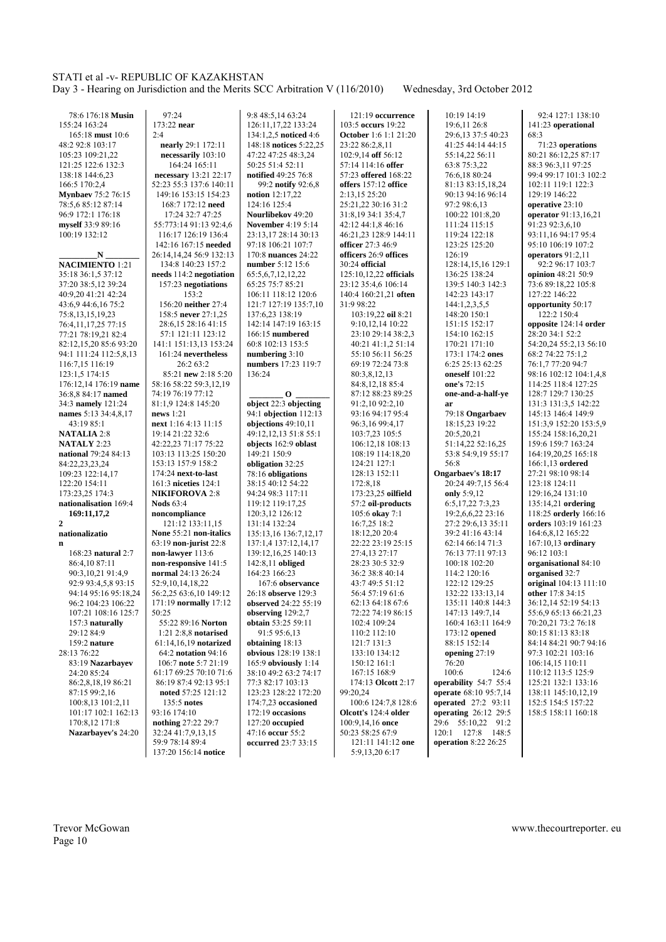$97.24$ 

Wednesday, 3rd October 2012

| 155:24 163:24                                   |  |
|-------------------------------------------------|--|
| 165:18 <b>must</b> 10:6<br>48:2 92:8 103:17     |  |
| 105:23 109:21,22                                |  |
| 121:25 122:6 132:3                              |  |
| 138:18 144:6,23                                 |  |
| 166:5 170:2,4                                   |  |
| <b>Mynbaev 75:2 76:15</b><br>78:5,6 85:12 87:14 |  |
| 96:9 172:1 176:18                               |  |
| myself 33:9 89:16                               |  |
| 100:19 132:12                                   |  |
| N                                               |  |
| <b>NACIMIENTO 1:21</b>                          |  |
| 35:18 36:1,5 37:12                              |  |
| 37:20 38:5,12 39:24                             |  |
| 40:9,20 41:21 42:24                             |  |
| 43:6,9 44:6,16 75:2                             |  |
| 75:8, 13, 15, 19, 23<br>76:4,11,17,25 77:15     |  |
| 77:21 78:19,21 82:4                             |  |
| 82:12,15,20 85:6 93:20                          |  |
| 94:1 111:24 112:5,8,13                          |  |
| 116:7,15 116:19                                 |  |
| 123:1,5 174:15                                  |  |
| 176:12,14 176:19 name<br>36:8,8 84:17 named     |  |
| 34:3 namely 121:24                              |  |
| names 5:13 34:4,8,17                            |  |
| 43:19 85:1                                      |  |
| <b>NATALIA 2:8</b>                              |  |
|                                                 |  |
| NATALY 2:23                                     |  |
| national 79:24 84:13                            |  |
| 84:22,23,23,24<br>109:23 122:14,17              |  |
| 122:20 154:11                                   |  |
| 173:23,25 174:3                                 |  |
| nationalisation 169:4                           |  |
| 169:11,17,2<br>2                                |  |
| nationalizatio                                  |  |
| n                                               |  |
| 168:23 natural 2:7                              |  |
| 86:4,10 87:11                                   |  |
| 90:3,10,21 91:4,9<br>92:9 93:4,5,8 93:15        |  |
| 94:14 95:16 95:18,24                            |  |
| 96:2 104:23 106:22                              |  |
| 107:21 108:16 125:                              |  |
| 157:3 naturally                                 |  |
| 29:12 84:9<br>159:2 nature                      |  |
| 28:13 76:22                                     |  |
| 83:19 Nazarbayev                                |  |
| 24:20 85:24                                     |  |
| 86:2,8,18,19 86:21                              |  |
| 87:15 99:2,16<br>100:8,13 101:2,11              |  |
| 101:17 102:1 162:13                             |  |
| 170:8,12 171:8<br>Nazarbayev's 24:20            |  |

173:22 near  $2.4$ nearly 29:1 172:11 necessarily 103:10  $164.24$   $165.11$ necessary 13:21 22:17 52:23 55:3 137:6 140:11 149:16 153:15 154:23 168:7 172:12 need 17:24 32:7 47:25  $55.773.1491.1392.46$ 116:17 126:19 136:4 142:16 167:15 needed 26:14,14,24 56:9 132:13 134:8 140:23 157:2 needs 114:2 negotiation 157:23 negotiations  $153.2$ 156:20 neither 27:4 158:5 never 27:1.25 28:6,15 28:16 41:15  $57.1121.11123.12$ 141:1 151:13.13 153:24 161:24 nevertheless 26:2 63:2 85:21 new 2:18 5:20 58:16 58:22 59:3.12.19  $74.1976.1977.12$ 81:1.9 124:8 145:20 news  $1:21$ next 1:16 4:13 11:15 19:14 21:22 32:6 42:22.23 71:17 75:22 103:13 113:25 150:20  $153.13$  157.9 158.2 174:24 next-to-last 161:3 niceties 124:1 **NIKIFOROVA 2:8 Nods** 63:4 noncompliance  $121 \cdot 12$  133 $\cdot 11$  15 None 55:21 non-italics 63:19 non-jurist 22:8 non-lawyer 113:6 non-responsive 141:5 normal 24:13.26:24 52:9,10,14,18,22 56:2,25 63:6,10 149:12 171:19 normally 17:12  $50.25$ 55.22.89.16 Norton  $1:21$  2:8.8 notarised 61:14,16,19 notarized 64:2 notation 94:16 106:7 note 5:7 21:19 61:17 69:25 70:10 71:6 86:19 87:4 92:13 95:1 noted 57:25 121:12 135:5 notes 93:16 174:10 nothing 27:22 29:7 32:24 41:7.9.13.15  $59.978.1489.4$ 137:20 156:14 notice

9:8 48:5 14 63:24 126:11,17,22 133:24 134:1,2,5 noticed 4:6 148:18 notices 5:22.25 47:22 47:25 48:3,24  $50.255145211$ notified 49:25 76:8 99:2 notify 92:6,8 notion 12:17,22 124:16 125:4 Nourlibekov 49:20 November  $4.19514$ 23:13 17 28:14 30:13 97:18 106:21 107:7 170:8 nuances 24:22 number 5:12 15:6 65:5.6.7.12.12.22 65:25 75:7 85:21 106:11 118:12 120:6 121:7 127:19 135:7,10 137:6,23 138:19 142:14 147:19 163:15 166:15 numbered 60:8 102:13 153:5 numbering  $3:10$ numbers 17:23 119:7  $136.24$  $\Omega$  $object$  22:3 objecting 94:1 objection 112:13 objections  $49:10.11$ 49:12,12,13 51:8 55:1 objects 162:9 oblast  $149.21150.9$ obligation 32:25 78:16 obligations 38:15 40:12 54:22 94:24 98:3 117:11 119:12 119:17 25  $120.312126.12$ 131:14 132:24 135:13,16 136:7,12,17 137:1,4 137:12,14,17 139:12,16,25 140:13  $142.811$  obliged  $164.23166.23$ 167:6 observance 26:18 observe 129:3 observed 24:22 55:19 observing 129:2.7 obtain  $53.2559.11$  $91.595613$ obtaining 18:13 obvious 128:19 138:1 165:9 obviously 1:14 38:10 49:2 63:2 74:17  $77.3$   $82.17$   $103.13$ 123:23 128:22 172:20 174:7,23 occasioned  $172:19$  occasions 127:20 occupied  $47.16$  occur 55.2 occurred 23:7 33:15

121:19 occurrence 103:5 occurs 19:22 October 1:6 1:1 21:20 23:22 86:2.8.11 102:9,14 off 56:12 57.14 114.16 offer 57:23 offered 168:22 offers 157:12 office 2:13,15 25:20  $25:21$  22 30:16 31:2 31:8.19 34:1 35:4.7  $42.12.44.1.8.46.16$ 46:21.23 128:9 144:11 officer 27:3 46:9 officers 26:9 offices 30:24 official 125:10.12.22 officials 23:12 35:4,6 106:14 140:4 160:21 21 often 31:9 98:22 103:19,22 oil 8:21  $9:10,12,14$  10:22  $23.1029.1438.23$ 40:21 41:1.2 51:14 55:10 56:11 56:25 69:19 72:24 73:8 80:3,8,12,13 84:8.12.18.85:4 87.12.88.23.89.25 91:2.10 92:2.10 93:16 94:17 95:4 96:3,16 99:4,17 103:7,23 105:5 106:12.18 108:13  $108.19$  114.18 20  $124.21$   $127.1$ 128:13 152:11 172:8.18 173:23,25 oilfield 57:2 oil-products 105:6 okay 7:1  $16.72518.2$ 18:12,20 20:4 22:22 23:19 25:15 27:4,13 27:17  $28.2330.5329$  $36.238.840.14$ 43:7 49:5 51:12 56:4 57:19 61:6 62:13 64:18 67:6 72:22 74:19 86:15  $102.4109.24$  $110.2112.10$  $121:7131:3$ 133:10 134:12 150:12 161:1  $167:15$  168:9  $174.13$  Oleoff  $2.17$  $99.20.24$ 100:6 124:7 8 128:6 Olcott's 124:4 older 100:9,14,16 once 50:23 58:25 67:9 121:11 141:12 one

5:9,13,20 6:17

 $10:19$  14:19 19:6,11 26:8 29:6,13 37:5 40:23 41:25 44:14 44:15 55:14,22 56:11  $63.875322$ 76:6.18 80:24 81:13 83:15,18,24 90:13 94:16 96:14  $97.298.613$ 100:22 101:8,20  $111.24$  115.15  $119.24$   $122.18$ 123:25 125:20  $126.19$ 128:14.15.16 129:1 136.25 138.24 139:5 140:3 142:3  $142.23$   $143.17$  $144:1,2,3,5,5$ 148:20 150:1 151:15 152:17  $154.10162.15$  $170.21$   $171.10$ 173:1 174:2 ones 6:25 25:13 62:25 oneself  $101.22$ one's 72:15 one-and-a-half-ve  $ar$ 79:18 Ongarbaev 18:15,23 19:22 20:5,20,21 51:14.22 52:16.25 53:8 54:9,19 55:17  $56.8$ Ongarbaev's 18:17 20:24 49:7,15 56:4 only 5:9,12  $6:5.17.22.7:3.23$ 19:2,6,6,22 23:16  $27.2296133511$ 39:2 41:16 43:14 62:14 66:14 71:3 76:13 77:11 97:13  $100.18$   $102.20$  $114.2120.16$ 122:12 129:25 132:22 133:13,14 135:11 140:8 144:3 147:13 149:7.14  $160.4163.11164.9$  $173:12$  opened 88:15 152:14 opening 27:19 76:20  $100:6$  $124:6$ onerability  $54.7$  55.4 operate 68:10 95:7,14 operated 27:2 93:11 operating 26:12 29:5 29:6 55:10.22 91:2  $120:1$   $127:8$   $148:5$ operation 8:22 26:25

92:4 127:1 138:10 141:23 operational  $68:3$ 71:23 operations 80:21 86:12.25 87:17 88.3.96.3.11.97.25 99:4 99:17 101:3 102:2 102:11 119:1 122:3 129:19 146:22 operative  $23:10$ operator 91:13.16.21  $91.23923610$ 93:11.16 94:17 95:4 95:10 106:19 107:2 operators  $91:2,11$ 92:2 96:17 103:7 opinion 48:21 50:9 73:6 89:18.22 105:8  $127.22$   $146.22$ opportunity 50:17  $122:2$  150:4 opposite 124:14 order  $28.2034152.2$ 54:20.24 55:2.13 56:10 68:2 74:22 75:1,2 76:1,7 77:20 94:7  $98.16$  102:12 104:1 4 8 114:25 118:4 127:25  $128.7129.7130.25$ 131:3 131:3.5 142:22 145:13 146:4 149:9 151:3,9 152:20 153:5,9 155:24 158:16,20,21 159:6 159:7 163:24  $164.192025165.18$ 166:1.13 ordered 27:21 98:10 98:14 123:18 124:11 129:16,24 131:10 135:14.21 ordering 118:25 orderly 166:16 orders  $103.19161.23$ 164:6,8,12 165:22  $167:10.13$  ordinary 96:12 103:1 organisational 84:10 organised 32:7 original 104:13 111:10 other 17:8 34:15 36:12,14 52:19 54:13 55:6.9 65:13 66:21.23  $70.202173277618$ 80:15 81:13 83:18 84:14 84:21 90:7 94:16 97:3 102:21 103:16 106:14,15 110:11 110:12 113:5 125:9  $125.21$   $132.1$   $133.16$ 138:11 145:10.12.19 152:5 154:5 157:22

**Trevor McGowan** Page 10

www.thecourtreporter. eu

158:5 158:11 160:18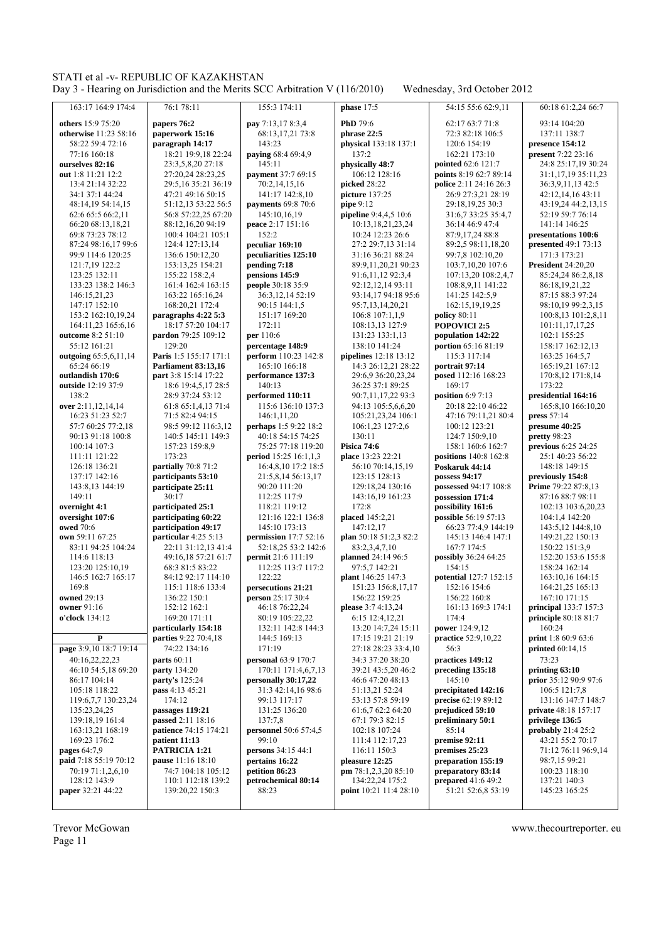| 163:17 164:9 174:4                   | 76:1 78:11                               | 155:3 174:11                                 | phase $17:5$                            | 54:15 55:6 62:9,11                         | 60:18 61:2,24 66:7                       |
|--------------------------------------|------------------------------------------|----------------------------------------------|-----------------------------------------|--------------------------------------------|------------------------------------------|
| others 15:9 75:20                    | papers 76:2                              | pay 7:13,17 8:3,4                            | PhD 79:6                                | 62:17 63:7 71:8                            | 93:14 104:20                             |
| <b>otherwise</b> 11:23 58:16         | paperwork 15:16                          | 68:13,17,21 73:8                             | phrase 22:5                             | 72:3 82:18 106:5                           | 137:11 138:7                             |
| 58:22 59:4 72:16                     | paragraph 14:17                          | 143:23                                       | physical 133:18 137:1                   | 120:6 154:19                               | presence 154:12                          |
| 77:16 160:18                         | 18:21 19:9,18 22:24                      | paying 68:4 69:4,9                           | 137:2                                   | 162:21 173:10                              | present 7:22 23:16                       |
| ourselves 82:16                      | 23:3,5,8,20 27:18                        | 145:11                                       | physically 48:7                         | pointed 62:6 121:7                         | 24:8 25:17,19 30:24                      |
| out 1:8 11:21 12:2                   | 27:20,24 28:23,25                        | payment 37:7 69:15                           | 106:12 128:16                           | points 8:19 62:7 89:14                     | 31:1,17,19 35:11,23                      |
| 13:4 21:14 32:22                     | 29:5,16 35:21 36:19                      | 70:2,14,15,16                                | picked 28:22                            | police 2:11 24:16 26:3                     | 36:3,9,11,13 42:5                        |
| 34:1 37:1 44:24<br>48:14,19 54:14,15 | 47:21 49:16 50:15<br>51:12,13 53:22 56:5 | 141:17 142:8,10<br><b>payments</b> 69:8 70:6 | picture 137:25<br>pipe 9:12             | 26:9 27:3,21 28:19<br>29:18,19,25 30:3     | 42:12,14,16 43:11<br>43:19,24 44:2,13,15 |
| 62:6 65:5 66:2,11                    | 56:8 57:22,25 67:20                      | 145:10,16,19                                 | pipeline 9:4,4,5 10:6                   | 31:6.7 33:25 35:4.7                        | 52:19 59:7 76:14                         |
| 66:20 68:13,18,21                    | 88:12,16,20 94:19                        | peace 2:17 151:16                            | 10:13,18,21,23,24                       | 36:14 46:9 47:4                            | 141:14 146:25                            |
| 69:8 73:23 78:12                     | 100:4 104:21 105:1                       | 152:2                                        | 10:24 12:23 26:6                        | 87:9, 17, 24 88:8                          | presentations 100:6                      |
| 87:24 98:16,17 99:6                  | 124:4 127:13,14                          | peculiar 169:10                              | 27:2 29:7,13 31:14                      | 89:2,5 98:11,18,20                         | presented 49:1 73:13                     |
| 99:9 114:6 120:25                    | 136:6 150:12,20                          | peculiarities 125:10                         | 31:16 36:21 88:24                       | 99:7,8 102:10,20                           | 171:3 173:21                             |
| 121:7,19 122:2                       | 153:13,25 154:21                         | pending 7:18                                 | 89:9, 11, 20, 21 90: 23                 | 103:7,10,20 107:6                          | <b>President</b> 24:20,20                |
| 123:25 132:11                        | 155:22 158:2,4                           | pensions 145:9                               | 91:6,11,12 92:3,4                       | 107:13,20 108:2,4,7                        | 85:24,24 86:2,8,18                       |
| 133:23 138:2 146:3                   | 161:4 162:4 163:15                       | <b>people</b> 30:18 35:9                     | 92:12,12,14 93:11                       | 108:8,9,11 141:22                          | 86:18,19,21,22                           |
| 146:15,21,23<br>147:17 152:10        | 163:22 165:16,24<br>168:20,21 172:4      | 36:3,12,14 52:19<br>90:15 144:1,5            | 93:14,17 94:18 95:6<br>95:7,13,14,20,21 | 141:25 142:5,9<br>162:15,19,19,25          | 87:15 88:3 97:24<br>98:10,19 99:2,3,15   |
| 153:2 162:10,19,24                   | paragraphs 4:22 5:3                      | 151:17 169:20                                | 106:8 107:1,1,9                         | <b>policy</b> 80:11                        | 100:8,13 101:2,8,11                      |
| 164:11,23 165:6,16                   | 18:17 57:20 104:17                       | 172:11                                       | 108:13.13 127:9                         | POPOVICI 2:5                               | 101:11,17,17,25                          |
| outcome 8:2 51:10                    | pardon 79:25 109:12                      | per 110:6                                    | 131:23 133:1,13                         | population 142:22                          | 102:1 155:25                             |
| 55:12 161:21                         | 129:20                                   | percentage 148:9                             | 138:10 141:24                           | portion 65:16 81:19                        | 158:17 162:12,13                         |
| outgoing 65:5,6,11,14                | Paris 1:5 155:17 171:1                   | perform 110:23 142:8                         | pipelines $12:18$ $13:12$               | 115:3 117:14                               | 163:25 164:5,7                           |
| 65:24 66:19                          | <b>Parliament 83:13.16</b>               | 165:10 166:18                                | 14:3 26:12,21 28:22                     | portrait 97:14                             | 165:19,21 167:12                         |
| outlandish 170:6                     | part 3:8 15:14 17:22                     | performance 137:3                            | 29:6,9 36:20,23,24                      | posed 112:16 168:23                        | 170:8,12 171:8,14                        |
| outside 12:19 37:9<br>138:2          | 18:6 19:4,5,17 28:5<br>28:9 37:24 53:12  | 140:13<br>performed 110:11                   | 36:25 37:1 89:25<br>90:7,11,17,22 93:3  | 169:17<br>position $6:97:13$               | 173:22<br>presidential 164:16            |
| over 2:11,12,14,14                   | 61:8 65:1,4,13 71:4                      | 115:6 136:10 137:3                           | 94:13 105:5,6,6,20                      | 20:18 22:10 46:22                          | 165:8,10 166:10,20                       |
| 16:23 51:23 52:7                     | 71:5 82:4 94:15                          | 146:1,11,20                                  | 105:21,23,24 106:1                      | 47:16 79:11,21 80:4                        | press $57:14$                            |
| 57:7 60:25 77:2,18                   | 98:5 99:12 116:3,12                      | perhaps 1:5 9:22 18:2                        | 106:1,23 127:2,6                        | 100:12 123:21                              | presume 40:25                            |
| 90:13 91:18 100:8                    | 140:5 145:11 149:3                       | 40:18 54:15 74:25                            | 130:11                                  | 124:7 150:9,10                             | pretty 98:23                             |
| 100:14 107:3                         | 157:23 159:8,9                           | 75:25 77:18 119:20                           | Pisica 74:6                             | 158:1 160:6 162:7                          | previous 6:25 24:25                      |
| 111:11 121:22                        | 173:23                                   | period 15:25 16:1,1,3                        | place 13:23 22:21                       | positions 140:8 162:8                      | 25:1 40:23 56:22                         |
| 126:18 136:21                        | partially 70:8 71:2                      | 16:4,8,10 17:2 18:5                          | 56:10 70:14,15,19                       | Poskaruk 44:14                             | 148:18 149:15                            |
| 137:17 142:16                        | participants 53:10                       | 21:5,8,14 56:13,17                           | 123:15 128:13                           | possess 94:17                              | previously 154:8                         |
| 143:8,13 144:19<br>149:11            | participate 25:11<br>30:17               | 90:20 111:20<br>112:25 117:9                 | 129:18.24 130:16<br>143:16,19 161:23    | possessed 94:17 108:8<br>possession 171:4  | Prime 79:22 87:8,13<br>87:16 88:7 98:11  |
| overnight 4:1                        | participated 25:1                        | 118:21 119:12                                | 172:8                                   | possibility 161:6                          | 102:13 103:6,20,23                       |
| oversight 107:6                      | participating 60:22                      | 121:16 122:1 136:8                           | placed 145:2,21                         | possible 56:19 57:13                       | 104:1,4 142:20                           |
| owed 70:6                            | participation 49:17                      | 145:10 173:13                                | 147:12,17                               | 66:23 77:4,9 144:19                        | 143:5,12 144:8,10                        |
| own 59:11 67:25                      | particular 4:25 5:13                     | permission 17:7 52:16                        | plan 50:18 51:2,3 82:2                  | 145:13 146:4 147:1                         | 149:21,22 150:13                         |
| 83:11 94:25 104:24                   | 22:11 31:12,13 41:4                      | 52:18,25 53:2 142:6                          | 83:2,3,4,7,10                           | 167:7 174:5                                | 150:22 151:3,9                           |
| 114:6 118:13                         | 49:16.18 57:21 61:7                      | <b>permit</b> 21:6 111:19                    | planned 24:14 96:5                      | possibly 36:24 64:25                       | 152:20 153:6 155:8                       |
| 123:20 125:10,19                     | 68:3 81:5 83:22                          | 112:25 113:7 117:2                           | 97:5,7 142:21<br>plant 146:25 147:3     | 154:15                                     | 158:24 162:14                            |
| 146:5 162:7 165:17<br>169:8          | 84:12 92:17 114:10<br>115:1 118:6 133:4  | 122:22<br>persecutions 21:21                 | 151:23 156:8,17,17                      | potential 127:7 152:15<br>152:16 154:6     | 163:10,16 164:15<br>164:21,25 165:13     |
| owned 29:13                          | 136:22 150:1                             | person 25:17 30:4                            | 156:22 159:25                           | 156:22 160:8                               | 167:10 171:15                            |
| owner 91:16                          | 152:12 162:1                             | 46:18 76:22,24                               | please 3:7 4:13,24                      | 161:13 169:3 174:1                         | <b>principal</b> 133:7 157:3             |
| o'clock 134:12                       | 169:20 171:11                            | 80:19 105:22,22                              | 6:15 12:4,12,21                         | 174:4                                      | <b>principle</b> 80:18 81:7              |
|                                      | particularly 154:18                      | 132:11 142:8 144:3                           | 13:20 14:7,24 15:11                     | power 124:9,12                             | 160:24                                   |
| P                                    | parties 9:22 70:4,18                     | 144:5 169:13                                 | 17:15 19:21 21:19                       | practice 52:9,10,22                        | print 1:8 60:9 63:6                      |
| page 3:9,10 18:7 19:14               | 74:22 134:16                             | 171:19                                       | 27:18 28:23 33:4,10                     | 56:3                                       | printed $60:14,15$                       |
| 40:16,22,22,23                       | <b>parts</b> 60:11                       | personal 63:9 170:7                          | 34:3 37:20 38:20                        | practices 149:12                           | 73:23                                    |
| 46:10 54:5,18 69:20                  | <b>party</b> 134:20                      | 170:11 171:4,6,7,13                          | 39:21 43:5,20 46:2                      | preceding 135:18                           | printing 63:10                           |
| 86:17 104:14<br>105:18 118:22        | party's 125:24<br>pass 4:13 45:21        | personally 30:17,22<br>31:3 42:14,16 98:6    | 46:6 47:20 48:13<br>51:13.21 52:24      | 145:10                                     | prior 35:12 90:9 97:6                    |
| 119:6,7,7 130:23,24                  | 174:12                                   | 99:13 117:17                                 | 53:13 57:8 59:19                        | precipitated 142:16<br>precise 62:19 89:12 | 106:5 121:7,8<br>131:16 147:7 148:7      |
| 135:23,24,25                         | passages 119:21                          | 131:25 136:20                                | 61:6,7 62:2 64:20                       | prejudiced 59:10                           | <b>private</b> 48:18 157:17              |
| 139:18,19 161:4                      |                                          |                                              | 67:1 79:3 82:15                         | preliminary 50:1                           | privilege 136:5                          |
| 163:13,21 168:19                     | passed 2:11 18:16                        | 137:7,8                                      |                                         |                                            |                                          |
| 169:23 176:2                         | patience 74:15 174:21                    | <b>personnel</b> 50:6 57:4,5                 | 102:18 107:24                           | 85:14                                      | probably $21:425:2$                      |
|                                      | patient 11:13                            | 99:10                                        | 111:4 112:17,23                         | premise 92:11                              | 43:21 55:2 70:17                         |
| pages 64:7,9                         | <b>PATRICIA 1:21</b>                     | persons 34:15 44:1                           | 116:11 150:3                            | premises 25:23                             | 71:12 76:11 96:9,14                      |
| paid 7:18 55:19 70:12                | <b>pause</b> 11:16 18:10                 | pertains 16:22                               | pleasure 12:25                          | preparation 155:19                         | 98:7,15 99:21                            |
| 70:19 71:1,2,6,10                    | 74:7 104:18 105:12                       | petition 86:23                               | pm 78:1,2,3,20 85:10                    | preparatory 83:14                          | 100:23 118:10                            |
| 128:12 143:9                         | 110:1 112:18 139:2                       | petrochemical 80:14                          | 134:22,24 175:2                         | prepared $41:649:2$                        | 137:21 140:3                             |
| paper 32:21 44:22                    | 139:20,22 150:3                          | 88:23                                        | <b>point</b> 10:21 11:4 28:10           | 51:21 52:6,8 53:19                         | 145:23 165:25                            |

Trevor McGowan<br>Page 11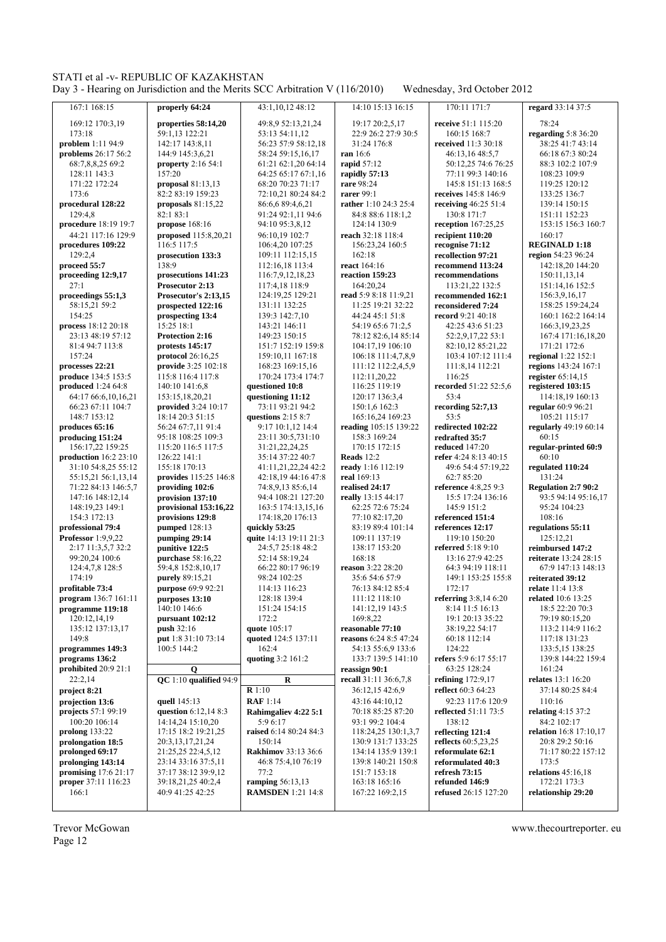| 167:1 168:15                             | properly 64:24                              | 43:1,10,12 48:12                               | 14:10 15:13 16:15                      | 170:11 171:7                                    | regard 33:14 37:5                                |
|------------------------------------------|---------------------------------------------|------------------------------------------------|----------------------------------------|-------------------------------------------------|--------------------------------------------------|
| 169:12 170:3,19                          |                                             | 49:8,9 52:13,21,24                             | 19:17 20:2,5,17                        | receive 51:1 115:20                             | 78:24                                            |
| 173:18                                   | properties 58:14,20<br>59:1,13 122:21       | 53:13 54:11,12                                 | 22:9 26:2 27:9 30:5                    | 160:15 168:7                                    | regarding $5:836:20$                             |
| problem 1:11 94:9                        | 142:17 143:8,11                             | 56:23 57:9 58:12,18                            | 31:24 176:8                            | received 11:3 30:18                             | 38:25 41:7 43:14                                 |
| problems 26:17 56:2                      | 144:9 145:3,6,21                            | 58:24 59:15,16,17                              | ran 16:6                               | 46:13,16 48:5,7                                 | 66:18 67:3 80:24                                 |
| 68:7,8,8,25 69:2                         | <b>property</b> 2:16 54:1                   | 61:21 62:1,20 64:14                            | rapid 57:12                            | 50:12,25 74:6 76:25                             | 88:3 102:2 107:9                                 |
| 128:11 143:3                             | 157:20                                      | 64:25 65:17 67:1.16                            | rapidly 57:13                          | 77:11 99:3 140:16                               | 108:23 109:9                                     |
| 171:22 172:24                            | proposal 81:13,13                           | 68:20 70:23 71:17                              | rare 98:24                             | 145:8 151:13 168:5                              | 119:25 120:12                                    |
| 173:6                                    | 82:2 83:19 159:23                           | 72:10.21 80:24 84:2                            | rarer 99:1                             | receives 145:8 146:9                            | 133:25 136:7                                     |
| procedural 128:22                        | proposals $81:15,22$                        | 86:6,6 89:4,6,21                               | rather 1:10 24:3 25:4                  | receiving 46:25 51:4                            | 139:14 150:15                                    |
| 129:4,8                                  | 82:1 83:1                                   | 91:24 92:1.11 94:6                             | 84:8 88:6 118:1,2                      | 130:8 171:7                                     | 151:11 152:23                                    |
| procedure 18:19 19:7                     | propose $168:16$                            | 94:10 95:3,8,12                                | 124:14 130:9                           | reception $167:25,25$                           | 153:15 156:3 160:7                               |
| 44:21 117:16 129:9                       | proposed 115:8,20,21                        | 96:10,19 102:7                                 | reach 32:18 118:4                      | recipient 110:20                                | 160:17                                           |
| procedures 109:22                        | 116:5 117:5                                 | 106:4,20 107:25                                | 156:23,24 160:5                        | recognise 71:12                                 | <b>REGINALD 1:18</b>                             |
| 129:2,4                                  | prosecution 133:3                           | 109:11 112:15,15                               | 162:18                                 | recollection 97:21                              | region 54:23 96:24                               |
| proceed 55:7                             | 138:9                                       | 112:16,18 113:4                                | react 164:16                           | recommend 113:24                                | 142:18,20 144:20                                 |
| proceeding 12:9,17                       | prosecutions 141:23                         | 116:7,9,12,18,23                               | reaction 159:23                        | recommendations                                 | 150:11,13,14                                     |
| 27:1<br>proceedings 55:1,3               | Prosecutor 2:13<br>Prosecutor's 2:13,15     | 117:4,18 118:9<br>124:19,25 129:21             | 164:20,24<br>read 5:9 8:18 11:9,21     | 113:21,22 132:5<br>recommended 162:1            | 151:14,16 152:5<br>156:3,9,16,17                 |
| 58:15,21 59:2                            | prospected 122:16                           | 131:11 132:25                                  | 11:25 19:21 32:22                      | reconsidered 7:24                               | 158:25 159:24,24                                 |
| 154:25                                   | prospecting 13:4                            | 139:3 142:7,10                                 | 44:24 45:1 51:8                        | record 9:21 40:18                               | 160:1 162:2 164:14                               |
| process 18:12 20:18                      | 15:25 18:1                                  | 143:21 146:11                                  | 54:19 65:6 71:2,5                      | 42:25 43:6 51:23                                | 166:3, 19, 23, 25                                |
| 23:13 48:19 57:12                        | Protection 2:16                             | 149:23 150:15                                  | 78:12 82:6,14 85:14                    | 52:2,9,17,22 53:1                               | 167:4 171:16,18,20                               |
| 81:4 94:7 113:8                          | protests 145:17                             | 151:7 152:19 159:8                             | 104:17,19 106:10                       | 82:10,12 85:21,22                               | 171:21 172:6                                     |
| 157:24                                   | protocol 26:16,25                           | 159:10,11 167:18                               | 106:18 111:4,7,8,9                     | 103:4 107:12 111:4                              | regional 1:22 152:1                              |
| processes 22:21                          | provide 3:25 102:18                         | 168:23 169:15,16                               | 111:12 112:2,4,5,9                     | 111:8,14 112:21                                 | regions 143:24 167:1                             |
| produce 134:5 153:5                      | 115:8 116:4 117:8                           | 170:24 173:4 174:7                             | 112:11,20,22                           | 116:25                                          | register $65:14,15$                              |
| produced 1:24 64:8                       | 140:10 141:6,8                              | questioned 10:8                                | 116:25 119:19                          | recorded 51:22 52:5,6                           | registered 103:15                                |
| 64:17 66:6,10,16,21                      | 153:15,18,20,21                             | questioning 11:12                              | 120:17 136:3,4                         | 53:4                                            | 114:18.19 160:13                                 |
| 66:23 67:11 104:7                        | provided 3:24 10:17                         | 73:11 93:21 94:2                               | 150:1,6 162:3                          | recording 52:7,13                               | regular 60:9 96:21                               |
| 148:7 153:12                             | 18:14 20:3 51:15                            | questions $2:158:7$                            | 165:16,24 169:23                       | 53:5                                            | 105:21 115:17                                    |
| produces 65:16<br>producing 151:24       | 56:24 67:7,11 91:4<br>95:18 108:25 109:3    | 9:17 10:1,12 14:4<br>23:11 30:5,731:10         | reading 105:15 139:22<br>158:3 169:24  | redirected 102:22<br>redrafted 35:7             | regularly 49:19 60:14<br>60:15                   |
| 156:17,22 159:25                         | 115:20 116:5 117:5                          | 31:21,22,24,25                                 | 170:15 172:15                          | reduced $147:20$                                | regular-printed 60:9                             |
| production $16:223:10$                   | 126:22 141:1                                | 35:14 37:22 40:7                               | Reads 12:2                             | refer 4:24 8:13 40:15                           | 60:10                                            |
| 31:10 54:8,25 55:12                      | 155:18 170:13                               | 41:11,21,22,24 42:2                            | ready 1:16 112:19                      | 49:6 54:4 57:19,22                              | regulated 110:24                                 |
| 55:15.21 56:1,13,14                      | provides 115:25 146:8                       | 42:18.19 44:16 47:8                            | real 169:13                            | 62:7 85:20                                      | 131:24                                           |
| 71:22 84:13 146:5,7                      | providing 102:6                             | 74:8,9,13 85:6,14                              | realised 24:17                         | reference 4:8,25 9:3                            | <b>Regulation 2:7 90:2</b>                       |
| 147:16 148:12,14                         | provision 137:10                            | 94:4 108:21 127:20                             | really 13:15 44:17                     | 15:5 17:24 136:16                               | 93:5 94:14 95:16.17                              |
| 148:19,23 149:1                          | provisional 153:16,22                       | 163:5 174:13,15,16                             | 62:25 72:6 75:24                       | 145:9 151:2                                     | 95:24 104:23                                     |
| 154:3 172:13                             | provisions 129:8                            | 174:18,20 176:13                               | 77:10 82:17,20                         | referenced 151:4                                | 108:16                                           |
| professional 79:4                        | pumped $128:13$                             | quickly 53:25                                  | 83:19 89:4 101:14                      | references 12:17                                |                                                  |
|                                          |                                             |                                                |                                        |                                                 | regulations 55:11                                |
| Professor 1:9,9,22                       | pumping 29:14                               | quite 14:13 19:11 21:3                         | 109:11 137:19                          | 119:10 150:20                                   | 125:12,21                                        |
| 2:17 11:3,5,7 32:2                       | punitive 122:5                              | 24:5,7 25:18 48:2                              | 138:17 153:20                          | <b>referred</b> 5:18 9:10                       | reimbursed 147:2                                 |
| 99:20,24 100:6                           | purchase 58:16,22                           | 52:14 58:19.24                                 | 168:18                                 | 13:16 27:9 42:25                                | reiterate 13:24 28:15                            |
| 124:4,7,8 128:5                          | 59:4,8 152:8,10,17                          | 66:22 80:17 96:19                              | reason 3:22 28:20                      | 64:3 94:19 118:11                               | 67:9 147:13 148:13                               |
| 174:19<br>profitable 73:4                | purely 89:15,21<br>purpose 69:9 92:21       | 98:24 102:25<br>114:13 116:23                  | 35:6 54:6 57:9<br>76:13 84:12 85:4     | 149:1 153:25 155:8<br>172:17                    | reiterated 39:12<br><b>relate</b> 11:4 13:8      |
|                                          |                                             | 128:18 139:4                                   | 111:12 118:10                          |                                                 | related 10:6 13:25                               |
| program 136:7 161:11<br>programme 119:18 | purposes 13:10<br>140:10 146:6              | 151:24 154:15                                  | 141:12,19 143:5                        | <b>referring</b> 3:8,14 6:20<br>8:14 11:5 16:13 | 18:5 22:20 70:3                                  |
| 120:12,14,19                             | pursuant 102:12                             | 172:2                                          | 169:8,22                               | 19:1 20:13 35:22                                | 79:19 80:15,20                                   |
| 135:12 137:13,17                         | <b>push</b> 32:16                           | quote $105:17$                                 | reasonable 77:10                       | 38:19,22 54:17                                  | 113:2 114:9 116:2                                |
| 149:8                                    | put 1:8 31:10 73:14                         | quoted 124:5 137:11                            | reasons 6:24 8:5 47:24                 | 60:18 112:14                                    | 117:18 131:23                                    |
| programmes 149:3                         | 100:5 144:2                                 | 162:4                                          | 54:13 55:6,9 133:6                     | 124:22                                          | 133:5,15 138:25                                  |
| programs 136:2                           |                                             | quoting 3:2 161:2                              | 133:7 139:5 141:10                     | refers 5:9 6:17 55:17                           | 139:8 144:22 159:4                               |
| prohibited 20:9 21:1                     | $\mathbf 0$                                 |                                                | reassign 90:1                          | 63:25 128:24                                    | 161:24                                           |
| 22:2,14                                  | QC 1:10 qualified 94:9                      | R                                              | recall 31:11 36:6,7,8                  | refining $172:9.17$                             | <b>relates</b> 13:1 16:20                        |
| project 8:21                             |                                             | R1:10                                          | 36:12,15 42:6,9                        | <b>reflect</b> 60:3 64:23                       | 37:14 80:25 84:4                                 |
| projection 13:6                          | quell 145:13                                | <b>RAF</b> 1:14                                | 43:16 44:10,12                         | 92:23 117:6 120:9                               | 110:16                                           |
| projects 57:1 99:19                      | question $6:12,148:3$                       | Rahimgaliev 4:22 5:1                           | 70:18 85:25 87:20                      | <b>reflected</b> 51:11 73:5                     | relating $4:15\,37:2$                            |
| 100:20 106:14                            | 14:14.24 15:10.20                           | 5:9 6:17                                       | 93:1 99:2 104:4<br>118:24.25 130:1.3.7 | 138:12                                          | 84:2 102:17                                      |
| prolong $133:22$<br>prolongation 18:5    | 17:15 18:2 19:21,25<br>20:3, 13, 17, 21, 24 | raised 6:14 80:24 84:3<br>150:14               | 130:9 131:7 133:25                     | reflecting 121:4<br>reflects $60:5,23,25$       | <b>relation</b> 16:8 17:10,17<br>20:8 29:2 50:16 |
| prolonged 69:17                          | 21:25,25 22:4,5,12                          | <b>Rakhimov</b> 33:13 36:6                     | 134:14 135:9 139:1                     | reformulate 62:1                                | 71:17 80:22 157:12                               |
| prolonging 143:14                        | 23:14 33:16 37:5,11                         | 46:8 75:4,10 76:19                             | 139:8 140:21 150:8                     | reformulated 40:3                               | 173:5                                            |
| promising $17:621:17$                    | 37:17 38:12 39:9,12                         | 77:2                                           | 151:7 153:18                           | refresh 73:15                                   | relations $45:16,18$                             |
| proper 37:11 116:23<br>166:1             | 39:18,21,25 40:2,4<br>40:9 41:25 42:25      | ramping $56:13,13$<br><b>RAMSDEN</b> 1:21 14:8 | 163:18 165:16<br>167:22 169:2,15       | refunded 146:9<br>refused 26:15 127:20          | 172:21 173:3<br>relationship 29:20               |

Trevor McGowan<br>Page 12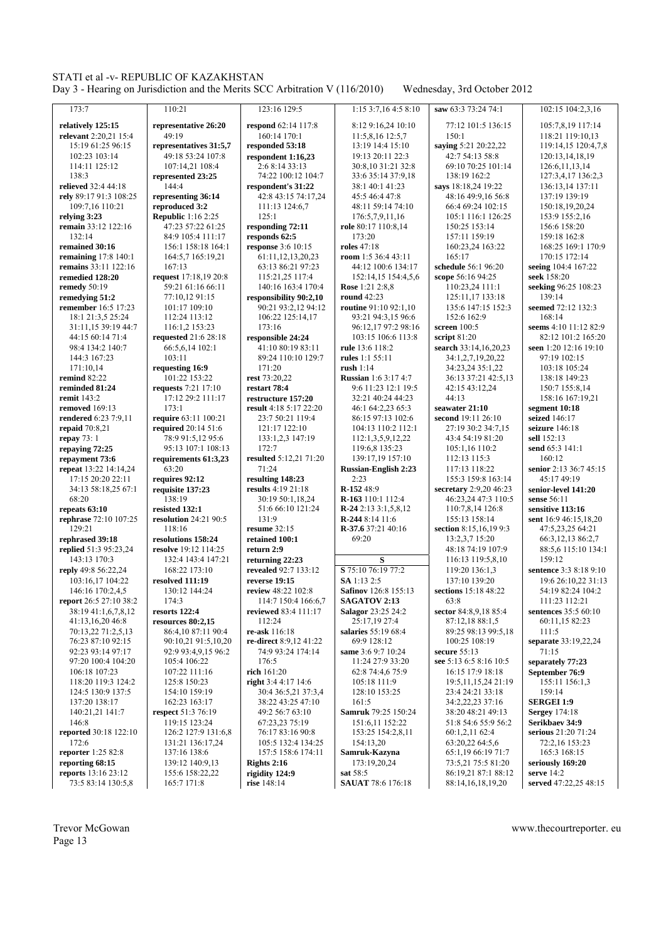|                                          | $\frac{1}{2}$ on subserve the the metric because of $\frac{1}{2}$ in $\frac{1}{2}$ (110/2010) |                                            |                                        | $\ldots$ cancelary, $\ldots$ october $\ldots$ |                                     |
|------------------------------------------|-----------------------------------------------------------------------------------------------|--------------------------------------------|----------------------------------------|-----------------------------------------------|-------------------------------------|
| 173:7                                    | 110:21                                                                                        | 123:16 129:5                               | 1:15 3:7,16 4:5 8:10                   | saw 63:3 73:24 74:1                           | 102:15 104:2,3,16                   |
| relatively 125:15                        | representative 26:20                                                                          | <b>respond</b> 62:14 117:8                 | 8:12 9:16,24 10:10                     | 77:12 101:5 136:15                            | 105:7,8,19 117:14                   |
| relevant 2:20,21 15:4                    | 49:19                                                                                         | 160:14 170:1                               | 11:5,8,16 12:5,7                       | 150:1                                         | 118:21 119:10,13                    |
| 15:19 61:25 96:15                        | representatives 31:5,7                                                                        | responded 53:18                            | 13:19 14:4 15:10                       | saying 5:21 20:22,22                          | 119:14,15 120:4,7,8                 |
| 102:23 103:14                            | 49:18 53:24 107:8                                                                             | respondent 1:16,23                         | 19:13 20:11 22:3                       | 42:7 54:13 58:8                               | 120:13,14,18,19                     |
| 114:11 125:12                            | 107:14,21 108:4                                                                               | 2:6 8:14 33:13                             | 30:8,10 31:21 32:8                     | 69:10 70:25 101:14                            | 126:6, 11, 13, 14                   |
| 138:3                                    | represented 23:25                                                                             | 74:22 100:12 104:7                         | 33:6 35:14 37:9,18                     | 138:19 162:2                                  | 127:3,4,17 136:2,3                  |
| relieved 32:4 44:18                      | 144:4                                                                                         | respondent's 31:22                         | 38:1 40:1 41:23                        | says 18:18,24 19:22                           | 136:13,14 137:11                    |
| rely 89:17 91:3 108:25                   | representing 36:14                                                                            | 42:8 43:15 74:17,24                        | 45:5 46:4 47:8                         | 48:16 49:9,16 56:8                            | 137:19 139:19                       |
| 109:7,16 110:21                          | reproduced 3:2                                                                                | 111:13 124:6,7                             | 48:11 59:14 74:10                      | 66:4 69:24 102:15                             | 150:18,19,20,24                     |
| relying 3:23                             | <b>Republic</b> 1:16 2:25                                                                     | 125:1                                      | 176:5,7,9,11,16                        | 105:1 116:1 126:25                            | 153:9 155:2,16                      |
| remain 33:12 122:16                      | 47:23 57:22 61:25                                                                             | responding 72:11                           | role 80:17 110:8,14                    | 150:25 153:14                                 | 156:6 158:20                        |
| 132:14                                   | 84:9 105:4 111:17                                                                             | responds 62:5                              | 173:20                                 | 157:11 159:19                                 | 159:18 162:8                        |
| remained 30:16<br>remaining $17:8$ 140:1 | 156:1 158:18 164:1                                                                            | <b>response</b> 3:6 10:15                  | roles 47:18<br>room 1:5 36:4 43:11     | 160:23,24 163:22<br>165:17                    | 168:25 169:1 170:9<br>170:15 172:14 |
| remains 33:11 122:16                     | 164:5,7 165:19,21<br>167:13                                                                   | 61:11, 12, 13, 20, 23<br>63:13 86:21 97:23 | 44:12 100:6 134:17                     | schedule 56:1 96:20                           | seeing 104:4 167:22                 |
| remedied 128:20                          | request 17:18,19 20:8                                                                         | 115:21,25 117:4                            | 152:14,15 154:4,5,6                    | scope 56:16 94:25                             | seek 158:20                         |
| remedy 50:19                             | 59:21 61:16 66:11                                                                             | 140:16 163:4 170:4                         | Rose 1:21 2:8,8                        | 110:23,24111:1                                | seeking 96:25 108:23                |
| remedying 51:2                           | 77:10,12 91:15                                                                                | responsibility 90:2,10                     | <b>round</b> 42:23                     | 125:11,17 133:18                              | 139:14                              |
| remember 16:5 17:23                      | 101:17 109:10                                                                                 | 90:21 93:2,12 94:12                        | routine 91:10 92:1,10                  | 135:6 147:15 152:3                            | seemed 72:12 132:3                  |
| 18:1 21:3,5 25:24                        | 112:24 113:12                                                                                 | 106:22 125:14,17                           | 93:21 94:3,15 96:6                     | 152:6 162:9                                   | 168:14                              |
| 31:11,15 39:19 44:7                      | 116:1,2 153:23                                                                                | 173:16                                     | 96:12,17 97:2 98:16                    | screen $100:5$                                | seems 4:10 11:12 82:9               |
| 44:15 60:14 71:4                         | requested $21:628:18$                                                                         | responsible 24:24                          | 103:15 106:6 113:8                     | script 81:20                                  | 82:12 101:2 165:20                  |
| 98:4 134:2 140:7                         | 66:5,6,14 102:1                                                                               | 41:10 80:19 83:11                          | rule 13:6 118:2                        | search 33:14,16,20,23                         | seen 1:20 12:16 19:10               |
| 144:3 167:23                             | 103:11                                                                                        | 89:24 110:10 129:7                         | <b>rules</b> 1:1 55:11                 | 34:1,2,7,19,20,22                             | 97:19 102:15                        |
| 171:10,14                                | requesting 16:9                                                                               | 171:20                                     | rush $1:14$                            | 34:23,24 35:1,22                              | 103:18 105:24                       |
| remind 82:22                             | 101:22 153:22                                                                                 | rest 73:20,22                              | <b>Russian</b> 1:6 3:17 4:7            | 36:13 37:21 42:5,13                           | 138:18 149:23                       |
| reminded 81:24                           | requests $7:21$ 17:10                                                                         | restart 78:4                               | 9:6 11:23 12:1 19:5                    | 42:15 43:12,24                                | 150:7 155:8,14                      |
| remit 143:2                              | 17:12 29:2 111:17                                                                             | restructure 157:20                         | 32:21 40:24 44:23                      | 44:13                                         | 158:16 167:19,21                    |
| removed $169:13$                         | 173:1                                                                                         | result 4:18 5:17 22:20                     | 46:1 64:2,23 65:3                      | seawater 21:10                                | segment 10:18                       |
| rendered 6:23 7:9,11                     | require 63:11 100:21                                                                          | 23:7 50:21 119:4                           | 86:15 97:13 102:6                      | second 19:11 26:10                            | seized 146:17                       |
| repaid $70:8,21$                         | required 20:14 51:6                                                                           | 121:17 122:10                              | 104:13 110:2 112:1                     | 27:19 30:2 34:7,15                            | seizure $146:18$                    |
| repay $73:1$                             | 78:9 91:5,12 95:6                                                                             | 133:1,2,3 147:19                           | 112:1,3,5,9,12,22                      | 43:4 54:19 81:20                              | sell 152:13                         |
| repaying 72:25<br>repayment 73:6         | 95:13 107:1 108:13<br>requirements 61:3,23                                                    | 172:7<br>resulted 5:12,21 71:20            | 119:6,8 135:23<br>139:17,19 157:10     | 105:1,16 110:2<br>112:13 115:3                | send 65:3 141:1<br>160:12           |
| repeat 13:22 14:14,24                    | 63:20                                                                                         | 71:24                                      | <b>Russian-English 2:23</b>            | 117:13 118:22                                 | senior 2:13 36:7 45:15              |
| 17:15 20:20 22:11                        | requires 92:12                                                                                | resulting 148:23                           | 2:23                                   | 155:3 159:8 163:14                            | 45:17 49:19                         |
| 34:13 58:18,25 67:1                      | requisite 137:23                                                                              | results 4:19 21:18                         | R-152 48:9                             | secretary 2:9,20 46:23                        | senior-level 141:20                 |
| 68:20                                    | 138:19                                                                                        | 30:19 50:1,18,24                           | <b>R-163</b> 110:1 112:4               | 46:23,24 47:3 110:5                           | sense 56:11                         |
| repeats 63:10                            | resisted 132:1                                                                                | 51:6 66:10 121:24                          | <b>R-24</b> 2:13 3:1,5,8,12            | 110:7,8,14 126:8                              | sensitive 113:16                    |
| rephrase 72:10 107:25                    | <b>resolution</b> 24:21 90:5                                                                  | 131:9                                      | <b>R-244</b> 8:14 11:6                 | 155:13 158:14                                 | sent 16:9 46:15,18,20               |
| 129:21                                   | 118:16                                                                                        | resume $32:15$                             | R-37.6 37:21 40:16                     | section 8:15,16,19 9:3                        | 47:5,23,25 64:21                    |
| rephrased 39:18                          | resolutions 158:24                                                                            | retained 100:1                             | 69:20                                  | 13:2,3,7 15:20                                | 66:3, 12, 13 86:2, 7                |
| replied 51:3 95:23,24                    | resolve 19:12 114:25                                                                          | return 2:9                                 |                                        | 48:18 74:19 107:9                             | 88:5,6 115:10 134:1                 |
| 143:13 170:3                             | 132:4 143:4 147:21                                                                            | returning 22:23                            | S                                      | 116:13 119:5,8,10                             | 159:12                              |
| reply 49:8 56:22,24                      | 168:22 173:10                                                                                 | revealed 92:7 133:12                       | S 75:10 76:19 77:2                     | 119:20 136:1,3                                | sentence 3:3 8:18 9:10              |
| 103:16,17 104:22                         | resolved 111:19                                                                               | reverse 19:15                              | SA 1:13 2:5                            | 137:10 139:20                                 | 19:6 26:10,22 31:13                 |
| 146:16 170:2,4,5                         | 130:12 144:24                                                                                 | review 48:22 102:8                         | Safinov 126:8 155:13                   | sections 15:18 48:22                          | 54:19 82:24 104:2                   |
| report 26:5 27:10 38:2                   | 174:3                                                                                         | 114:7 150:4 166:6,7                        | <b>SAGATOV 2:13</b>                    | 63:8                                          | 111:23 112:21                       |
| 38:19 41:1,6,7,8,12                      | resorts 122:4                                                                                 | reviewed 83:4 111:17                       | <b>Salagor</b> 23:25 24:2              | sector 84:8,9,18 85:4                         | sentences 35:5 60:10                |
| 41:13,16,20 46:8                         | resources 80:2,15                                                                             | 112:24                                     | 25:17,19 27:4                          | 87:12,18 88:1,5                               | 60:11,15 82:23                      |
| 70:13.22 71:2.5.13                       | 86:4,10 87:11 90:4                                                                            | re-ask 116:18                              | salaries 55:19 68:4                    | 89:25 98:13 99:5,18                           | 111:5                               |
| 76:23 87:10 92:15                        | 90:10,21 91:5,10,20                                                                           | re-direct 8:9,12 41:22                     | 69:9 128:12                            | 100:25 108:19                                 | separate 33:19,22,24                |
| 92:23 93:14 97:17<br>97:20 100:4 104:20  | 92:9 93:4,9,15 96:2<br>105:4 106:22                                                           | 74:9 93:24 174:14<br>176:5                 | same 3:6 9:7 10:24<br>11:24 27:9 33:20 | secure $55:13$<br>see 5:13 6:5 8:16 10:5      | 71:15<br>separately 77:23           |
| 106:18 107:23                            | 107:22 111:16                                                                                 | rich $161:20$                              | 62:8 74:4,6 75:9                       | 16:15 17:9 18:18                              | September 76:9                      |
| 118:20 119:3 124:2                       | 125:8 150:23                                                                                  | right $3:44:1714:6$                        | 105:18 111:9                           | 19:5, 11, 15, 24 21:19                        | 155:11 156:1,3                      |
| 124:5 130:9 137:5                        | 154:10 159:19                                                                                 | 30:4 36:5,21 37:3,4                        | 128:10 153:25                          | 23:4 24:21 33:18                              | 159:14                              |
| 137:20 138:17                            | 162:23 163:17                                                                                 | 38:22 43:25 47:10                          | 161:5                                  | 34:2,22,23 37:16                              | <b>SERGEI 1:9</b>                   |
| 140:21,21 141:7                          | <b>respect</b> 51:3 76:19                                                                     | 49:2 56:7 63:10                            | <b>Samruk 79:25 150:24</b>             | 38:20 48:21 49:13                             | <b>Sergey 174:18</b>                |
| 146:8                                    | 119:15 123:24                                                                                 | 67:23,23 75:19                             | 151:6,11 152:22                        | 51:8 54:6 55:9 56:2                           | Serikbaev 34:9                      |
| reported 30:18 122:10                    | 126:2 127:9 131:6,8                                                                           | 76:17 83:16 90:8                           | 153:25 154:2,8,11                      | 60:1,2,11 62:4                                | serious 21:20 71:24                 |
| 172:6                                    | 131:21 136:17,24                                                                              | 105:5 132:4 134:25                         | 154:13,20                              | 63:20,22 64:5,6                               | 72:2,16 153:23                      |
| reporter $1:2582:8$                      | 137:16 138:6                                                                                  | 157:5 158:6 174:11                         | Samruk-Kazyna                          | 65:1,19 66:19 71:7                            | 165:3 168:15                        |
| reporting 68:15                          | 139:12 140:9,13                                                                               | Rights $2:16$                              | 173:19,20,24                           | 73:5,21 75:5 81:20                            | seriously 169:20                    |
| reports 13:16 23:12                      | 155:6 158:22,22                                                                               | rigidity 124:9                             | sat 58:5                               | 86:19,21 87:1 88:12                           | serve $14:2$                        |

73:5 83:14 130:5,8 165:7 171:8 **rise** 148:14 **SAUAT** 78:6 176:18 88:14,16,18,19,20 **served** 47:22,25 48:15

Page 13

Trevor McGowan www.thecourtreporter. eu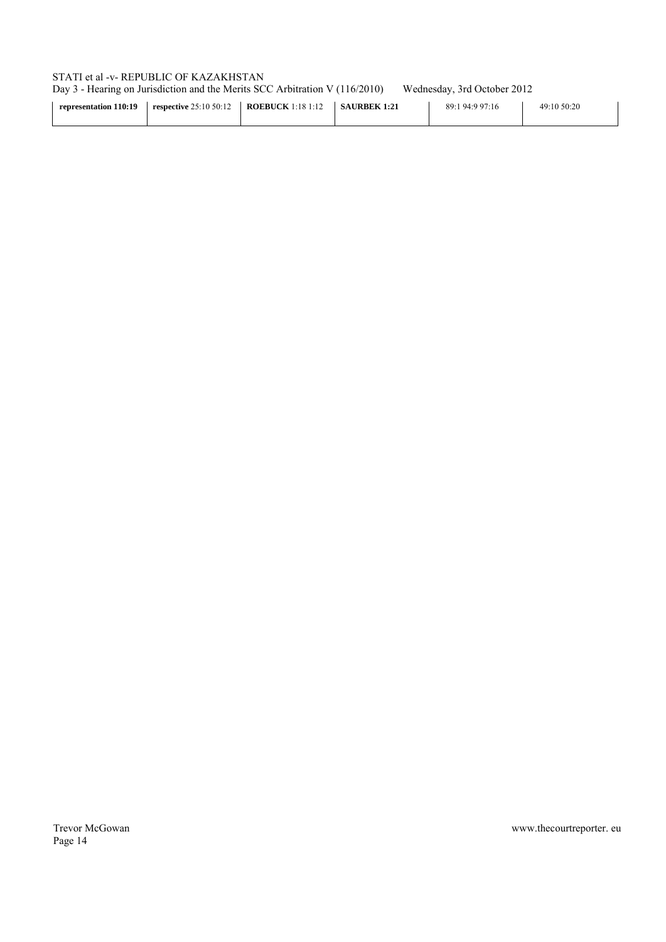|  | representation 110:19 | respective $25:10\,50:12$ | <b>ROEBUCK</b> 1:18 1:12 | <b>SAURBEK 1:21</b> | 89:1 94:9 97:16 | 49:10 50:20 |
|--|-----------------------|---------------------------|--------------------------|---------------------|-----------------|-------------|
|--|-----------------------|---------------------------|--------------------------|---------------------|-----------------|-------------|

Trevor McGowan<br>Page 14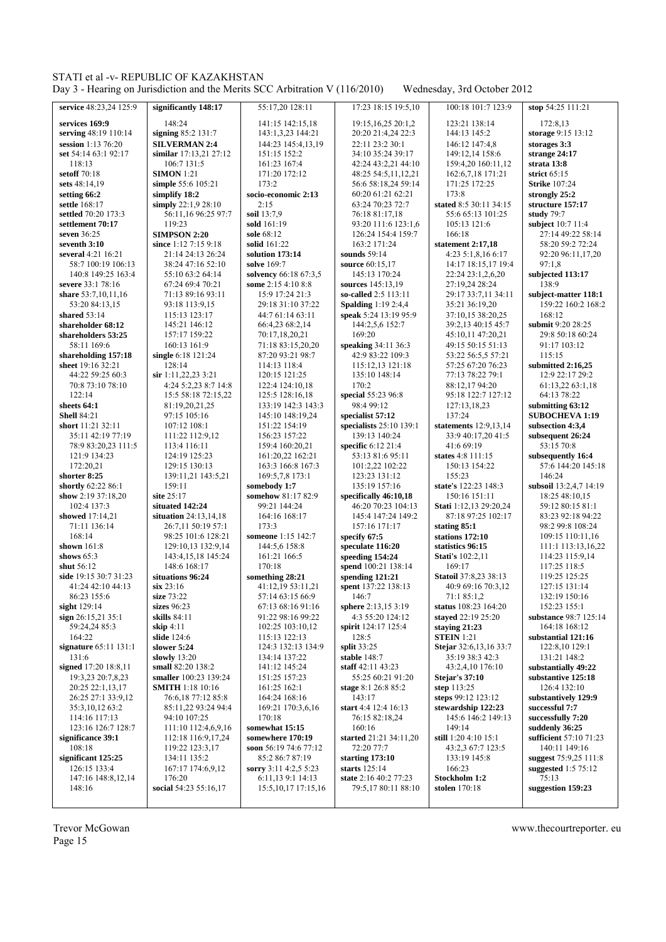| service 48:23,24 125:9                     | significantly 148:17             | 55:17,20 128:11           | 17:23 18:15 19:5,10                    | 100:18 101:7 123:9              | stop 54:25 111:21              |
|--------------------------------------------|----------------------------------|---------------------------|----------------------------------------|---------------------------------|--------------------------------|
| services 169:9                             | 148:24                           | 141:15 142:15,18          | 19:15, 16, 25 20:1, 2                  | 123:21 138:14                   | 172:8,13                       |
| serving 48:19 110:14                       | signing 85:2 131:7               | 143:1,3,23 144:21         | 20:20 21:4,24 22:3                     | 144:13 145:2                    | storage 9:15 13:12             |
| session 1:13 76:20                         | <b>SILVERMAN 2:4</b>             | 144:23 145:4,13,19        | 22:11 23:2 30:1                        | 146:12 147:4,8                  | storages 3:3                   |
| set 54:14 63:1 92:17                       | similar 17:13,21 27:12           | 151:15 152:2              | 34:10 35:24 39:17                      | 149:12,14 158:6                 | strange 24:17                  |
| 118:13                                     | 106:7 131:5                      | 161:23 167:4              | 42:24 43:2,21 44:10                    | 159:4,20 160:11,12              | strata 13:8                    |
| setoff 70:18                               | <b>SIMON 1:21</b>                | 171:20 172:12             | 48:25 54:5,11,12,21                    | 162:6,7,18 171:21               | strict $65:15$                 |
| sets 48:14,19                              | simple 55:6 105:21               | 173:2                     | 56:6 58:18,24 59:14                    | 171:25 172:25                   | <b>Strike 107:24</b>           |
| setting 66:2                               | simplify 18:2                    | socio-economic 2:13       | 60:20 61:21 62:21                      | 173:8                           | strongly 25:2                  |
| settle 168:17                              | simply $22:1,928:10$             | 2:15                      | 63:24 70:23 72:7                       | stated 8:5 30:11 34:15          | structure 157:17               |
| settled 70:20 173:3                        | 56:11,16 96:25 97:7              | soil 13:7,9               | 76:18 81:17,18                         | 55:6 65:13 101:25               | study 79:7                     |
| settlement 70:17                           | 119:23                           | sold 161:19               | 93:20 111:6 123:1,6                    | 105:13 121:6                    | <b>subject</b> 10:7 11:4       |
| seven 36:25                                | <b>SIMPSON 2:20</b>              | sole 68:12                | 126:24 154:4 159:7                     | 166:18                          | 27:14 49:22 58:14              |
| seventh 3:10                               | since 1:12 7:15 9:18             | solid 161:22              | 163:2 171:24                           | statement 2:17,18               | 58:20 59:2 72:24               |
| several 4:21 16:21                         | 21:14 24:13 26:24                | solution 173:14           | sounds 59:14                           | 4:23 5:1,8,16 6:17              | 92:20 96:11,17,20              |
| 58:7 100:19 106:13                         | 38:24 47:16 52:10                | solve 169:7               | source 60:15,17                        | 14:17 18:15,17 19:4             | 97:1,8                         |
| 140:8 149:25 163:4                         | 55:10 63:2 64:14                 | solvency 66:18 67:3,5     | 145:13 170:24                          | 22:24 23:1,2,6,20               | subjected 113:17               |
| severe 33:1 78:16                          | 67:24 69:4 70:21                 | some 2:15 4:10 8:8        | sources 145:13,19                      | 27:19,24 28:24                  | 138:9                          |
| share 53:7,10,11,16                        | 71:13 89:16 93:11                | 15:9 17:24 21:3           | so-called 2:5 113:11                   | 29:17 33:7,11 34:11             | subject-matter 118:1           |
| 53:20 84:13,15                             | 93:18 113:9,15                   | 29:18 31:10 37:22         | <b>Spalding 1:19 2:4,4</b>             | 35:21 36:19,20                  | 159:22 160:2 168:2             |
| shared $53:14$                             | 115:13 123:17                    | 44:7 61:14 63:11          | speak 5:24 13:19 95:9                  | 37:10,15 38:20,25               | 168:12                         |
| shareholder 68:12                          | 145:21 146:12                    | 66:4,23 68:2,14           | 144:2,5,6 152:7                        | 39:2,13 40:15 45:7              | submit 9:20 28:25              |
| shareholders 53:25                         | 157:17 159:22                    | 70:17,18,20,21            | 169:20                                 | 45:10,11 47:20,21               | 29:8 50:18 60:24               |
| 58:11 169:6                                | 160:13 161:9                     | 71:18 83:15,20,20         | speaking 34:11 36:3                    | 49:15 50:15 51:13               | 91:17 103:12                   |
| shareholding 157:18                        | single 6:18 121:24               | 87:20 93:21 98:7          | 42:9 83:22 109:3                       | 53:22 56:5,5 57:21              | 115:15                         |
| sheet 19:16 32:21                          | 128:14                           | 114:13 118:4              | 115:12,13 121:18                       | 57:25 67:20 76:23               | submitted 2:16,25              |
| 44:22 59:25 60:3                           | sir 1:11,22,23 3:21              | 120:15 121:25             | 135:10 148:14                          | 77:13 78:22 79:1                | 12:9 22:17 29:2                |
| 70:8 73:10 78:10                           | 4:24 5:2,23 8:7 14:8             | 122:4 124:10,18           | 170:2                                  | 88:12,17 94:20                  | 61:13,22 63:1,18               |
| 122:14                                     | 15:5 58:18 72:15,22              | 125:5 128:16,18           | special 55:23 96:8                     | 95:18 122:7 127:12              | 64:13 78:22                    |
| sheets 64:1                                | 81:19,20,21,25                   | 133:19 142:3 143:3        | 98:4 99:12                             | 127:13,18,23                    | submitting 63:12               |
| <b>Shell 84:21</b>                         | 97:15 105:16                     | 145:10 148:19,24          | specialist 57:12                       | 137:24                          | <b>SUBOCHEVA 1:19</b>          |
| short 11:21 32:11                          | 107:12 108:1                     | 151:22 154:19             | specialists 25:10 139:1                | statements $12:9,13,14$         | subsection 4:3,4               |
| 35:11 42:19 77:19                          | 111:22 112:9,12                  | 156:23 157:22             | 139:13 140:24                          | 33:9 40:17,20 41:5              | subsequent 26:24               |
| 78:9 83:20,23 111:5                        | 113:4 116:11                     | 159:4 160:20,21           | specific 6:12 21:4                     | 41:6 69:19                      | 53:15 70:8                     |
|                                            |                                  |                           |                                        |                                 |                                |
| 121:9 134:23                               | 124:19 125:23                    | 161:20,22 162:21          | 53:13 81:6 95:11                       | states 4:8 111:15               | subsequently 16:4              |
| 172:20,21                                  | 129:15 130:13                    | 163:3 166:8 167:3         | 101:2,22 102:22                        | 150:13 154:22                   | 57:6 144:20 145:18             |
| shorter 8:25                               | 139:11,21 143:5,21               | 169:5,7,8 173:1           | 123:23 131:12                          | 155:23                          | 146:24                         |
| shortly 62:22 86:1                         | 159:11                           | somebody 1:7              | 135:19 157:16                          | state's 122:23 148:3            | subsoil 13:2,4,7 14:19         |
| show 2:19 37:18,20                         | site 25:17                       | somehow 81:17 82:9        | specifically 46:10,18                  | 150:16 151:11                   | 18:25 48:10.15                 |
| 102:4 137:3                                | situated 142:24                  | 99:21 144:24              | 46:20 70:23 104:13                     | Stati 1:12,13 29:20,24          | 59:12 80:15 81:1               |
| showed 17:14,21                            | situation $24:13,14,18$          | 164:16 168:17             | 145:4 147:24 149:2                     | 87:18 97:25 102:17              | 83:23 92:18 94:22              |
| 71:11 136:14                               | 26:7,11 50:19 57:1               | 173:3                     | 157:16 171:17                          | stating 85:1                    | 98:2 99:8 108:24               |
| 168:14                                     | 98:25 101:6 128:21               | someone 1:15 142:7        | specify 67:5                           | stations 172:10                 | 109:15 110:11,16               |
| shown $161:8$                              | 129:10.13 132:9.14               | 144:5,6 158:8             | speculate 116:20                       | statistics 96:15                | 111:1 113:13,16,22             |
| shows $65:3$                               | 143:4,15,18 145:24               | 161:21 166:5              | speeding 154:24                        | <b>Stati's 102:2,11</b>         | 114:23 115:9,14                |
| shut 56:12                                 | 148:6 168:17                     | 170:18<br>something 28:21 | spend 100:21 138:14<br>spending 121:21 | 169:17<br>Statoil 37:8,23 38:13 | 117:25 118:5                   |
| side 19:15 30:7 31:23<br>41:24 42:10 44:13 | situations 96:24<br>$\sin 23:16$ | 41:12,19 53:11,21         | spent 137:22 138:13                    | 40:9 69:16 70:3,12              | 119:25 125:25<br>127:15 131:14 |
| 86:23 155:6                                | size 73:22                       | 57:14 63:15 66:9          | 146:7                                  | 71:1 85:1,2                     | 132:19 150:16                  |
| sight $129:14$                             | sizes $96:23$                    | 67:13 68:16 91:16         | sphere 2:13,15 3:19                    | status 108:23 164:20            | 152:23 155:1                   |
| sign $26:15,2135:1$                        | skills 84:11                     | 91:22 98:16 99:22         | 4:3 55:20 124:12                       | stayed 22:19 25:20              | substance 98:7 125:14          |
| 59:24,24 85:3                              | skip $4:11$                      | 102:25 103:10,12          | spirit 124:17 125:4                    | staying 21:23                   | 164:18 168:12                  |
| 164:22                                     | slide $124:6$                    | 115:13 122:13             | 128:5                                  | <b>STEIN</b> 1:21               | substantial 121:16             |
| signature 65:11 131:1                      | slower 5:24                      | 124:3 132:13 134:9        | split $33:25$                          | Stejar 32:6,13,16 33:7          | 122:8,10 129:1                 |
| 131:6                                      | slowly $13:20$                   | 134:14 137:22             | stable 148:7                           | 35:19 38:3 42:3                 | 131:21 148:2                   |
| signed 17:20 18:8,11                       | small 82:20 138:2                | 141:12 145:24             | staff $42:11\,43:23$                   | 43:2,4,10 176:10                | substantially 49:22            |
| 19:3,23 20:7,8,23                          | smaller 100:23 139:24            | 151:25 157:23             | 55:25 60:21 91:20                      | <b>Stejar's 37:10</b>           | substantive 125:18             |
| 20:25 22:1,13,17                           | <b>SMITH</b> 1:18 10:16          | 161:25 162:1              | stage 8:1 26:8 85:2                    | step 113:25                     | 126:4 132:10                   |
| 26:25 27:1 33:9,12                         | 76:6,18 77:12 85:8               | 164:24 168:16             | 143:17                                 | steps 99:12 123:12              | substantively 129:9            |
| 35:3, 10, 12 63:2                          | 85:11,22 93:24 94:4              | 169:21 170:3,6,16         | start 4:4 12:4 16:13                   | stewardship 122:23              | successful 7:7                 |
| 114:16 117:13                              | 94:10 107:25                     | 170:18                    | 76:15 82:18,24                         | 145:6 146:2 149:13              | successfully 7:20              |
| 123:16 126:7 128:7                         | 111:10 112:4,6,9,16              | somewhat 15:15            | 160:16                                 | 149:14                          | suddenly 36:25                 |
| significance 39:1                          | 112:18 116:9,17,24               | somewhere 170:19          | started 21:21 34:11,20                 | still $1:204:1015:1$            | sufficient 57:10 71:23         |
| 108:18                                     | 119:22 123:3,17                  | soon 56:19 74:6 77:12     | 72:20 77:7                             | 43:2,3 67:7 123:5               | 140:11 149:16                  |
| significant 125:25                         | 134:11 135:2                     | 85:2 86:7 87:19           | starting 173:10                        | 133:19 145:8                    | suggest 75:9,25 111:8          |
| 126:15 133:4                               | 167:17 174:6,9,12                | sorry 3:11 4:2,5 5:23     | starts $125:14$                        | 166:23                          | suggested $1:575:12$           |
| 147:16 148:8,12,14                         | 176:20                           | 6:11,13 9:1 14:13         | state 2:16 40:2 77:23                  | Stockholm 1:2                   | 75:13                          |
| 148:16                                     | social 54:23 55:16,17            | 15:5, 10, 17 17:15, 16    | 79:5,17 80:11 88:10                    | stolen 170:18                   | suggestion 159:23              |

Trevor McGowan<br>Page 15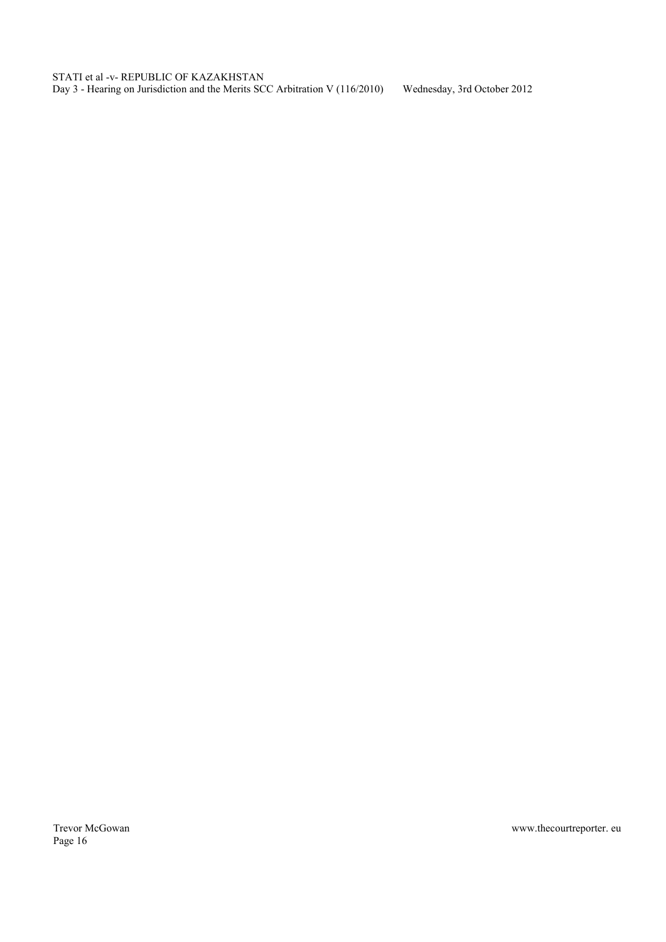Trevor McGowan<br>Page 16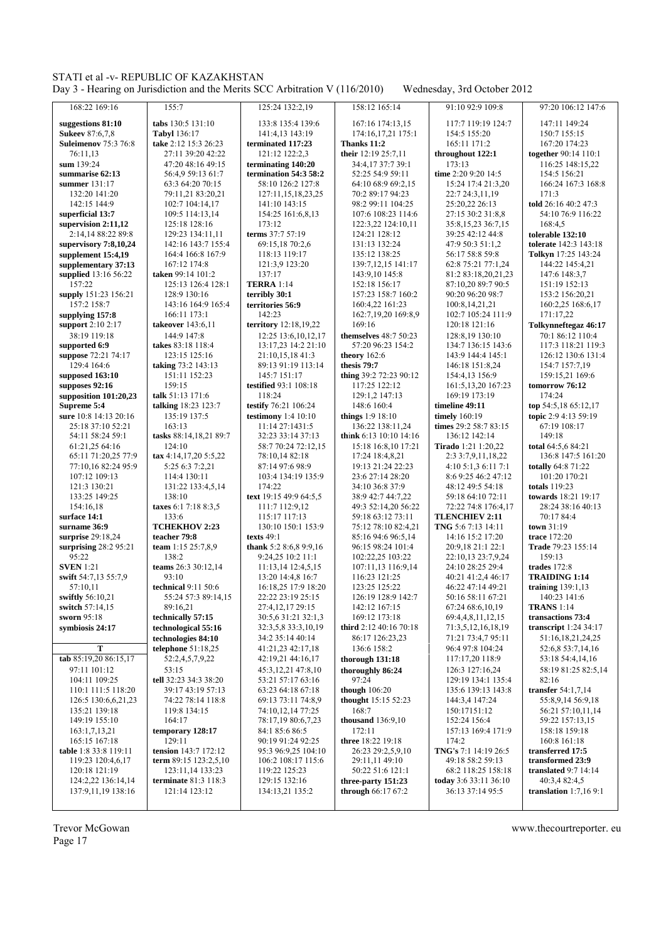Wednesday, 3rd October 2012

| 168:22 169:16                               | 155:7                                           | 125:24 132:2,19                               | 158:12 165:14                                 | 91:10 92:9 109:8                            | 97:20 106:12 147:6                      |
|---------------------------------------------|-------------------------------------------------|-----------------------------------------------|-----------------------------------------------|---------------------------------------------|-----------------------------------------|
| suggestions 81:10                           | tabs 130:5 131:10                               | 133:8 135:4 139:6                             | 167:16 174:13.15                              | 117:7 119:19 124:7                          | 147:11 149:24                           |
| <b>Sukeev 87:6,7,8</b>                      | Tabyl 136:17                                    | 141:4,13 143:19                               | 174:16,17,21 175:1                            | 154:5 155:20                                | 150:7 155:15                            |
| <b>Suleimenov 75:3 76:8</b>                 | take 2:12 15:3 26:23                            | terminated 117:23                             | Thanks 11:2                                   | 165:11 171:2                                | 167:20 174:23                           |
| 76:11,13                                    | 27:11 39:20 42:22                               | 121:12 122:2,3                                | their 12:19 25:7,11                           | throughout 122:1                            | together 90:14 110:1                    |
| sum 139:24                                  | 47:20 48:16 49:15                               | terminating 140:20                            | 34:4.17 37:7 39:1                             | 173:13                                      | 116:25 148:15,22                        |
| summarise 62:13                             | 56:4.9 59:13 61:7                               | termination 54:3 58:2                         | 52:25 54:9 59:11                              | time 2:20 9:20 14:5                         | 154:5 156:21                            |
| summer $131:17$                             | 63:3 64:20 70:15                                | 58:10 126:2 127:8                             | 64:10 68:9 69:2,15                            | 15:24 17:4 21:3,20                          | 166:24 167:3 168:8                      |
| 132:20 141:20                               | 79:11,21 83:20,21                               | 127:11,15,18,23,25                            | 70:2 89:17 94:23                              | 22:7 24:3,11,19                             | 171:3                                   |
| 142:15 144:9                                | 102:7 104:14,17                                 | 141:10 143:15                                 | 98:2 99:11 104:25                             | 25:20,22 26:13                              | told 26:16 40:2 47:3                    |
| superficial 13:7                            | 109:5 114:13,14<br>125:18 128:16                | 154:25 161:6,8,13<br>173:12                   | 107:6 108:23 114:6<br>122:3,22 124:10,11      | 27:15 30:2 31:8,8<br>35:8,15,23 36:7,15     | 54:10 76:9 116:22<br>168:4,5            |
| supervision $2:11,12$<br>2:14,14 88:22 89:8 | 129:23 134:11,11                                | terms 37:7 57:19                              | 124:21 128:12                                 | 39:25 42:12 44:8                            | tolerable 132:10                        |
| supervisory 7:8,10,24                       | 142:16 143:7 155:4                              | 69:15,18 70:2,6                               | 131:13 132:24                                 | 47:9 50:3 51:1,2                            | tolerate 142:3 143:18                   |
| supplement 15:4,19                          | 164:4 166:8 167:9                               | 118:13 119:17                                 | 135:12 138:25                                 | 56:17 58:8 59:8                             | Tolkyn 17:25 143:24                     |
| supplementary 37:13                         | 167:12 174:8                                    | 121:3,9 123:20                                | 139:7, 12, 15 141: 17                         | 62:8 75:21 77:1,24                          | 144:22 145:4,21                         |
| supplied 13:16 56:22                        | taken 99:14 101:2                               | 137:17                                        | 143:9,10 145:8                                | 81:2 83:18,20,21,23                         | 147:6 148:3,7                           |
| 157:22                                      | 125:13 126:4 128:1                              | <b>TERRA 1:14</b>                             | 152:18 156:17                                 | 87:10,20 89:7 90:5                          | 151:19 152:13                           |
| supply 151:23 156:21                        | 128:9 130:16                                    | terribly 30:1                                 | 157:23 158:7 160:2                            | 90:20 96:20 98:7                            | 153:2 156:20,21                         |
| 157:2 158:7                                 | 143:16 164:9 165:4                              | territories 56:9                              | 160:4,22 161:23                               | 100:8,14,21,21                              | 160:2,25 168:6,17                       |
| supplying 157:8                             | 166:11 173:1                                    | 142:23                                        | 162:7,19,20 169:8,9                           | 102:7 105:24 111:9                          | 171:17,22                               |
| support 2:10 2:17                           | takeover 143:6,11                               | territory 12:18,19,22                         | 169:16                                        | 120:18 121:16                               | Tolkynneftegaz 46:17                    |
| 38:19 119:18                                | 144:9 147:8<br>takes 83:18 118:4                | 12:25 13:6, 10, 12, 17<br>13:17,23 14:2 21:10 | themselves 48:7 50:23<br>57:20 96:23 154:2    | 128:8,19 130:10<br>134:7 136:15 143:6       | 70:1 86:12 110:4<br>117:3 118:21 119:3  |
| supported 6:9<br>suppose 72:21 74:17        | 123:15 125:16                                   | 21:10,15,18 41:3                              | theory 162:6                                  | 143:9 144:4 145:1                           | 126:12 130:6 131:4                      |
| 129:4 164:6                                 | taking 73:2 143:13                              | 89:13 91:19 113:14                            | thesis 79:7                                   | 146:18 151:8,24                             | 154:7 157:7,19                          |
| supposed 163:10                             | 151:11 152:23                                   | 145:7 151:17                                  | thing 39:2 72:23 90:12                        | 154:4,13 156:9                              | 159:15,21 169:6                         |
| supposes 92:16                              | 159:15                                          | testified 93:1 108:18                         | 117:25 122:12                                 | 161:5,13,20 167:23                          | tomorrow $76:12$                        |
| supposition 101:20,23                       | talk 51:13 171:6                                | 118:24                                        | 129:1.2 147:13                                | 169:19 173:19                               | 174:24                                  |
| Supreme 5:4                                 | talking 18:23 123:7                             | testify 76:21 106:24                          | 148:6 160:4                                   | timeline 49:11                              | top 54:5,18 65:12,17                    |
| sure 10:8 14:13 20:16                       | 135:19 137:5                                    | testimony $1:410:10$                          | things 1:9 18:10                              | timely 160:19                               | topic 2:9 4:13 59:19                    |
| 25:18 37:10 52:21                           | 163:13                                          | 11:14 27:1431:5                               | 136:22 138:11,24                              | times 29:2 58:7 83:15                       | 67:19 108:17                            |
| 54:11 58:24 59:1<br>61:21,25 64:16          | tasks 88:14,18,21 89:7<br>124:10                | 32:23 33:14 37:13<br>58:7 70:24 72:12,15      | think 6:13 10:10 14:16<br>15:18 16:8,10 17:21 | 136:12 142:14<br><b>Tirado</b> 1:21 1:20,22 | 149:18<br>total 64:5,6 84:21            |
| 65:11 71:20,25 77:9                         | tax 4:14,17,20 5:5,22                           | 78:10,14 82:18                                | 17:24 18:4,8,21                               | 2:3 3:7,9,11,18,22                          | 136:8 147:5 161:20                      |
| 77:10,16 82:24 95:9                         | 5:25 6:3 7:2,21                                 | 87:14 97:6 98:9                               | 19:13 21:24 22:23                             | 4:10 5:1,3 6:11 7:1                         | totally 64:8 71:22                      |
| 107:12 109:13                               | 114:4 130:11                                    | 103:4 134:19 135:9                            | 23:6 27:14 28:20                              | 8:6 9:25 46:2 47:12                         | 101:20 170:21                           |
| 121:3 130:21                                | 131:22 133:4,5,14                               | 174:22                                        | 34:10 36:8 37:9                               | 48:12 49:5 54:18                            | <b>totals</b> 119:23                    |
| 133:25 149:25                               | 138:10                                          | text 19:15 49:9 64:5,5                        | 38:9 42:7 44:7,22                             | 59:18 64:10 72:11                           | towards 18:21 19:17                     |
| 154:16,18                                   | taxes 6:1 7:18 8:3,5                            | 111:7 112:9,12                                | 49:3 52:14,20 56:22                           | 72:22 74:8 176:4,17                         | 28:24 38:16 40:13                       |
| surface 14:1                                | 133:6                                           | 115:17 117:13                                 | 59:18 63:12 73:11                             | <b>TLENCHIEV 2:11</b>                       | 70:17 84:4                              |
| surname 36:9                                | <b>TCHEKHOV 2:23</b>                            | 130:10 150:1 153:9<br>texts $49:1$            | 75:12 78:10 82:4,21                           | TNG 5:67:13 14:11                           | town 31:19<br>trace 172:20              |
| surprise 29:18,24<br>surprising $28:295:21$ | teacher 79:8<br>team 1:15 25:7,8,9              | thank 5:2 8:6,8 9:9,16                        | 85:16 94:6 96:5,14<br>96:15 98:24 101:4       | 14:16 15:2 17:20<br>20:9,18 21:1 22:1       | Trade 79:23 155:14                      |
| 95:22                                       | 138:2                                           | 9:24,25 10:2 11:1                             | 102:22,25 103:22                              | 22:10,13 23:7,9,24                          | 159:13                                  |
| <b>SVEN</b> 1:21                            | teams 26:3 30:12,14                             | $11:13,14$ $12:4,5,15$                        | 107:11,13 116:9,14                            | 24:10 28:25 29:4                            | trades $172:8$                          |
| swift 54:7,13 55:7,9                        | 93:10                                           | 13:20 14:4,8 16:7                             | 116:23 121:25                                 | 40:21 41:2,4 46:17                          | <b>TRAIDING 1:14</b>                    |
| 57:10,11                                    | technical 9:11 50:6                             | 16:18,25 17:9 18:20                           | 123:25 125:22                                 | 46:22 47:14 49:21                           | training $139:1,13$                     |
| swiftly 56:10,21                            | 55:24 57:3 89:14,15                             | 22:22 23:19 25:15                             | 126:19 128:9 142:7                            | 50:16 58:11 67:21                           | 140:23 141:6                            |
| switch 57:14,15                             | 89:16,21                                        | 27:4,12,17 29:15                              | 142:12 167:15                                 | 67:24 68:6,10,19                            | <b>TRANS 1:14</b>                       |
| sworn 95:18                                 | technically 57:15                               | 30:5.6 31:21 32:1.3                           | 169:12 173:18                                 | 69:4,4,8,11,12,15                           | transactions 73:4                       |
| symbiosis 24:17                             | technological 55:16                             | 32:3,5,8 33:3,10,19                           | third $2:12\,40:16\,70:18$                    | 71:3,5,12,16,18,19                          | transcript $1:24$ 34:17                 |
| T                                           | technologies 84:10                              | 34:2 35:14 40:14                              | 86:17 126:23,23                               | 71:21 73:4,7 95:11                          | 51:16,18,21,24,25                       |
| tab 85:19,20 86:15,17                       | telephone $51:18,25$                            | 41:21.23 42:17.18                             | 136:6 158:2                                   | 96:4 97:8 104:24                            | 52:6,8 53:7,14,16                       |
|                                             | 52:2,4,5,7,9,22<br>53:15                        | 42:19,21 44:16,17                             | thorough 131:18                               | 117:17,20 118:9                             | 53:18 54:4,14,16                        |
| 97:11 101:12<br>104:11 109:25               | tell 32:23 34:3 38:20                           | 45:3,12,21 47:8,10<br>53:21 57:17 63:16       | thoroughly 86:24<br>97:24                     | 126:3 127:16,24<br>129:19 134:1 135:4       | 58:19 81:25 82:5,14<br>82:16            |
| 110:1 111:5 118:20                          | 39:17 43:19 57:13                               | 63:23 64:18 67:18                             | though $106:20$                               | 135:6 139:13 143:8                          | transfer 54:1,7,14                      |
| 126:5 130:6,6,21,23                         | 74:22 78:14 118:8                               | 69:13 73:11 74:8,9                            | thought 15:15 52:23                           | 144:3,4 147:24                              | 55:8,9,14 56:9,18                       |
| 135:21 139:18                               | 119:8 134:15                                    | 74:10,12,14 77:25                             | 168:7                                         | 150:17151:12                                | 56:21 57:10,11,14                       |
| 149:19 155:10                               | 164:17                                          | 78:17,19 80:6,7,23                            | thousand 136:9,10                             | 152:24 156:4                                | 59:22 157:13,15                         |
| 163:1,7,13,21                               | temporary 128:17                                | 84:1 85:6 86:5                                | 172:11                                        | 157:13 169:4 171:9                          | 158:18 159:18                           |
| 165:15 167:18                               | 129:11                                          | 90:19 91:24 92:25                             | three 18:22 19:18                             | 174:2                                       | 160:8 161:18                            |
| table 1:8 33:8 119:11                       | tension 143:7 172:12                            | 95:3 96:9,25 104:10                           | 26:23 29:2,5,9,10                             | TNG's 7:1 14:19 26:5                        | transferred 17:5                        |
| 119:23 120:4,6,17                           | term $89:15$ 123:2,5,10                         | 106:2 108:17 115:6                            | 29:11,11 49:10                                | 49:18 58:2 59:13                            | transformed 23:9                        |
| 120:18 121:19<br>124:2,22 136:14,14         | 123:11,14 133:23<br><b>terminate 81:3 118:3</b> | 119:22 125:23<br>129:15 132:16                | 50:22 51:6 121:1<br>three-party 151:23        | 68:2 118:25 158:18<br>today 3:6 33:11 36:10 | translated $9:7$ 14:14<br>40:3,4 82:4,5 |
| 137:9,11,19 138:16                          | 121:14 123:12                                   | 134:13,21 135:2                               | through $66:1767:2$                           | 36:13 37:14 95:5                            | translation $1:7,169:1$                 |
|                                             |                                                 |                                               |                                               |                                             |                                         |
|                                             |                                                 |                                               |                                               |                                             |                                         |

Trevor McGowan<br>Page 17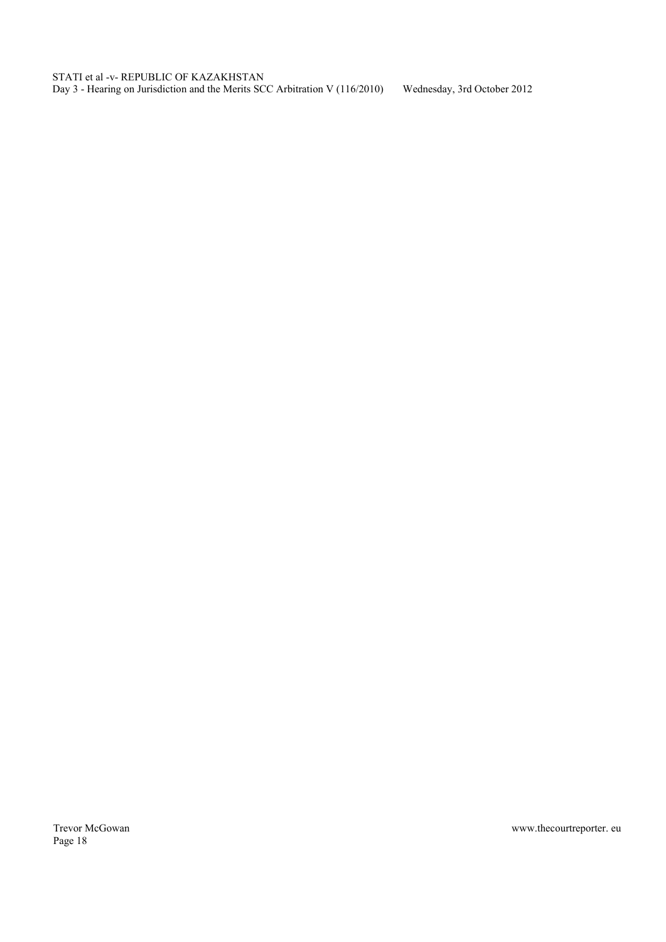Trevor McGowan<br>Page 18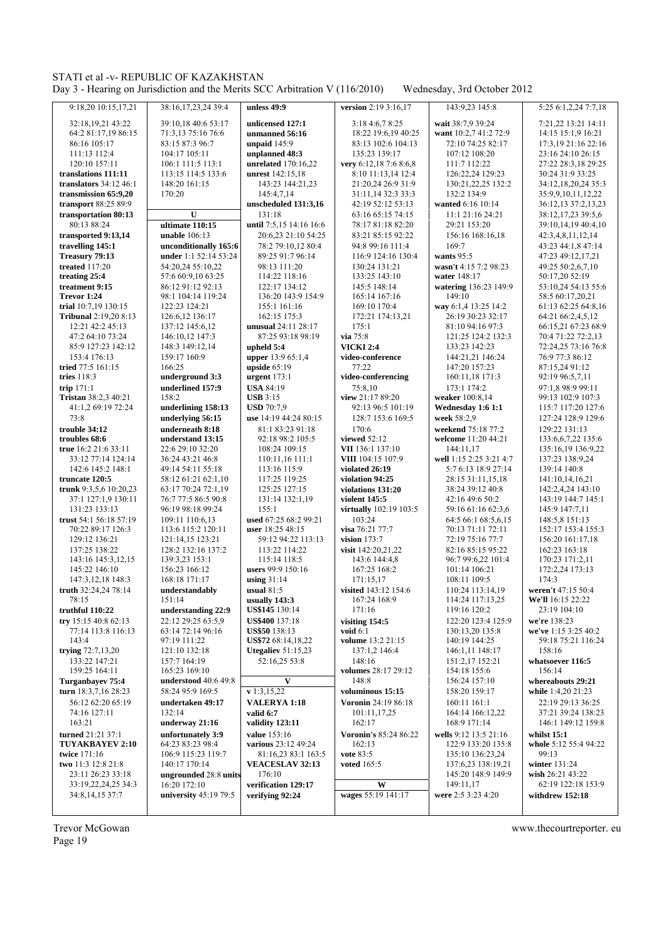Wednesday, 3rd October 2012

| 9:18,20 10:15,17,21            | 38:16,17,23,24 39:4                     | unless 49:9                          | version 2:19 3:16,17                | 143:9,23 145:8                            | 5:25 6:1,2,24 7:7,18                    |
|--------------------------------|-----------------------------------------|--------------------------------------|-------------------------------------|-------------------------------------------|-----------------------------------------|
| 32:18,19,21 43:22              | 39:10,18 40:6 53:17                     | unlicensed 127:1                     | 3:18 4:6,7 8:25                     | wait 38:7,9 39:24                         | 7:21,22 13:21 14:11                     |
| 64:2 81:17,19 86:15            | 71:3,13 75:16 76:6                      | unmanned 56:16                       | 18:22 19:6,19 40:25                 | want 10:2,7 41:2 72:9                     | 14:15 15:1,9 16:21                      |
| 86:16 105:17                   | 83:15 87:3 96:7                         | unpaid $145:9$                       | 83:13 102:6 104:13                  | 72:10 74:25 82:17                         | 17:3,19 21:16 22:16                     |
| 111:13 112:4                   | 104:17 105:11                           | unplanned 48:3                       | 135:23 139:17                       | 107:12 108:20                             | 23:16 24:10 26:15                       |
| 120:10 157:11                  | 106:1 111:5 113:1                       | unrelated 170:16,22                  | very 6:12,187:68:6,8                | 111:7 112:22                              | 27:22 28:3,18 29:25                     |
| translations 111:11            | 113:15 114:5 133:6                      | unrest 142:15,18                     | 8:10 11:13.14 12:4                  | 126:22,24 129:23                          | 30:24 31:9 33:25                        |
| translators $34:12:46:1$       | 148:20 161:15                           | 143:23 144:21,23                     | 21:20,24 26:9 31:9                  | 130:21, 22, 25 132:2                      | 34:12,18,20,24 35:3                     |
| transmission 65:9,20           | 170:20                                  | 145:4,7,14                           | 31:11, 14 32:3 33:3                 | 132:2 134:9                               | 35:9,9,10,11,12,22                      |
| transport 88:25 89:9           |                                         | unscheduled 131:3,16                 | 42:19 52:12 53:13                   | wanted 6:16 10:14                         | 36:12,13 37:2,13,23                     |
| transportation 80:13           | U                                       | 131:18                               | 63:16 65:15 74:15                   | 11:1 21:16 24:21                          | 38:12,17,23 39:5,6                      |
| 80:13 88:24                    | ultimate 110:15                         | until 7:5,15 14:16 16:6              | 78:17 81:18 82:20                   | 29:21 153:20                              | 39:10,14,19 40:4,10                     |
| transported 9:13,14            | unable 106:13                           | 20:6,23 21:10 54:25                  | 83:21 85:15 92:22                   | 156:16 168:16,18                          | 42:3,4,8,11,12,14                       |
| travelling 145:1               | unconditionally 165:6                   | 78:2 79:10.12 80:4                   | 94:8 99:16 111:4                    | 169:7                                     | 43:23 44:1,8 47:14                      |
| Treasury 79:13                 | under 1:1 52:14 53:24                   | 89:25 91:7 96:14                     | 116:9 124:16 130:4                  | wants $95:5$                              | 47:23 49:12,17,21                       |
| treated $117:20$               | 54:20,24 55:10,22                       | 98:13 111:20                         | 130:24 131:21                       | wasn't 4:15 7:2 98:23                     | 49:25 50:2,6,7,10                       |
| treating 25:4                  | 57:6 60:9,10 63:25<br>86:12 91:12 92:13 | 114:22 118:16                        | 133:25 143:10                       | water 148:17                              | 50:17,20 52:19                          |
| treatment 9:15<br>Trevor 1:24  | 98:1 104:14 119:24                      | 122:17 134:12<br>136:20 143:9 154:9  | 145:5 148:14<br>165:14 167:16       | watering 136:23 149:9<br>149:10           | 53:10,24 54:13 55:6<br>58:5 60:17,20,21 |
| trial 10:7,19 130:15           | 122:23 124:21                           | 155:1 161:16                         | 169:10 170:4                        | way 6:1,4 13:25 14:2                      | 61:13 62:25 64:8,16                     |
| <b>Tribunal</b> 2:19,20 8:13   | 126:6,12 136:17                         | 162:15 175:3                         | 172:21 174:13,21                    | 26:19 30:23 32:17                         | 64:21 66:2,4,5,12                       |
| 12:21 42:2 45:13               | 137:12 145:6,12                         | unusual 24:11 28:17                  | 175:1                               | 81:10 94:16 97:3                          | 66:15,21 67:23 68:9                     |
| 47:2 64:10 73:24               | 146:10,12 147:3                         | 87:25 93:18 98:19                    | via 75:8                            | 121:25 124:2 132:3                        | 70:4 71:22 72:2,13                      |
| 85:9 127:23 142:12             | 148:3 149:12,14                         | upheld 5:4                           | <b>VICKI 2:4</b>                    | 133:23 142:23                             | 72:24,25 73:16 76:8                     |
| 153:4 176:13                   | 159:17 160:9                            | <b>upper</b> 13:9 65:1,4             | video-conference                    | 144:21,21 146:24                          | 76:9 77:3 86:12                         |
| tried 77:5 161:15              | 166:25                                  | upside $65:19$                       | 77:22                               | 147:20 157:23                             | 87:15,24 91:12                          |
| tries $118:3$                  | underground 3:3                         | ureent 173:1                         | video-conferencing                  | 160:11,18 171:3                           | 92:19 96:5,7,11                         |
| trip $171:1$                   | underlined 157:9                        | <b>USA 84:19</b>                     | 75:8,10                             | 173:1 174:2                               | 97:1,8 98:9 99:11                       |
| Tristan 38:2,3 40:21           | 158:2                                   | <b>USB</b> 3:15                      | view 21:17 89:20                    | weaker 100:8,14                           | 99:13 102:9 107:3                       |
| 41:1,2 69:19 72:24             | underlining 158:13                      | <b>USD</b> 70:7,9                    | 92:13 96:5 101:19                   | Wednesday 1:6 1:1                         | 115:7 117:20 127:6                      |
| 73:8                           | underlying 56:15                        | use 14:19 44:24 80:15                | 128:7 153:6 169:5                   | week 58:2,9                               | 127:24 128:9 129:6                      |
| trouble 34:12<br>troubles 68:6 | underneath 8:18<br>understand 13:15     | 81:1 83:23 91:18<br>92:18 98:2 105:5 | 170:6<br>viewed 52:12               | weekend 75:18 77:2<br>welcome 11:20 44:21 | 129:22 131:13<br>133:6, 6, 7, 22 135:6  |
| true 16:2 21:6 33:11           | 22:6 29:10 32:20                        | 108:24 109:15                        | VII 136:1 137:10                    | 144:11,17                                 | 135:16,19 136:9,22                      |
| 33:12 77:14 124:14             | 36:24 43:21 46:8                        | 110:11,16111:1                       | VIII 104:15 107:9                   | well 1:15 2:25 3:21 4:7                   | 137:23 138:9,24                         |
| 142:6 145:2 148:1              | 49:14 54:11 55:18                       | 113:16 115:9                         | violated 26:19                      | 5:7 6:13 18:9 27:14                       | 139:14 140:8                            |
| truncate 120:5                 | 58:12 61:21 62:1,10                     | 117:25 119:25                        | violation 94:25                     | 28:15 31:11,15,18                         | 141:10,14,16,21                         |
| trunk 9:3,5,6 10:20,23         | 63:17 70:24 72:1,19                     | 125:25 127:15                        | violations 131:20                   | 38:24 39:12 40:8                          | 142:2,4,24 143:10                       |
| 37:1 127:1,9 130:11            | 76:7 77:5 86:5 90:8                     | 131:14 132:1,19                      | violent 145:5                       | 42:16 49:6 50:2                           | 143:19 144:7 145:1                      |
| 131:23 133:13                  | 96:19 98:18 99:24                       | 155:1                                | virtually 102:19 103:5              | 59:16 61:16 62:3,6                        | 145:9 147:7,11                          |
| trust 54:1 56:18 57:19         | 109:11 110:6,13                         | used 67:25 68:2 99:21                | 103:24                              | 64:5 66:1 68:5,6,15                       | 148:5,8 151:13                          |
| 70:22 89:17 126:3              | 113:6 115:2 120:11                      | user 18:25 48:15                     | visa 76:21 77:7                     | 70:13 71:11 72:11                         | 152:17 153:4 155:3                      |
| 129:12 136:21<br>137:25 138:22 | 121:14,15 123:21<br>128:2 132:16 137:2  | 59:12 94:22 113:13<br>113:22 114:22  | vision $173:7$                      | 72:19 75:16 77:7<br>82:16 85:15 95:22     | 156:20 161:17,18<br>162:23 163:18       |
| 143:16 145:3,12,15             | 139:3,23 153:1                          | 115:14 118:5                         | visit 142:20,21,22<br>143:6 144:4,8 | 96:7 99:6,22 101:4                        | 170:23 171:2,11                         |
| 145:22 146:10                  | 156:23 166:12                           | users 99:9 150:16                    | 167:25 168:2                        | 101:14 106:21                             | 172:2,24 173:13                         |
| 147:3,12,18 148:3              | 168:18 171:17                           | using 31:14                          | 171:15,17                           | 108:11 109:5                              | 174:3                                   |
| truth 32:24,24 78:14           | understandably                          | usual $81:5$                         | visited 143:12 154:6                | 110:24 113:14,19                          | weren't 47:15 50:4                      |
| 78:15                          | 151:14                                  | usually 143:3                        | 167:24 168:9                        | 114:24 117:13,25                          | We'll 16:15 22:22                       |
| truthful 110:22                | understanding 22:9                      | <b>US\$145</b> 130:14                | 171:16                              | 119:16 120:2                              | 23:19 104:10                            |
| try 15:15 40:8 62:13           | 22:12 29:25 63:5.9                      | <b>US\$400</b> 137:18                | visiting $154:5$                    | 122:20 123:4 125:9                        | we're 138:23                            |
| 77:14 113:8 116:13             | 63:14 72:14 96:16                       | <b>US\$50</b> 138:13                 | void $6:1$                          | 130:13,20 135:8                           | we've 1:15 3:25 40:2                    |
| 143:4                          | 97:19 111:22                            | <b>US\$72</b> 68:14,18,22            | volume 13:2 21:15                   | 140:19 144:25                             | 59:18 75:21 116:24                      |
| trying 72:7,13,20              | 121:10 132:18                           | Utegaliev $51:15.23$                 | 137:1,2 146:4                       | 146:1,11 148:17                           | 158:16                                  |
| 133:22 147:21<br>159:25 164:11 | 157:7 164:19<br>165:23 169:10           | 52:16,25 53:8                        | 148:16<br>volumes 28:17 29:12       | 151:2,17 152:21                           | whatsoever 116:5<br>156:14              |
| Turganbayev 75:4               | understood 40:6 49:8                    | V                                    | 148:8                               | 154:18 155:6<br>156:24 157:10             | whereabouts 29:21                       |
| turn 18:3,7,16 28:23           | 58:24 95:9 169:5                        | $v$ 1:3,15,22                        | voluminous 15:15                    | 158:20 159:17                             | while 1:4,20 21:23                      |
| 56:12 62:20 65:19              | undertaken 49:17                        | <b>VALERYA 1:18</b>                  | Voronin 24:19 86:18                 | 160:11 161:1                              | 22:19 29:13 36:25                       |
| 74:16 127:11                   | 132:14                                  | valid 6:7                            | 101:11,17,25                        | 164:14 166:12,22                          | 37:21 39:24 138:23                      |
| 163:21                         | underway 21:16                          | validity 123:11                      | 162:17                              | 168:9 171:14                              | 146:1 149:12 159:8                      |
| turned 21:21 37:1              | unfortunately 3:9                       | value 153:16                         | Voronin's 85:24 86:22               | wells 9:12 13:5 21:16                     | whilst 15:1                             |
| TUYAKBAYEV 2:10                | 64:23 83:23 98:4                        | various 23:12 49:24                  | 162:13                              | 122:9 133:20 135:8                        | whole 5:12 55:4 94:22                   |
| <b>twice</b> 171:16            | 106:9 115:23 119:7                      | 81:16,23 83:1 163:5                  | vote 83:5                           | 135:10 136:23,24                          | 99:13                                   |
| two 11:3 12:8 21:8             | 140:17 170:14                           | <b>VEACESLAV 32:13</b>               | voted $165:5$                       | 137:6,23 138:19,21                        | winter $131:24$                         |
| 23:11 26:23 33:18              | ungrounded 28:8 units                   | 176:10                               |                                     | 145:20 148:9 149:9                        | wish 26:21 43:22                        |
| 33:19,22,24,25 34:3            | 16:20 172:10                            | verification 129:17                  | W                                   | 149:11,17                                 | 62:19 122:18 153:9                      |
| 34:8,14,15 37:7                | university 45:19 79:5                   | verifying 92:24                      | wages 55:19 141:17                  | were 2:5 3:23 4:20                        | withdrew 152:18                         |

Trevor McGowan<br>Page 19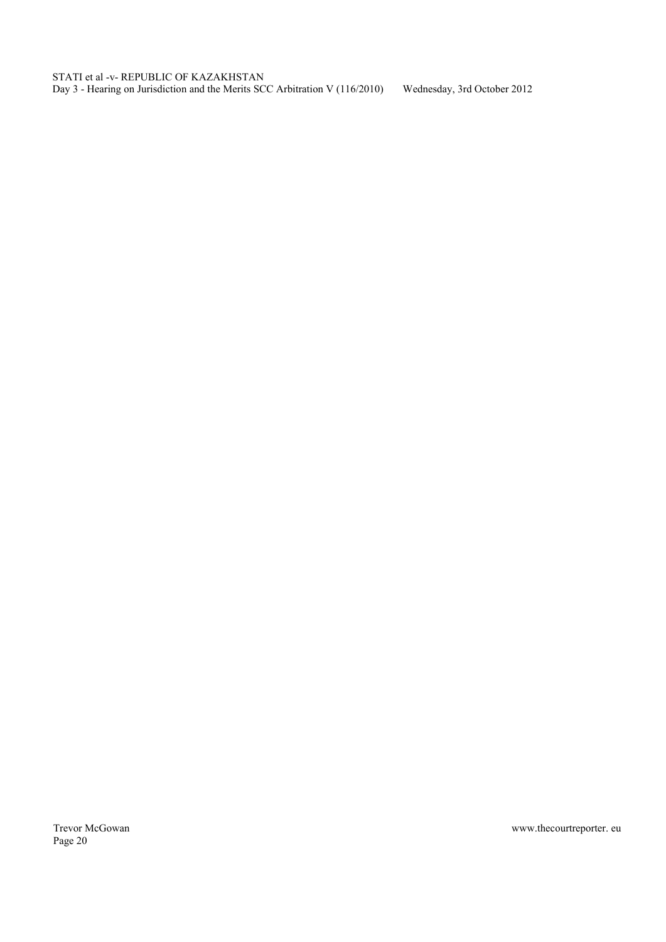Trevor McGowan<br>Page 20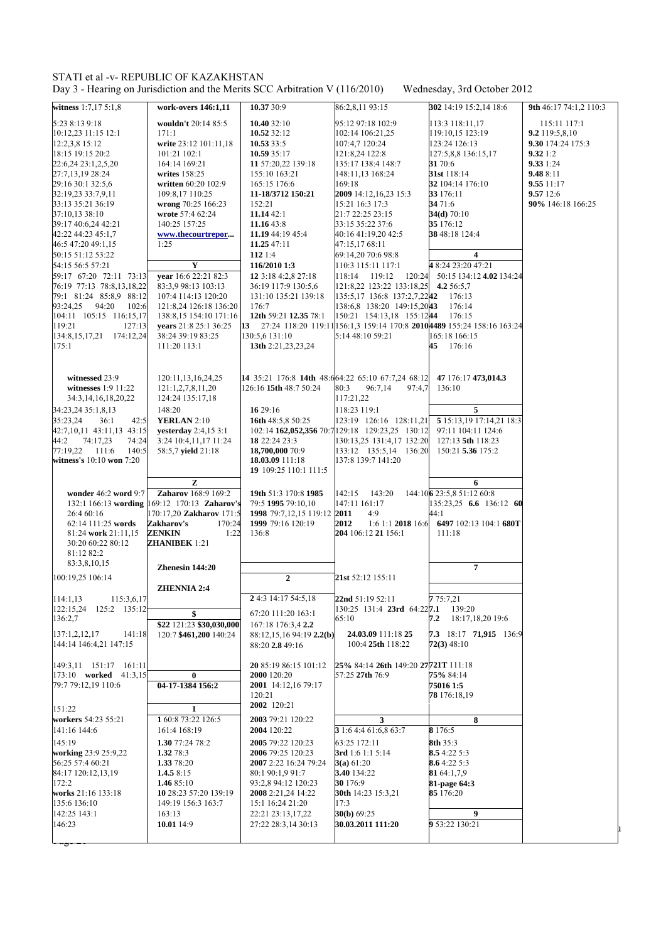Wednesday, 3rd October 2012

| witness $1:7,175:1,8$                                                                         | work-overs 146:1,11                                                      | 10.37 30:9                                                                  | 86:2,8,11 93:15                                          | 302 14:19 15:2,14 18:6                                                     | 9th 46:17 74:1,2 110:3  |
|-----------------------------------------------------------------------------------------------|--------------------------------------------------------------------------|-----------------------------------------------------------------------------|----------------------------------------------------------|----------------------------------------------------------------------------|-------------------------|
| 5:23 8:13 9:18                                                                                | wouldn't 20:14 85:5                                                      | 10.40 $32:10$                                                               | 95:12 97:18 102:9                                        | 113:3 118:11,17                                                            | 115:11 117:1            |
| 10:12,23 11:15 12:1                                                                           | 171:1                                                                    | 10.52 32:12                                                                 | 102:14 106:21,25                                         | 119:10,15 123:19                                                           | $9.2$ 119:5,8,10        |
| 12:2,3,8 15:12                                                                                | write 23:12 101:11,18                                                    | 10.5333:5                                                                   | 107:4,7 120:24                                           | 123:24 126:13                                                              | 9.30 174:24 175:3       |
| 18:15 19:15 20:2                                                                              | $101:21$ $102:1$                                                         | 10.59 35:17                                                                 | 121:8,24 122:8                                           | 127:5,8,8 136:15,17                                                        | 9.321:2                 |
| 22:6,24 23:1,2,5,20                                                                           | 164:14 169:21                                                            | 11 57:20,22 139:18                                                          | 135:17 138:4 148:7                                       | 31 70:6                                                                    | 9.33 1:24               |
| 27:7,13,19 28:24                                                                              | writes $158:25$                                                          | 155:10 163:21                                                               | 148:11,13 168:24                                         | 31st 118:14                                                                | 9.488:11                |
| 29:16 30:1 32:5,6<br>32:19,23 33:7,9,11                                                       | written 60:20 102:9<br>109:8,17 110:25                                   | 165:15 176:6<br>11-18/3712 150:21                                           | 169:18<br>2009 14:12,16,23 15:3                          | 32 104:14 176:10<br>33 176:11                                              | 9.55 11:17<br>9.57 12:6 |
| 33:13 35:21 36:19                                                                             | wrong 70:25 166:23                                                       | 152:21                                                                      | 15:21 16:3 17:3                                          | 34 71:6                                                                    | 90% 146:18 166:25       |
| 37:10,13 38:10                                                                                | wrote 57:4 62:24                                                         | 11.14 42:1                                                                  | 21:7 22:25 23:15                                         | 34(d) $70:10$                                                              |                         |
| 39:17 40:6,24 42:21                                                                           | 140:25 157:25                                                            | 11.16 43:8                                                                  | 33:15 35:22 37:6                                         | 35 176:12                                                                  |                         |
| 42:22 44:23 45:1,7                                                                            | www.thecourtrepor                                                        | 11.19 44:19 45:4                                                            | 40:16 41:19,20 42:5                                      | 38 48:18 124:4                                                             |                         |
| 46:5 47:20 49:1,15                                                                            | 1:25                                                                     | 11.25 47:11                                                                 | 47:15,17 68:11                                           |                                                                            |                         |
| 50:15 51:12 53:22                                                                             |                                                                          | 112 1:4                                                                     | 69:14,20 70:6 98:8                                       | 4                                                                          |                         |
| 54:15 56:5 57:21                                                                              | Y                                                                        | 116/2010 1:3                                                                | 110:3 115:11 117:1                                       | 4 8:24 23:20 47:21                                                         |                         |
| 59:17 67:20 72:11 73:13                                                                       | year 16:6 22:21 82:3                                                     | 12 3:18 4:2,8 27:18                                                         | 118:14 119:12 120:24                                     | 50:15 134:12 4.02 134:24                                                   |                         |
| 76:19 77:13 78:8,13,18,22<br>79:1 81:24 85:8,9 88:12                                          | 83:3,9 98:13 103:13<br>107:4 114:13 120:20                               | 36:19 117:9 130:5,6<br>131:10 135:21 139:18                                 | 121:8,22 123:22 133:18,25<br>135:5,17 136:8 137:2,7,2242 | 4.2 56:5.7<br>176:13                                                       |                         |
| 93:24,25 94:20<br>102:6                                                                       | 121:8,24 126:18 136:20                                                   | 176:7                                                                       | 138:6,8 138:20 149:15,2043                               | 176:14                                                                     |                         |
| 104:11 105:15 116:15,17                                                                       | 138:8,15 154:10 171:16                                                   | 12th 59:21 12.35 78:1                                                       | 150:21 154:13,18 155:1244 176:15                         |                                                                            |                         |
| 119:21<br>127:13                                                                              | years 21:8 25:1 36:25                                                    |                                                                             |                                                          | 13 27:24 118:20 119:11 156:1,3 159:14 170:8 2010 4489 155:24 158:16 163:24 |                         |
| 134:8,15,17,21 174:12,24                                                                      | 38:24 39:19 83:25                                                        | 130:5,6 131:10                                                              | 5:14 48:10 59:21                                         | 165:18 166:15                                                              |                         |
| 175:1                                                                                         | 111:20 113:1                                                             | 13th 2:21,23,23,24                                                          |                                                          | 45 176:16                                                                  |                         |
|                                                                                               |                                                                          |                                                                             |                                                          |                                                                            |                         |
|                                                                                               |                                                                          |                                                                             |                                                          |                                                                            |                         |
| witnessed 23:9<br>witnesses $1:9$ $11:22$                                                     | 120:11,13,16,24,25                                                       | 14 35:21 176:8 14th 48:664:22 65:10 67:7.24 68:12<br>126:16 15th 48:7 50:24 | 80:3<br>96:7,14<br>97:4.7                                | 47 176:17 473,014.3<br>136:10                                              |                         |
| 34:3, 14, 16, 18, 20, 22                                                                      | 121:1,2,7,8,11,20<br>124:24 135:17,18                                    |                                                                             | 117:21,22                                                |                                                                            |                         |
| 34:23,24 35:1,8,13                                                                            | 148:20                                                                   | 16 29:16                                                                    | 118:23 119:1                                             | 5                                                                          |                         |
| 35:23,24<br>36:1<br>42:5                                                                      | <b>YERLAN 2:10</b>                                                       | 16th 48:5.8 50:25                                                           | 123:19 126:16 128:11,21                                  | 5 15:13,19 17:14,21 18:3                                                   |                         |
| 42:7,10,11 43:11,13 43:15                                                                     | yesterday $2:4,15$ 3:1                                                   |                                                                             | 102:14 162,052,356 70:7129:18 129:23,25 130:12           | 97:11 104:11 124:6                                                         |                         |
| 74:17,23<br>44:2<br>74:24                                                                     | 3:24 10:4,11,17 11:24                                                    | 18 22:24 23:3                                                               | 130:13,25 131:4,17 132:20                                | 127:13 5th 118:23                                                          |                         |
| 77:19,22<br>111:6<br>140:5                                                                    | 58:5,7 yield 21:18                                                       | 18,700,000 70:9                                                             | 133:12 135:5,14 136:20                                   | 150:21 5.36 175:2                                                          |                         |
| witness's $10:10$ won $7:20$                                                                  |                                                                          | 18.03.09 111:18                                                             | 137:8 139:7 141:20                                       |                                                                            |                         |
|                                                                                               |                                                                          | 19 109:25 110:1 111:5                                                       |                                                          |                                                                            |                         |
|                                                                                               |                                                                          |                                                                             |                                                          |                                                                            |                         |
|                                                                                               | z                                                                        |                                                                             |                                                          | 6                                                                          |                         |
| wonder 46:2 word 9:7                                                                          | Zaharov 168:9 169:2                                                      | 19th 51:3 170:8 1985                                                        | 142:15 143:20                                            | 144:106 23:5,8 51:12 60:8                                                  |                         |
| 26:4 60:16                                                                                    | 132:1 166:13 wording 169:12 170:13 Zaharov's<br>170:17,20 Zakharov 171:5 | 79:5 1995 79:10,10<br>1998 79:7,12,15 119:12 2011                           | 147:11 161:17<br>4:9                                     | 135:23,25 6.6 136:12 60<br>44:1                                            |                         |
| 62:14 111:25 words                                                                            | Zakharov's<br>170:24                                                     | 1999 79:16 120:19                                                           | 2012<br>1:6 1:1 <b>2018</b> 16:6                         | 6497 102:13 104:1 680T                                                     |                         |
| 81:24 work 21:11.15                                                                           | <b>ZENKIN</b><br>1:22                                                    | 136:8                                                                       | 204 106:12 21 156:1                                      | 111:18                                                                     |                         |
| 30:20 60:22 80:12                                                                             | <b>ZHANIBEK</b> 1:21                                                     |                                                                             |                                                          |                                                                            |                         |
| 81:12 82:2                                                                                    |                                                                          |                                                                             |                                                          |                                                                            |                         |
| 83:3,8,10,15                                                                                  | Zhenesin 144:20                                                          |                                                                             |                                                          | $\overline{7}$                                                             |                         |
| 100:19.25 106:14                                                                              |                                                                          | $\overline{2}$                                                              | 21st 52:12 155:11                                        |                                                                            |                         |
|                                                                                               | <b>ZHENNIA 2:4</b>                                                       |                                                                             |                                                          |                                                                            |                         |
| 115:3,6,17                                                                                    |                                                                          | 2 4:3 14:17 54:5,18                                                         | 22nd 51:1952:11                                          | $\overline{7}\,75:7,21$                                                    |                         |
|                                                                                               | \$                                                                       | 67:20 111:20 163:1                                                          | 130:25 131:4 23rd 64:227.1 139:20                        |                                                                            |                         |
| 114:1,13<br>122:15,24 125:2 135:12<br>136:2,7                                                 | \$22 121:23 \$30,030,000                                                 | 167:18 176:3,4 2.2                                                          | 65:10                                                    | 7.2 18:17,18,20 19:6                                                       |                         |
| 141:18                                                                                        | 120:7 \$461,200 140:24                                                   | 88:12,15,16 94:19 2.2(b)                                                    | 24.03.09 111:18 25                                       | 7.3 18:17 71,915 136:9                                                     |                         |
| 137:1,2,12,17<br>144:14 146:4,21 147:15                                                       |                                                                          | 88:20 2.8 49:16                                                             | 100:4 25th 118:22                                        | $72(3)$ 48:10                                                              |                         |
|                                                                                               |                                                                          |                                                                             |                                                          |                                                                            |                         |
| 149:3,11 151:17 161:11                                                                        | 0                                                                        | 20 85:19 86:15 101:12<br>2000 120:20                                        | 25% 84:14 26th 149:20 27721T 111:18<br>57:25 27th 76:9   | 75% 84:14                                                                  |                         |
| 173:10 worked 41:3,15<br>79:7 79:12,19 110:6                                                  | 04-17-1384 156:2                                                         | 2001 14:12,16 79:17                                                         |                                                          | 75016 1:5                                                                  |                         |
|                                                                                               |                                                                          | 120:21                                                                      |                                                          | 78 176:18,19                                                               |                         |
| 151:22                                                                                        | $\mathbf{1}$                                                             | 2002 120:21                                                                 |                                                          |                                                                            |                         |
| workers 54:23 55:21                                                                           | 1 60:8 73:22 126:5                                                       | 2003 79:21 120:22                                                           | 3                                                        | 8                                                                          |                         |
| 141:16 144:6                                                                                  | 161:4 168:19                                                             | 2004 120:22                                                                 | 3 1:6 4:4 61:6.8 63:7                                    | 8 176:5                                                                    |                         |
| 145:19                                                                                        | 1.30 77:24 78:2                                                          | 2005 79:22 120:23                                                           | 63:25 172:11                                             | <b>8th 35:3</b>                                                            |                         |
|                                                                                               | 1.32 78:3                                                                | 2006 79:25 120:23                                                           | 3rd 1:6 1:1 5:14                                         | 8.5 4:22 5:3                                                               |                         |
|                                                                                               | 1.33 78:20                                                               | 2007 2:22 16:24 79:24                                                       | 3(a) 61:20                                               | 8.6 4:22 5:3                                                               |                         |
|                                                                                               | 1.4.5 $8:15$                                                             | 80:1 90:1,9 91:7                                                            | 3.40 134:22                                              | 81 64:1,7,9                                                                |                         |
|                                                                                               | 1.46 85:10                                                               | 93:2,8 94:12 120:23                                                         | <b>30</b> 176:9                                          | 81-page 64:3                                                               |                         |
| working 23:9 25:9,22<br>56:25 57:4 60:21<br>84:17 120:12,13,19<br>172:2<br>works 21:16 133:18 | 10 28:23 57:20 139:19                                                    | 2008 2:21,24 14:22                                                          | <b>30th</b> 14:23 15:3,21                                | 85 176:20                                                                  |                         |
| 135:6 136:10                                                                                  | 149:19 156:3 163:7                                                       | 15:1 16:24 21:20                                                            | 17:3                                                     | 9                                                                          |                         |
| 142:25 143:1<br>146:23                                                                        | 163:13<br>10.01 14:9                                                     | 22:21 23:13,17,22<br>27:22 28:3,14 30:13                                    | 30(b) 69:25<br>30.03.2011 111:20                         | 9 53:22 130:21                                                             |                         |